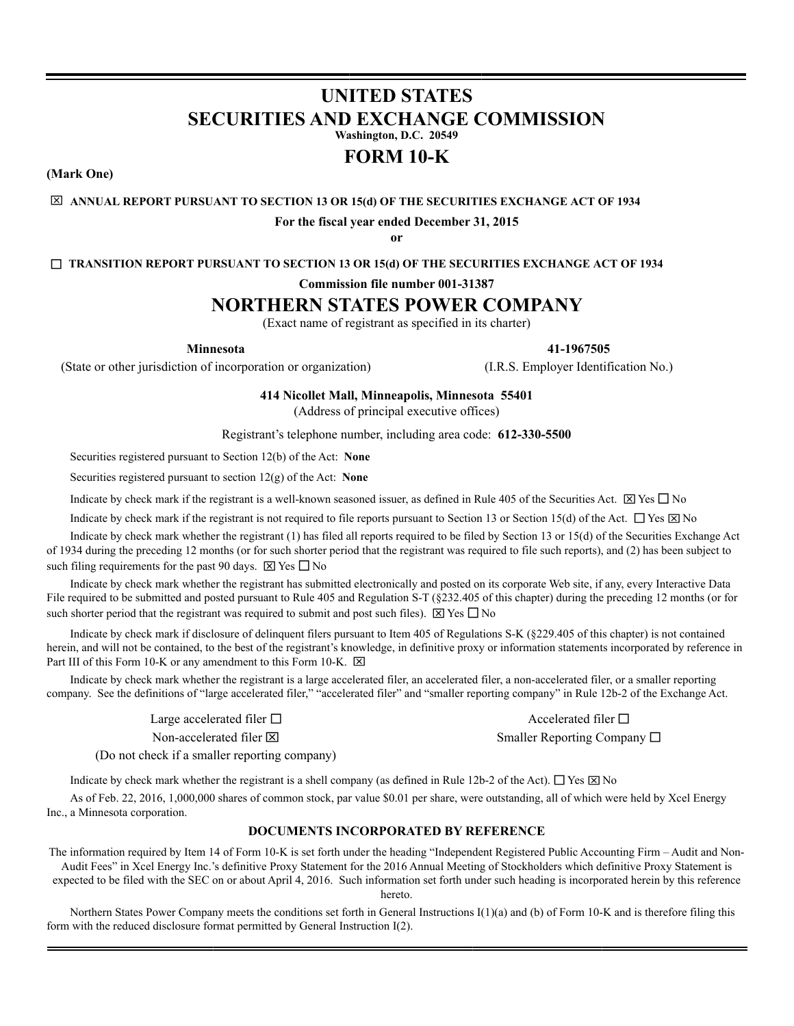# **UNITED STATES SECURITIES AND EXCHANGE COMMISSION**

**Washington, D.C. 20549**

## **FORM 10-K**

**(Mark One)**

#### **ANNUAL REPORT PURSUANT TO SECTION 13 OR 15(d) OF THE SECURITIES EXCHANGE ACT OF 1934**

**For the fiscal year ended December 31, 2015**

**or**

**TRANSITION REPORT PURSUANT TO SECTION 13 OR 15(d) OF THE SECURITIES EXCHANGE ACT OF 1934**

**Commission file number 001-31387**

## **NORTHERN STATES POWER COMPANY**

(Exact name of registrant as specified in its charter)

**Minnesota 41-1967505**

(State or other jurisdiction of incorporation or organization) (I.R.S. Employer Identification No.)

**414 Nicollet Mall, Minneapolis, Minnesota 55401**

(Address of principal executive offices)

Registrant's telephone number, including area code: **612-330-5500**

Securities registered pursuant to Section 12(b) of the Act: **None**

Securities registered pursuant to section 12(g) of the Act: **None**

Indicate by check mark if the registrant is a well-known seasoned issuer, as defined in Rule 405 of the Securities Act.  $\boxtimes$  Yes  $\Box$  No

Indicate by check mark if the registrant is not required to file reports pursuant to Section 13 or Section 15(d) of the Act.  $\Box$  Yes  $\boxtimes$  No

Indicate by check mark whether the registrant (1) has filed all reports required to be filed by Section 13 or 15(d) of the Securities Exchange Act of 1934 during the preceding 12 months (or for such shorter period that the registrant was required to file such reports), and (2) has been subject to such filing requirements for the past 90 days.  $\boxtimes$  Yes  $\Box$  No

Indicate by check mark whether the registrant has submitted electronically and posted on its corporate Web site, if any, every Interactive Data File required to be submitted and posted pursuant to Rule 405 and Regulation S-T (§232.405 of this chapter) during the preceding 12 months (or for such shorter period that the registrant was required to submit and post such files).  $\boxtimes$  Yes  $\square$  No

Indicate by check mark if disclosure of delinquent filers pursuant to Item 405 of Regulations S-K (§229.405 of this chapter) is not contained herein, and will not be contained, to the best of the registrant's knowledge, in definitive proxy or information statements incorporated by reference in Part III of this Form 10-K or any amendment to this Form 10-K.  $\boxtimes$ 

Indicate by check mark whether the registrant is a large accelerated filer, an accelerated filer, a non-accelerated filer, or a smaller reporting company. See the definitions of "large accelerated filer," "accelerated filer" and "smaller reporting company" in Rule 12b-2 of the Exchange Act.

Large accelerated filer  $\Box$  Accelerated filer  $\Box$ 

Non-accelerated filer  $\boxtimes$  Smaller Reporting Company  $\Box$ 

(Do not check if a smaller reporting company)

Indicate by check mark whether the registrant is a shell company (as defined in Rule 12b-2 of the Act).  $\Box$  Yes  $\boxtimes$  No

As of Feb. 22, 2016, 1,000,000 shares of common stock, par value \$0.01 per share, were outstanding, all of which were held by Xcel Energy Inc., a Minnesota corporation.

#### **DOCUMENTS INCORPORATED BY REFERENCE**

The information required by Item 14 of Form 10-K is set forth under the heading "Independent Registered Public Accounting Firm – Audit and Non-Audit Fees" in Xcel Energy Inc.'s definitive Proxy Statement for the 2016 Annual Meeting of Stockholders which definitive Proxy Statement is expected to be filed with the SEC on or about April 4, 2016. Such information set forth under such heading is incorporated herein by this reference hereto.

Northern States Power Company meets the conditions set forth in General Instructions I(1)(a) and (b) of Form 10-K and is therefore filing this form with the reduced disclosure format permitted by General Instruction I(2).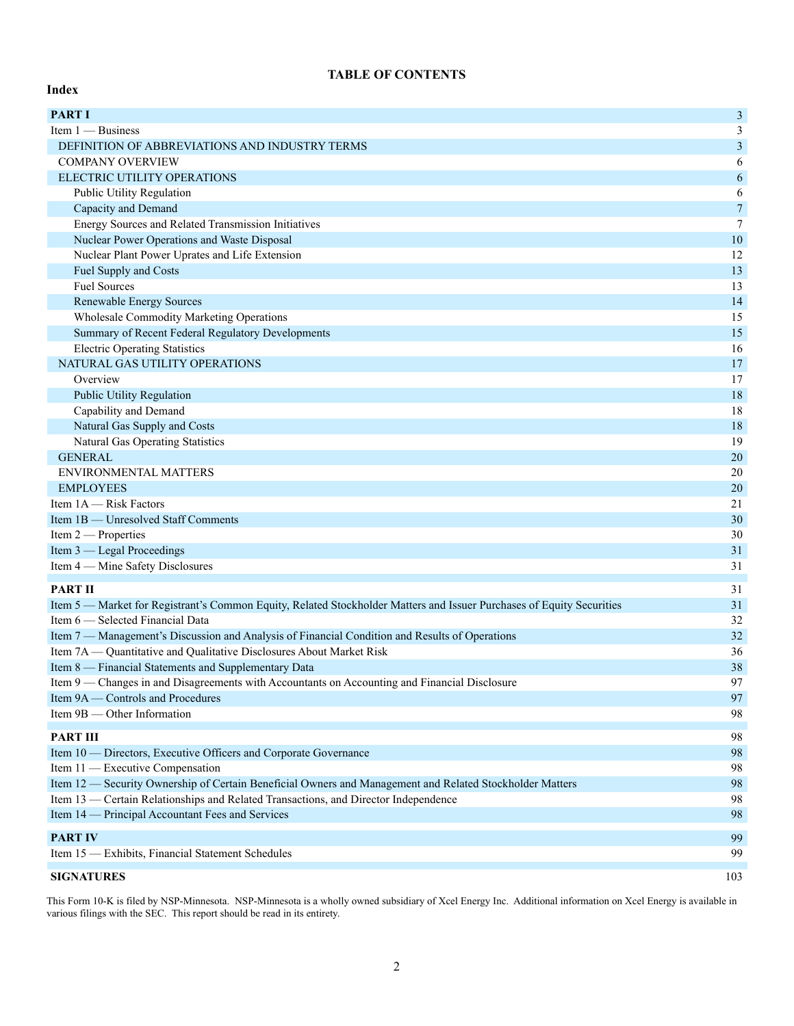## **TABLE OF CONTENTS**

**Index**

| <b>PART I</b>                                                                                                         | $\mathfrak{Z}$   |
|-----------------------------------------------------------------------------------------------------------------------|------------------|
| Item 1 - Business                                                                                                     | 3                |
| DEFINITION OF ABBREVIATIONS AND INDUSTRY TERMS                                                                        | $\mathfrak{Z}$   |
| <b>COMPANY OVERVIEW</b>                                                                                               | 6                |
| ELECTRIC UTILITY OPERATIONS                                                                                           | $\sqrt{6}$       |
| Public Utility Regulation                                                                                             | 6                |
| Capacity and Demand                                                                                                   | $\boldsymbol{7}$ |
| Energy Sources and Related Transmission Initiatives                                                                   | $\boldsymbol{7}$ |
| Nuclear Power Operations and Waste Disposal                                                                           | $10\,$           |
| Nuclear Plant Power Uprates and Life Extension                                                                        | 12               |
| Fuel Supply and Costs                                                                                                 | 13               |
| <b>Fuel Sources</b>                                                                                                   | 13               |
| Renewable Energy Sources                                                                                              | 14               |
| Wholesale Commodity Marketing Operations                                                                              | 15               |
| Summary of Recent Federal Regulatory Developments                                                                     | 15               |
| <b>Electric Operating Statistics</b>                                                                                  | 16               |
| NATURAL GAS UTILITY OPERATIONS                                                                                        | 17               |
| Overview                                                                                                              | 17               |
| Public Utility Regulation                                                                                             | 18               |
| Capability and Demand                                                                                                 | 18               |
| Natural Gas Supply and Costs                                                                                          | 18               |
| <b>Natural Gas Operating Statistics</b>                                                                               | 19               |
| <b>GENERAL</b>                                                                                                        | 20               |
| ENVIRONMENTAL MATTERS                                                                                                 | 20               |
| <b>EMPLOYEES</b>                                                                                                      | $20\,$           |
| Item $1A$ — Risk Factors                                                                                              | 21               |
| Item 1B — Unresolved Staff Comments                                                                                   | 30               |
| Item 2 - Properties                                                                                                   | 30               |
| Item 3 — Legal Proceedings                                                                                            | 31               |
| Item 4 — Mine Safety Disclosures                                                                                      | 31               |
| <b>PART II</b>                                                                                                        | 31               |
| Item 5 — Market for Registrant's Common Equity, Related Stockholder Matters and Issuer Purchases of Equity Securities | 31               |
| Item 6 - Selected Financial Data                                                                                      | 32               |
| Item 7 — Management's Discussion and Analysis of Financial Condition and Results of Operations                        | 32               |
| Item 7A — Quantitative and Qualitative Disclosures About Market Risk                                                  | 36               |
| Item 8 — Financial Statements and Supplementary Data                                                                  | 38               |
| Item 9 — Changes in and Disagreements with Accountants on Accounting and Financial Disclosure                         | 97               |
| Item 9A — Controls and Procedures                                                                                     | 97               |
| Item 9B — Other Information                                                                                           | 98               |
|                                                                                                                       |                  |
| <b>PART III</b>                                                                                                       | 98               |
| Item 10 — Directors, Executive Officers and Corporate Governance                                                      | 98               |
| Item 11 - Executive Compensation                                                                                      | 98               |
| Item 12 - Security Ownership of Certain Beneficial Owners and Management and Related Stockholder Matters              | 98               |
| Item 13 — Certain Relationships and Related Transactions, and Director Independence                                   | 98               |
| Item 14 — Principal Accountant Fees and Services                                                                      | 98               |
| <b>PART IV</b>                                                                                                        | 99               |
| Item 15 - Exhibits, Financial Statement Schedules                                                                     | 99               |
| <b>SIGNATURES</b>                                                                                                     | 103              |
|                                                                                                                       |                  |

This Form 10-K is filed by NSP-Minnesota. NSP-Minnesota is a wholly owned subsidiary of Xcel Energy Inc. Additional information on Xcel Energy is available in various filings with the SEC. This report should be read in its entirety.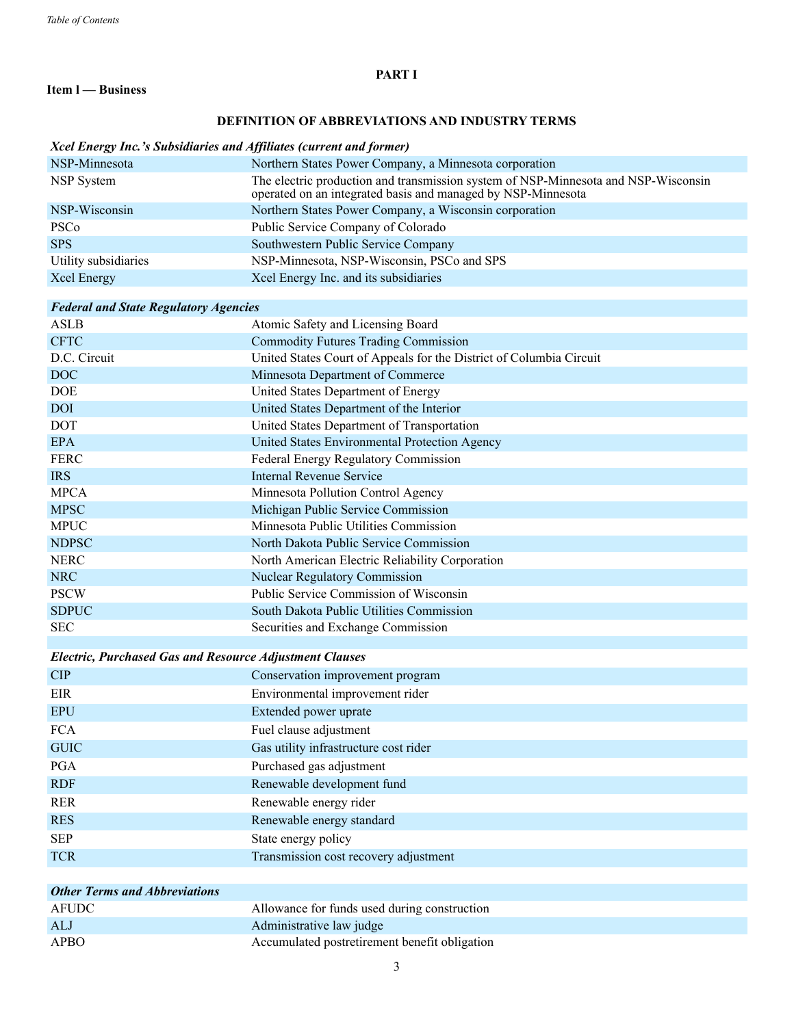## **PART I**

## **Item l — Business**

## **DEFINITION OF ABBREVIATIONS AND INDUSTRY TERMS**

#### *Xcel Energy Inc.'s Subsidiaries and Affiliates (current and former)*

| NSP-Minnesota        | Northern States Power Company, a Minnesota corporation                                                                                             |
|----------------------|----------------------------------------------------------------------------------------------------------------------------------------------------|
| NSP System           | The electric production and transmission system of NSP-Minnesota and NSP-Wisconsin<br>operated on an integrated basis and managed by NSP-Minnesota |
| NSP-Wisconsin        | Northern States Power Company, a Wisconsin corporation                                                                                             |
| <b>PSCo</b>          | Public Service Company of Colorado                                                                                                                 |
| <b>SPS</b>           | Southwestern Public Service Company                                                                                                                |
| Utility subsidiaries | NSP-Minnesota, NSP-Wisconsin, PSCo and SPS                                                                                                         |
| Xcel Energy          | Xcel Energy Inc. and its subsidiaries                                                                                                              |
|                      |                                                                                                                                                    |

## *Federal and State Regulatory Agencies*

| <b>ASLB</b>  | Atomic Safety and Licensing Board                                   |
|--------------|---------------------------------------------------------------------|
| <b>CFTC</b>  | <b>Commodity Futures Trading Commission</b>                         |
| D.C. Circuit | United States Court of Appeals for the District of Columbia Circuit |
| DOC          | Minnesota Department of Commerce                                    |
| <b>DOE</b>   | United States Department of Energy                                  |
| <b>DOI</b>   | United States Department of the Interior                            |
| <b>DOT</b>   | United States Department of Transportation                          |
| <b>EPA</b>   | United States Environmental Protection Agency                       |
| <b>FERC</b>  | Federal Energy Regulatory Commission                                |
| <b>IRS</b>   | <b>Internal Revenue Service</b>                                     |
| <b>MPCA</b>  | Minnesota Pollution Control Agency                                  |
| <b>MPSC</b>  | Michigan Public Service Commission                                  |
| <b>MPUC</b>  | Minnesota Public Utilities Commission                               |
| <b>NDPSC</b> | North Dakota Public Service Commission                              |
| <b>NERC</b>  | North American Electric Reliability Corporation                     |
| NRC          | <b>Nuclear Regulatory Commission</b>                                |
| <b>PSCW</b>  | Public Service Commission of Wisconsin                              |
| <b>SDPUC</b> | South Dakota Public Utilities Commission                            |
| <b>SEC</b>   | Securities and Exchange Commission                                  |
|              |                                                                     |
|              | <b>Electric, Purchased Gas and Resource Adjustment Clauses</b>      |

| Conservation improvement program      |
|---------------------------------------|
| Environmental improvement rider       |
| Extended power uprate                 |
| Fuel clause adjustment                |
| Gas utility infrastructure cost rider |
| Purchased gas adjustment              |
| Renewable development fund            |
| Renewable energy rider                |
| Renewable energy standard             |
| State energy policy                   |
| Transmission cost recovery adjustment |
|                                       |

| <b>Other Terms and Abbreviations</b> |                                               |
|--------------------------------------|-----------------------------------------------|
| <b>AFUDC</b>                         | Allowance for funds used during construction  |
| <b>ALJ</b>                           | Administrative law judge                      |
| <b>APBO</b>                          | Accumulated postretirement benefit obligation |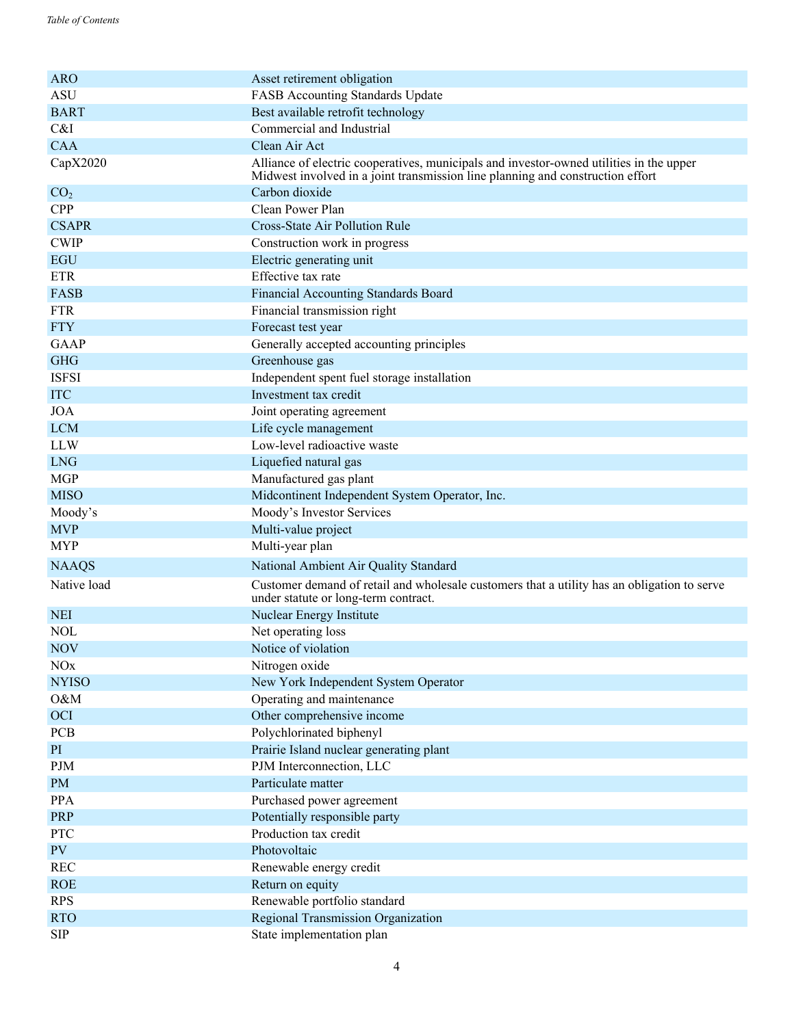| Asset retirement obligation<br><b>ASU</b><br><b>FASB Accounting Standards Update</b><br>Best available retrofit technology<br><b>BART</b><br>Commercial and Industrial<br>C&I<br><b>CAA</b><br>Clean Air Act<br>Alliance of electric cooperatives, municipals and investor-owned utilities in the upper<br>CapX2020<br>Midwest involved in a joint transmission line planning and construction effort<br>Carbon dioxide<br>CO <sub>2</sub><br>Clean Power Plan<br><b>CPP</b><br><b>CSAPR</b><br><b>Cross-State Air Pollution Rule</b><br><b>CWIP</b><br>Construction work in progress<br><b>EGU</b><br>Electric generating unit<br>Effective tax rate<br><b>ETR</b><br>FASB<br><b>Financial Accounting Standards Board</b><br><b>FTR</b><br>Financial transmission right<br><b>FTY</b><br>Forecast test year<br>GAAP<br>Generally accepted accounting principles<br>Greenhouse gas<br><b>GHG</b><br><b>ISFSI</b><br>Independent spent fuel storage installation<br><b>ITC</b><br>Investment tax credit<br><b>JOA</b><br>Joint operating agreement<br><b>LCM</b><br>Life cycle management<br>Low-level radioactive waste<br><b>LLW</b><br><b>LNG</b><br>Liquefied natural gas<br><b>MGP</b><br>Manufactured gas plant<br><b>MISO</b><br>Midcontinent Independent System Operator, Inc.<br>Moody's Investor Services<br>Moody's<br><b>MVP</b><br>Multi-value project<br><b>MYP</b><br>Multi-year plan<br><b>NAAQS</b><br>National Ambient Air Quality Standard<br>Native load<br>Customer demand of retail and wholesale customers that a utility has an obligation to serve<br>under statute or long-term contract.<br><b>NEI</b><br>Nuclear Energy Institute |
|--------------------------------------------------------------------------------------------------------------------------------------------------------------------------------------------------------------------------------------------------------------------------------------------------------------------------------------------------------------------------------------------------------------------------------------------------------------------------------------------------------------------------------------------------------------------------------------------------------------------------------------------------------------------------------------------------------------------------------------------------------------------------------------------------------------------------------------------------------------------------------------------------------------------------------------------------------------------------------------------------------------------------------------------------------------------------------------------------------------------------------------------------------------------------------------------------------------------------------------------------------------------------------------------------------------------------------------------------------------------------------------------------------------------------------------------------------------------------------------------------------------------------------------------------------------------------------------------------------------------------------------------------------------|
|                                                                                                                                                                                                                                                                                                                                                                                                                                                                                                                                                                                                                                                                                                                                                                                                                                                                                                                                                                                                                                                                                                                                                                                                                                                                                                                                                                                                                                                                                                                                                                                                                                                              |
|                                                                                                                                                                                                                                                                                                                                                                                                                                                                                                                                                                                                                                                                                                                                                                                                                                                                                                                                                                                                                                                                                                                                                                                                                                                                                                                                                                                                                                                                                                                                                                                                                                                              |
|                                                                                                                                                                                                                                                                                                                                                                                                                                                                                                                                                                                                                                                                                                                                                                                                                                                                                                                                                                                                                                                                                                                                                                                                                                                                                                                                                                                                                                                                                                                                                                                                                                                              |
|                                                                                                                                                                                                                                                                                                                                                                                                                                                                                                                                                                                                                                                                                                                                                                                                                                                                                                                                                                                                                                                                                                                                                                                                                                                                                                                                                                                                                                                                                                                                                                                                                                                              |
|                                                                                                                                                                                                                                                                                                                                                                                                                                                                                                                                                                                                                                                                                                                                                                                                                                                                                                                                                                                                                                                                                                                                                                                                                                                                                                                                                                                                                                                                                                                                                                                                                                                              |
|                                                                                                                                                                                                                                                                                                                                                                                                                                                                                                                                                                                                                                                                                                                                                                                                                                                                                                                                                                                                                                                                                                                                                                                                                                                                                                                                                                                                                                                                                                                                                                                                                                                              |
|                                                                                                                                                                                                                                                                                                                                                                                                                                                                                                                                                                                                                                                                                                                                                                                                                                                                                                                                                                                                                                                                                                                                                                                                                                                                                                                                                                                                                                                                                                                                                                                                                                                              |
|                                                                                                                                                                                                                                                                                                                                                                                                                                                                                                                                                                                                                                                                                                                                                                                                                                                                                                                                                                                                                                                                                                                                                                                                                                                                                                                                                                                                                                                                                                                                                                                                                                                              |
|                                                                                                                                                                                                                                                                                                                                                                                                                                                                                                                                                                                                                                                                                                                                                                                                                                                                                                                                                                                                                                                                                                                                                                                                                                                                                                                                                                                                                                                                                                                                                                                                                                                              |
|                                                                                                                                                                                                                                                                                                                                                                                                                                                                                                                                                                                                                                                                                                                                                                                                                                                                                                                                                                                                                                                                                                                                                                                                                                                                                                                                                                                                                                                                                                                                                                                                                                                              |
|                                                                                                                                                                                                                                                                                                                                                                                                                                                                                                                                                                                                                                                                                                                                                                                                                                                                                                                                                                                                                                                                                                                                                                                                                                                                                                                                                                                                                                                                                                                                                                                                                                                              |
|                                                                                                                                                                                                                                                                                                                                                                                                                                                                                                                                                                                                                                                                                                                                                                                                                                                                                                                                                                                                                                                                                                                                                                                                                                                                                                                                                                                                                                                                                                                                                                                                                                                              |
|                                                                                                                                                                                                                                                                                                                                                                                                                                                                                                                                                                                                                                                                                                                                                                                                                                                                                                                                                                                                                                                                                                                                                                                                                                                                                                                                                                                                                                                                                                                                                                                                                                                              |
|                                                                                                                                                                                                                                                                                                                                                                                                                                                                                                                                                                                                                                                                                                                                                                                                                                                                                                                                                                                                                                                                                                                                                                                                                                                                                                                                                                                                                                                                                                                                                                                                                                                              |
|                                                                                                                                                                                                                                                                                                                                                                                                                                                                                                                                                                                                                                                                                                                                                                                                                                                                                                                                                                                                                                                                                                                                                                                                                                                                                                                                                                                                                                                                                                                                                                                                                                                              |
|                                                                                                                                                                                                                                                                                                                                                                                                                                                                                                                                                                                                                                                                                                                                                                                                                                                                                                                                                                                                                                                                                                                                                                                                                                                                                                                                                                                                                                                                                                                                                                                                                                                              |
|                                                                                                                                                                                                                                                                                                                                                                                                                                                                                                                                                                                                                                                                                                                                                                                                                                                                                                                                                                                                                                                                                                                                                                                                                                                                                                                                                                                                                                                                                                                                                                                                                                                              |
|                                                                                                                                                                                                                                                                                                                                                                                                                                                                                                                                                                                                                                                                                                                                                                                                                                                                                                                                                                                                                                                                                                                                                                                                                                                                                                                                                                                                                                                                                                                                                                                                                                                              |
|                                                                                                                                                                                                                                                                                                                                                                                                                                                                                                                                                                                                                                                                                                                                                                                                                                                                                                                                                                                                                                                                                                                                                                                                                                                                                                                                                                                                                                                                                                                                                                                                                                                              |
|                                                                                                                                                                                                                                                                                                                                                                                                                                                                                                                                                                                                                                                                                                                                                                                                                                                                                                                                                                                                                                                                                                                                                                                                                                                                                                                                                                                                                                                                                                                                                                                                                                                              |
|                                                                                                                                                                                                                                                                                                                                                                                                                                                                                                                                                                                                                                                                                                                                                                                                                                                                                                                                                                                                                                                                                                                                                                                                                                                                                                                                                                                                                                                                                                                                                                                                                                                              |
|                                                                                                                                                                                                                                                                                                                                                                                                                                                                                                                                                                                                                                                                                                                                                                                                                                                                                                                                                                                                                                                                                                                                                                                                                                                                                                                                                                                                                                                                                                                                                                                                                                                              |
|                                                                                                                                                                                                                                                                                                                                                                                                                                                                                                                                                                                                                                                                                                                                                                                                                                                                                                                                                                                                                                                                                                                                                                                                                                                                                                                                                                                                                                                                                                                                                                                                                                                              |
|                                                                                                                                                                                                                                                                                                                                                                                                                                                                                                                                                                                                                                                                                                                                                                                                                                                                                                                                                                                                                                                                                                                                                                                                                                                                                                                                                                                                                                                                                                                                                                                                                                                              |
|                                                                                                                                                                                                                                                                                                                                                                                                                                                                                                                                                                                                                                                                                                                                                                                                                                                                                                                                                                                                                                                                                                                                                                                                                                                                                                                                                                                                                                                                                                                                                                                                                                                              |
|                                                                                                                                                                                                                                                                                                                                                                                                                                                                                                                                                                                                                                                                                                                                                                                                                                                                                                                                                                                                                                                                                                                                                                                                                                                                                                                                                                                                                                                                                                                                                                                                                                                              |
|                                                                                                                                                                                                                                                                                                                                                                                                                                                                                                                                                                                                                                                                                                                                                                                                                                                                                                                                                                                                                                                                                                                                                                                                                                                                                                                                                                                                                                                                                                                                                                                                                                                              |
|                                                                                                                                                                                                                                                                                                                                                                                                                                                                                                                                                                                                                                                                                                                                                                                                                                                                                                                                                                                                                                                                                                                                                                                                                                                                                                                                                                                                                                                                                                                                                                                                                                                              |
|                                                                                                                                                                                                                                                                                                                                                                                                                                                                                                                                                                                                                                                                                                                                                                                                                                                                                                                                                                                                                                                                                                                                                                                                                                                                                                                                                                                                                                                                                                                                                                                                                                                              |
|                                                                                                                                                                                                                                                                                                                                                                                                                                                                                                                                                                                                                                                                                                                                                                                                                                                                                                                                                                                                                                                                                                                                                                                                                                                                                                                                                                                                                                                                                                                                                                                                                                                              |
| <b>NOL</b><br>Net operating loss                                                                                                                                                                                                                                                                                                                                                                                                                                                                                                                                                                                                                                                                                                                                                                                                                                                                                                                                                                                                                                                                                                                                                                                                                                                                                                                                                                                                                                                                                                                                                                                                                             |
| Notice of violation<br><b>NOV</b>                                                                                                                                                                                                                                                                                                                                                                                                                                                                                                                                                                                                                                                                                                                                                                                                                                                                                                                                                                                                                                                                                                                                                                                                                                                                                                                                                                                                                                                                                                                                                                                                                            |
| NOx<br>Nitrogen oxide                                                                                                                                                                                                                                                                                                                                                                                                                                                                                                                                                                                                                                                                                                                                                                                                                                                                                                                                                                                                                                                                                                                                                                                                                                                                                                                                                                                                                                                                                                                                                                                                                                        |
| <b>NYISO</b><br>New York Independent System Operator                                                                                                                                                                                                                                                                                                                                                                                                                                                                                                                                                                                                                                                                                                                                                                                                                                                                                                                                                                                                                                                                                                                                                                                                                                                                                                                                                                                                                                                                                                                                                                                                         |
| O&M<br>Operating and maintenance                                                                                                                                                                                                                                                                                                                                                                                                                                                                                                                                                                                                                                                                                                                                                                                                                                                                                                                                                                                                                                                                                                                                                                                                                                                                                                                                                                                                                                                                                                                                                                                                                             |
| <b>OCI</b><br>Other comprehensive income                                                                                                                                                                                                                                                                                                                                                                                                                                                                                                                                                                                                                                                                                                                                                                                                                                                                                                                                                                                                                                                                                                                                                                                                                                                                                                                                                                                                                                                                                                                                                                                                                     |
| PCB<br>Polychlorinated biphenyl                                                                                                                                                                                                                                                                                                                                                                                                                                                                                                                                                                                                                                                                                                                                                                                                                                                                                                                                                                                                                                                                                                                                                                                                                                                                                                                                                                                                                                                                                                                                                                                                                              |
| Prairie Island nuclear generating plant<br>PI                                                                                                                                                                                                                                                                                                                                                                                                                                                                                                                                                                                                                                                                                                                                                                                                                                                                                                                                                                                                                                                                                                                                                                                                                                                                                                                                                                                                                                                                                                                                                                                                                |
| $\rm PJM$<br>PJM Interconnection, LLC                                                                                                                                                                                                                                                                                                                                                                                                                                                                                                                                                                                                                                                                                                                                                                                                                                                                                                                                                                                                                                                                                                                                                                                                                                                                                                                                                                                                                                                                                                                                                                                                                        |
| Particulate matter<br><b>PM</b>                                                                                                                                                                                                                                                                                                                                                                                                                                                                                                                                                                                                                                                                                                                                                                                                                                                                                                                                                                                                                                                                                                                                                                                                                                                                                                                                                                                                                                                                                                                                                                                                                              |
| PPA<br>Purchased power agreement                                                                                                                                                                                                                                                                                                                                                                                                                                                                                                                                                                                                                                                                                                                                                                                                                                                                                                                                                                                                                                                                                                                                                                                                                                                                                                                                                                                                                                                                                                                                                                                                                             |
| PRP<br>Potentially responsible party                                                                                                                                                                                                                                                                                                                                                                                                                                                                                                                                                                                                                                                                                                                                                                                                                                                                                                                                                                                                                                                                                                                                                                                                                                                                                                                                                                                                                                                                                                                                                                                                                         |
| PTC<br>Production tax credit                                                                                                                                                                                                                                                                                                                                                                                                                                                                                                                                                                                                                                                                                                                                                                                                                                                                                                                                                                                                                                                                                                                                                                                                                                                                                                                                                                                                                                                                                                                                                                                                                                 |
| PV<br>Photovoltaic                                                                                                                                                                                                                                                                                                                                                                                                                                                                                                                                                                                                                                                                                                                                                                                                                                                                                                                                                                                                                                                                                                                                                                                                                                                                                                                                                                                                                                                                                                                                                                                                                                           |
| <b>REC</b><br>Renewable energy credit                                                                                                                                                                                                                                                                                                                                                                                                                                                                                                                                                                                                                                                                                                                                                                                                                                                                                                                                                                                                                                                                                                                                                                                                                                                                                                                                                                                                                                                                                                                                                                                                                        |
| ROE<br>Return on equity                                                                                                                                                                                                                                                                                                                                                                                                                                                                                                                                                                                                                                                                                                                                                                                                                                                                                                                                                                                                                                                                                                                                                                                                                                                                                                                                                                                                                                                                                                                                                                                                                                      |
| Renewable portfolio standard<br><b>RPS</b>                                                                                                                                                                                                                                                                                                                                                                                                                                                                                                                                                                                                                                                                                                                                                                                                                                                                                                                                                                                                                                                                                                                                                                                                                                                                                                                                                                                                                                                                                                                                                                                                                   |
| <b>RTO</b><br>Regional Transmission Organization                                                                                                                                                                                                                                                                                                                                                                                                                                                                                                                                                                                                                                                                                                                                                                                                                                                                                                                                                                                                                                                                                                                                                                                                                                                                                                                                                                                                                                                                                                                                                                                                             |
| <b>SIP</b><br>State implementation plan                                                                                                                                                                                                                                                                                                                                                                                                                                                                                                                                                                                                                                                                                                                                                                                                                                                                                                                                                                                                                                                                                                                                                                                                                                                                                                                                                                                                                                                                                                                                                                                                                      |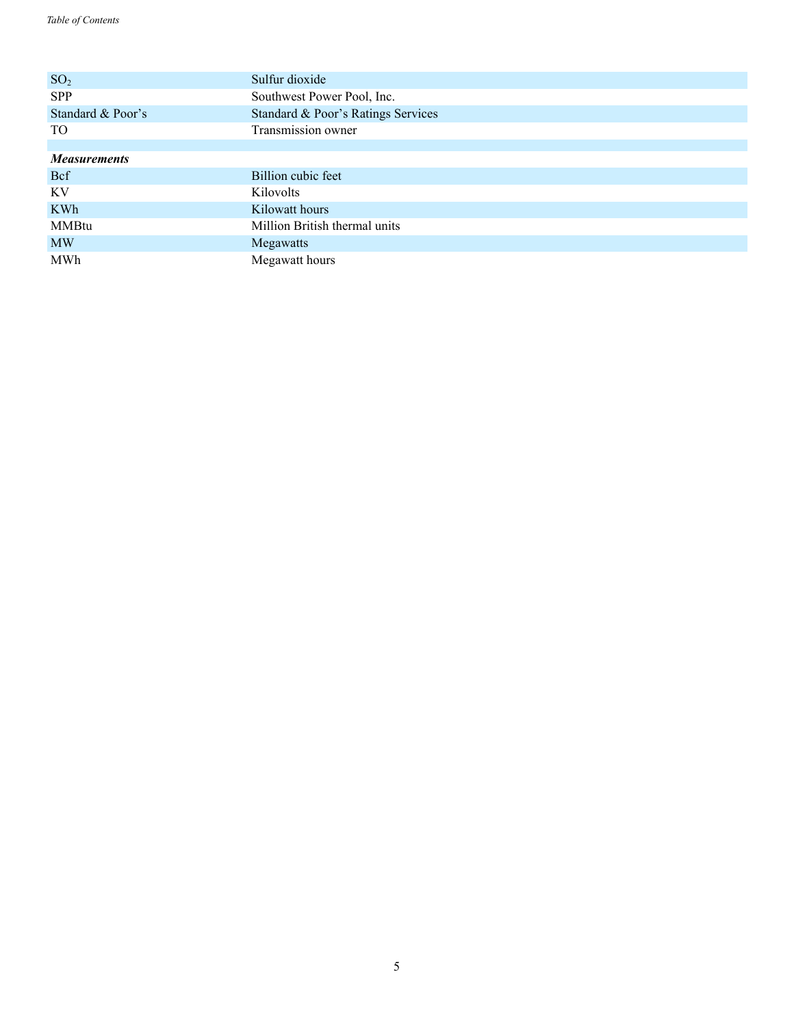| SO <sub>2</sub>     | Sulfur dioxide                     |
|---------------------|------------------------------------|
| <b>SPP</b>          | Southwest Power Pool, Inc.         |
| Standard & Poor's   | Standard & Poor's Ratings Services |
| TO.                 | Transmission owner                 |
|                     |                                    |
| <b>Measurements</b> |                                    |
| <b>Bcf</b>          | Billion cubic feet                 |
| KV                  | Kilovolts                          |
| <b>KWh</b>          | Kilowatt hours                     |
| <b>MMBtu</b>        | Million British thermal units      |
| <b>MW</b>           | Megawatts                          |
| MWh                 | Megawatt hours                     |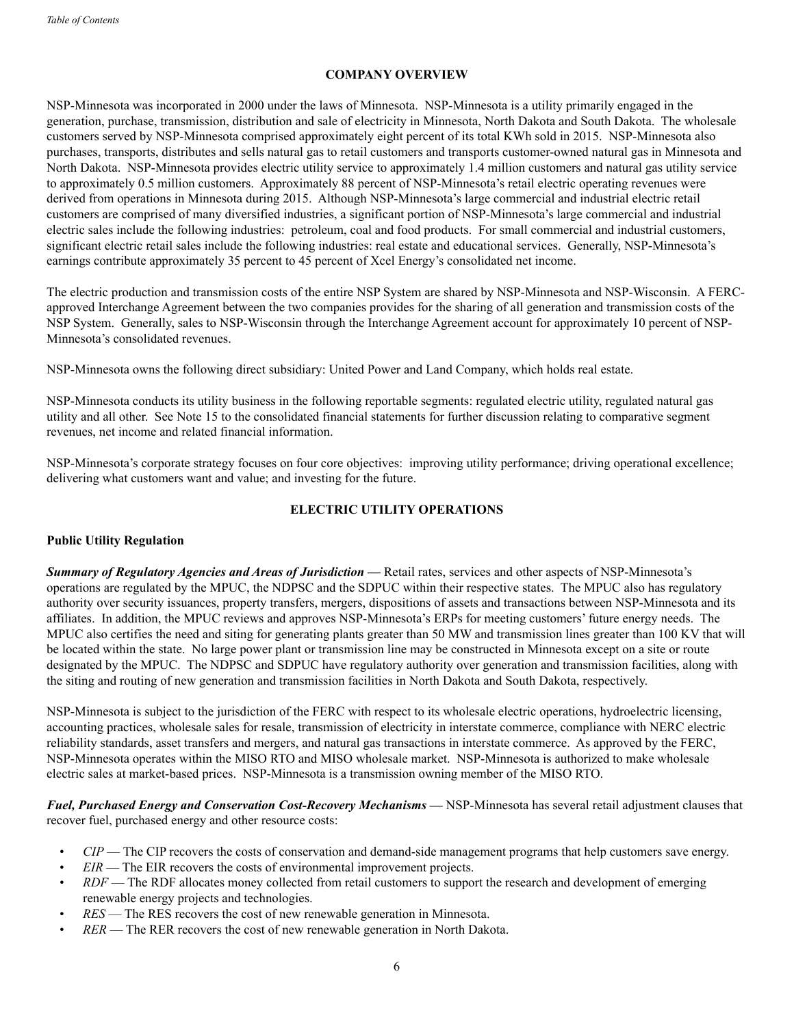## **COMPANY OVERVIEW**

NSP-Minnesota was incorporated in 2000 under the laws of Minnesota. NSP-Minnesota is a utility primarily engaged in the generation, purchase, transmission, distribution and sale of electricity in Minnesota, North Dakota and South Dakota. The wholesale customers served by NSP-Minnesota comprised approximately eight percent of its total KWh sold in 2015. NSP-Minnesota also purchases, transports, distributes and sells natural gas to retail customers and transports customer-owned natural gas in Minnesota and North Dakota. NSP-Minnesota provides electric utility service to approximately 1.4 million customers and natural gas utility service to approximately 0.5 million customers. Approximately 88 percent of NSP-Minnesota's retail electric operating revenues were derived from operations in Minnesota during 2015. Although NSP-Minnesota's large commercial and industrial electric retail customers are comprised of many diversified industries, a significant portion of NSP-Minnesota's large commercial and industrial electric sales include the following industries: petroleum, coal and food products. For small commercial and industrial customers, significant electric retail sales include the following industries: real estate and educational services. Generally, NSP-Minnesota's earnings contribute approximately 35 percent to 45 percent of Xcel Energy's consolidated net income.

The electric production and transmission costs of the entire NSP System are shared by NSP-Minnesota and NSP-Wisconsin. A FERCapproved Interchange Agreement between the two companies provides for the sharing of all generation and transmission costs of the NSP System. Generally, sales to NSP-Wisconsin through the Interchange Agreement account for approximately 10 percent of NSP-Minnesota's consolidated revenues.

NSP-Minnesota owns the following direct subsidiary: United Power and Land Company, which holds real estate.

NSP-Minnesota conducts its utility business in the following reportable segments: regulated electric utility, regulated natural gas utility and all other. See Note 15 to the consolidated financial statements for further discussion relating to comparative segment revenues, net income and related financial information.

NSP-Minnesota's corporate strategy focuses on four core objectives: improving utility performance; driving operational excellence; delivering what customers want and value; and investing for the future.

## **ELECTRIC UTILITY OPERATIONS**

## **Public Utility Regulation**

*Summary of Regulatory Agencies and Areas of Jurisdiction* **—** Retail rates, services and other aspects of NSP-Minnesota's operations are regulated by the MPUC, the NDPSC and the SDPUC within their respective states. The MPUC also has regulatory authority over security issuances, property transfers, mergers, dispositions of assets and transactions between NSP-Minnesota and its affiliates. In addition, the MPUC reviews and approves NSP-Minnesota's ERPs for meeting customers' future energy needs. The MPUC also certifies the need and siting for generating plants greater than 50 MW and transmission lines greater than 100 KV that will be located within the state. No large power plant or transmission line may be constructed in Minnesota except on a site or route designated by the MPUC. The NDPSC and SDPUC have regulatory authority over generation and transmission facilities, along with the siting and routing of new generation and transmission facilities in North Dakota and South Dakota, respectively.

NSP-Minnesota is subject to the jurisdiction of the FERC with respect to its wholesale electric operations, hydroelectric licensing, accounting practices, wholesale sales for resale, transmission of electricity in interstate commerce, compliance with NERC electric reliability standards, asset transfers and mergers, and natural gas transactions in interstate commerce. As approved by the FERC, NSP-Minnesota operates within the MISO RTO and MISO wholesale market. NSP-Minnesota is authorized to make wholesale electric sales at market-based prices. NSP-Minnesota is a transmission owning member of the MISO RTO.

*Fuel, Purchased Energy and Conservation Cost-Recovery Mechanisms* **—** NSP-Minnesota has several retail adjustment clauses that recover fuel, purchased energy and other resource costs:

- *CIP* The CIP recovers the costs of conservation and demand-side management programs that help customers save energy.
- *EIR* The EIR recovers the costs of environmental improvement projects.
- *RDF* The RDF allocates money collected from retail customers to support the research and development of emerging renewable energy projects and technologies.
- *RES* The RES recovers the cost of new renewable generation in Minnesota.
- *RER*  The RER recovers the cost of new renewable generation in North Dakota.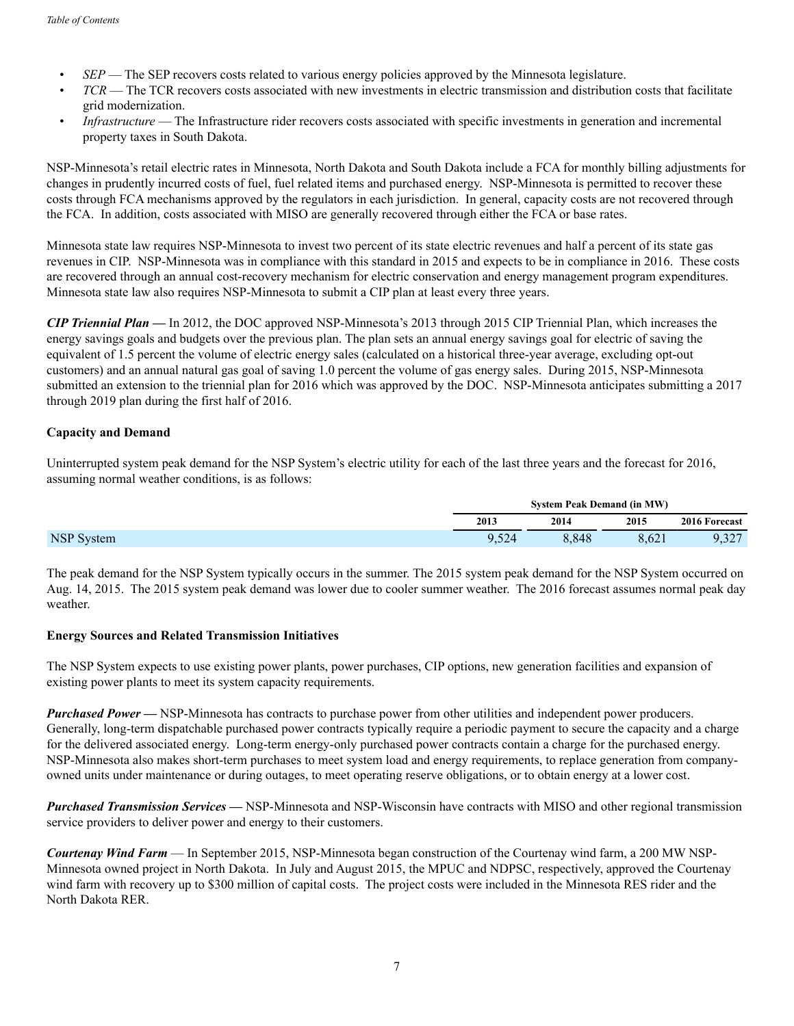- *SEP* The SEP recovers costs related to various energy policies approved by the Minnesota legislature.
- *TCR* The TCR recovers costs associated with new investments in electric transmission and distribution costs that facilitate grid modernization.
- *Infrastructure* The Infrastructure rider recovers costs associated with specific investments in generation and incremental property taxes in South Dakota.

NSP-Minnesota's retail electric rates in Minnesota, North Dakota and South Dakota include a FCA for monthly billing adjustments for changes in prudently incurred costs of fuel, fuel related items and purchased energy. NSP-Minnesota is permitted to recover these costs through FCA mechanisms approved by the regulators in each jurisdiction. In general, capacity costs are not recovered through the FCA. In addition, costs associated with MISO are generally recovered through either the FCA or base rates.

Minnesota state law requires NSP-Minnesota to invest two percent of its state electric revenues and half a percent of its state gas revenues in CIP. NSP-Minnesota was in compliance with this standard in 2015 and expects to be in compliance in 2016. These costs are recovered through an annual cost-recovery mechanism for electric conservation and energy management program expenditures. Minnesota state law also requires NSP-Minnesota to submit a CIP plan at least every three years.

*CIP Triennial Plan* **—** In 2012, the DOC approved NSP-Minnesota's 2013 through 2015 CIP Triennial Plan, which increases the energy savings goals and budgets over the previous plan. The plan sets an annual energy savings goal for electric of saving the equivalent of 1.5 percent the volume of electric energy sales (calculated on a historical three-year average, excluding opt-out customers) and an annual natural gas goal of saving 1.0 percent the volume of gas energy sales. During 2015, NSP-Minnesota submitted an extension to the triennial plan for 2016 which was approved by the DOC. NSP-Minnesota anticipates submitting a 2017 through 2019 plan during the first half of 2016.

## **Capacity and Demand**

Uninterrupted system peak demand for the NSP System's electric utility for each of the last three years and the forecast for 2016, assuming normal weather conditions, is as follows:

| <b>System Peak Demand (in MW)</b> |       |       |               |
|-----------------------------------|-------|-------|---------------|
| 2013                              | 2014  | 2015  | 2016 Forecast |
| .524                              | 8.848 | 0.021 | 227<br>1.327  |

The peak demand for the NSP System typically occurs in the summer. The 2015 system peak demand for the NSP System occurred on Aug. 14, 2015. The 2015 system peak demand was lower due to cooler summer weather. The 2016 forecast assumes normal peak day weather.

## **Energy Sources and Related Transmission Initiatives**

The NSP System expects to use existing power plants, power purchases, CIP options, new generation facilities and expansion of existing power plants to meet its system capacity requirements.

*Purchased Power* **—** NSP-Minnesota has contracts to purchase power from other utilities and independent power producers. Generally, long-term dispatchable purchased power contracts typically require a periodic payment to secure the capacity and a charge for the delivered associated energy. Long-term energy-only purchased power contracts contain a charge for the purchased energy. NSP-Minnesota also makes short-term purchases to meet system load and energy requirements, to replace generation from companyowned units under maintenance or during outages, to meet operating reserve obligations, or to obtain energy at a lower cost.

*Purchased Transmission Services* **—** NSP-Minnesota and NSP-Wisconsin have contracts with MISO and other regional transmission service providers to deliver power and energy to their customers.

*Courtenay Wind Farm* — In September 2015, NSP-Minnesota began construction of the Courtenay wind farm, a 200 MW NSP-Minnesota owned project in North Dakota. In July and August 2015, the MPUC and NDPSC, respectively, approved the Courtenay wind farm with recovery up to \$300 million of capital costs. The project costs were included in the Minnesota RES rider and the North Dakota RER.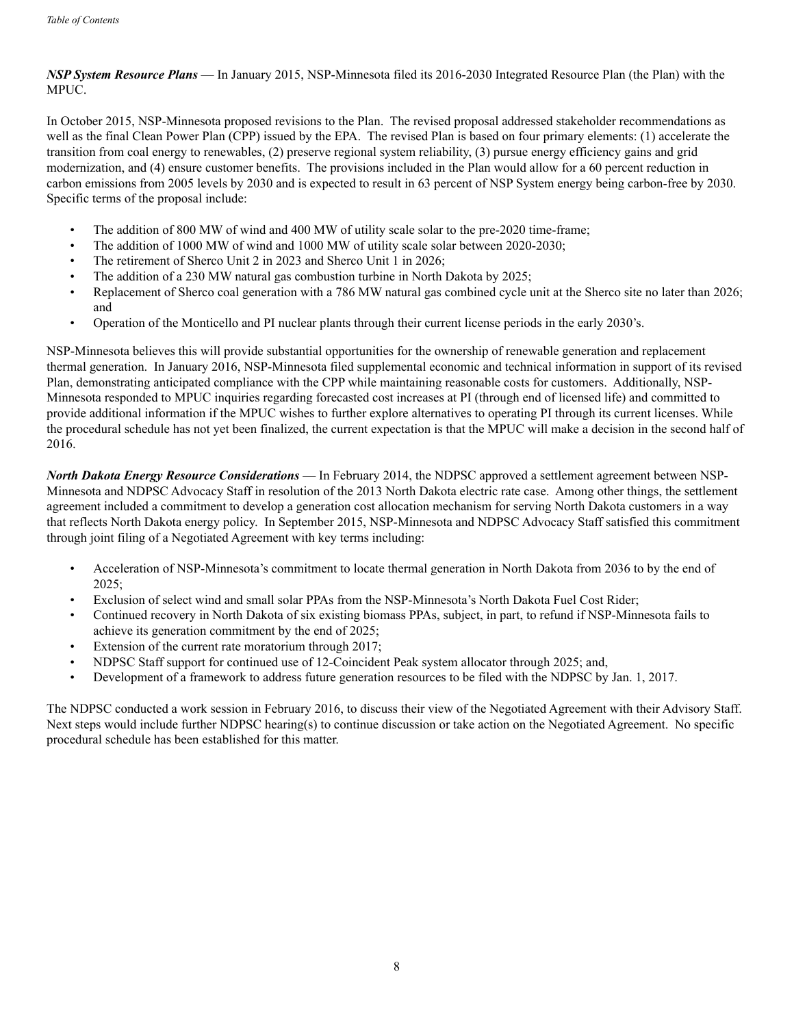## *NSP System Resource Plans* — In January 2015, NSP-Minnesota filed its 2016-2030 Integrated Resource Plan (the Plan) with the MPUC.

In October 2015, NSP-Minnesota proposed revisions to the Plan. The revised proposal addressed stakeholder recommendations as well as the final Clean Power Plan (CPP) issued by the EPA. The revised Plan is based on four primary elements: (1) accelerate the transition from coal energy to renewables, (2) preserve regional system reliability, (3) pursue energy efficiency gains and grid modernization, and (4) ensure customer benefits. The provisions included in the Plan would allow for a 60 percent reduction in carbon emissions from 2005 levels by 2030 and is expected to result in 63 percent of NSP System energy being carbon-free by 2030. Specific terms of the proposal include:

- The addition of 800 MW of wind and 400 MW of utility scale solar to the pre-2020 time-frame;
- The addition of 1000 MW of wind and 1000 MW of utility scale solar between 2020-2030;
- The retirement of Sherco Unit 2 in 2023 and Sherco Unit 1 in 2026;
- The addition of a 230 MW natural gas combustion turbine in North Dakota by 2025;
- Replacement of Sherco coal generation with a 786 MW natural gas combined cycle unit at the Sherco site no later than 2026; and
- Operation of the Monticello and PI nuclear plants through their current license periods in the early 2030's.

NSP-Minnesota believes this will provide substantial opportunities for the ownership of renewable generation and replacement thermal generation. In January 2016, NSP-Minnesota filed supplemental economic and technical information in support of its revised Plan, demonstrating anticipated compliance with the CPP while maintaining reasonable costs for customers. Additionally, NSP-Minnesota responded to MPUC inquiries regarding forecasted cost increases at PI (through end of licensed life) and committed to provide additional information if the MPUC wishes to further explore alternatives to operating PI through its current licenses. While the procedural schedule has not yet been finalized, the current expectation is that the MPUC will make a decision in the second half of 2016.

*North Dakota Energy Resource Considerations* — In February 2014, the NDPSC approved a settlement agreement between NSP-Minnesota and NDPSC Advocacy Staff in resolution of the 2013 North Dakota electric rate case. Among other things, the settlement agreement included a commitment to develop a generation cost allocation mechanism for serving North Dakota customers in a way that reflects North Dakota energy policy. In September 2015, NSP-Minnesota and NDPSC Advocacy Staff satisfied this commitment through joint filing of a Negotiated Agreement with key terms including:

- Acceleration of NSP-Minnesota's commitment to locate thermal generation in North Dakota from 2036 to by the end of 2025;
- Exclusion of select wind and small solar PPAs from the NSP-Minnesota's North Dakota Fuel Cost Rider;
- Continued recovery in North Dakota of six existing biomass PPAs, subject, in part, to refund if NSP-Minnesota fails to achieve its generation commitment by the end of 2025;
- Extension of the current rate moratorium through 2017;
- NDPSC Staff support for continued use of 12-Coincident Peak system allocator through 2025; and,
- Development of a framework to address future generation resources to be filed with the NDPSC by Jan. 1, 2017.

The NDPSC conducted a work session in February 2016, to discuss their view of the Negotiated Agreement with their Advisory Staff. Next steps would include further NDPSC hearing(s) to continue discussion or take action on the Negotiated Agreement. No specific procedural schedule has been established for this matter.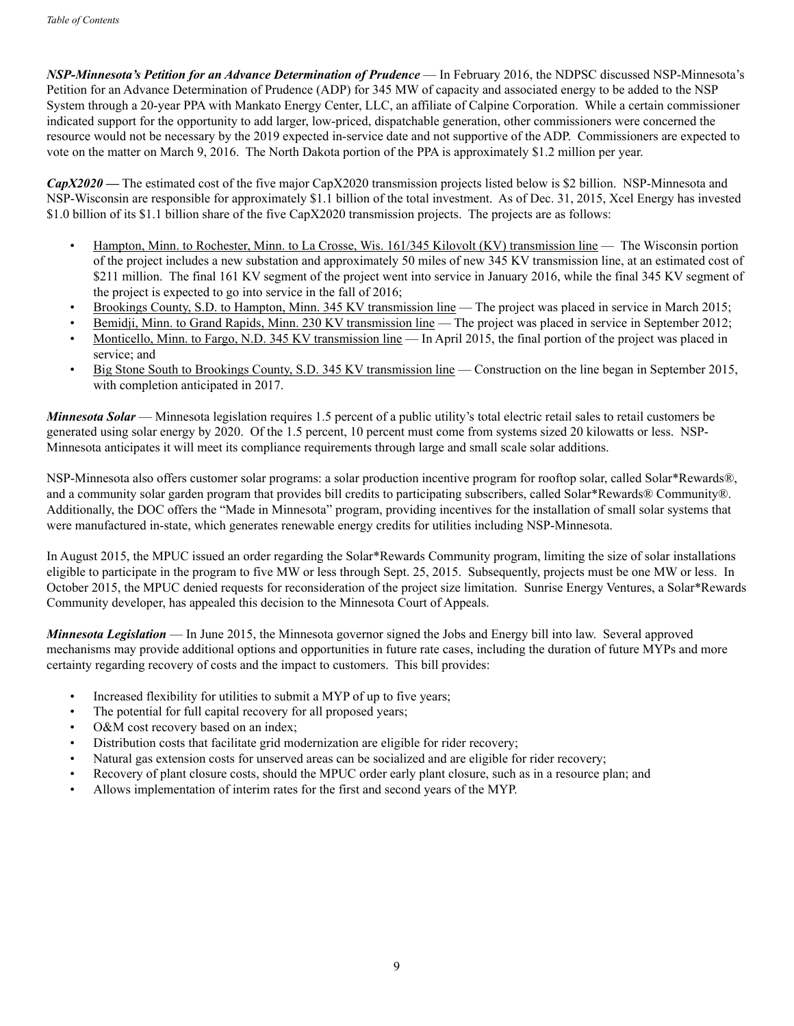*NSP-Minnesota's Petition for an Advance Determination of Prudence* — In February 2016, the NDPSC discussed NSP-Minnesota's Petition for an Advance Determination of Prudence (ADP) for 345 MW of capacity and associated energy to be added to the NSP System through a 20-year PPA with Mankato Energy Center, LLC, an affiliate of Calpine Corporation. While a certain commissioner indicated support for the opportunity to add larger, low-priced, dispatchable generation, other commissioners were concerned the resource would not be necessary by the 2019 expected in-service date and not supportive of the ADP. Commissioners are expected to vote on the matter on March 9, 2016. The North Dakota portion of the PPA is approximately \$1.2 million per year.

*CapX2020* **—** The estimated cost of the five major CapX2020 transmission projects listed below is \$2 billion. NSP-Minnesota and NSP-Wisconsin are responsible for approximately \$1.1 billion of the total investment. As of Dec. 31, 2015, Xcel Energy has invested \$1.0 billion of its \$1.1 billion share of the five CapX2020 transmission projects. The projects are as follows:

- Hampton, Minn. to Rochester, Minn. to La Crosse, Wis. 161/345 Kilovolt (KV) transmission line The Wisconsin portion of the project includes a new substation and approximately 50 miles of new 345 KV transmission line, at an estimated cost of \$211 million. The final 161 KV segment of the project went into service in January 2016, while the final 345 KV segment of the project is expected to go into service in the fall of 2016;
- Brookings County, S.D. to Hampton, Minn. 345 KV transmission line The project was placed in service in March 2015;
- Bemidji, Minn. to Grand Rapids, Minn. 230 KV transmission line The project was placed in service in September 2012;
- Monticello, Minn. to Fargo, N.D. 345 KV transmission line In April 2015, the final portion of the project was placed in service; and
- Big Stone South to Brookings County, S.D. 345 KV transmission line Construction on the line began in September 2015, with completion anticipated in 2017.

*Minnesota Solar* — Minnesota legislation requires 1.5 percent of a public utility's total electric retail sales to retail customers be generated using solar energy by 2020. Of the 1.5 percent, 10 percent must come from systems sized 20 kilowatts or less. NSP-Minnesota anticipates it will meet its compliance requirements through large and small scale solar additions.

NSP-Minnesota also offers customer solar programs: a solar production incentive program for rooftop solar, called Solar\*Rewards®, and a community solar garden program that provides bill credits to participating subscribers, called Solar\*Rewards® Community®. Additionally, the DOC offers the "Made in Minnesota" program, providing incentives for the installation of small solar systems that were manufactured in-state, which generates renewable energy credits for utilities including NSP-Minnesota.

In August 2015, the MPUC issued an order regarding the Solar\*Rewards Community program, limiting the size of solar installations eligible to participate in the program to five MW or less through Sept. 25, 2015. Subsequently, projects must be one MW or less. In October 2015, the MPUC denied requests for reconsideration of the project size limitation. Sunrise Energy Ventures, a Solar\*Rewards Community developer, has appealed this decision to the Minnesota Court of Appeals.

*Minnesota Legislation* — In June 2015, the Minnesota governor signed the Jobs and Energy bill into law. Several approved mechanisms may provide additional options and opportunities in future rate cases, including the duration of future MYPs and more certainty regarding recovery of costs and the impact to customers. This bill provides:

- Increased flexibility for utilities to submit a MYP of up to five years;
- The potential for full capital recovery for all proposed years;
- O&M cost recovery based on an index;
- Distribution costs that facilitate grid modernization are eligible for rider recovery;
- Natural gas extension costs for unserved areas can be socialized and are eligible for rider recovery;
- Recovery of plant closure costs, should the MPUC order early plant closure, such as in a resource plan; and
- Allows implementation of interim rates for the first and second years of the MYP.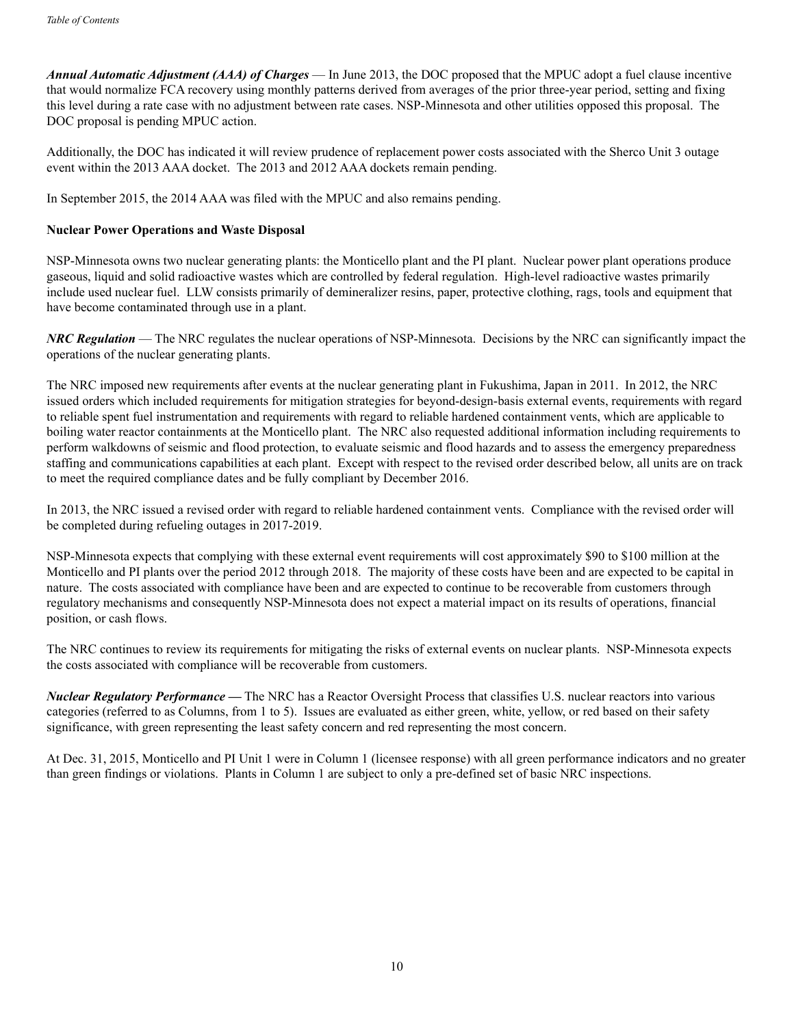*Annual Automatic Adjustment (AAA) of Charges* — In June 2013, the DOC proposed that the MPUC adopt a fuel clause incentive that would normalize FCA recovery using monthly patterns derived from averages of the prior three-year period, setting and fixing this level during a rate case with no adjustment between rate cases. NSP-Minnesota and other utilities opposed this proposal. The DOC proposal is pending MPUC action.

Additionally, the DOC has indicated it will review prudence of replacement power costs associated with the Sherco Unit 3 outage event within the 2013 AAA docket. The 2013 and 2012 AAA dockets remain pending.

In September 2015, the 2014 AAA was filed with the MPUC and also remains pending.

#### **Nuclear Power Operations and Waste Disposal**

NSP-Minnesota owns two nuclear generating plants: the Monticello plant and the PI plant. Nuclear power plant operations produce gaseous, liquid and solid radioactive wastes which are controlled by federal regulation. High-level radioactive wastes primarily include used nuclear fuel. LLW consists primarily of demineralizer resins, paper, protective clothing, rags, tools and equipment that have become contaminated through use in a plant.

*NRC Regulation* — The NRC regulates the nuclear operations of NSP-Minnesota. Decisions by the NRC can significantly impact the operations of the nuclear generating plants.

The NRC imposed new requirements after events at the nuclear generating plant in Fukushima, Japan in 2011. In 2012, the NRC issued orders which included requirements for mitigation strategies for beyond-design-basis external events, requirements with regard to reliable spent fuel instrumentation and requirements with regard to reliable hardened containment vents, which are applicable to boiling water reactor containments at the Monticello plant. The NRC also requested additional information including requirements to perform walkdowns of seismic and flood protection, to evaluate seismic and flood hazards and to assess the emergency preparedness staffing and communications capabilities at each plant. Except with respect to the revised order described below, all units are on track to meet the required compliance dates and be fully compliant by December 2016.

In 2013, the NRC issued a revised order with regard to reliable hardened containment vents. Compliance with the revised order will be completed during refueling outages in 2017-2019.

NSP-Minnesota expects that complying with these external event requirements will cost approximately \$90 to \$100 million at the Monticello and PI plants over the period 2012 through 2018. The majority of these costs have been and are expected to be capital in nature. The costs associated with compliance have been and are expected to continue to be recoverable from customers through regulatory mechanisms and consequently NSP-Minnesota does not expect a material impact on its results of operations, financial position, or cash flows.

The NRC continues to review its requirements for mitigating the risks of external events on nuclear plants. NSP-Minnesota expects the costs associated with compliance will be recoverable from customers.

*Nuclear Regulatory Performance* **—** The NRC has a Reactor Oversight Process that classifies U.S. nuclear reactors into various categories (referred to as Columns, from 1 to 5). Issues are evaluated as either green, white, yellow, or red based on their safety significance, with green representing the least safety concern and red representing the most concern.

At Dec. 31, 2015, Monticello and PI Unit 1 were in Column 1 (licensee response) with all green performance indicators and no greater than green findings or violations. Plants in Column 1 are subject to only a pre-defined set of basic NRC inspections.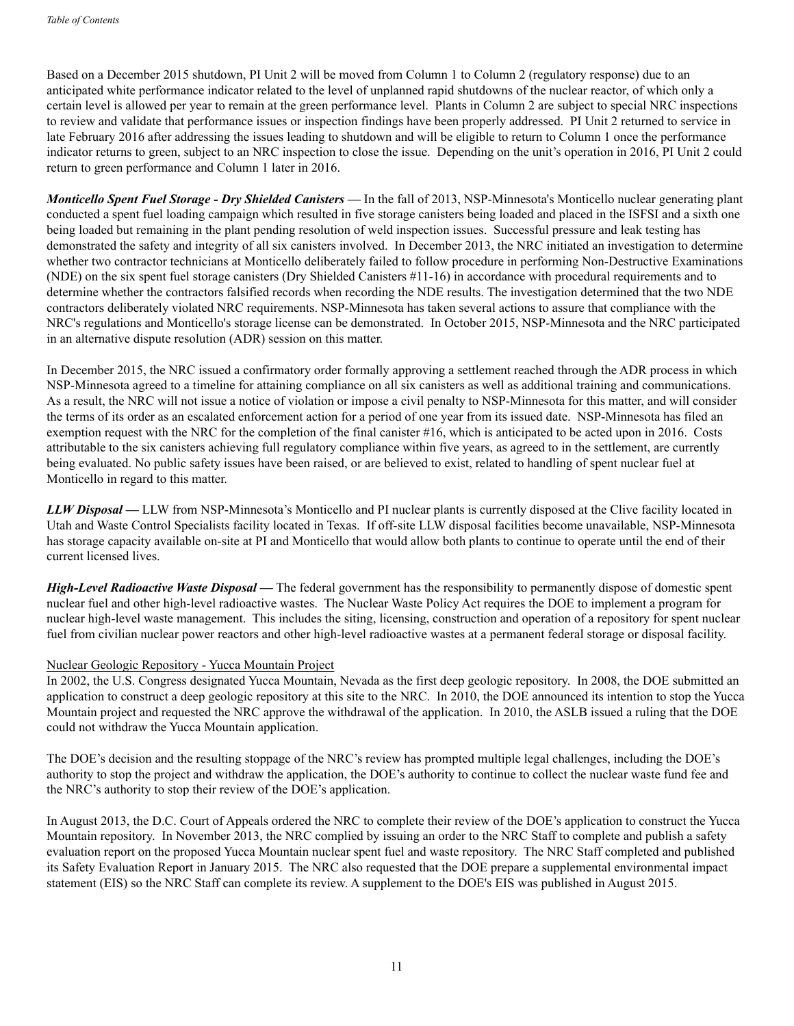Based on a December 2015 shutdown, PI Unit 2 will be moved from Column 1 to Column 2 (regulatory response) due to an anticipated white performance indicator related to the level of unplanned rapid shutdowns of the nuclear reactor, of which only a certain level is allowed per year to remain at the green performance level. Plants in Column 2 are subject to special NRC inspections to review and validate that performance issues or inspection findings have been properly addressed. PI Unit 2 returned to service in late February 2016 after addressing the issues leading to shutdown and will be eligible to return to Column 1 once the performance indicator returns to green, subject to an NRC inspection to close the issue. Depending on the unit's operation in 2016, PI Unit 2 could return to green performance and Column 1 later in 2016.

*Monticello Spent Fuel Storage - Dry Shielded Canisters — In the fall of 2013, NSP-Minnesota's Monticello nuclear generating plant* conducted a spent fuel loading campaign which resulted in five storage canisters being loaded and placed in the ISFSI and a sixth one being loaded but remaining in the plant pending resolution of weld inspection issues. Successful pressure and leak testing has demonstrated the safety and integrity of all six canisters involved. In December 2013, the NRC initiated an investigation to determine whether two contractor technicians at Monticello deliberately failed to follow procedure in performing Non-Destructive Examinations (NDE) on the six spent fuel storage canisters (Dry Shielded Canisters #11-16) in accordance with procedural requirements and to determine whether the contractors falsified records when recording the NDE results. The investigation determined that the two NDE contractors deliberately violated NRC requirements. NSP-Minnesota has taken several actions to assure that compliance with the NRC's regulations and Monticello's storage license can be demonstrated. In October 2015, NSP-Minnesota and the NRC participated in an alternative dispute resolution (ADR) session on this matter.

In December 2015, the NRC issued a confirmatory order formally approving a settlement reached through the ADR process in which NSP-Minnesota agreed to a timeline for attaining compliance on all six canisters as well as additional training and communications. As a result, the NRC will not issue a notice of violation or impose a civil penalty to NSP-Minnesota for this matter, and will consider the terms of its order as an escalated enforcement action for a period of one year from its issued date. NSP-Minnesota has filed an exemption request with the NRC for the completion of the final canister #16, which is anticipated to be acted upon in 2016. Costs attributable to the six canisters achieving full regulatory compliance within five years, as agreed to in the settlement, are currently being evaluated. No public safety issues have been raised, or are believed to exist, related to handling of spent nuclear fuel at Monticello in regard to this matter.

*LLW Disposal* **—** LLW from NSP-Minnesota's Monticello and PI nuclear plants is currently disposed at the Clive facility located in Utah and Waste Control Specialists facility located in Texas. If off-site LLW disposal facilities become unavailable, NSP-Minnesota has storage capacity available on-site at PI and Monticello that would allow both plants to continue to operate until the end of their current licensed lives.

*High-Level Radioactive Waste Disposal* **—** The federal government has the responsibility to permanently dispose of domestic spent nuclear fuel and other high-level radioactive wastes. The Nuclear Waste Policy Act requires the DOE to implement a program for nuclear high-level waste management. This includes the siting, licensing, construction and operation of a repository for spent nuclear fuel from civilian nuclear power reactors and other high-level radioactive wastes at a permanent federal storage or disposal facility.

## Nuclear Geologic Repository - Yucca Mountain Project

In 2002, the U.S. Congress designated Yucca Mountain, Nevada as the first deep geologic repository. In 2008, the DOE submitted an application to construct a deep geologic repository at this site to the NRC. In 2010, the DOE announced its intention to stop the Yucca Mountain project and requested the NRC approve the withdrawal of the application. In 2010, the ASLB issued a ruling that the DOE could not withdraw the Yucca Mountain application.

The DOE's decision and the resulting stoppage of the NRC's review has prompted multiple legal challenges, including the DOE's authority to stop the project and withdraw the application, the DOE's authority to continue to collect the nuclear waste fund fee and the NRC's authority to stop their review of the DOE's application.

In August 2013, the D.C. Court of Appeals ordered the NRC to complete their review of the DOE's application to construct the Yucca Mountain repository. In November 2013, the NRC complied by issuing an order to the NRC Staff to complete and publish a safety evaluation report on the proposed Yucca Mountain nuclear spent fuel and waste repository. The NRC Staff completed and published its Safety Evaluation Report in January 2015. The NRC also requested that the DOE prepare a supplemental environmental impact statement (EIS) so the NRC Staff can complete its review. A supplement to the DOE's EIS was published in August 2015.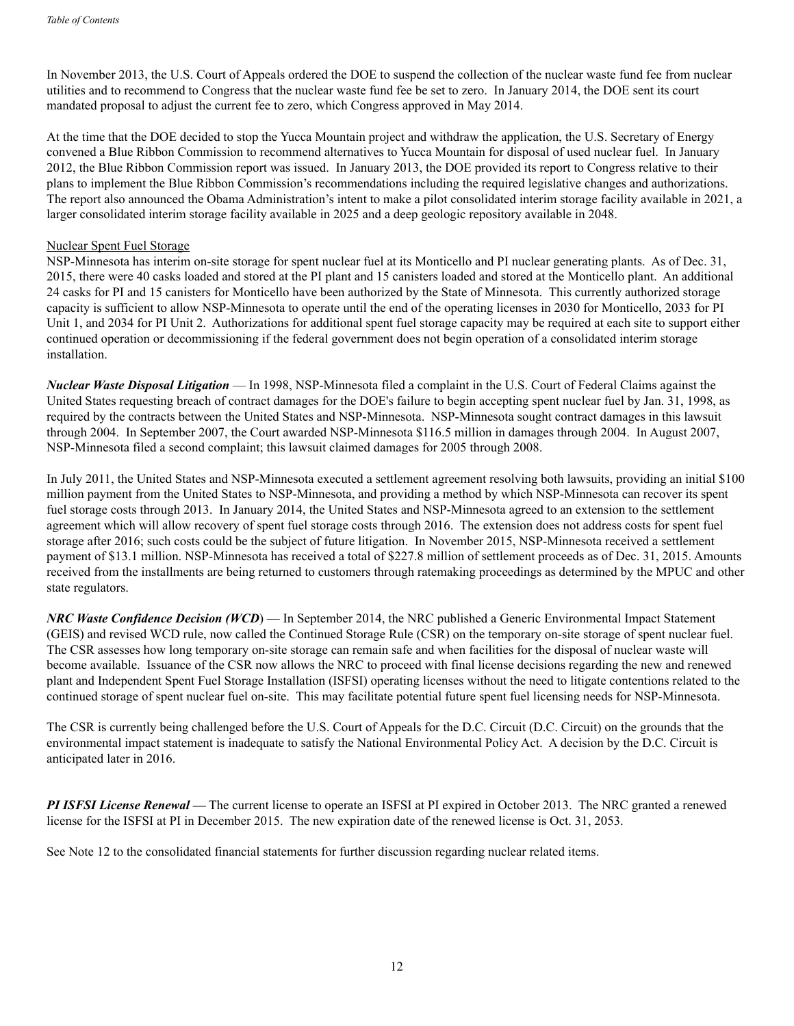In November 2013, the U.S. Court of Appeals ordered the DOE to suspend the collection of the nuclear waste fund fee from nuclear utilities and to recommend to Congress that the nuclear waste fund fee be set to zero. In January 2014, the DOE sent its court mandated proposal to adjust the current fee to zero, which Congress approved in May 2014.

At the time that the DOE decided to stop the Yucca Mountain project and withdraw the application, the U.S. Secretary of Energy convened a Blue Ribbon Commission to recommend alternatives to Yucca Mountain for disposal of used nuclear fuel. In January 2012, the Blue Ribbon Commission report was issued. In January 2013, the DOE provided its report to Congress relative to their plans to implement the Blue Ribbon Commission's recommendations including the required legislative changes and authorizations. The report also announced the Obama Administration's intent to make a pilot consolidated interim storage facility available in 2021, a larger consolidated interim storage facility available in 2025 and a deep geologic repository available in 2048.

#### Nuclear Spent Fuel Storage

NSP-Minnesota has interim on-site storage for spent nuclear fuel at its Monticello and PI nuclear generating plants. As of Dec. 31, 2015, there were 40 casks loaded and stored at the PI plant and 15 canisters loaded and stored at the Monticello plant. An additional 24 casks for PI and 15 canisters for Monticello have been authorized by the State of Minnesota. This currently authorized storage capacity is sufficient to allow NSP-Minnesota to operate until the end of the operating licenses in 2030 for Monticello, 2033 for PI Unit 1, and 2034 for PI Unit 2. Authorizations for additional spent fuel storage capacity may be required at each site to support either continued operation or decommissioning if the federal government does not begin operation of a consolidated interim storage installation.

*Nuclear Waste Disposal Litigation* — In 1998, NSP-Minnesota filed a complaint in the U.S. Court of Federal Claims against the United States requesting breach of contract damages for the DOE's failure to begin accepting spent nuclear fuel by Jan. 31, 1998, as required by the contracts between the United States and NSP-Minnesota. NSP-Minnesota sought contract damages in this lawsuit through 2004. In September 2007, the Court awarded NSP-Minnesota \$116.5 million in damages through 2004. In August 2007, NSP-Minnesota filed a second complaint; this lawsuit claimed damages for 2005 through 2008.

In July 2011, the United States and NSP-Minnesota executed a settlement agreement resolving both lawsuits, providing an initial \$100 million payment from the United States to NSP-Minnesota, and providing a method by which NSP-Minnesota can recover its spent fuel storage costs through 2013. In January 2014, the United States and NSP-Minnesota agreed to an extension to the settlement agreement which will allow recovery of spent fuel storage costs through 2016. The extension does not address costs for spent fuel storage after 2016; such costs could be the subject of future litigation. In November 2015, NSP-Minnesota received a settlement payment of \$13.1 million. NSP-Minnesota has received a total of \$227.8 million of settlement proceeds as of Dec. 31, 2015. Amounts received from the installments are being returned to customers through ratemaking proceedings as determined by the MPUC and other state regulators.

*NRC Waste Confidence Decision (WCD*) — In September 2014, the NRC published a Generic Environmental Impact Statement (GEIS) and revised WCD rule, now called the Continued Storage Rule (CSR) on the temporary on-site storage of spent nuclear fuel. The CSR assesses how long temporary on-site storage can remain safe and when facilities for the disposal of nuclear waste will become available. Issuance of the CSR now allows the NRC to proceed with final license decisions regarding the new and renewed plant and Independent Spent Fuel Storage Installation (ISFSI) operating licenses without the need to litigate contentions related to the continued storage of spent nuclear fuel on-site. This may facilitate potential future spent fuel licensing needs for NSP-Minnesota.

The CSR is currently being challenged before the U.S. Court of Appeals for the D.C. Circuit (D.C. Circuit) on the grounds that the environmental impact statement is inadequate to satisfy the National Environmental Policy Act. A decision by the D.C. Circuit is anticipated later in 2016.

*PI ISFSI License Renewal —* The current license to operate an ISFSI at PI expired in October 2013. The NRC granted a renewed license for the ISFSI at PI in December 2015. The new expiration date of the renewed license is Oct. 31, 2053.

See Note 12 to the consolidated financial statements for further discussion regarding nuclear related items.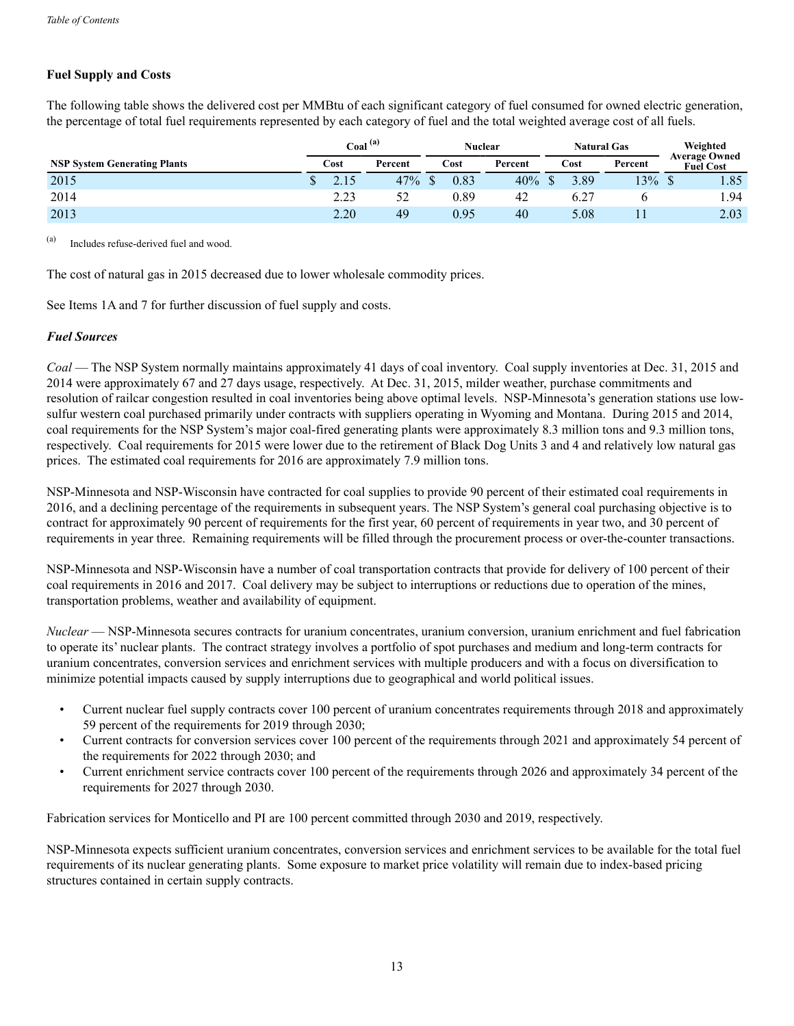## **Fuel Supply and Costs**

The following table shows the delivered cost per MMBtu of each significant category of fuel consumed for owned electric generation, the percentage of total fuel requirements represented by each category of fuel and the total weighted average cost of all fuels.

|                                     | Coal <sup>(a)</sup> |         | <b>Nuclear</b> |         | <b>Natural Gas</b> |         | Weighted                                 |
|-------------------------------------|---------------------|---------|----------------|---------|--------------------|---------|------------------------------------------|
| <b>NSP System Generating Plants</b> | Cost                | Percent | Cost           | Percent | Cost               | Percent | <b>Average Owned</b><br><b>Fuel Cost</b> |
| 2015                                |                     | 47%     | 0.83           | 40%     | 3.89               | 13%     | 1.85                                     |
| 2014                                | 2.23                | 52      | 0.89           | 42      | 6.27               |         | 1.94                                     |
| 2013                                | 2.20                | 49      | 0.95           | 40      | 5.08               |         | 2.03                                     |

(a) Includes refuse-derived fuel and wood.

The cost of natural gas in 2015 decreased due to lower wholesale commodity prices.

See Items 1A and 7 for further discussion of fuel supply and costs.

## *Fuel Sources*

*Coal* — The NSP System normally maintains approximately 41 days of coal inventory. Coal supply inventories at Dec. 31, 2015 and 2014 were approximately 67 and 27 days usage, respectively. At Dec. 31, 2015, milder weather, purchase commitments and resolution of railcar congestion resulted in coal inventories being above optimal levels. NSP-Minnesota's generation stations use lowsulfur western coal purchased primarily under contracts with suppliers operating in Wyoming and Montana. During 2015 and 2014, coal requirements for the NSP System's major coal-fired generating plants were approximately 8.3 million tons and 9.3 million tons, respectively. Coal requirements for 2015 were lower due to the retirement of Black Dog Units 3 and 4 and relatively low natural gas prices. The estimated coal requirements for 2016 are approximately 7.9 million tons.

NSP-Minnesota and NSP-Wisconsin have contracted for coal supplies to provide 90 percent of their estimated coal requirements in 2016, and a declining percentage of the requirements in subsequent years. The NSP System's general coal purchasing objective is to contract for approximately 90 percent of requirements for the first year, 60 percent of requirements in year two, and 30 percent of requirements in year three. Remaining requirements will be filled through the procurement process or over-the-counter transactions.

NSP-Minnesota and NSP-Wisconsin have a number of coal transportation contracts that provide for delivery of 100 percent of their coal requirements in 2016 and 2017. Coal delivery may be subject to interruptions or reductions due to operation of the mines, transportation problems, weather and availability of equipment.

*Nuclear* — NSP-Minnesota secures contracts for uranium concentrates, uranium conversion, uranium enrichment and fuel fabrication to operate its' nuclear plants. The contract strategy involves a portfolio of spot purchases and medium and long-term contracts for uranium concentrates, conversion services and enrichment services with multiple producers and with a focus on diversification to minimize potential impacts caused by supply interruptions due to geographical and world political issues.

- Current nuclear fuel supply contracts cover 100 percent of uranium concentrates requirements through 2018 and approximately 59 percent of the requirements for 2019 through 2030;
- Current contracts for conversion services cover 100 percent of the requirements through 2021 and approximately 54 percent of the requirements for 2022 through 2030; and
- Current enrichment service contracts cover 100 percent of the requirements through 2026 and approximately 34 percent of the requirements for 2027 through 2030.

Fabrication services for Monticello and PI are 100 percent committed through 2030 and 2019, respectively.

NSP-Minnesota expects sufficient uranium concentrates, conversion services and enrichment services to be available for the total fuel requirements of its nuclear generating plants. Some exposure to market price volatility will remain due to index-based pricing structures contained in certain supply contracts.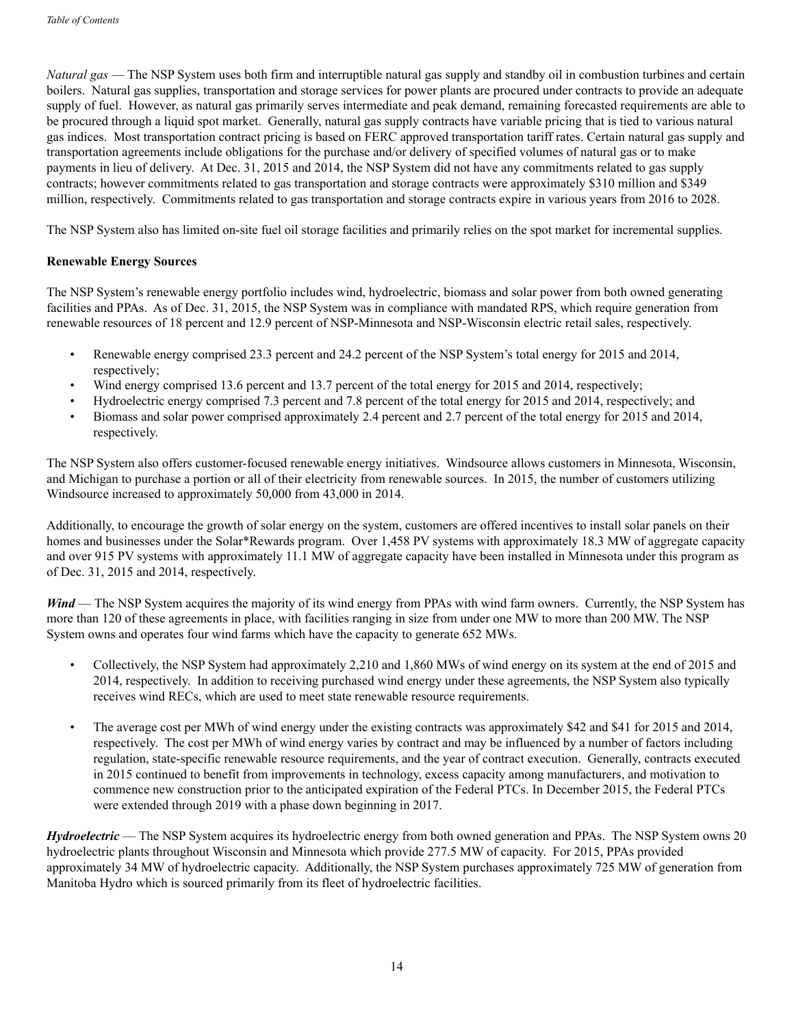*Natural gas* — The NSP System uses both firm and interruptible natural gas supply and standby oil in combustion turbines and certain boilers. Natural gas supplies, transportation and storage services for power plants are procured under contracts to provide an adequate supply of fuel. However, as natural gas primarily serves intermediate and peak demand, remaining forecasted requirements are able to be procured through a liquid spot market. Generally, natural gas supply contracts have variable pricing that is tied to various natural gas indices. Most transportation contract pricing is based on FERC approved transportation tariff rates. Certain natural gas supply and transportation agreements include obligations for the purchase and/or delivery of specified volumes of natural gas or to make payments in lieu of delivery. At Dec. 31, 2015 and 2014, the NSP System did not have any commitments related to gas supply contracts; however commitments related to gas transportation and storage contracts were approximately \$310 million and \$349 million, respectively. Commitments related to gas transportation and storage contracts expire in various years from 2016 to 2028.

The NSP System also has limited on-site fuel oil storage facilities and primarily relies on the spot market for incremental supplies.

#### **Renewable Energy Sources**

The NSP System's renewable energy portfolio includes wind, hydroelectric, biomass and solar power from both owned generating facilities and PPAs. As of Dec. 31, 2015, the NSP System was in compliance with mandated RPS, which require generation from renewable resources of 18 percent and 12.9 percent of NSP-Minnesota and NSP-Wisconsin electric retail sales, respectively.

- Renewable energy comprised 23.3 percent and 24.2 percent of the NSP System's total energy for 2015 and 2014, respectively:
- Wind energy comprised 13.6 percent and 13.7 percent of the total energy for 2015 and 2014, respectively;
- Hydroelectric energy comprised 7.3 percent and 7.8 percent of the total energy for 2015 and 2014, respectively; and
- Biomass and solar power comprised approximately 2.4 percent and 2.7 percent of the total energy for 2015 and 2014, respectively.

The NSP System also offers customer-focused renewable energy initiatives. Windsource allows customers in Minnesota, Wisconsin, and Michigan to purchase a portion or all of their electricity from renewable sources. In 2015, the number of customers utilizing Windsource increased to approximately 50,000 from 43,000 in 2014.

Additionally, to encourage the growth of solar energy on the system, customers are offered incentives to install solar panels on their homes and businesses under the Solar\*Rewards program. Over 1,458 PV systems with approximately 18.3 MW of aggregate capacity and over 915 PV systems with approximately 11.1 MW of aggregate capacity have been installed in Minnesota under this program as of Dec. 31, 2015 and 2014, respectively.

*Wind* — The NSP System acquires the majority of its wind energy from PPAs with wind farm owners. Currently, the NSP System has more than 120 of these agreements in place, with facilities ranging in size from under one MW to more than 200 MW. The NSP System owns and operates four wind farms which have the capacity to generate 652 MWs.

- Collectively, the NSP System had approximately 2,210 and 1,860 MWs of wind energy on its system at the end of 2015 and 2014, respectively. In addition to receiving purchased wind energy under these agreements, the NSP System also typically receives wind RECs, which are used to meet state renewable resource requirements.
- The average cost per MWh of wind energy under the existing contracts was approximately \$42 and \$41 for 2015 and 2014, respectively. The cost per MWh of wind energy varies by contract and may be influenced by a number of factors including regulation, state-specific renewable resource requirements, and the year of contract execution. Generally, contracts executed in 2015 continued to benefit from improvements in technology, excess capacity among manufacturers, and motivation to commence new construction prior to the anticipated expiration of the Federal PTCs. In December 2015, the Federal PTCs were extended through 2019 with a phase down beginning in 2017.

*Hydroelectric* — The NSP System acquires its hydroelectric energy from both owned generation and PPAs. The NSP System owns 20 hydroelectric plants throughout Wisconsin and Minnesota which provide 277.5 MW of capacity. For 2015, PPAs provided approximately 34 MW of hydroelectric capacity. Additionally, the NSP System purchases approximately 725 MW of generation from Manitoba Hydro which is sourced primarily from its fleet of hydroelectric facilities.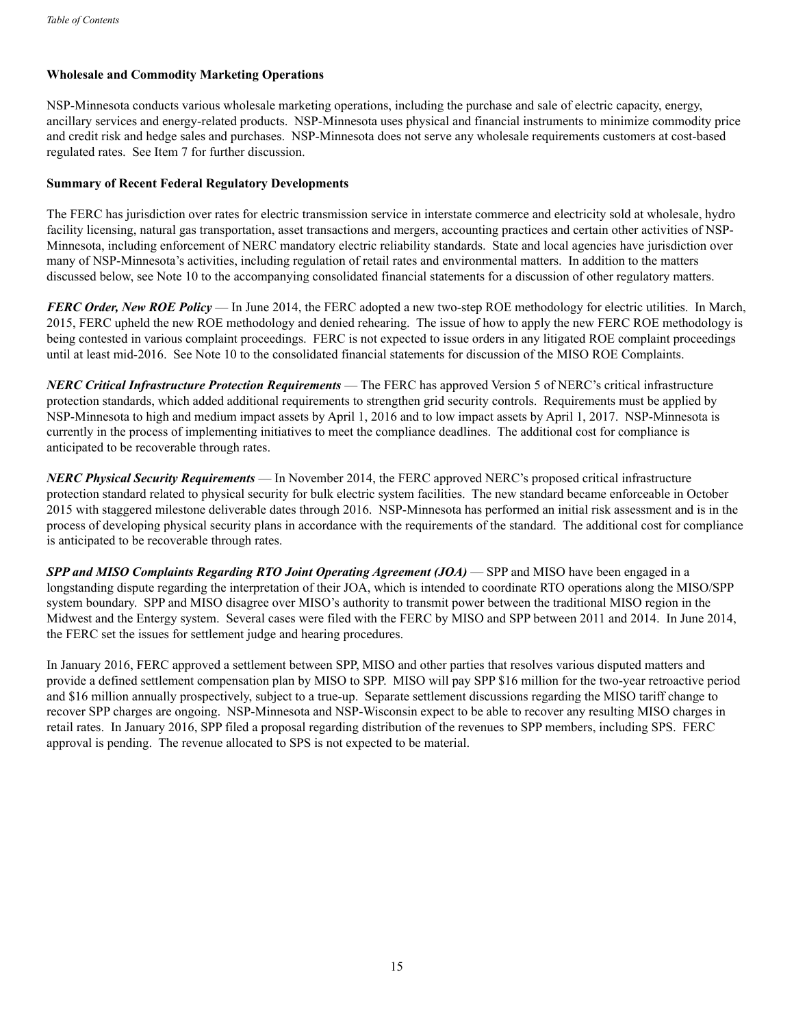## **Wholesale and Commodity Marketing Operations**

NSP-Minnesota conducts various wholesale marketing operations, including the purchase and sale of electric capacity, energy, ancillary services and energy-related products. NSP-Minnesota uses physical and financial instruments to minimize commodity price and credit risk and hedge sales and purchases. NSP-Minnesota does not serve any wholesale requirements customers at cost-based regulated rates. See Item 7 for further discussion.

#### **Summary of Recent Federal Regulatory Developments**

The FERC has jurisdiction over rates for electric transmission service in interstate commerce and electricity sold at wholesale, hydro facility licensing, natural gas transportation, asset transactions and mergers, accounting practices and certain other activities of NSP-Minnesota, including enforcement of NERC mandatory electric reliability standards. State and local agencies have jurisdiction over many of NSP-Minnesota's activities, including regulation of retail rates and environmental matters. In addition to the matters discussed below, see Note 10 to the accompanying consolidated financial statements for a discussion of other regulatory matters.

*FERC Order, New ROE Policy* — In June 2014, the FERC adopted a new two-step ROE methodology for electric utilities. In March, 2015, FERC upheld the new ROE methodology and denied rehearing. The issue of how to apply the new FERC ROE methodology is being contested in various complaint proceedings. FERC is not expected to issue orders in any litigated ROE complaint proceedings until at least mid-2016. See Note 10 to the consolidated financial statements for discussion of the MISO ROE Complaints.

*NERC Critical Infrastructure Protection Requirements* — The FERC has approved Version 5 of NERC's critical infrastructure protection standards, which added additional requirements to strengthen grid security controls. Requirements must be applied by NSP-Minnesota to high and medium impact assets by April 1, 2016 and to low impact assets by April 1, 2017. NSP-Minnesota is currently in the process of implementing initiatives to meet the compliance deadlines. The additional cost for compliance is anticipated to be recoverable through rates.

*NERC Physical Security Requirements* — In November 2014, the FERC approved NERC's proposed critical infrastructure protection standard related to physical security for bulk electric system facilities. The new standard became enforceable in October 2015 with staggered milestone deliverable dates through 2016. NSP-Minnesota has performed an initial risk assessment and is in the process of developing physical security plans in accordance with the requirements of the standard. The additional cost for compliance is anticipated to be recoverable through rates.

*SPP and MISO Complaints Regarding RTO Joint Operating Agreement (JOA)* — SPP and MISO have been engaged in a longstanding dispute regarding the interpretation of their JOA, which is intended to coordinate RTO operations along the MISO/SPP system boundary. SPP and MISO disagree over MISO's authority to transmit power between the traditional MISO region in the Midwest and the Entergy system. Several cases were filed with the FERC by MISO and SPP between 2011 and 2014. In June 2014, the FERC set the issues for settlement judge and hearing procedures.

In January 2016, FERC approved a settlement between SPP, MISO and other parties that resolves various disputed matters and provide a defined settlement compensation plan by MISO to SPP. MISO will pay SPP \$16 million for the two-year retroactive period and \$16 million annually prospectively, subject to a true-up. Separate settlement discussions regarding the MISO tariff change to recover SPP charges are ongoing. NSP-Minnesota and NSP-Wisconsin expect to be able to recover any resulting MISO charges in retail rates. In January 2016, SPP filed a proposal regarding distribution of the revenues to SPP members, including SPS. FERC approval is pending. The revenue allocated to SPS is not expected to be material.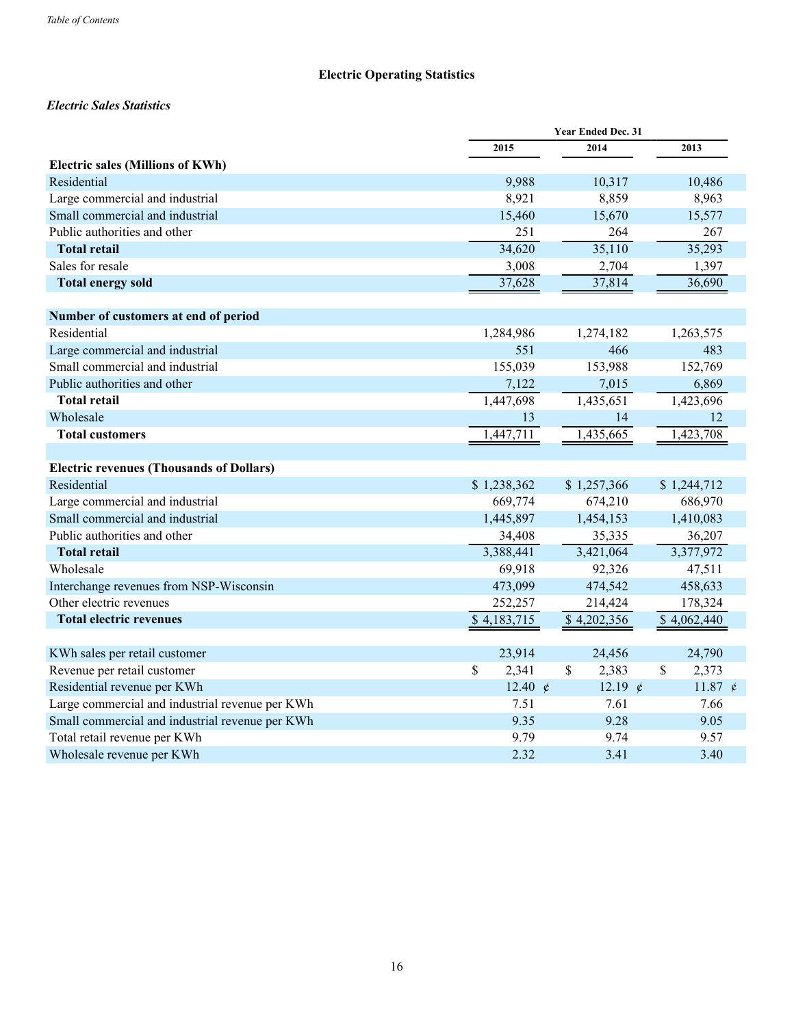## **Electric Operating Statistics**

## *Electric Sales Statistics*

|                                                 | <b>Year Ended Dec. 31</b> |                       |                  |  |
|-------------------------------------------------|---------------------------|-----------------------|------------------|--|
|                                                 | 2015                      | 2014                  | 2013             |  |
| <b>Electric sales (Millions of KWh)</b>         |                           |                       |                  |  |
| Residential                                     | 9,988                     | 10,317                | 10,486           |  |
| Large commercial and industrial                 | 8,921                     | 8,859                 | 8,963            |  |
| Small commercial and industrial                 | 15,460                    | 15,670                | 15,577           |  |
| Public authorities and other                    | 251                       | 264                   | 267              |  |
| <b>Total retail</b>                             | 34,620                    | 35,110                | 35,293           |  |
| Sales for resale                                | 3,008                     | 2,704                 | 1,397            |  |
| <b>Total energy sold</b>                        | 37,628                    | 37,814                | 36,690           |  |
|                                                 |                           |                       |                  |  |
| Number of customers at end of period            |                           |                       |                  |  |
| Residential                                     | 1,284,986                 | 1,274,182             | 1,263,575        |  |
| Large commercial and industrial                 | 551                       | 466                   | 483              |  |
| Small commercial and industrial                 | 155,039                   | 153,988               | 152,769          |  |
| Public authorities and other                    | 7,122                     | 7,015                 | 6,869            |  |
| <b>Total retail</b>                             | 1,447,698                 | 1,435,651             | 1,423,696        |  |
| Wholesale                                       | 13                        | 14                    | 12               |  |
| <b>Total customers</b>                          | 1,447,711                 | 1,435,665             | 1,423,708        |  |
|                                                 |                           |                       |                  |  |
| <b>Electric revenues (Thousands of Dollars)</b> |                           |                       |                  |  |
| Residential                                     | \$1,238,362               | \$1,257,366           | \$1,244,712      |  |
| Large commercial and industrial                 | 669,774                   | 674,210               | 686,970          |  |
| Small commercial and industrial                 | 1,445,897                 | 1,454,153             | 1,410,083        |  |
| Public authorities and other                    | 34,408                    | 35,335                | 36,207           |  |
| <b>Total retail</b>                             | 3,388,441                 | 3,421,064             | 3,377,972        |  |
| Wholesale                                       | 69,918                    | 92,326                | 47,511           |  |
| Interchange revenues from NSP-Wisconsin         | 473,099                   | 474,542               | 458,633          |  |
| Other electric revenues                         | 252,257                   | 214,424               | 178,324          |  |
| <b>Total electric revenues</b>                  | \$4,183,715               | \$4,202,356           | \$4,062,440      |  |
|                                                 |                           |                       |                  |  |
| KWh sales per retail customer                   | 23,914                    | 24,456                | 24,790           |  |
| Revenue per retail customer                     | \$<br>2,341               | $\mathbb{S}$<br>2,383 | \$<br>2,373      |  |
| Residential revenue per KWh                     | 12.40 $\rlap{/}$          | 12.19 $\rlap{/}$      | 11.87 $\rlap{/}$ |  |
| Large commercial and industrial revenue per KWh | 7.51                      | 7.61                  | 7.66             |  |
| Small commercial and industrial revenue per KWh | 9.35                      | 9.28                  | 9.05             |  |
| Total retail revenue per KWh                    | 9.79                      | 9.74                  | 9.57             |  |
| Wholesale revenue per KWh                       | 2.32                      | 3.41                  | 3.40             |  |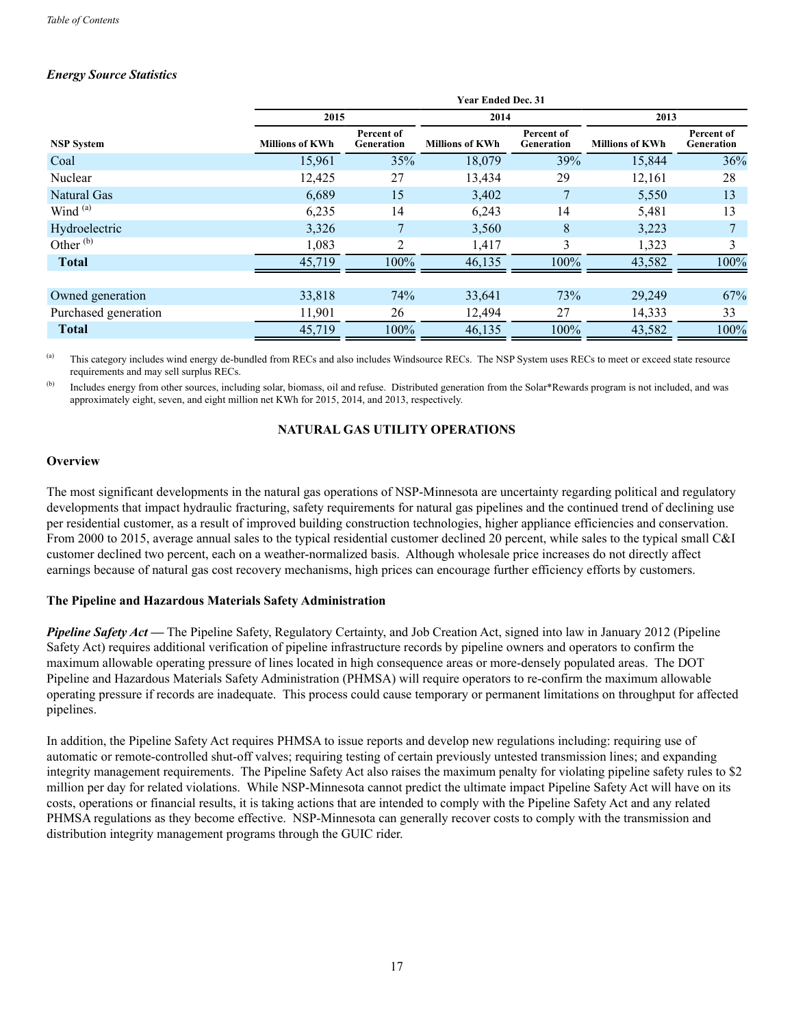## *Energy Source Statistics*

|                      | <b>Year Ended Dec. 31</b> |                          |                        |                                 |                        |                          |  |
|----------------------|---------------------------|--------------------------|------------------------|---------------------------------|------------------------|--------------------------|--|
|                      | 2015<br>2014              |                          |                        |                                 |                        | 2013                     |  |
| <b>NSP System</b>    | <b>Millions of KWh</b>    | Percent of<br>Generation | <b>Millions of KWh</b> | Percent of<br><b>Generation</b> | <b>Millions of KWh</b> | Percent of<br>Generation |  |
| Coal                 | 15,961                    | 35%                      | 18,079                 | 39%                             | 15,844                 | 36%                      |  |
| Nuclear              | 12,425                    | 27                       | 13,434                 | 29                              | 12,161                 | 28                       |  |
| Natural Gas          | 6,689                     | 15                       | 3,402                  |                                 | 5,550                  | 13                       |  |
| Wind <sup>(a)</sup>  | 6,235                     | 14                       | 6,243                  | 14                              | 5,481                  | 13                       |  |
| Hydroelectric        | 3,326                     |                          | 3,560                  | 8                               | 3,223                  |                          |  |
| Other $^{(b)}$       | 1,083                     | 2                        | 1,417                  | 3                               | 1,323                  | 3                        |  |
| <b>Total</b>         | 45,719                    | 100%                     | 46,135                 | 100%                            | 43,582                 | 100%                     |  |
|                      |                           |                          |                        |                                 |                        |                          |  |
| Owned generation     | 33,818                    | 74%                      | 33,641                 | 73%                             | 29,249                 | 67%                      |  |
| Purchased generation | 11,901                    | 26                       | 12,494                 | 27                              | 14,333                 | 33                       |  |
| <b>Total</b>         | 45,719                    | 100%                     | 46,135                 | 100%                            | 43,582                 | 100%                     |  |

(a) This category includes wind energy de-bundled from RECs and also includes Windsource RECs. The NSP System uses RECs to meet or exceed state resource requirements and may sell surplus RECs.

<sup>(b)</sup> Includes energy from other sources, including solar, biomass, oil and refuse. Distributed generation from the Solar\*Rewards program is not included, and was approximately eight, seven, and eight million net KWh for 2015, 2014, and 2013, respectively.

## **NATURAL GAS UTILITY OPERATIONS**

#### **Overview**

The most significant developments in the natural gas operations of NSP-Minnesota are uncertainty regarding political and regulatory developments that impact hydraulic fracturing, safety requirements for natural gas pipelines and the continued trend of declining use per residential customer, as a result of improved building construction technologies, higher appliance efficiencies and conservation. From 2000 to 2015, average annual sales to the typical residential customer declined 20 percent, while sales to the typical small C&I customer declined two percent, each on a weather-normalized basis. Although wholesale price increases do not directly affect earnings because of natural gas cost recovery mechanisms, high prices can encourage further efficiency efforts by customers.

#### **The Pipeline and Hazardous Materials Safety Administration**

*Pipeline Safety Act* — The Pipeline Safety, Regulatory Certainty, and Job Creation Act, signed into law in January 2012 (Pipeline Safety Act) requires additional verification of pipeline infrastructure records by pipeline owners and operators to confirm the maximum allowable operating pressure of lines located in high consequence areas or more-densely populated areas. The DOT Pipeline and Hazardous Materials Safety Administration (PHMSA) will require operators to re-confirm the maximum allowable operating pressure if records are inadequate. This process could cause temporary or permanent limitations on throughput for affected pipelines.

In addition, the Pipeline Safety Act requires PHMSA to issue reports and develop new regulations including: requiring use of automatic or remote-controlled shut-off valves; requiring testing of certain previously untested transmission lines; and expanding integrity management requirements. The Pipeline Safety Act also raises the maximum penalty for violating pipeline safety rules to \$2 million per day for related violations. While NSP-Minnesota cannot predict the ultimate impact Pipeline Safety Act will have on its costs, operations or financial results, it is taking actions that are intended to comply with the Pipeline Safety Act and any related PHMSA regulations as they become effective. NSP-Minnesota can generally recover costs to comply with the transmission and distribution integrity management programs through the GUIC rider.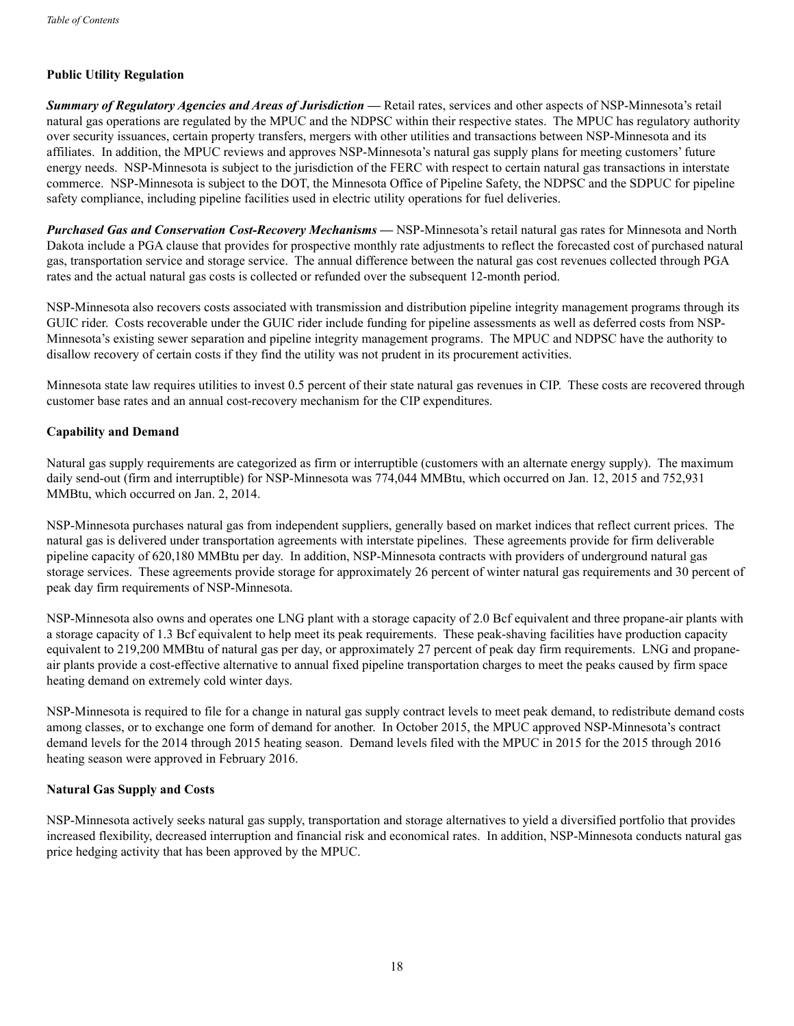## **Public Utility Regulation**

*Summary of Regulatory Agencies and Areas of Jurisdiction* **—** Retail rates, services and other aspects of NSP-Minnesota's retail natural gas operations are regulated by the MPUC and the NDPSC within their respective states. The MPUC has regulatory authority over security issuances, certain property transfers, mergers with other utilities and transactions between NSP-Minnesota and its affiliates. In addition, the MPUC reviews and approves NSP-Minnesota's natural gas supply plans for meeting customers' future energy needs. NSP-Minnesota is subject to the jurisdiction of the FERC with respect to certain natural gas transactions in interstate commerce. NSP-Minnesota is subject to the DOT, the Minnesota Office of Pipeline Safety, the NDPSC and the SDPUC for pipeline safety compliance, including pipeline facilities used in electric utility operations for fuel deliveries.

*Purchased Gas and Conservation Cost-Recovery Mechanisms* **—** NSP-Minnesota's retail natural gas rates for Minnesota and North Dakota include a PGA clause that provides for prospective monthly rate adjustments to reflect the forecasted cost of purchased natural gas, transportation service and storage service. The annual difference between the natural gas cost revenues collected through PGA rates and the actual natural gas costs is collected or refunded over the subsequent 12-month period.

NSP-Minnesota also recovers costs associated with transmission and distribution pipeline integrity management programs through its GUIC rider. Costs recoverable under the GUIC rider include funding for pipeline assessments as well as deferred costs from NSP-Minnesota's existing sewer separation and pipeline integrity management programs. The MPUC and NDPSC have the authority to disallow recovery of certain costs if they find the utility was not prudent in its procurement activities.

Minnesota state law requires utilities to invest 0.5 percent of their state natural gas revenues in CIP. These costs are recovered through customer base rates and an annual cost-recovery mechanism for the CIP expenditures.

#### **Capability and Demand**

Natural gas supply requirements are categorized as firm or interruptible (customers with an alternate energy supply). The maximum daily send-out (firm and interruptible) for NSP-Minnesota was 774,044 MMBtu, which occurred on Jan. 12, 2015 and 752,931 MMBtu, which occurred on Jan. 2, 2014.

NSP-Minnesota purchases natural gas from independent suppliers, generally based on market indices that reflect current prices. The natural gas is delivered under transportation agreements with interstate pipelines. These agreements provide for firm deliverable pipeline capacity of 620,180 MMBtu per day. In addition, NSP-Minnesota contracts with providers of underground natural gas storage services. These agreements provide storage for approximately 26 percent of winter natural gas requirements and 30 percent of peak day firm requirements of NSP-Minnesota.

NSP-Minnesota also owns and operates one LNG plant with a storage capacity of 2.0 Bcf equivalent and three propane-air plants with a storage capacity of 1.3 Bcf equivalent to help meet its peak requirements. These peak-shaving facilities have production capacity equivalent to 219,200 MMBtu of natural gas per day, or approximately 27 percent of peak day firm requirements. LNG and propaneair plants provide a cost-effective alternative to annual fixed pipeline transportation charges to meet the peaks caused by firm space heating demand on extremely cold winter days.

NSP-Minnesota is required to file for a change in natural gas supply contract levels to meet peak demand, to redistribute demand costs among classes, or to exchange one form of demand for another. In October 2015, the MPUC approved NSP-Minnesota's contract demand levels for the 2014 through 2015 heating season. Demand levels filed with the MPUC in 2015 for the 2015 through 2016 heating season were approved in February 2016.

## **Natural Gas Supply and Costs**

NSP-Minnesota actively seeks natural gas supply, transportation and storage alternatives to yield a diversified portfolio that provides increased flexibility, decreased interruption and financial risk and economical rates. In addition, NSP-Minnesota conducts natural gas price hedging activity that has been approved by the MPUC.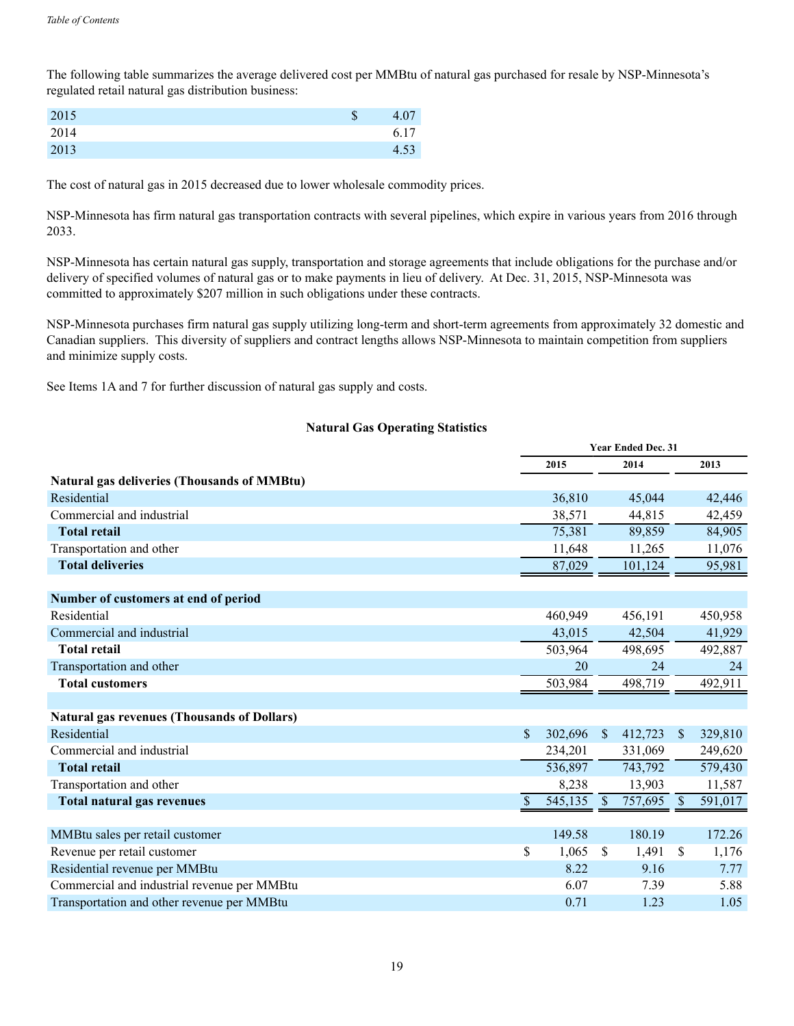The following table summarizes the average delivered cost per MMBtu of natural gas purchased for resale by NSP-Minnesota's regulated retail natural gas distribution business:

| 2015 | ۰D | 4.07 |
|------|----|------|
| 2014 |    | 6.17 |
| 2013 |    | 4.53 |

The cost of natural gas in 2015 decreased due to lower wholesale commodity prices.

NSP-Minnesota has firm natural gas transportation contracts with several pipelines, which expire in various years from 2016 through 2033.

NSP-Minnesota has certain natural gas supply, transportation and storage agreements that include obligations for the purchase and/or delivery of specified volumes of natural gas or to make payments in lieu of delivery. At Dec. 31, 2015, NSP-Minnesota was committed to approximately \$207 million in such obligations under these contracts.

NSP-Minnesota purchases firm natural gas supply utilizing long-term and short-term agreements from approximately 32 domestic and Canadian suppliers. This diversity of suppliers and contract lengths allows NSP-Minnesota to maintain competition from suppliers and minimize supply costs.

See Items 1A and 7 for further discussion of natural gas supply and costs.

## **Natural Gas Operating Statistics**

|                                                    | <b>Year Ended Dec. 31</b> |               |         |               |         |
|----------------------------------------------------|---------------------------|---------------|---------|---------------|---------|
|                                                    | 2015                      |               | 2014    |               | 2013    |
| <b>Natural gas deliveries (Thousands of MMBtu)</b> |                           |               |         |               |         |
| Residential                                        | 36,810                    |               | 45,044  |               | 42,446  |
| Commercial and industrial                          | 38,571                    |               | 44,815  |               | 42,459  |
| <b>Total retail</b>                                | 75,381                    |               | 89,859  |               | 84,905  |
| Transportation and other                           | 11,648                    |               | 11,265  |               | 11,076  |
| <b>Total deliveries</b>                            | 87,029                    |               | 101,124 |               | 95,981  |
|                                                    |                           |               |         |               |         |
| Number of customers at end of period               |                           |               |         |               |         |
| Residential                                        | 460,949                   |               | 456,191 |               | 450,958 |
| Commercial and industrial                          | 43,015                    |               | 42,504  |               | 41,929  |
| <b>Total retail</b>                                | 503,964                   |               | 498,695 |               | 492,887 |
| Transportation and other                           | 20                        |               | 24      |               | 24      |
| <b>Total customers</b>                             | 503,984                   |               | 498,719 |               | 492,911 |
|                                                    |                           |               |         |               |         |
| <b>Natural gas revenues (Thousands of Dollars)</b> |                           |               |         |               |         |
| Residential                                        | \$<br>302,696             | <sup>\$</sup> | 412,723 | <sup>S</sup>  | 329,810 |
| Commercial and industrial                          | 234,201                   |               | 331,069 |               | 249,620 |
| <b>Total retail</b>                                | 536,897                   |               | 743,792 |               | 579,430 |
| Transportation and other                           | 8,238                     |               | 13,903  |               | 11,587  |
| <b>Total natural gas revenues</b>                  | \$<br>545,135             | $\sqrt{S}$    | 757,695 | $\mathcal{S}$ | 591,017 |
|                                                    |                           |               |         |               |         |
| MMBtu sales per retail customer                    | 149.58                    |               | 180.19  |               | 172.26  |
| Revenue per retail customer                        | \$<br>1,065               | <sup>S</sup>  | 1,491   | <sup>\$</sup> | 1,176   |
| Residential revenue per MMBtu                      | 8.22                      |               | 9.16    |               | 7.77    |
| Commercial and industrial revenue per MMBtu        | 6.07                      |               | 7.39    |               | 5.88    |
| Transportation and other revenue per MMBtu         | 0.71                      |               | 1.23    |               | 1.05    |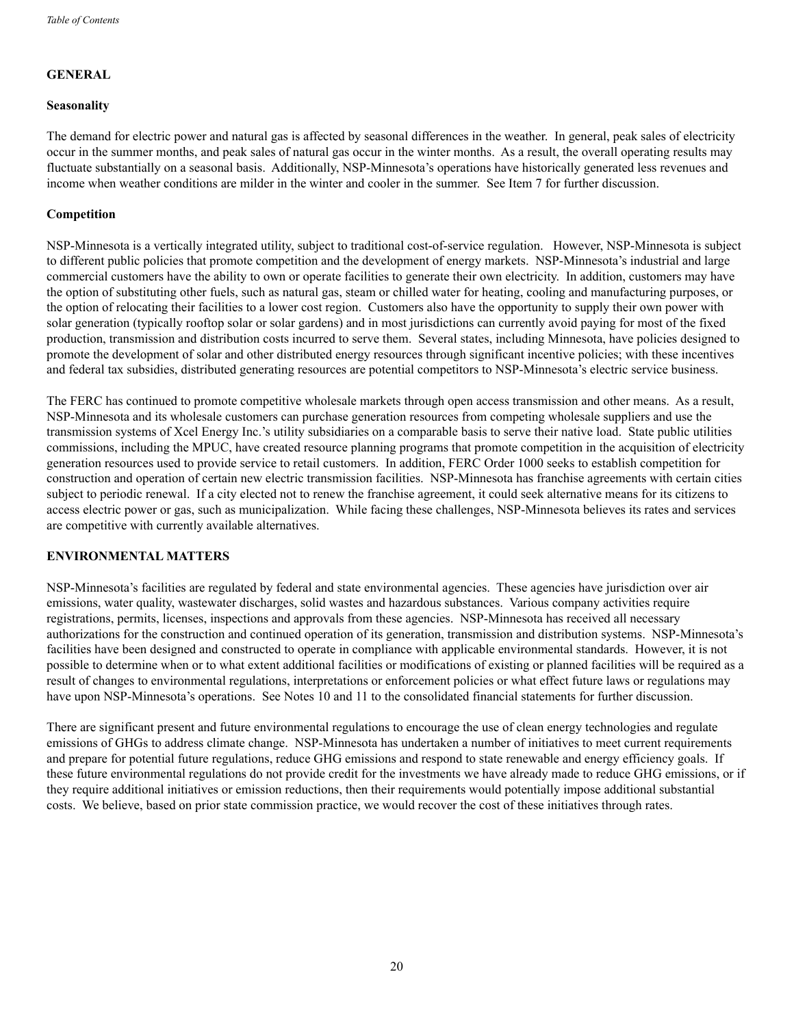## **GENERAL**

#### **Seasonality**

The demand for electric power and natural gas is affected by seasonal differences in the weather. In general, peak sales of electricity occur in the summer months, and peak sales of natural gas occur in the winter months. As a result, the overall operating results may fluctuate substantially on a seasonal basis. Additionally, NSP-Minnesota's operations have historically generated less revenues and income when weather conditions are milder in the winter and cooler in the summer. See Item 7 for further discussion.

## **Competition**

NSP-Minnesota is a vertically integrated utility, subject to traditional cost-of-service regulation. However, NSP-Minnesota is subject to different public policies that promote competition and the development of energy markets. NSP-Minnesota's industrial and large commercial customers have the ability to own or operate facilities to generate their own electricity. In addition, customers may have the option of substituting other fuels, such as natural gas, steam or chilled water for heating, cooling and manufacturing purposes, or the option of relocating their facilities to a lower cost region. Customers also have the opportunity to supply their own power with solar generation (typically rooftop solar or solar gardens) and in most jurisdictions can currently avoid paying for most of the fixed production, transmission and distribution costs incurred to serve them. Several states, including Minnesota, have policies designed to promote the development of solar and other distributed energy resources through significant incentive policies; with these incentives and federal tax subsidies, distributed generating resources are potential competitors to NSP-Minnesota's electric service business.

The FERC has continued to promote competitive wholesale markets through open access transmission and other means. As a result, NSP-Minnesota and its wholesale customers can purchase generation resources from competing wholesale suppliers and use the transmission systems of Xcel Energy Inc.'s utility subsidiaries on a comparable basis to serve their native load. State public utilities commissions, including the MPUC, have created resource planning programs that promote competition in the acquisition of electricity generation resources used to provide service to retail customers. In addition, FERC Order 1000 seeks to establish competition for construction and operation of certain new electric transmission facilities. NSP-Minnesota has franchise agreements with certain cities subject to periodic renewal. If a city elected not to renew the franchise agreement, it could seek alternative means for its citizens to access electric power or gas, such as municipalization. While facing these challenges, NSP-Minnesota believes its rates and services are competitive with currently available alternatives.

## **ENVIRONMENTAL MATTERS**

NSP-Minnesota's facilities are regulated by federal and state environmental agencies. These agencies have jurisdiction over air emissions, water quality, wastewater discharges, solid wastes and hazardous substances. Various company activities require registrations, permits, licenses, inspections and approvals from these agencies. NSP-Minnesota has received all necessary authorizations for the construction and continued operation of its generation, transmission and distribution systems. NSP-Minnesota's facilities have been designed and constructed to operate in compliance with applicable environmental standards. However, it is not possible to determine when or to what extent additional facilities or modifications of existing or planned facilities will be required as a result of changes to environmental regulations, interpretations or enforcement policies or what effect future laws or regulations may have upon NSP-Minnesota's operations. See Notes 10 and 11 to the consolidated financial statements for further discussion.

There are significant present and future environmental regulations to encourage the use of clean energy technologies and regulate emissions of GHGs to address climate change. NSP-Minnesota has undertaken a number of initiatives to meet current requirements and prepare for potential future regulations, reduce GHG emissions and respond to state renewable and energy efficiency goals. If these future environmental regulations do not provide credit for the investments we have already made to reduce GHG emissions, or if they require additional initiatives or emission reductions, then their requirements would potentially impose additional substantial costs. We believe, based on prior state commission practice, we would recover the cost of these initiatives through rates.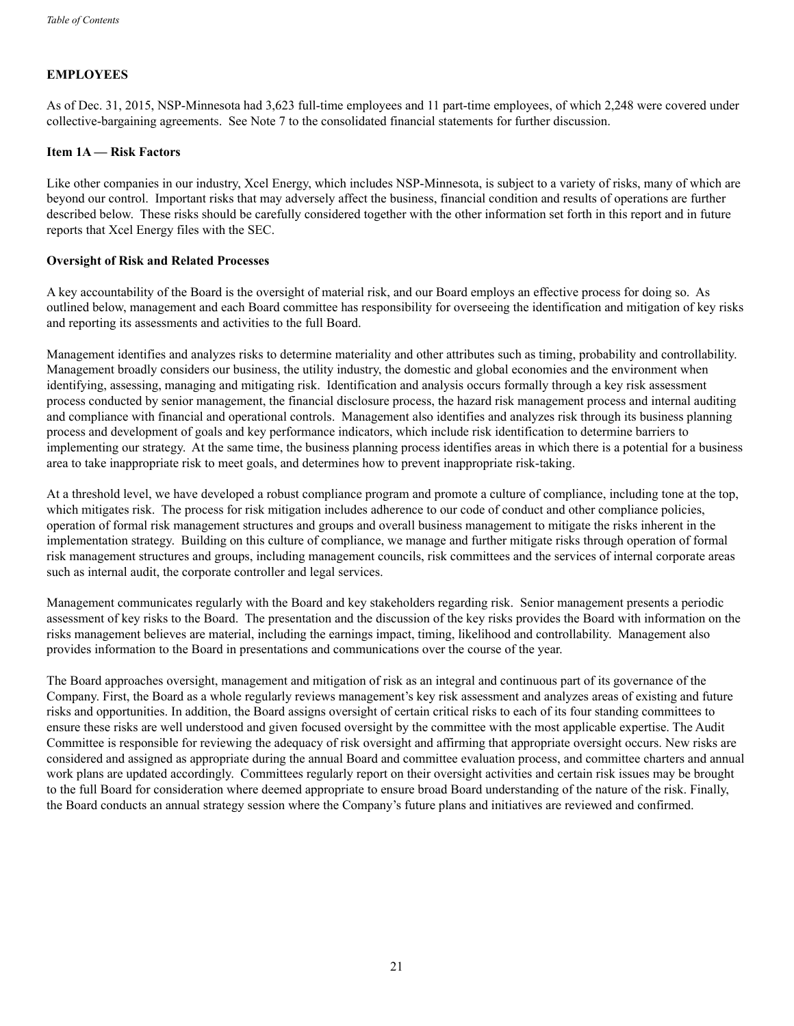## **EMPLOYEES**

As of Dec. 31, 2015, NSP-Minnesota had 3,623 full-time employees and 11 part-time employees, of which 2,248 were covered under collective-bargaining agreements. See Note 7 to the consolidated financial statements for further discussion.

#### **Item 1A — Risk Factors**

Like other companies in our industry, Xcel Energy, which includes NSP-Minnesota, is subject to a variety of risks, many of which are beyond our control. Important risks that may adversely affect the business, financial condition and results of operations are further described below. These risks should be carefully considered together with the other information set forth in this report and in future reports that Xcel Energy files with the SEC.

#### **Oversight of Risk and Related Processes**

A key accountability of the Board is the oversight of material risk, and our Board employs an effective process for doing so. As outlined below, management and each Board committee has responsibility for overseeing the identification and mitigation of key risks and reporting its assessments and activities to the full Board.

Management identifies and analyzes risks to determine materiality and other attributes such as timing, probability and controllability. Management broadly considers our business, the utility industry, the domestic and global economies and the environment when identifying, assessing, managing and mitigating risk. Identification and analysis occurs formally through a key risk assessment process conducted by senior management, the financial disclosure process, the hazard risk management process and internal auditing and compliance with financial and operational controls. Management also identifies and analyzes risk through its business planning process and development of goals and key performance indicators, which include risk identification to determine barriers to implementing our strategy. At the same time, the business planning process identifies areas in which there is a potential for a business area to take inappropriate risk to meet goals, and determines how to prevent inappropriate risk-taking.

At a threshold level, we have developed a robust compliance program and promote a culture of compliance, including tone at the top, which mitigates risk. The process for risk mitigation includes adherence to our code of conduct and other compliance policies, operation of formal risk management structures and groups and overall business management to mitigate the risks inherent in the implementation strategy. Building on this culture of compliance, we manage and further mitigate risks through operation of formal risk management structures and groups, including management councils, risk committees and the services of internal corporate areas such as internal audit, the corporate controller and legal services.

Management communicates regularly with the Board and key stakeholders regarding risk. Senior management presents a periodic assessment of key risks to the Board. The presentation and the discussion of the key risks provides the Board with information on the risks management believes are material, including the earnings impact, timing, likelihood and controllability. Management also provides information to the Board in presentations and communications over the course of the year.

The Board approaches oversight, management and mitigation of risk as an integral and continuous part of its governance of the Company. First, the Board as a whole regularly reviews management's key risk assessment and analyzes areas of existing and future risks and opportunities. In addition, the Board assigns oversight of certain critical risks to each of its four standing committees to ensure these risks are well understood and given focused oversight by the committee with the most applicable expertise. The Audit Committee is responsible for reviewing the adequacy of risk oversight and affirming that appropriate oversight occurs. New risks are considered and assigned as appropriate during the annual Board and committee evaluation process, and committee charters and annual work plans are updated accordingly. Committees regularly report on their oversight activities and certain risk issues may be brought to the full Board for consideration where deemed appropriate to ensure broad Board understanding of the nature of the risk. Finally, the Board conducts an annual strategy session where the Company's future plans and initiatives are reviewed and confirmed.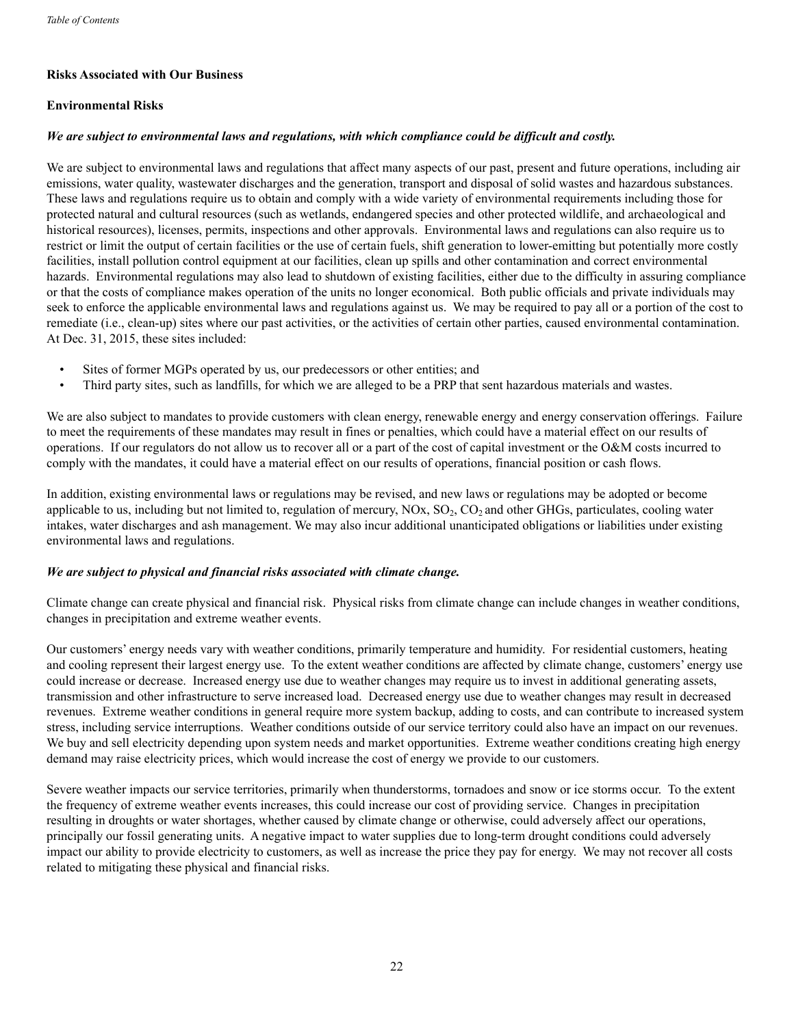## **Risks Associated with Our Business**

## **Environmental Risks**

#### *We are subject to environmental laws and regulations, with which compliance could be difficult and costly.*

We are subject to environmental laws and regulations that affect many aspects of our past, present and future operations, including air emissions, water quality, wastewater discharges and the generation, transport and disposal of solid wastes and hazardous substances. These laws and regulations require us to obtain and comply with a wide variety of environmental requirements including those for protected natural and cultural resources (such as wetlands, endangered species and other protected wildlife, and archaeological and historical resources), licenses, permits, inspections and other approvals. Environmental laws and regulations can also require us to restrict or limit the output of certain facilities or the use of certain fuels, shift generation to lower-emitting but potentially more costly facilities, install pollution control equipment at our facilities, clean up spills and other contamination and correct environmental hazards. Environmental regulations may also lead to shutdown of existing facilities, either due to the difficulty in assuring compliance or that the costs of compliance makes operation of the units no longer economical. Both public officials and private individuals may seek to enforce the applicable environmental laws and regulations against us. We may be required to pay all or a portion of the cost to remediate (i.e., clean-up) sites where our past activities, or the activities of certain other parties, caused environmental contamination. At Dec. 31, 2015, these sites included:

- Sites of former MGPs operated by us, our predecessors or other entities; and
- Third party sites, such as landfills, for which we are alleged to be a PRP that sent hazardous materials and wastes.

We are also subject to mandates to provide customers with clean energy, renewable energy and energy conservation offerings. Failure to meet the requirements of these mandates may result in fines or penalties, which could have a material effect on our results of operations. If our regulators do not allow us to recover all or a part of the cost of capital investment or the O&M costs incurred to comply with the mandates, it could have a material effect on our results of operations, financial position or cash flows.

In addition, existing environmental laws or regulations may be revised, and new laws or regulations may be adopted or become applicable to us, including but not limited to, regulation of mercury,  $NOX$ ,  $SO<sub>2</sub>$ ,  $CO<sub>2</sub>$  and other GHGs, particulates, cooling water intakes, water discharges and ash management. We may also incur additional unanticipated obligations or liabilities under existing environmental laws and regulations.

#### *We are subject to physical and financial risks associated with climate change.*

Climate change can create physical and financial risk. Physical risks from climate change can include changes in weather conditions, changes in precipitation and extreme weather events.

Our customers' energy needs vary with weather conditions, primarily temperature and humidity. For residential customers, heating and cooling represent their largest energy use. To the extent weather conditions are affected by climate change, customers' energy use could increase or decrease. Increased energy use due to weather changes may require us to invest in additional generating assets, transmission and other infrastructure to serve increased load. Decreased energy use due to weather changes may result in decreased revenues. Extreme weather conditions in general require more system backup, adding to costs, and can contribute to increased system stress, including service interruptions. Weather conditions outside of our service territory could also have an impact on our revenues. We buy and sell electricity depending upon system needs and market opportunities. Extreme weather conditions creating high energy demand may raise electricity prices, which would increase the cost of energy we provide to our customers.

Severe weather impacts our service territories, primarily when thunderstorms, tornadoes and snow or ice storms occur. To the extent the frequency of extreme weather events increases, this could increase our cost of providing service. Changes in precipitation resulting in droughts or water shortages, whether caused by climate change or otherwise, could adversely affect our operations, principally our fossil generating units. A negative impact to water supplies due to long-term drought conditions could adversely impact our ability to provide electricity to customers, as well as increase the price they pay for energy. We may not recover all costs related to mitigating these physical and financial risks.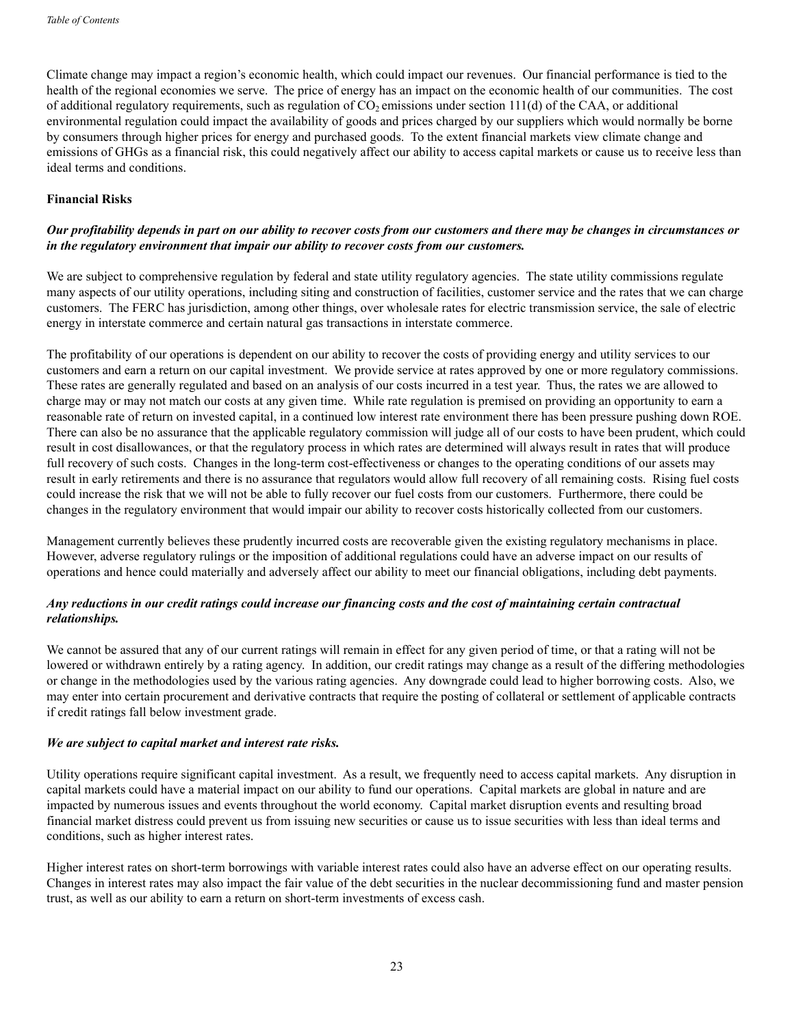Climate change may impact a region's economic health, which could impact our revenues. Our financial performance is tied to the health of the regional economies we serve. The price of energy has an impact on the economic health of our communities. The cost of additional regulatory requirements, such as regulation of  $CO<sub>2</sub>$  emissions under section 111(d) of the CAA, or additional environmental regulation could impact the availability of goods and prices charged by our suppliers which would normally be borne by consumers through higher prices for energy and purchased goods. To the extent financial markets view climate change and emissions of GHGs as a financial risk, this could negatively affect our ability to access capital markets or cause us to receive less than ideal terms and conditions.

#### **Financial Risks**

## *Our profitability depends in part on our ability to recover costs from our customers and there may be changes in circumstances or in the regulatory environment that impair our ability to recover costs from our customers.*

We are subject to comprehensive regulation by federal and state utility regulatory agencies. The state utility commissions regulate many aspects of our utility operations, including siting and construction of facilities, customer service and the rates that we can charge customers. The FERC has jurisdiction, among other things, over wholesale rates for electric transmission service, the sale of electric energy in interstate commerce and certain natural gas transactions in interstate commerce.

The profitability of our operations is dependent on our ability to recover the costs of providing energy and utility services to our customers and earn a return on our capital investment. We provide service at rates approved by one or more regulatory commissions. These rates are generally regulated and based on an analysis of our costs incurred in a test year. Thus, the rates we are allowed to charge may or may not match our costs at any given time. While rate regulation is premised on providing an opportunity to earn a reasonable rate of return on invested capital, in a continued low interest rate environment there has been pressure pushing down ROE. There can also be no assurance that the applicable regulatory commission will judge all of our costs to have been prudent, which could result in cost disallowances, or that the regulatory process in which rates are determined will always result in rates that will produce full recovery of such costs. Changes in the long-term cost-effectiveness or changes to the operating conditions of our assets may result in early retirements and there is no assurance that regulators would allow full recovery of all remaining costs. Rising fuel costs could increase the risk that we will not be able to fully recover our fuel costs from our customers. Furthermore, there could be changes in the regulatory environment that would impair our ability to recover costs historically collected from our customers.

Management currently believes these prudently incurred costs are recoverable given the existing regulatory mechanisms in place. However, adverse regulatory rulings or the imposition of additional regulations could have an adverse impact on our results of operations and hence could materially and adversely affect our ability to meet our financial obligations, including debt payments.

## *Any reductions in our credit ratings could increase our financing costs and the cost of maintaining certain contractual relationships.*

We cannot be assured that any of our current ratings will remain in effect for any given period of time, or that a rating will not be lowered or withdrawn entirely by a rating agency. In addition, our credit ratings may change as a result of the differing methodologies or change in the methodologies used by the various rating agencies. Any downgrade could lead to higher borrowing costs. Also, we may enter into certain procurement and derivative contracts that require the posting of collateral or settlement of applicable contracts if credit ratings fall below investment grade.

#### *We are subject to capital market and interest rate risks.*

Utility operations require significant capital investment. As a result, we frequently need to access capital markets. Any disruption in capital markets could have a material impact on our ability to fund our operations. Capital markets are global in nature and are impacted by numerous issues and events throughout the world economy. Capital market disruption events and resulting broad financial market distress could prevent us from issuing new securities or cause us to issue securities with less than ideal terms and conditions, such as higher interest rates.

Higher interest rates on short-term borrowings with variable interest rates could also have an adverse effect on our operating results. Changes in interest rates may also impact the fair value of the debt securities in the nuclear decommissioning fund and master pension trust, as well as our ability to earn a return on short-term investments of excess cash.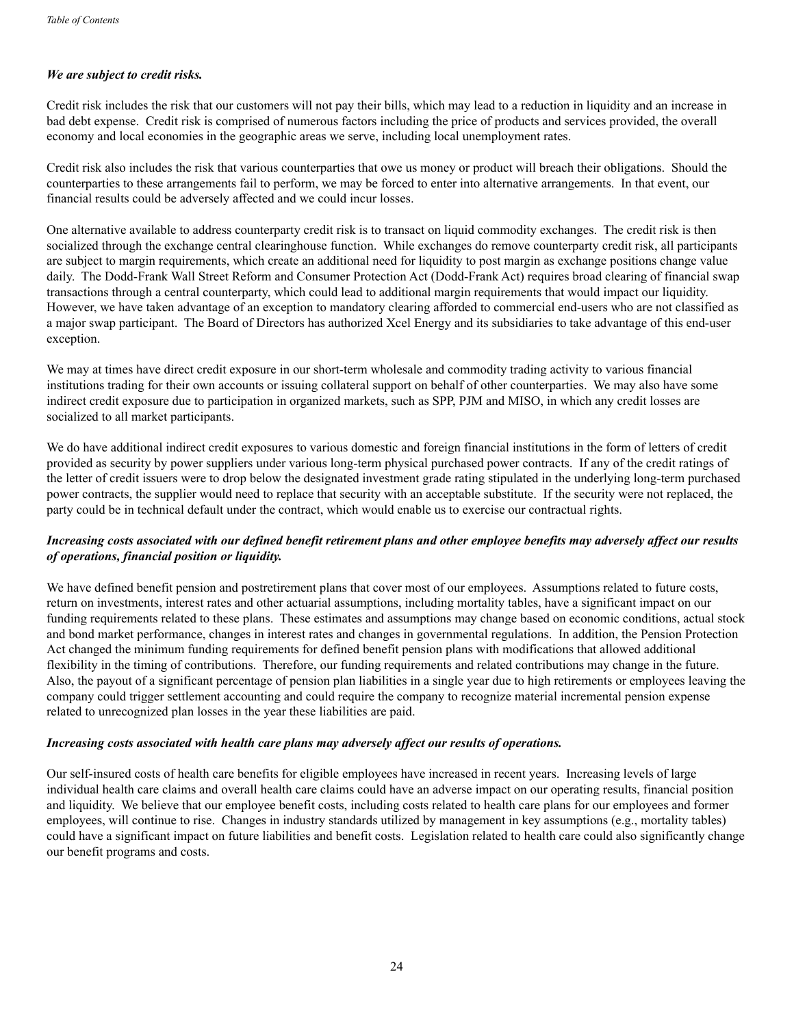## *We are subject to credit risks.*

Credit risk includes the risk that our customers will not pay their bills, which may lead to a reduction in liquidity and an increase in bad debt expense. Credit risk is comprised of numerous factors including the price of products and services provided, the overall economy and local economies in the geographic areas we serve, including local unemployment rates.

Credit risk also includes the risk that various counterparties that owe us money or product will breach their obligations. Should the counterparties to these arrangements fail to perform, we may be forced to enter into alternative arrangements. In that event, our financial results could be adversely affected and we could incur losses.

One alternative available to address counterparty credit risk is to transact on liquid commodity exchanges. The credit risk is then socialized through the exchange central clearinghouse function. While exchanges do remove counterparty credit risk, all participants are subject to margin requirements, which create an additional need for liquidity to post margin as exchange positions change value daily. The Dodd-Frank Wall Street Reform and Consumer Protection Act (Dodd-Frank Act) requires broad clearing of financial swap transactions through a central counterparty, which could lead to additional margin requirements that would impact our liquidity. However, we have taken advantage of an exception to mandatory clearing afforded to commercial end-users who are not classified as a major swap participant. The Board of Directors has authorized Xcel Energy and its subsidiaries to take advantage of this end-user exception.

We may at times have direct credit exposure in our short-term wholesale and commodity trading activity to various financial institutions trading for their own accounts or issuing collateral support on behalf of other counterparties. We may also have some indirect credit exposure due to participation in organized markets, such as SPP, PJM and MISO, in which any credit losses are socialized to all market participants.

We do have additional indirect credit exposures to various domestic and foreign financial institutions in the form of letters of credit provided as security by power suppliers under various long-term physical purchased power contracts. If any of the credit ratings of the letter of credit issuers were to drop below the designated investment grade rating stipulated in the underlying long-term purchased power contracts, the supplier would need to replace that security with an acceptable substitute. If the security were not replaced, the party could be in technical default under the contract, which would enable us to exercise our contractual rights.

## *Increasing costs associated with our defined benefit retirement plans and other employee benefits may adversely affect our results of operations, financial position or liquidity.*

We have defined benefit pension and postretirement plans that cover most of our employees. Assumptions related to future costs, return on investments, interest rates and other actuarial assumptions, including mortality tables, have a significant impact on our funding requirements related to these plans. These estimates and assumptions may change based on economic conditions, actual stock and bond market performance, changes in interest rates and changes in governmental regulations. In addition, the Pension Protection Act changed the minimum funding requirements for defined benefit pension plans with modifications that allowed additional flexibility in the timing of contributions. Therefore, our funding requirements and related contributions may change in the future. Also, the payout of a significant percentage of pension plan liabilities in a single year due to high retirements or employees leaving the company could trigger settlement accounting and could require the company to recognize material incremental pension expense related to unrecognized plan losses in the year these liabilities are paid.

#### *Increasing costs associated with health care plans may adversely affect our results of operations.*

Our self-insured costs of health care benefits for eligible employees have increased in recent years. Increasing levels of large individual health care claims and overall health care claims could have an adverse impact on our operating results, financial position and liquidity. We believe that our employee benefit costs, including costs related to health care plans for our employees and former employees, will continue to rise. Changes in industry standards utilized by management in key assumptions (e.g., mortality tables) could have a significant impact on future liabilities and benefit costs. Legislation related to health care could also significantly change our benefit programs and costs.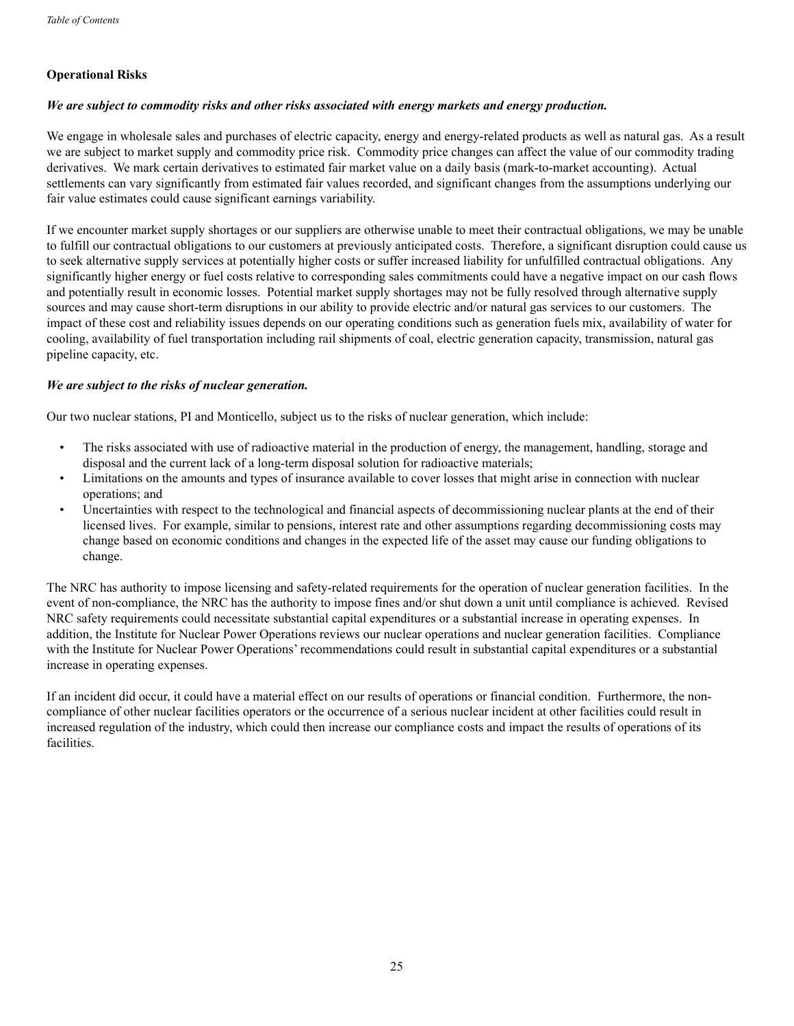## **Operational Risks**

#### *We are subject to commodity risks and other risks associated with energy markets and energy production.*

We engage in wholesale sales and purchases of electric capacity, energy and energy-related products as well as natural gas. As a result we are subject to market supply and commodity price risk. Commodity price changes can affect the value of our commodity trading derivatives. We mark certain derivatives to estimated fair market value on a daily basis (mark-to-market accounting). Actual settlements can vary significantly from estimated fair values recorded, and significant changes from the assumptions underlying our fair value estimates could cause significant earnings variability.

If we encounter market supply shortages or our suppliers are otherwise unable to meet their contractual obligations, we may be unable to fulfill our contractual obligations to our customers at previously anticipated costs. Therefore, a significant disruption could cause us to seek alternative supply services at potentially higher costs or suffer increased liability for unfulfilled contractual obligations. Any significantly higher energy or fuel costs relative to corresponding sales commitments could have a negative impact on our cash flows and potentially result in economic losses. Potential market supply shortages may not be fully resolved through alternative supply sources and may cause short-term disruptions in our ability to provide electric and/or natural gas services to our customers. The impact of these cost and reliability issues depends on our operating conditions such as generation fuels mix, availability of water for cooling, availability of fuel transportation including rail shipments of coal, electric generation capacity, transmission, natural gas pipeline capacity, etc.

#### *We are subject to the risks of nuclear generation.*

Our two nuclear stations, PI and Monticello, subject us to the risks of nuclear generation, which include:

- The risks associated with use of radioactive material in the production of energy, the management, handling, storage and disposal and the current lack of a long-term disposal solution for radioactive materials;
- Limitations on the amounts and types of insurance available to cover losses that might arise in connection with nuclear operations; and
- Uncertainties with respect to the technological and financial aspects of decommissioning nuclear plants at the end of their licensed lives. For example, similar to pensions, interest rate and other assumptions regarding decommissioning costs may change based on economic conditions and changes in the expected life of the asset may cause our funding obligations to change.

The NRC has authority to impose licensing and safety-related requirements for the operation of nuclear generation facilities. In the event of non-compliance, the NRC has the authority to impose fines and/or shut down a unit until compliance is achieved. Revised NRC safety requirements could necessitate substantial capital expenditures or a substantial increase in operating expenses. In addition, the Institute for Nuclear Power Operations reviews our nuclear operations and nuclear generation facilities. Compliance with the Institute for Nuclear Power Operations' recommendations could result in substantial capital expenditures or a substantial increase in operating expenses.

If an incident did occur, it could have a material effect on our results of operations or financial condition. Furthermore, the noncompliance of other nuclear facilities operators or the occurrence of a serious nuclear incident at other facilities could result in increased regulation of the industry, which could then increase our compliance costs and impact the results of operations of its facilities.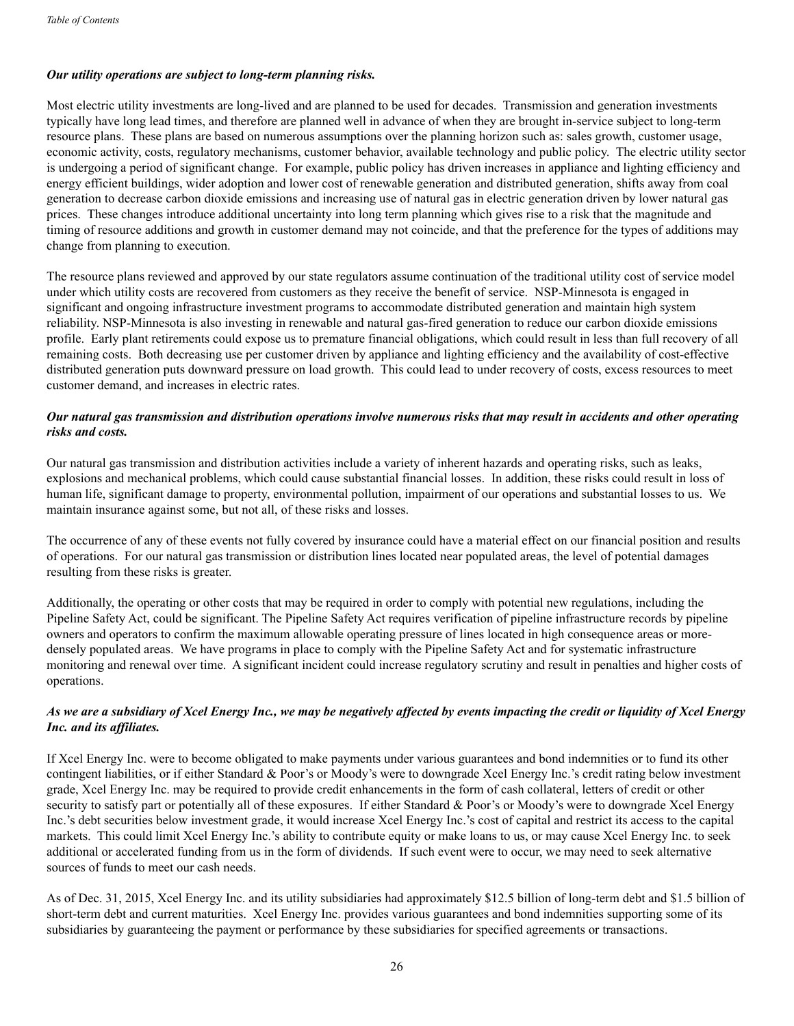## *Our utility operations are subject to long-term planning risks.*

Most electric utility investments are long-lived and are planned to be used for decades. Transmission and generation investments typically have long lead times, and therefore are planned well in advance of when they are brought in-service subject to long-term resource plans. These plans are based on numerous assumptions over the planning horizon such as: sales growth, customer usage, economic activity, costs, regulatory mechanisms, customer behavior, available technology and public policy. The electric utility sector is undergoing a period of significant change. For example, public policy has driven increases in appliance and lighting efficiency and energy efficient buildings, wider adoption and lower cost of renewable generation and distributed generation, shifts away from coal generation to decrease carbon dioxide emissions and increasing use of natural gas in electric generation driven by lower natural gas prices. These changes introduce additional uncertainty into long term planning which gives rise to a risk that the magnitude and timing of resource additions and growth in customer demand may not coincide, and that the preference for the types of additions may change from planning to execution.

The resource plans reviewed and approved by our state regulators assume continuation of the traditional utility cost of service model under which utility costs are recovered from customers as they receive the benefit of service. NSP-Minnesota is engaged in significant and ongoing infrastructure investment programs to accommodate distributed generation and maintain high system reliability. NSP-Minnesota is also investing in renewable and natural gas-fired generation to reduce our carbon dioxide emissions profile. Early plant retirements could expose us to premature financial obligations, which could result in less than full recovery of all remaining costs. Both decreasing use per customer driven by appliance and lighting efficiency and the availability of cost-effective distributed generation puts downward pressure on load growth. This could lead to under recovery of costs, excess resources to meet customer demand, and increases in electric rates.

## *Our natural gas transmission and distribution operations involve numerous risks that may result in accidents and other operating risks and costs.*

Our natural gas transmission and distribution activities include a variety of inherent hazards and operating risks, such as leaks, explosions and mechanical problems, which could cause substantial financial losses. In addition, these risks could result in loss of human life, significant damage to property, environmental pollution, impairment of our operations and substantial losses to us. We maintain insurance against some, but not all, of these risks and losses.

The occurrence of any of these events not fully covered by insurance could have a material effect on our financial position and results of operations. For our natural gas transmission or distribution lines located near populated areas, the level of potential damages resulting from these risks is greater.

Additionally, the operating or other costs that may be required in order to comply with potential new regulations, including the Pipeline Safety Act, could be significant. The Pipeline Safety Act requires verification of pipeline infrastructure records by pipeline owners and operators to confirm the maximum allowable operating pressure of lines located in high consequence areas or moredensely populated areas. We have programs in place to comply with the Pipeline Safety Act and for systematic infrastructure monitoring and renewal over time. A significant incident could increase regulatory scrutiny and result in penalties and higher costs of operations.

## *As we are a subsidiary of Xcel Energy Inc., we may be negatively affected by events impacting the credit or liquidity of Xcel Energy Inc. and its affiliates.*

If Xcel Energy Inc. were to become obligated to make payments under various guarantees and bond indemnities or to fund its other contingent liabilities, or if either Standard & Poor's or Moody's were to downgrade Xcel Energy Inc.'s credit rating below investment grade, Xcel Energy Inc. may be required to provide credit enhancements in the form of cash collateral, letters of credit or other security to satisfy part or potentially all of these exposures. If either Standard & Poor's or Moody's were to downgrade Xcel Energy Inc.'s debt securities below investment grade, it would increase Xcel Energy Inc.'s cost of capital and restrict its access to the capital markets. This could limit Xcel Energy Inc.'s ability to contribute equity or make loans to us, or may cause Xcel Energy Inc. to seek additional or accelerated funding from us in the form of dividends. If such event were to occur, we may need to seek alternative sources of funds to meet our cash needs.

As of Dec. 31, 2015, Xcel Energy Inc. and its utility subsidiaries had approximately \$12.5 billion of long-term debt and \$1.5 billion of short-term debt and current maturities. Xcel Energy Inc. provides various guarantees and bond indemnities supporting some of its subsidiaries by guaranteeing the payment or performance by these subsidiaries for specified agreements or transactions.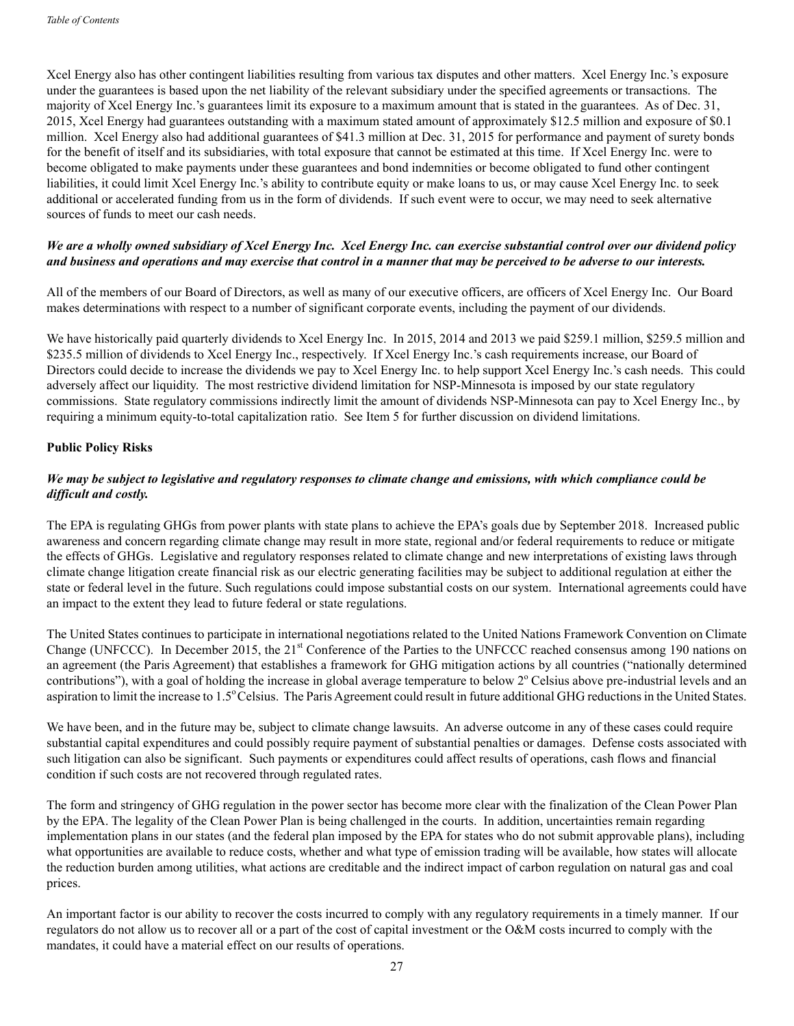Xcel Energy also has other contingent liabilities resulting from various tax disputes and other matters. Xcel Energy Inc.'s exposure under the guarantees is based upon the net liability of the relevant subsidiary under the specified agreements or transactions. The majority of Xcel Energy Inc.'s guarantees limit its exposure to a maximum amount that is stated in the guarantees. As of Dec. 31, 2015, Xcel Energy had guarantees outstanding with a maximum stated amount of approximately \$12.5 million and exposure of \$0.1 million. Xcel Energy also had additional guarantees of \$41.3 million at Dec. 31, 2015 for performance and payment of surety bonds for the benefit of itself and its subsidiaries, with total exposure that cannot be estimated at this time. If Xcel Energy Inc. were to become obligated to make payments under these guarantees and bond indemnities or become obligated to fund other contingent liabilities, it could limit Xcel Energy Inc.'s ability to contribute equity or make loans to us, or may cause Xcel Energy Inc. to seek additional or accelerated funding from us in the form of dividends. If such event were to occur, we may need to seek alternative sources of funds to meet our cash needs.

## *We are a wholly owned subsidiary of Xcel Energy Inc. Xcel Energy Inc. can exercise substantial control over our dividend policy and business and operations and may exercise that control in a manner that may be perceived to be adverse to our interests.*

All of the members of our Board of Directors, as well as many of our executive officers, are officers of Xcel Energy Inc. Our Board makes determinations with respect to a number of significant corporate events, including the payment of our dividends.

We have historically paid quarterly dividends to Xcel Energy Inc. In 2015, 2014 and 2013 we paid \$259.1 million, \$259.5 million and \$235.5 million of dividends to Xcel Energy Inc., respectively. If Xcel Energy Inc.'s cash requirements increase, our Board of Directors could decide to increase the dividends we pay to Xcel Energy Inc. to help support Xcel Energy Inc.'s cash needs. This could adversely affect our liquidity. The most restrictive dividend limitation for NSP-Minnesota is imposed by our state regulatory commissions. State regulatory commissions indirectly limit the amount of dividends NSP-Minnesota can pay to Xcel Energy Inc., by requiring a minimum equity-to-total capitalization ratio. See Item 5 for further discussion on dividend limitations.

## **Public Policy Risks**

## *We may be subject to legislative and regulatory responses to climate change and emissions, with which compliance could be difficult and costly.*

The EPA is regulating GHGs from power plants with state plans to achieve the EPA's goals due by September 2018. Increased public awareness and concern regarding climate change may result in more state, regional and/or federal requirements to reduce or mitigate the effects of GHGs. Legislative and regulatory responses related to climate change and new interpretations of existing laws through climate change litigation create financial risk as our electric generating facilities may be subject to additional regulation at either the state or federal level in the future. Such regulations could impose substantial costs on our system. International agreements could have an impact to the extent they lead to future federal or state regulations.

The United States continues to participate in international negotiations related to the United Nations Framework Convention on Climate Change (UNFCCC). In December 2015, the  $21<sup>st</sup>$  Conference of the Parties to the UNFCCC reached consensus among 190 nations on an agreement (the Paris Agreement) that establishes a framework for GHG mitigation actions by all countries ("nationally determined contributions"), with a goal of holding the increase in global average temperature to below 2° Celsius above pre-industrial levels and an aspiration to limit the increase to 1.5° Celsius. The Paris Agreement could result in future additional GHG reductions in the United States.

We have been, and in the future may be, subject to climate change lawsuits. An adverse outcome in any of these cases could require substantial capital expenditures and could possibly require payment of substantial penalties or damages. Defense costs associated with such litigation can also be significant. Such payments or expenditures could affect results of operations, cash flows and financial condition if such costs are not recovered through regulated rates.

The form and stringency of GHG regulation in the power sector has become more clear with the finalization of the Clean Power Plan by the EPA. The legality of the Clean Power Plan is being challenged in the courts. In addition, uncertainties remain regarding implementation plans in our states (and the federal plan imposed by the EPA for states who do not submit approvable plans), including what opportunities are available to reduce costs, whether and what type of emission trading will be available, how states will allocate the reduction burden among utilities, what actions are creditable and the indirect impact of carbon regulation on natural gas and coal prices.

An important factor is our ability to recover the costs incurred to comply with any regulatory requirements in a timely manner. If our regulators do not allow us to recover all or a part of the cost of capital investment or the O&M costs incurred to comply with the mandates, it could have a material effect on our results of operations.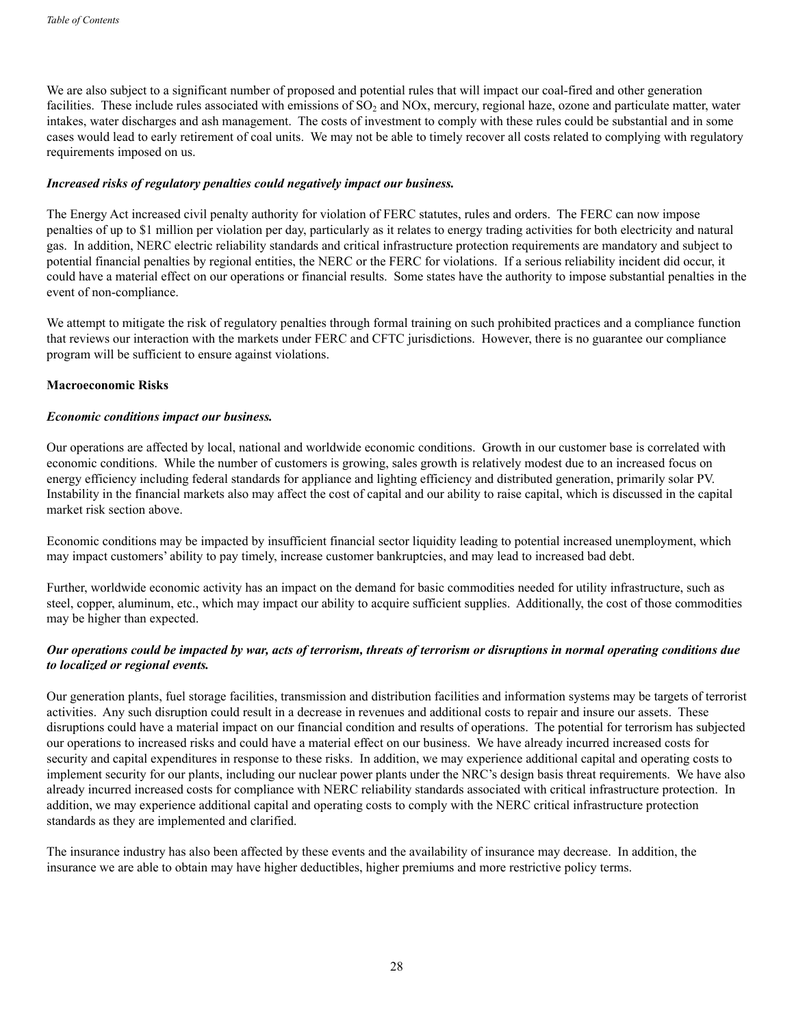We are also subject to a significant number of proposed and potential rules that will impact our coal-fired and other generation facilities. These include rules associated with emissions of  $SO<sub>2</sub>$  and  $NOx$ , mercury, regional haze, ozone and particulate matter, water intakes, water discharges and ash management. The costs of investment to comply with these rules could be substantial and in some cases would lead to early retirement of coal units. We may not be able to timely recover all costs related to complying with regulatory requirements imposed on us.

#### *Increased risks of regulatory penalties could negatively impact our business.*

The Energy Act increased civil penalty authority for violation of FERC statutes, rules and orders. The FERC can now impose penalties of up to \$1 million per violation per day, particularly as it relates to energy trading activities for both electricity and natural gas. In addition, NERC electric reliability standards and critical infrastructure protection requirements are mandatory and subject to potential financial penalties by regional entities, the NERC or the FERC for violations. If a serious reliability incident did occur, it could have a material effect on our operations or financial results. Some states have the authority to impose substantial penalties in the event of non-compliance.

We attempt to mitigate the risk of regulatory penalties through formal training on such prohibited practices and a compliance function that reviews our interaction with the markets under FERC and CFTC jurisdictions. However, there is no guarantee our compliance program will be sufficient to ensure against violations.

#### **Macroeconomic Risks**

#### *Economic conditions impact our business.*

Our operations are affected by local, national and worldwide economic conditions. Growth in our customer base is correlated with economic conditions. While the number of customers is growing, sales growth is relatively modest due to an increased focus on energy efficiency including federal standards for appliance and lighting efficiency and distributed generation, primarily solar PV. Instability in the financial markets also may affect the cost of capital and our ability to raise capital, which is discussed in the capital market risk section above.

Economic conditions may be impacted by insufficient financial sector liquidity leading to potential increased unemployment, which may impact customers' ability to pay timely, increase customer bankruptcies, and may lead to increased bad debt.

Further, worldwide economic activity has an impact on the demand for basic commodities needed for utility infrastructure, such as steel, copper, aluminum, etc., which may impact our ability to acquire sufficient supplies. Additionally, the cost of those commodities may be higher than expected.

## *Our operations could be impacted by war, acts of terrorism, threats of terrorism or disruptions in normal operating conditions due to localized or regional events.*

Our generation plants, fuel storage facilities, transmission and distribution facilities and information systems may be targets of terrorist activities. Any such disruption could result in a decrease in revenues and additional costs to repair and insure our assets. These disruptions could have a material impact on our financial condition and results of operations. The potential for terrorism has subjected our operations to increased risks and could have a material effect on our business. We have already incurred increased costs for security and capital expenditures in response to these risks. In addition, we may experience additional capital and operating costs to implement security for our plants, including our nuclear power plants under the NRC's design basis threat requirements. We have also already incurred increased costs for compliance with NERC reliability standards associated with critical infrastructure protection. In addition, we may experience additional capital and operating costs to comply with the NERC critical infrastructure protection standards as they are implemented and clarified.

The insurance industry has also been affected by these events and the availability of insurance may decrease. In addition, the insurance we are able to obtain may have higher deductibles, higher premiums and more restrictive policy terms.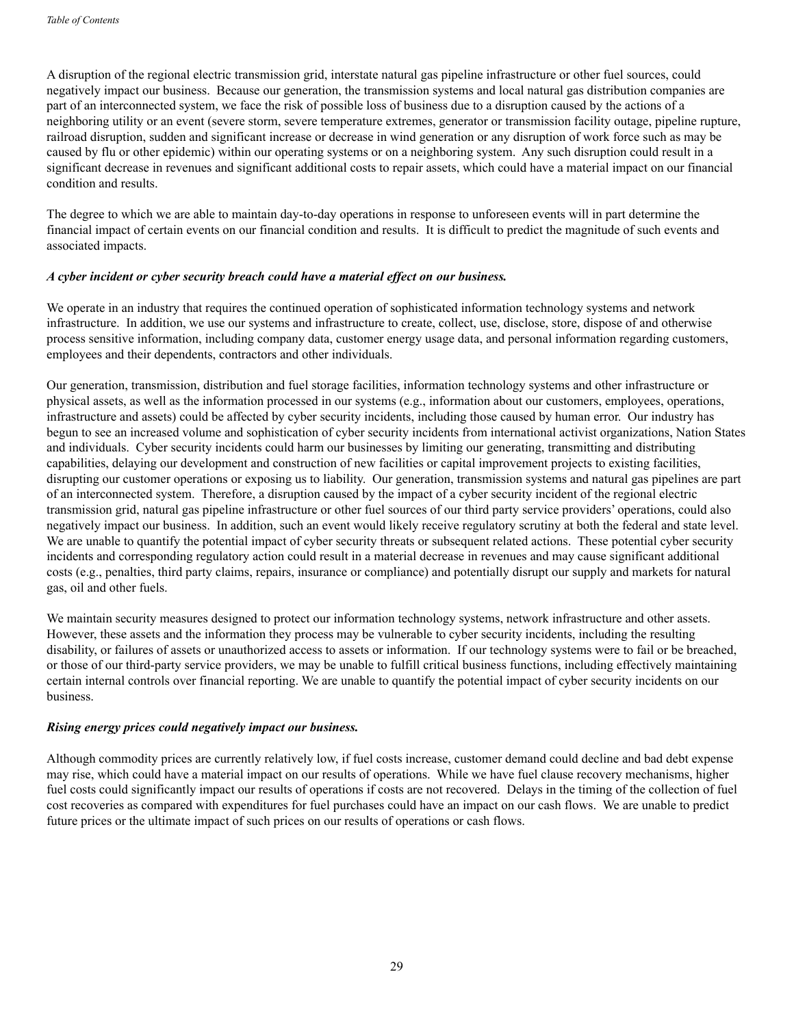A disruption of the regional electric transmission grid, interstate natural gas pipeline infrastructure or other fuel sources, could negatively impact our business. Because our generation, the transmission systems and local natural gas distribution companies are part of an interconnected system, we face the risk of possible loss of business due to a disruption caused by the actions of a neighboring utility or an event (severe storm, severe temperature extremes, generator or transmission facility outage, pipeline rupture, railroad disruption, sudden and significant increase or decrease in wind generation or any disruption of work force such as may be caused by flu or other epidemic) within our operating systems or on a neighboring system. Any such disruption could result in a significant decrease in revenues and significant additional costs to repair assets, which could have a material impact on our financial condition and results.

The degree to which we are able to maintain day-to-day operations in response to unforeseen events will in part determine the financial impact of certain events on our financial condition and results. It is difficult to predict the magnitude of such events and associated impacts.

#### *A cyber incident or cyber security breach could have a material effect on our business.*

We operate in an industry that requires the continued operation of sophisticated information technology systems and network infrastructure. In addition, we use our systems and infrastructure to create, collect, use, disclose, store, dispose of and otherwise process sensitive information, including company data, customer energy usage data, and personal information regarding customers, employees and their dependents, contractors and other individuals.

Our generation, transmission, distribution and fuel storage facilities, information technology systems and other infrastructure or physical assets, as well as the information processed in our systems (e.g., information about our customers, employees, operations, infrastructure and assets) could be affected by cyber security incidents, including those caused by human error. Our industry has begun to see an increased volume and sophistication of cyber security incidents from international activist organizations, Nation States and individuals. Cyber security incidents could harm our businesses by limiting our generating, transmitting and distributing capabilities, delaying our development and construction of new facilities or capital improvement projects to existing facilities, disrupting our customer operations or exposing us to liability. Our generation, transmission systems and natural gas pipelines are part of an interconnected system. Therefore, a disruption caused by the impact of a cyber security incident of the regional electric transmission grid, natural gas pipeline infrastructure or other fuel sources of our third party service providers' operations, could also negatively impact our business. In addition, such an event would likely receive regulatory scrutiny at both the federal and state level. We are unable to quantify the potential impact of cyber security threats or subsequent related actions. These potential cyber security incidents and corresponding regulatory action could result in a material decrease in revenues and may cause significant additional costs (e.g., penalties, third party claims, repairs, insurance or compliance) and potentially disrupt our supply and markets for natural gas, oil and other fuels.

We maintain security measures designed to protect our information technology systems, network infrastructure and other assets. However, these assets and the information they process may be vulnerable to cyber security incidents, including the resulting disability, or failures of assets or unauthorized access to assets or information. If our technology systems were to fail or be breached, or those of our third-party service providers, we may be unable to fulfill critical business functions, including effectively maintaining certain internal controls over financial reporting. We are unable to quantify the potential impact of cyber security incidents on our business.

## *Rising energy prices could negatively impact our business.*

Although commodity prices are currently relatively low, if fuel costs increase, customer demand could decline and bad debt expense may rise, which could have a material impact on our results of operations. While we have fuel clause recovery mechanisms, higher fuel costs could significantly impact our results of operations if costs are not recovered. Delays in the timing of the collection of fuel cost recoveries as compared with expenditures for fuel purchases could have an impact on our cash flows. We are unable to predict future prices or the ultimate impact of such prices on our results of operations or cash flows.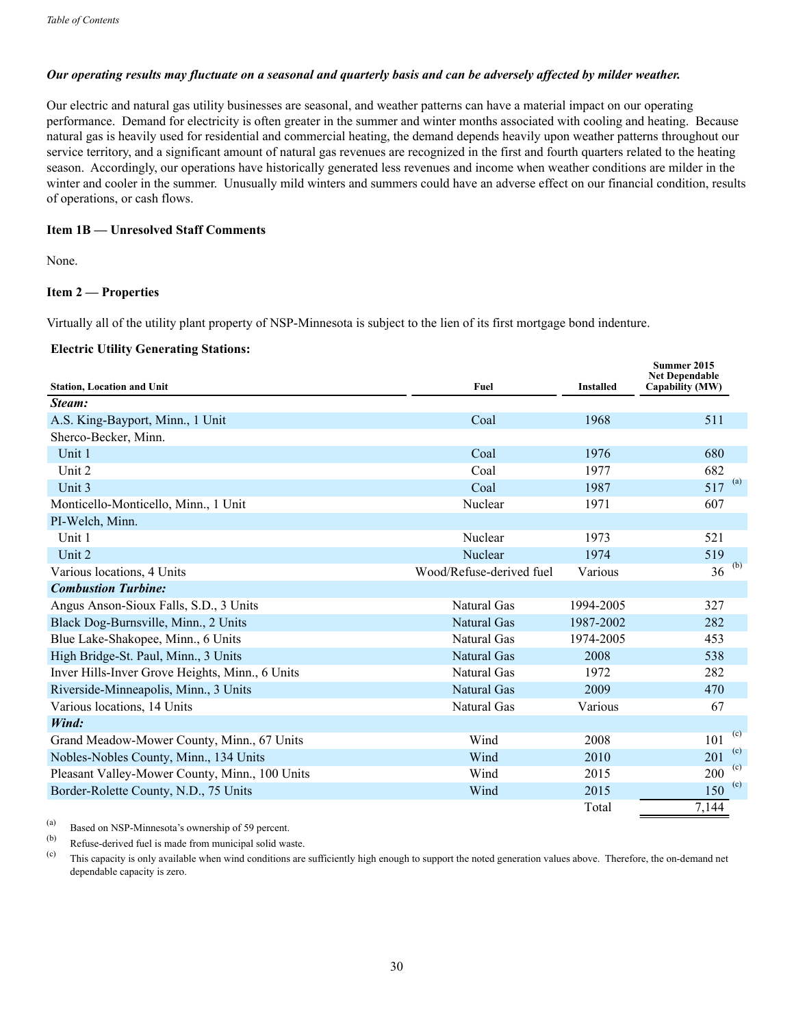#### *Our operating results may fluctuate on a seasonal and quarterly basis and can be adversely affected by milder weather.*

Our electric and natural gas utility businesses are seasonal, and weather patterns can have a material impact on our operating performance. Demand for electricity is often greater in the summer and winter months associated with cooling and heating. Because natural gas is heavily used for residential and commercial heating, the demand depends heavily upon weather patterns throughout our service territory, and a significant amount of natural gas revenues are recognized in the first and fourth quarters related to the heating season. Accordingly, our operations have historically generated less revenues and income when weather conditions are milder in the winter and cooler in the summer. Unusually mild winters and summers could have an adverse effect on our financial condition, results of operations, or cash flows.

#### **Item 1B — Unresolved Staff Comments**

None.

#### **Item 2 — Properties**

Virtually all of the utility plant property of NSP-Minnesota is subject to the lien of its first mortgage bond indenture.

#### **Electric Utility Generating Stations:**

| <b>Station, Location and Unit</b>               | Fuel                     | <b>Installed</b> | Summer 2015<br><b>Net Dependable</b><br>Capability (MW) |
|-------------------------------------------------|--------------------------|------------------|---------------------------------------------------------|
| Steam:                                          |                          |                  |                                                         |
| A.S. King-Bayport, Minn., 1 Unit                | Coal                     | 1968             | 511                                                     |
| Sherco-Becker, Minn.                            |                          |                  |                                                         |
| Unit 1                                          | Coal                     | 1976             | 680                                                     |
| Unit 2                                          | Coal                     | 1977             | 682                                                     |
| Unit 3                                          | Coal                     | 1987             | $517^{(a)}$                                             |
| Monticello-Monticello, Minn., 1 Unit            | Nuclear                  | 1971             | 607                                                     |
| PI-Welch, Minn.                                 |                          |                  |                                                         |
| Unit 1                                          | Nuclear                  | 1973             | 521                                                     |
| Unit 2                                          | Nuclear                  | 1974             | 519                                                     |
| Various locations, 4 Units                      | Wood/Refuse-derived fuel | Various          | (b)<br>36                                               |
| <b>Combustion Turbine:</b>                      |                          |                  |                                                         |
| Angus Anson-Sioux Falls, S.D., 3 Units          | Natural Gas              | 1994-2005        | 327                                                     |
| Black Dog-Burnsville, Minn., 2 Units            | Natural Gas              | 1987-2002        | 282                                                     |
| Blue Lake-Shakopee, Minn., 6 Units              | Natural Gas              | 1974-2005        | 453                                                     |
| High Bridge-St. Paul, Minn., 3 Units            | Natural Gas              | 2008             | 538                                                     |
| Inver Hills-Inver Grove Heights, Minn., 6 Units | Natural Gas              | 1972             | 282                                                     |
| Riverside-Minneapolis, Minn., 3 Units           | <b>Natural Gas</b>       | 2009             | 470                                                     |
| Various locations, 14 Units                     | Natural Gas              | Various          | 67                                                      |
| Wind:                                           |                          |                  |                                                         |
| Grand Meadow-Mower County, Minn., 67 Units      | Wind                     | 2008             | (c)<br>101                                              |
| Nobles-Nobles County, Minn., 134 Units          | Wind                     | 2010             | (c)<br>201                                              |
| Pleasant Valley-Mower County, Minn., 100 Units  | Wind                     | 2015             | (c)<br>200                                              |
| Border-Rolette County, N.D., 75 Units           | Wind                     | 2015             | (c)<br>150                                              |
|                                                 |                          | Total            | 7,144                                                   |

(a) Based on NSP-Minnesota's ownership of 59 percent.

Refuse-derived fuel is made from municipal solid waste.

(c) This capacity is only available when wind conditions are sufficiently high enough to support the noted generation values above. Therefore, the on-demand net dependable capacity is zero.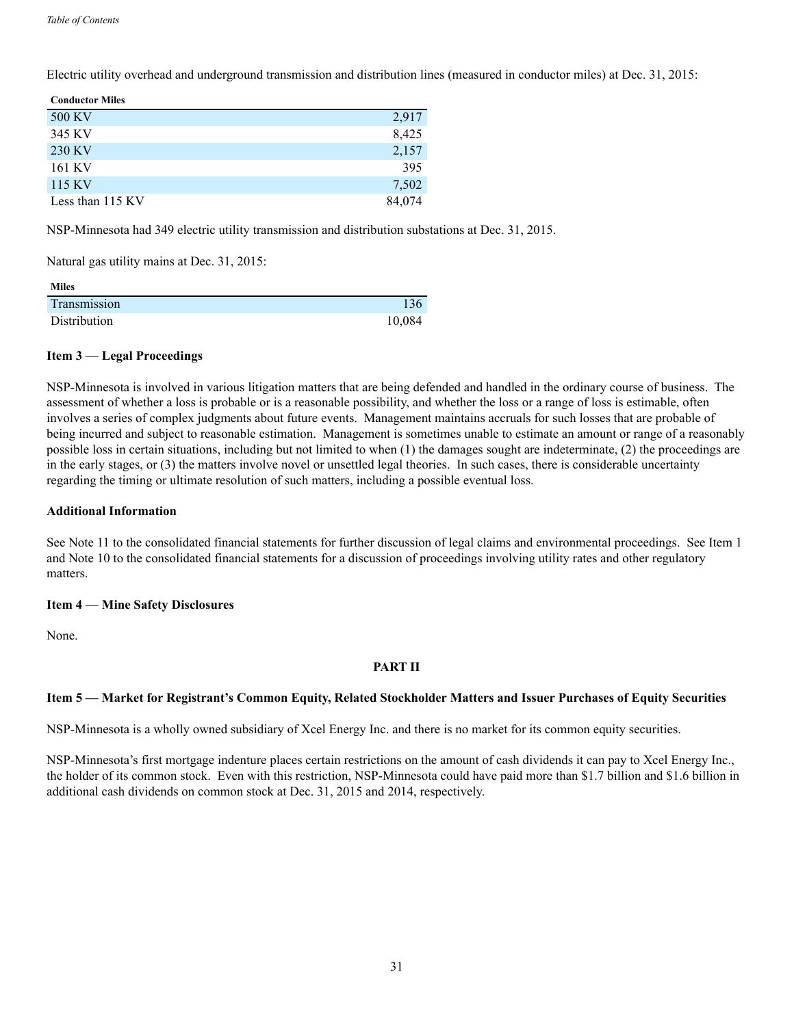Electric utility overhead and underground transmission and distribution lines (measured in conductor miles) at Dec. 31, 2015:

| <b>Conductor Miles</b> |        |
|------------------------|--------|
| 500 KV                 | 2,917  |
| 345 KV                 | 8,425  |
| 230 KV                 | 2,157  |
| 161 KV                 | 395    |
| 115 KV                 | 7,502  |
| Less than 115 KV       | 84,074 |

NSP-Minnesota had 349 electric utility transmission and distribution substations at Dec. 31, 2015.

Natural gas utility mains at Dec. 31, 2015:

| <b>Miles</b> |        |
|--------------|--------|
| Transmission | 136    |
| Distribution | 10,084 |

#### **Item 3** — **Legal Proceedings**

NSP-Minnesota is involved in various litigation matters that are being defended and handled in the ordinary course of business. The assessment of whether a loss is probable or is a reasonable possibility, and whether the loss or a range of loss is estimable, often involves a series of complex judgments about future events. Management maintains accruals for such losses that are probable of being incurred and subject to reasonable estimation. Management is sometimes unable to estimate an amount or range of a reasonably possible loss in certain situations, including but not limited to when (1) the damages sought are indeterminate, (2) the proceedings are in the early stages, or (3) the matters involve novel or unsettled legal theories. In such cases, there is considerable uncertainty regarding the timing or ultimate resolution of such matters, including a possible eventual loss.

#### **Additional Information**

See Note 11 to the consolidated financial statements for further discussion of legal claims and environmental proceedings. See Item 1 and Note 10 to the consolidated financial statements for a discussion of proceedings involving utility rates and other regulatory matters.

#### **Item 4** — **Mine Safety Disclosures**

None.

## **PART II**

## **Item 5 — Market for Registrant's Common Equity, Related Stockholder Matters and Issuer Purchases of Equity Securities**

NSP-Minnesota is a wholly owned subsidiary of Xcel Energy Inc. and there is no market for its common equity securities.

NSP-Minnesota's first mortgage indenture places certain restrictions on the amount of cash dividends it can pay to Xcel Energy Inc., the holder of its common stock. Even with this restriction, NSP-Minnesota could have paid more than \$1.7 billion and \$1.6 billion in additional cash dividends on common stock at Dec. 31, 2015 and 2014, respectively.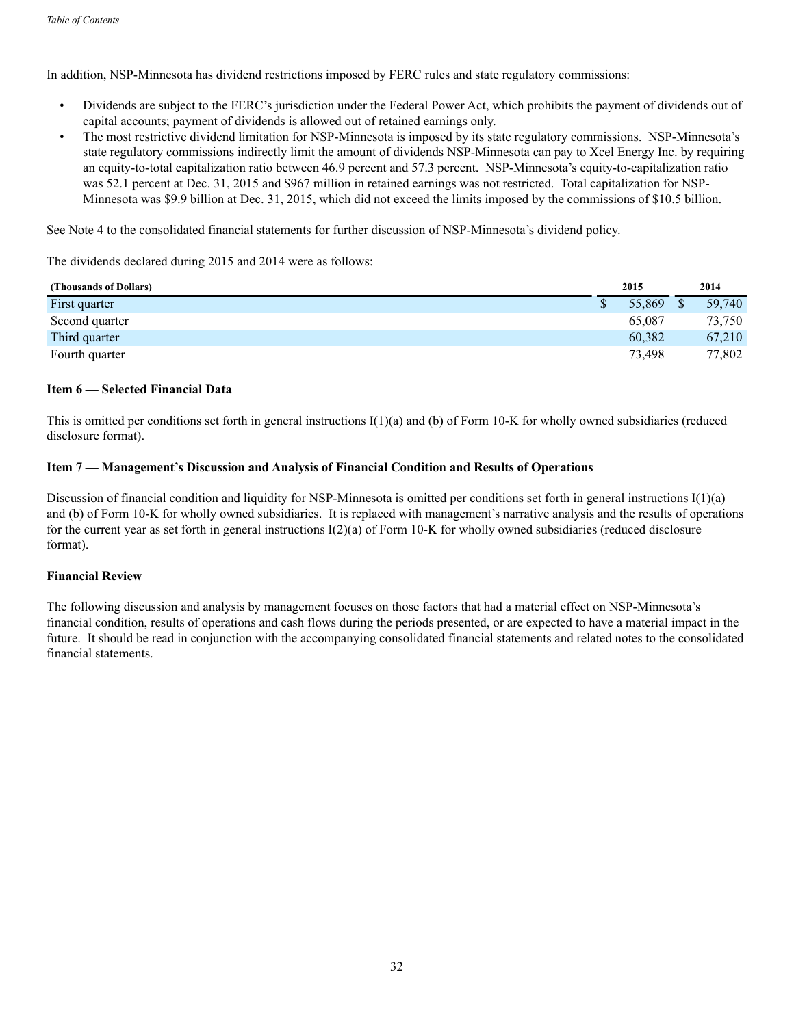In addition, NSP-Minnesota has dividend restrictions imposed by FERC rules and state regulatory commissions:

- Dividends are subject to the FERC's jurisdiction under the Federal Power Act, which prohibits the payment of dividends out of capital accounts; payment of dividends is allowed out of retained earnings only.
- The most restrictive dividend limitation for NSP-Minnesota is imposed by its state regulatory commissions. NSP-Minnesota's state regulatory commissions indirectly limit the amount of dividends NSP-Minnesota can pay to Xcel Energy Inc. by requiring an equity-to-total capitalization ratio between 46.9 percent and 57.3 percent. NSP-Minnesota's equity-to-capitalization ratio was 52.1 percent at Dec. 31, 2015 and \$967 million in retained earnings was not restricted. Total capitalization for NSP-Minnesota was \$9.9 billion at Dec. 31, 2015, which did not exceed the limits imposed by the commissions of \$10.5 billion.

See Note 4 to the consolidated financial statements for further discussion of NSP-Minnesota's dividend policy.

The dividends declared during 2015 and 2014 were as follows:

| (Thousands of Dollars) | 2015   | 2014   |
|------------------------|--------|--------|
| First quarter          | 55,869 | 59.740 |
| Second quarter         | 65.087 | 73,750 |
| Third quarter          | 60.382 | 67.210 |
| Fourth quarter         | 73.498 | 77,802 |

#### **Item 6 — Selected Financial Data**

This is omitted per conditions set forth in general instructions I(1)(a) and (b) of Form 10-K for wholly owned subsidiaries (reduced disclosure format).

## **Item 7 — Management's Discussion and Analysis of Financial Condition and Results of Operations**

Discussion of financial condition and liquidity for NSP-Minnesota is omitted per conditions set forth in general instructions  $I(1)(a)$ and (b) of Form 10-K for wholly owned subsidiaries. It is replaced with management's narrative analysis and the results of operations for the current year as set forth in general instructions I(2)(a) of Form 10-K for wholly owned subsidiaries (reduced disclosure format).

#### **Financial Review**

The following discussion and analysis by management focuses on those factors that had a material effect on NSP-Minnesota's financial condition, results of operations and cash flows during the periods presented, or are expected to have a material impact in the future. It should be read in conjunction with the accompanying consolidated financial statements and related notes to the consolidated financial statements.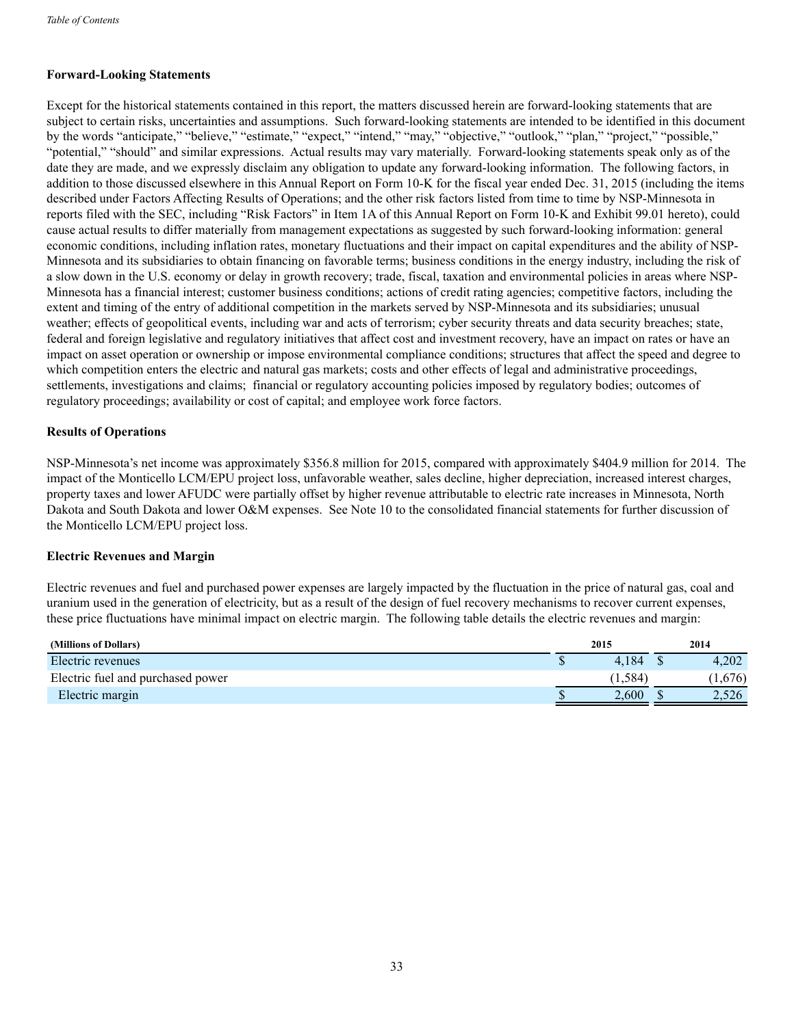## **Forward-Looking Statements**

Except for the historical statements contained in this report, the matters discussed herein are forward-looking statements that are subject to certain risks, uncertainties and assumptions. Such forward-looking statements are intended to be identified in this document by the words "anticipate," "believe," "estimate," "expect," "intend," "may," "objective," "outlook," "plan," "project," "possible," "potential," "should" and similar expressions. Actual results may vary materially. Forward-looking statements speak only as of the date they are made, and we expressly disclaim any obligation to update any forward-looking information. The following factors, in addition to those discussed elsewhere in this Annual Report on Form 10-K for the fiscal year ended Dec. 31, 2015 (including the items described under Factors Affecting Results of Operations; and the other risk factors listed from time to time by NSP-Minnesota in reports filed with the SEC, including "Risk Factors" in Item 1A of this Annual Report on Form 10-K and Exhibit 99.01 hereto), could cause actual results to differ materially from management expectations as suggested by such forward-looking information: general economic conditions, including inflation rates, monetary fluctuations and their impact on capital expenditures and the ability of NSP-Minnesota and its subsidiaries to obtain financing on favorable terms; business conditions in the energy industry, including the risk of a slow down in the U.S. economy or delay in growth recovery; trade, fiscal, taxation and environmental policies in areas where NSP-Minnesota has a financial interest; customer business conditions; actions of credit rating agencies; competitive factors, including the extent and timing of the entry of additional competition in the markets served by NSP-Minnesota and its subsidiaries; unusual weather; effects of geopolitical events, including war and acts of terrorism; cyber security threats and data security breaches; state, federal and foreign legislative and regulatory initiatives that affect cost and investment recovery, have an impact on rates or have an impact on asset operation or ownership or impose environmental compliance conditions; structures that affect the speed and degree to which competition enters the electric and natural gas markets; costs and other effects of legal and administrative proceedings, settlements, investigations and claims; financial or regulatory accounting policies imposed by regulatory bodies; outcomes of regulatory proceedings; availability or cost of capital; and employee work force factors.

## **Results of Operations**

NSP-Minnesota's net income was approximately \$356.8 million for 2015, compared with approximately \$404.9 million for 2014. The impact of the Monticello LCM/EPU project loss, unfavorable weather, sales decline, higher depreciation, increased interest charges, property taxes and lower AFUDC were partially offset by higher revenue attributable to electric rate increases in Minnesota, North Dakota and South Dakota and lower O&M expenses. See Note 10 to the consolidated financial statements for further discussion of the Monticello LCM/EPU project loss.

## **Electric Revenues and Margin**

Electric revenues and fuel and purchased power expenses are largely impacted by the fluctuation in the price of natural gas, coal and uranium used in the generation of electricity, but as a result of the design of fuel recovery mechanisms to recover current expenses, these price fluctuations have minimal impact on electric margin. The following table details the electric revenues and margin:

| (Millions of Dollars)             | 2015    | 2014   |
|-----------------------------------|---------|--------|
| Electric revenues                 | 4.184   | 4.202  |
| Electric fuel and purchased power | (1.584) | 1,676) |
| Electric margin                   | 2.600   | 2.526  |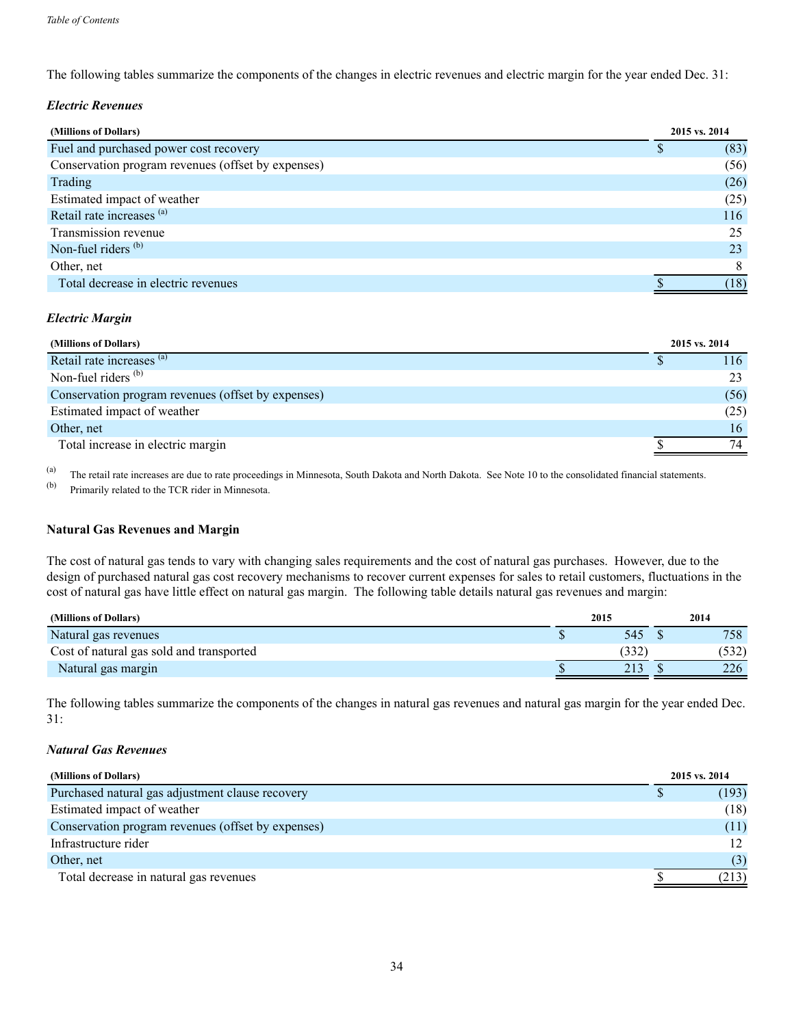The following tables summarize the components of the changes in electric revenues and electric margin for the year ended Dec. 31:

#### *Electric Revenues*

| (Millions of Dollars)                              | 2015 vs. 2014 |
|----------------------------------------------------|---------------|
| Fuel and purchased power cost recovery             | (83)          |
| Conservation program revenues (offset by expenses) | (56)          |
| Trading                                            | (26)          |
| Estimated impact of weather                        | (25)          |
| Retail rate increases (a)                          | 116           |
| Transmission revenue                               | 25            |
| Non-fuel riders $(b)$                              | 23            |
| Other, net                                         |               |
| Total decrease in electric revenues                | (18)          |

#### *Electric Margin*

| (Millions of Dollars)                              | 2015 vs. 2014 |      |
|----------------------------------------------------|---------------|------|
| Retail rate increases (a)                          |               | 116  |
| Non-fuel riders $(b)$                              |               | 23   |
| Conservation program revenues (offset by expenses) |               | (56) |
| Estimated impact of weather                        |               | (25) |
| Other, net                                         |               | 16   |
| Total increase in electric margin                  |               | 74   |

(a) The retail rate increases are due to rate proceedings in Minnesota, South Dakota and North Dakota. See Note 10 to the consolidated financial statements.<br>(b) Primarily related to the TCP rider in Minnesota

Primarily related to the TCR rider in Minnesota.

## **Natural Gas Revenues and Margin**

The cost of natural gas tends to vary with changing sales requirements and the cost of natural gas purchases. However, due to the design of purchased natural gas cost recovery mechanisms to recover current expenses for sales to retail customers, fluctuations in the cost of natural gas have little effect on natural gas margin. The following table details natural gas revenues and margin:

| (Millions of Dollars)                    | 2015 | 2014  |
|------------------------------------------|------|-------|
| Natural gas revenues                     | 545  | 758   |
| Cost of natural gas sold and transported | 332  | (532) |
| Natural gas margin                       | 213  | 226   |

The following tables summarize the components of the changes in natural gas revenues and natural gas margin for the year ended Dec. 31:

## *Natural Gas Revenues*

| (Millions of Dollars)                              | 2015 vs. 2014 |
|----------------------------------------------------|---------------|
| Purchased natural gas adjustment clause recovery   | (193)         |
| Estimated impact of weather                        | (18)          |
| Conservation program revenues (offset by expenses) | (11)          |
| Infrastructure rider                               |               |
| Other, net                                         | (3)           |
| Total decrease in natural gas revenues             | (213)         |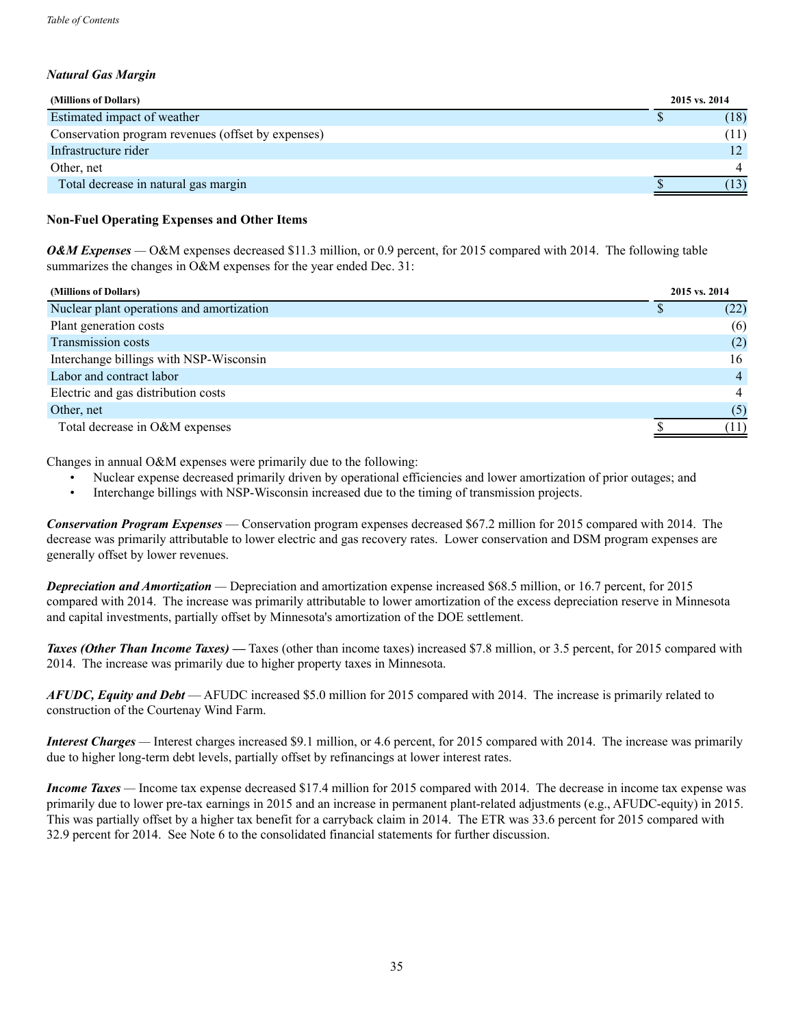## *Natural Gas Margin*

| (Millions of Dollars)                              | 2015 vs. 2014 |
|----------------------------------------------------|---------------|
| Estimated impact of weather                        | (18)          |
| Conservation program revenues (offset by expenses) | (11)          |
| Infrastructure rider                               | $12^{\circ}$  |
| Other, net                                         |               |
| Total decrease in natural gas margin               |               |

#### **Non-Fuel Operating Expenses and Other Items**

*O&M Expenses* — O&M expenses decreased \$11.3 million, or 0.9 percent, for 2015 compared with 2014. The following table summarizes the changes in O&M expenses for the year ended Dec. 31:

|  | (Millions of Dollars) |  |
|--|-----------------------|--|
|  |                       |  |

| (Millions of Dollars)                     | 2015 vs. 2014  |
|-------------------------------------------|----------------|
| Nuclear plant operations and amortization | (22)           |
| Plant generation costs                    | (6)            |
| Transmission costs                        | (2)            |
| Interchange billings with NSP-Wisconsin   | 16             |
| Labor and contract labor                  | $\overline{4}$ |
| Electric and gas distribution costs       | 4              |
| Other, net                                | (5)            |
| Total decrease in O&M expenses            | (11)           |

Changes in annual O&M expenses were primarily due to the following:

- Nuclear expense decreased primarily driven by operational efficiencies and lower amortization of prior outages; and
- Interchange billings with NSP-Wisconsin increased due to the timing of transmission projects.

*Conservation Program Expenses* — Conservation program expenses decreased \$67.2 million for 2015 compared with 2014. The decrease was primarily attributable to lower electric and gas recovery rates. Lower conservation and DSM program expenses are generally offset by lower revenues.

*Depreciation and Amortization —* Depreciation and amortization expense increased \$68.5 million, or 16.7 percent, for 2015 compared with 2014. The increase was primarily attributable to lower amortization of the excess depreciation reserve in Minnesota and capital investments, partially offset by Minnesota's amortization of the DOE settlement.

**Taxes (Other Than Income Taxes)** — Taxes (other than income taxes) increased \$7.8 million, or 3.5 percent, for 2015 compared with 2014. The increase was primarily due to higher property taxes in Minnesota.

*AFUDC, Equity and Debt* — AFUDC increased \$5.0 million for 2015 compared with 2014. The increase is primarily related to construction of the Courtenay Wind Farm.

*Interest Charges* — Interest charges increased \$9.1 million, or 4.6 percent, for 2015 compared with 2014. The increase was primarily due to higher long-term debt levels, partially offset by refinancings at lower interest rates.

*Income Taxes —* Income tax expense decreased \$17.4 million for 2015 compared with 2014. The decrease in income tax expense was primarily due to lower pre-tax earnings in 2015 and an increase in permanent plant-related adjustments (e.g., AFUDC-equity) in 2015. This was partially offset by a higher tax benefit for a carryback claim in 2014. The ETR was 33.6 percent for 2015 compared with 32.9 percent for 2014. See Note 6 to the consolidated financial statements for further discussion.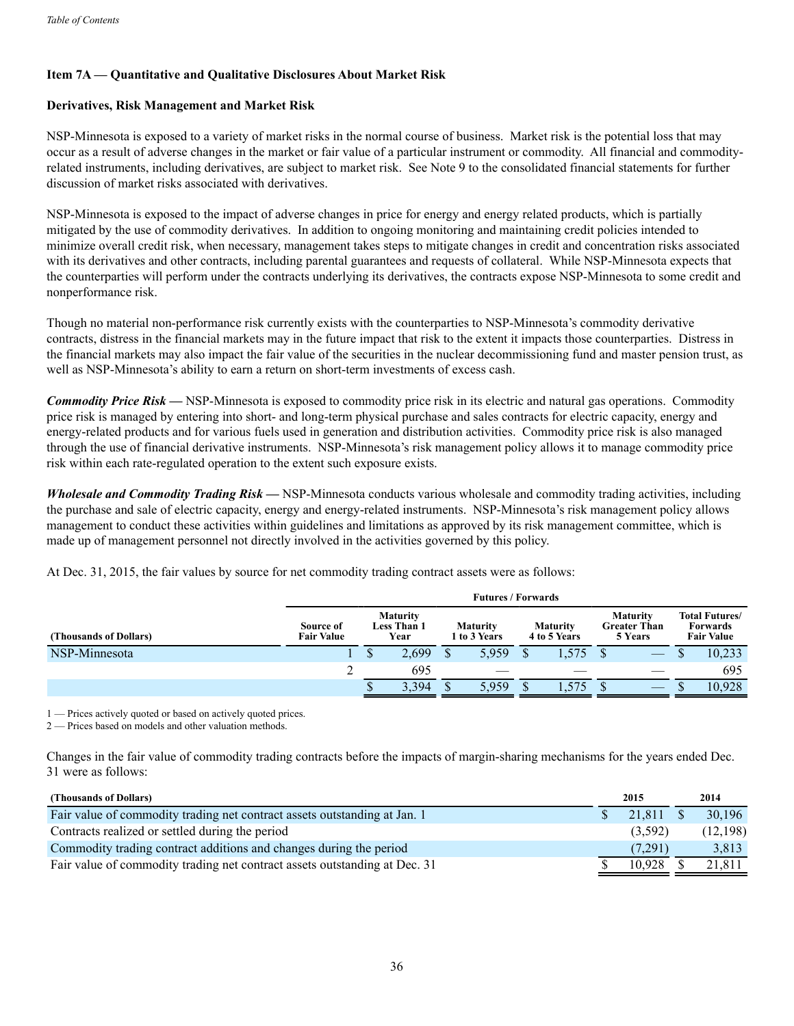## **Item 7A — Quantitative and Qualitative Disclosures About Market Risk**

#### **Derivatives, Risk Management and Market Risk**

NSP-Minnesota is exposed to a variety of market risks in the normal course of business. Market risk is the potential loss that may occur as a result of adverse changes in the market or fair value of a particular instrument or commodity. All financial and commodityrelated instruments, including derivatives, are subject to market risk. See Note 9 to the consolidated financial statements for further discussion of market risks associated with derivatives.

NSP-Minnesota is exposed to the impact of adverse changes in price for energy and energy related products, which is partially mitigated by the use of commodity derivatives. In addition to ongoing monitoring and maintaining credit policies intended to minimize overall credit risk, when necessary, management takes steps to mitigate changes in credit and concentration risks associated with its derivatives and other contracts, including parental guarantees and requests of collateral. While NSP-Minnesota expects that the counterparties will perform under the contracts underlying its derivatives, the contracts expose NSP-Minnesota to some credit and nonperformance risk.

Though no material non-performance risk currently exists with the counterparties to NSP-Minnesota's commodity derivative contracts, distress in the financial markets may in the future impact that risk to the extent it impacts those counterparties. Distress in the financial markets may also impact the fair value of the securities in the nuclear decommissioning fund and master pension trust, as well as NSP-Minnesota's ability to earn a return on short-term investments of excess cash.

*Commodity Price Risk —* NSP-Minnesota is exposed to commodity price risk in its electric and natural gas operations. Commodity price risk is managed by entering into short- and long-term physical purchase and sales contracts for electric capacity, energy and energy-related products and for various fuels used in generation and distribution activities. Commodity price risk is also managed through the use of financial derivative instruments. NSP-Minnesota's risk management policy allows it to manage commodity price risk within each rate-regulated operation to the extent such exposure exists.

*Wholesale and Commodity Trading Risk —* NSP-Minnesota conducts various wholesale and commodity trading activities, including the purchase and sale of electric capacity, energy and energy-related instruments. NSP-Minnesota's risk management policy allows management to conduct these activities within guidelines and limitations as approved by its risk management committee, which is made up of management personnel not directly involved in the activities governed by this policy.

At Dec. 31, 2015, the fair values by source for net commodity trading contract assets were as follows:

|                        | <b>Futures / Forwards</b>      |                                               |       |                                 |       |                                 |      |                                                   |  |                                                               |        |
|------------------------|--------------------------------|-----------------------------------------------|-------|---------------------------------|-------|---------------------------------|------|---------------------------------------------------|--|---------------------------------------------------------------|--------|
| (Thousands of Dollars) | Source of<br><b>Fair Value</b> | <b>Maturity</b><br><b>Less Than 1</b><br>Year |       | <b>Maturity</b><br>1 to 3 Years |       | <b>Maturity</b><br>4 to 5 Years |      | <b>Maturity</b><br><b>Greater Than</b><br>5 Years |  | <b>Total Futures/</b><br><b>Forwards</b><br><b>Fair Value</b> |        |
| NSP-Minnesota          |                                | S                                             | 2,699 | $\mathbf{C}$                    | 5.959 |                                 | .575 |                                                   |  |                                                               | 10,233 |
|                        |                                |                                               | 695   |                                 |       |                                 |      |                                                   |  |                                                               | 695    |
|                        |                                | m.<br>٠D                                      | 3.394 |                                 | 5,959 |                                 |      |                                                   |  |                                                               | 10.928 |

1 — Prices actively quoted or based on actively quoted prices.

2 — Prices based on models and other valuation methods.

Changes in the fair value of commodity trading contracts before the impacts of margin-sharing mechanisms for the years ended Dec. 31 were as follows:

| (Thousands of Dollars)                                                     | 2015    | 2014      |
|----------------------------------------------------------------------------|---------|-----------|
| Fair value of commodity trading net contract assets outstanding at Jan. 1  | 21.811  | 30,196    |
| Contracts realized or settled during the period                            | (3,592) | (12, 198) |
| Commodity trading contract additions and changes during the period         | (7.291) | 3,813     |
| Fair value of commodity trading net contract assets outstanding at Dec. 31 | 10.928  | 21.811    |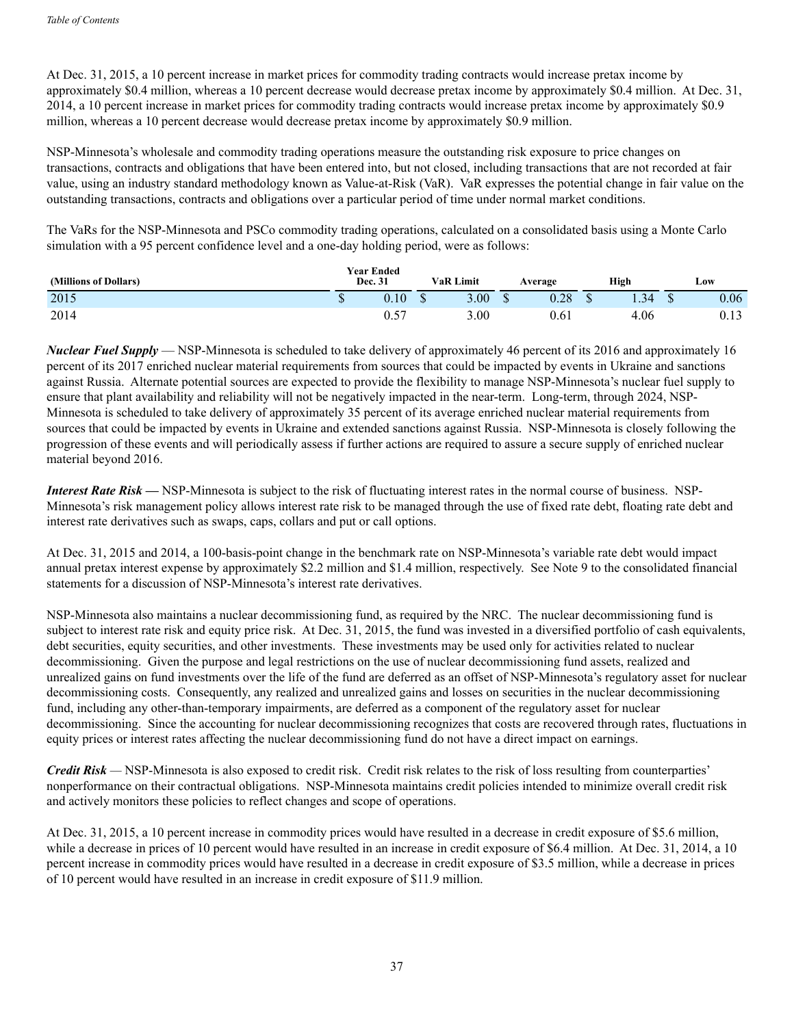At Dec. 31, 2015, a 10 percent increase in market prices for commodity trading contracts would increase pretax income by approximately \$0.4 million, whereas a 10 percent decrease would decrease pretax income by approximately \$0.4 million. At Dec. 31, 2014, a 10 percent increase in market prices for commodity trading contracts would increase pretax income by approximately \$0.9 million, whereas a 10 percent decrease would decrease pretax income by approximately \$0.9 million.

NSP-Minnesota's wholesale and commodity trading operations measure the outstanding risk exposure to price changes on transactions, contracts and obligations that have been entered into, but not closed, including transactions that are not recorded at fair value, using an industry standard methodology known as Value-at-Risk (VaR). VaR expresses the potential change in fair value on the outstanding transactions, contracts and obligations over a particular period of time under normal market conditions.

The VaRs for the NSP-Minnesota and PSCo commodity trading operations, calculated on a consolidated basis using a Monte Carlo simulation with a 95 percent confidence level and a one-day holding period, were as follows:

| (Millions of Dollars) | <b>Year Ended</b><br>Dec. 31 |          | <b>VaR Limit</b> |          |  | Average    | High | Low |          |  |
|-----------------------|------------------------------|----------|------------------|----------|--|------------|------|-----|----------|--|
| 2015                  | w                            | $0.10\,$ |                  | 3.00     |  | ിറ<br>u.zo |      |     | $0.06\,$ |  |
| 2014                  |                              | ∪.∪      |                  | $3.00\,$ |  | 0.0 I      | 4.06 |     | 0.13     |  |

*Nuclear Fuel Supply* — NSP-Minnesota is scheduled to take delivery of approximately 46 percent of its 2016 and approximately 16 percent of its 2017 enriched nuclear material requirements from sources that could be impacted by events in Ukraine and sanctions against Russia. Alternate potential sources are expected to provide the flexibility to manage NSP-Minnesota's nuclear fuel supply to ensure that plant availability and reliability will not be negatively impacted in the near-term. Long-term, through 2024, NSP-Minnesota is scheduled to take delivery of approximately 35 percent of its average enriched nuclear material requirements from sources that could be impacted by events in Ukraine and extended sanctions against Russia. NSP-Minnesota is closely following the progression of these events and will periodically assess if further actions are required to assure a secure supply of enriched nuclear material beyond 2016.

*Interest Rate Risk* — NSP-Minnesota is subject to the risk of fluctuating interest rates in the normal course of business. NSP-Minnesota's risk management policy allows interest rate risk to be managed through the use of fixed rate debt, floating rate debt and interest rate derivatives such as swaps, caps, collars and put or call options.

At Dec. 31, 2015 and 2014, a 100-basis-point change in the benchmark rate on NSP-Minnesota's variable rate debt would impact annual pretax interest expense by approximately \$2.2 million and \$1.4 million, respectively. See Note 9 to the consolidated financial statements for a discussion of NSP-Minnesota's interest rate derivatives.

NSP-Minnesota also maintains a nuclear decommissioning fund, as required by the NRC. The nuclear decommissioning fund is subject to interest rate risk and equity price risk. At Dec. 31, 2015, the fund was invested in a diversified portfolio of cash equivalents, debt securities, equity securities, and other investments. These investments may be used only for activities related to nuclear decommissioning. Given the purpose and legal restrictions on the use of nuclear decommissioning fund assets, realized and unrealized gains on fund investments over the life of the fund are deferred as an offset of NSP-Minnesota's regulatory asset for nuclear decommissioning costs. Consequently, any realized and unrealized gains and losses on securities in the nuclear decommissioning fund, including any other-than-temporary impairments, are deferred as a component of the regulatory asset for nuclear decommissioning. Since the accounting for nuclear decommissioning recognizes that costs are recovered through rates, fluctuations in equity prices or interest rates affecting the nuclear decommissioning fund do not have a direct impact on earnings.

*Credit Risk* — NSP-Minnesota is also exposed to credit risk. Credit risk relates to the risk of loss resulting from counterparties' nonperformance on their contractual obligations. NSP-Minnesota maintains credit policies intended to minimize overall credit risk and actively monitors these policies to reflect changes and scope of operations.

At Dec. 31, 2015, a 10 percent increase in commodity prices would have resulted in a decrease in credit exposure of \$5.6 million, while a decrease in prices of 10 percent would have resulted in an increase in credit exposure of \$6.4 million. At Dec. 31, 2014, a 10 percent increase in commodity prices would have resulted in a decrease in credit exposure of \$3.5 million, while a decrease in prices of 10 percent would have resulted in an increase in credit exposure of \$11.9 million.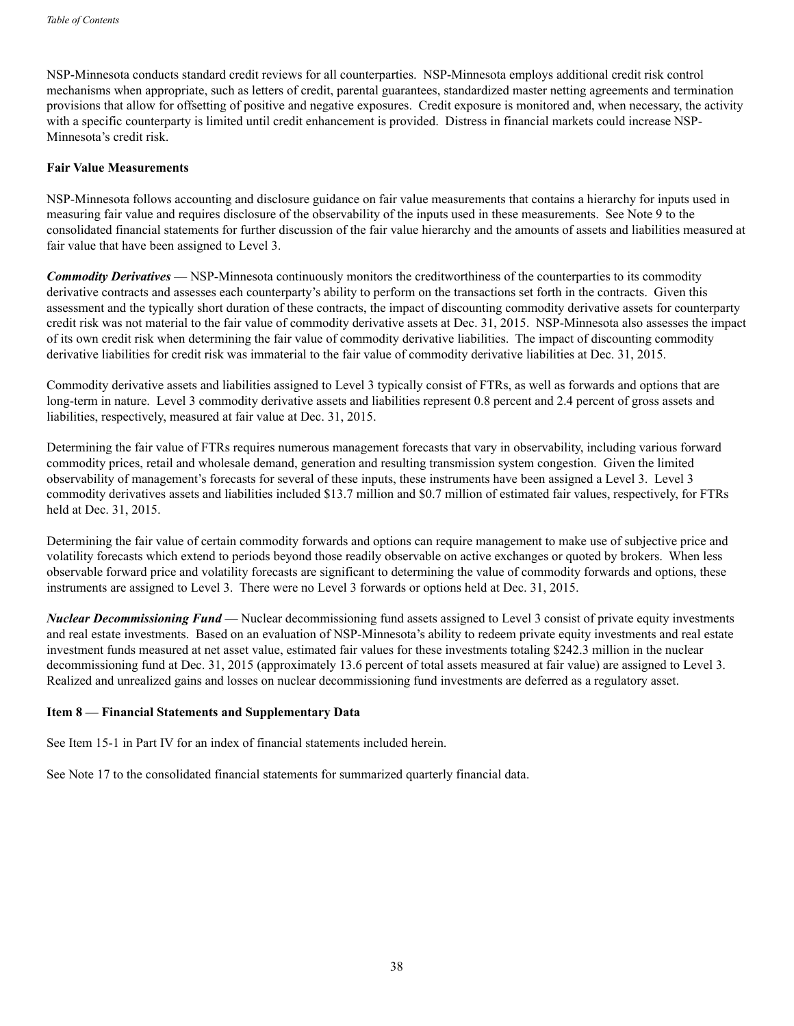NSP-Minnesota conducts standard credit reviews for all counterparties. NSP-Minnesota employs additional credit risk control mechanisms when appropriate, such as letters of credit, parental guarantees, standardized master netting agreements and termination provisions that allow for offsetting of positive and negative exposures. Credit exposure is monitored and, when necessary, the activity with a specific counterparty is limited until credit enhancement is provided. Distress in financial markets could increase NSP-Minnesota's credit risk.

#### **Fair Value Measurements**

NSP-Minnesota follows accounting and disclosure guidance on fair value measurements that contains a hierarchy for inputs used in measuring fair value and requires disclosure of the observability of the inputs used in these measurements. See Note 9 to the consolidated financial statements for further discussion of the fair value hierarchy and the amounts of assets and liabilities measured at fair value that have been assigned to Level 3.

*Commodity Derivatives* — NSP-Minnesota continuously monitors the creditworthiness of the counterparties to its commodity derivative contracts and assesses each counterparty's ability to perform on the transactions set forth in the contracts. Given this assessment and the typically short duration of these contracts, the impact of discounting commodity derivative assets for counterparty credit risk was not material to the fair value of commodity derivative assets at Dec. 31, 2015. NSP-Minnesota also assesses the impact of its own credit risk when determining the fair value of commodity derivative liabilities. The impact of discounting commodity derivative liabilities for credit risk was immaterial to the fair value of commodity derivative liabilities at Dec. 31, 2015.

Commodity derivative assets and liabilities assigned to Level 3 typically consist of FTRs, as well as forwards and options that are long-term in nature. Level 3 commodity derivative assets and liabilities represent 0.8 percent and 2.4 percent of gross assets and liabilities, respectively, measured at fair value at Dec. 31, 2015.

Determining the fair value of FTRs requires numerous management forecasts that vary in observability, including various forward commodity prices, retail and wholesale demand, generation and resulting transmission system congestion. Given the limited observability of management's forecasts for several of these inputs, these instruments have been assigned a Level 3. Level 3 commodity derivatives assets and liabilities included \$13.7 million and \$0.7 million of estimated fair values, respectively, for FTRs held at Dec. 31, 2015.

Determining the fair value of certain commodity forwards and options can require management to make use of subjective price and volatility forecasts which extend to periods beyond those readily observable on active exchanges or quoted by brokers. When less observable forward price and volatility forecasts are significant to determining the value of commodity forwards and options, these instruments are assigned to Level 3. There were no Level 3 forwards or options held at Dec. 31, 2015.

*Nuclear Decommissioning Fund* — Nuclear decommissioning fund assets assigned to Level 3 consist of private equity investments and real estate investments. Based on an evaluation of NSP-Minnesota's ability to redeem private equity investments and real estate investment funds measured at net asset value, estimated fair values for these investments totaling \$242.3 million in the nuclear decommissioning fund at Dec. 31, 2015 (approximately 13.6 percent of total assets measured at fair value) are assigned to Level 3. Realized and unrealized gains and losses on nuclear decommissioning fund investments are deferred as a regulatory asset.

#### **Item 8 — Financial Statements and Supplementary Data**

See Item 15-1 in Part IV for an index of financial statements included herein.

See Note 17 to the consolidated financial statements for summarized quarterly financial data.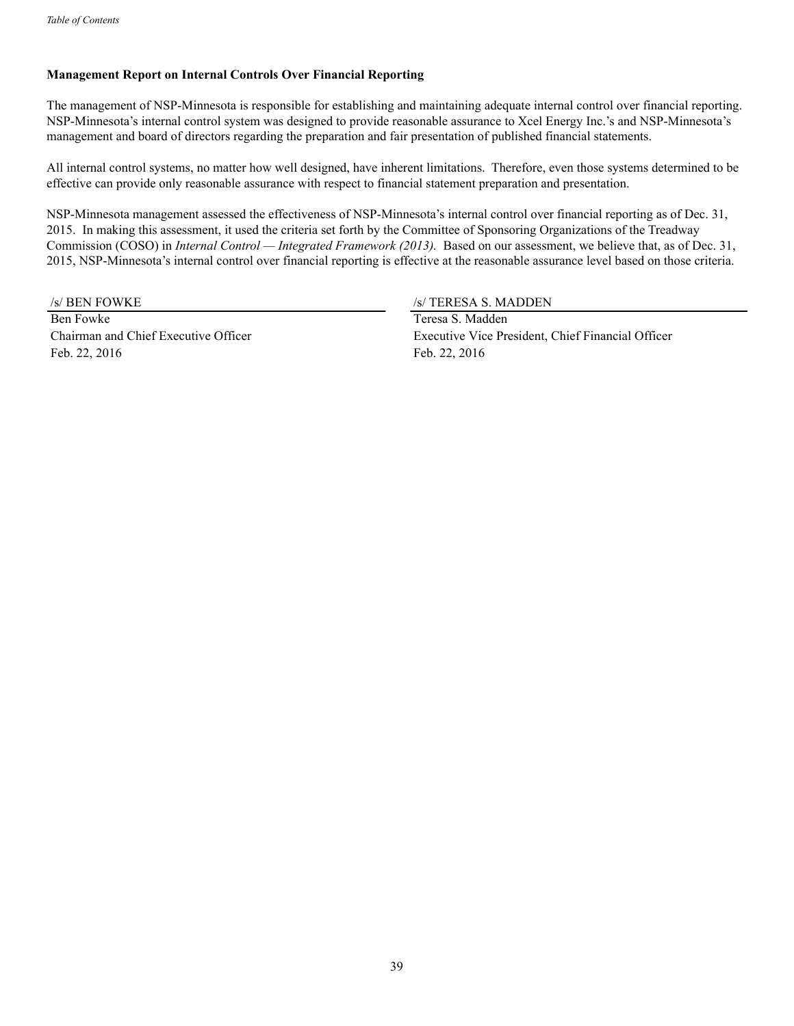## **Management Report on Internal Controls Over Financial Reporting**

The management of NSP-Minnesota is responsible for establishing and maintaining adequate internal control over financial reporting. NSP-Minnesota's internal control system was designed to provide reasonable assurance to Xcel Energy Inc.'s and NSP-Minnesota's management and board of directors regarding the preparation and fair presentation of published financial statements.

All internal control systems, no matter how well designed, have inherent limitations. Therefore, even those systems determined to be effective can provide only reasonable assurance with respect to financial statement preparation and presentation.

NSP-Minnesota management assessed the effectiveness of NSP-Minnesota's internal control over financial reporting as of Dec. 31, 2015. In making this assessment, it used the criteria set forth by the Committee of Sponsoring Organizations of the Treadway Commission (COSO) in *Internal Control — Integrated Framework (2013).* Based on our assessment, we believe that, as of Dec. 31, 2015, NSP-Minnesota's internal control over financial reporting is effective at the reasonable assurance level based on those criteria.

Ben Fowke Teresa S. Madden Feb. 22, 2016 Feb. 22, 2016

/s/ BEN FOWKE /s/ TERESA S. MADDEN

Chairman and Chief Executive Officer Executive Vice President, Chief Financial Officer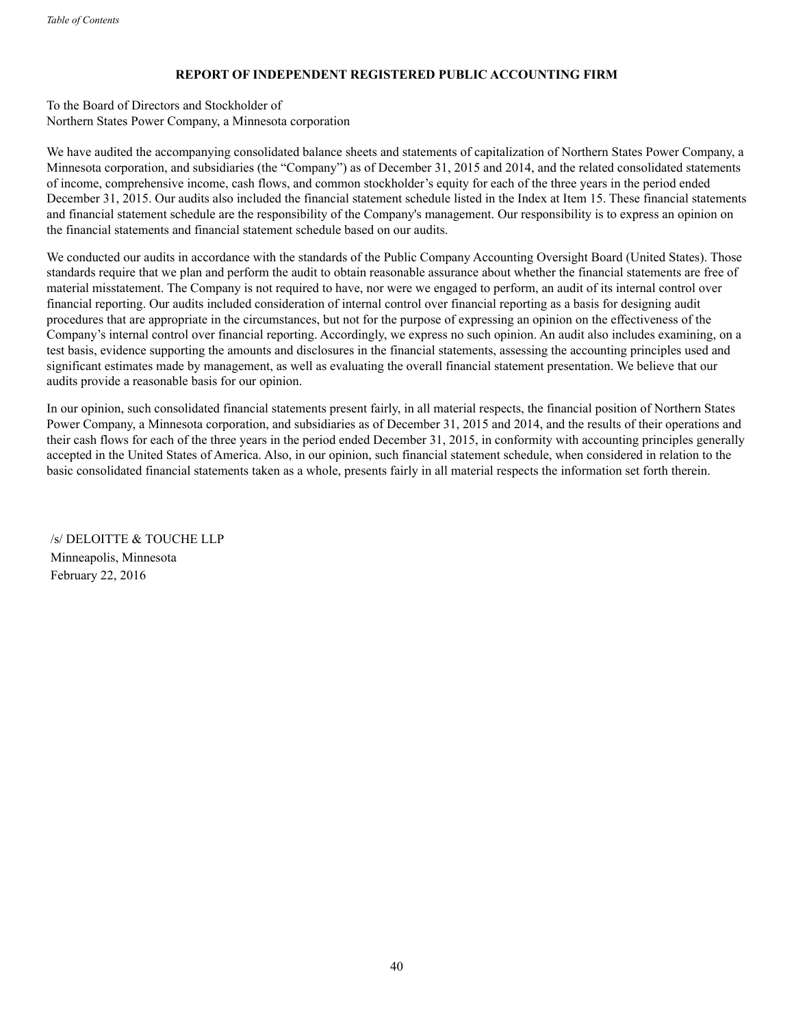## **REPORT OF INDEPENDENT REGISTERED PUBLIC ACCOUNTING FIRM**

To the Board of Directors and Stockholder of Northern States Power Company, a Minnesota corporation

We have audited the accompanying consolidated balance sheets and statements of capitalization of Northern States Power Company, a Minnesota corporation, and subsidiaries (the "Company") as of December 31, 2015 and 2014, and the related consolidated statements of income, comprehensive income, cash flows, and common stockholder's equity for each of the three years in the period ended December 31, 2015. Our audits also included the financial statement schedule listed in the Index at Item 15. These financial statements and financial statement schedule are the responsibility of the Company's management. Our responsibility is to express an opinion on the financial statements and financial statement schedule based on our audits.

We conducted our audits in accordance with the standards of the Public Company Accounting Oversight Board (United States). Those standards require that we plan and perform the audit to obtain reasonable assurance about whether the financial statements are free of material misstatement. The Company is not required to have, nor were we engaged to perform, an audit of its internal control over financial reporting. Our audits included consideration of internal control over financial reporting as a basis for designing audit procedures that are appropriate in the circumstances, but not for the purpose of expressing an opinion on the effectiveness of the Company's internal control over financial reporting. Accordingly, we express no such opinion. An audit also includes examining, on a test basis, evidence supporting the amounts and disclosures in the financial statements, assessing the accounting principles used and significant estimates made by management, as well as evaluating the overall financial statement presentation. We believe that our audits provide a reasonable basis for our opinion.

In our opinion, such consolidated financial statements present fairly, in all material respects, the financial position of Northern States Power Company, a Minnesota corporation, and subsidiaries as of December 31, 2015 and 2014, and the results of their operations and their cash flows for each of the three years in the period ended December 31, 2015, in conformity with accounting principles generally accepted in the United States of America. Also, in our opinion, such financial statement schedule, when considered in relation to the basic consolidated financial statements taken as a whole, presents fairly in all material respects the information set forth therein.

/s/ DELOITTE & TOUCHE LLP Minneapolis, Minnesota February 22, 2016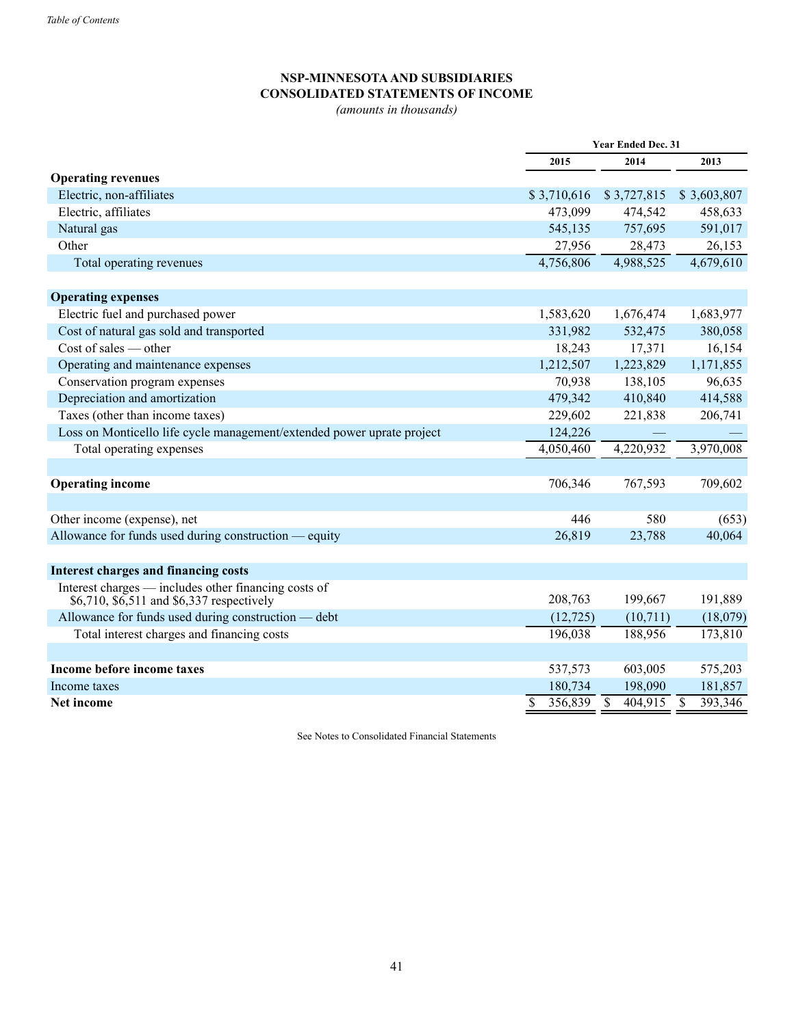# **NSP-MINNESOTAAND SUBSIDIARIES CONSOLIDATED STATEMENTS OF INCOME**

*(amounts in thousands)*

|                                                                                                   | <b>Year Ended Dec. 31</b> |             |                          |             |    |             |
|---------------------------------------------------------------------------------------------------|---------------------------|-------------|--------------------------|-------------|----|-------------|
|                                                                                                   |                           | 2015        |                          | 2014        |    | 2013        |
| <b>Operating revenues</b>                                                                         |                           |             |                          |             |    |             |
| Electric, non-affiliates                                                                          |                           | \$3,710,616 |                          | \$3,727,815 |    | \$3,603,807 |
| Electric, affiliates                                                                              |                           | 473,099     |                          | 474,542     |    | 458,633     |
| Natural gas                                                                                       |                           | 545,135     |                          | 757,695     |    | 591,017     |
| Other                                                                                             |                           | 27,956      |                          | 28,473      |    | 26,153      |
| Total operating revenues                                                                          |                           | 4,756,806   |                          | 4,988,525   |    | 4,679,610   |
| <b>Operating expenses</b>                                                                         |                           |             |                          |             |    |             |
| Electric fuel and purchased power                                                                 |                           | 1,583,620   |                          | 1,676,474   |    | 1,683,977   |
| Cost of natural gas sold and transported                                                          |                           | 331,982     |                          | 532,475     |    | 380,058     |
| $Cost of sales - other$                                                                           |                           | 18,243      |                          | 17,371      |    | 16,154      |
| Operating and maintenance expenses                                                                |                           | 1,212,507   |                          | 1,223,829   |    | 1,171,855   |
| Conservation program expenses                                                                     |                           | 70,938      |                          | 138,105     |    | 96,635      |
| Depreciation and amortization                                                                     |                           | 479,342     |                          | 410,840     |    | 414,588     |
| Taxes (other than income taxes)                                                                   |                           | 229,602     |                          | 221,838     |    | 206,741     |
| Loss on Monticello life cycle management/extended power uprate project                            |                           | 124,226     |                          |             |    |             |
| Total operating expenses                                                                          |                           | 4,050,460   |                          | 4,220,932   |    | 3,970,008   |
|                                                                                                   |                           |             |                          |             |    |             |
| <b>Operating income</b>                                                                           |                           | 706,346     |                          | 767,593     |    | 709,602     |
|                                                                                                   |                           |             |                          |             |    |             |
| Other income (expense), net                                                                       |                           | 446         |                          | 580         |    | (653)       |
| Allowance for funds used during construction — equity                                             |                           | 26,819      |                          | 23,788      |    | 40,064      |
|                                                                                                   |                           |             |                          |             |    |             |
| <b>Interest charges and financing costs</b>                                                       |                           |             |                          |             |    |             |
| Interest charges — includes other financing costs of<br>\$6,710, \$6,511 and \$6,337 respectively |                           | 208,763     |                          | 199,667     |    | 191,889     |
| Allowance for funds used during construction — debt                                               |                           | (12, 725)   |                          | (10, 711)   |    | (18,079)    |
| Total interest charges and financing costs                                                        |                           | 196,038     |                          | 188,956     |    | 173,810     |
|                                                                                                   |                           |             |                          |             |    |             |
| Income before income taxes                                                                        |                           | 537,573     |                          | 603,005     |    | 575,203     |
| Income taxes                                                                                      |                           | 180,734     |                          | 198,090     |    | 181,857     |
| <b>Net income</b>                                                                                 | \$                        | 356,839     | $\overline{\mathcal{S}}$ | 404,915     | \$ | 393,346     |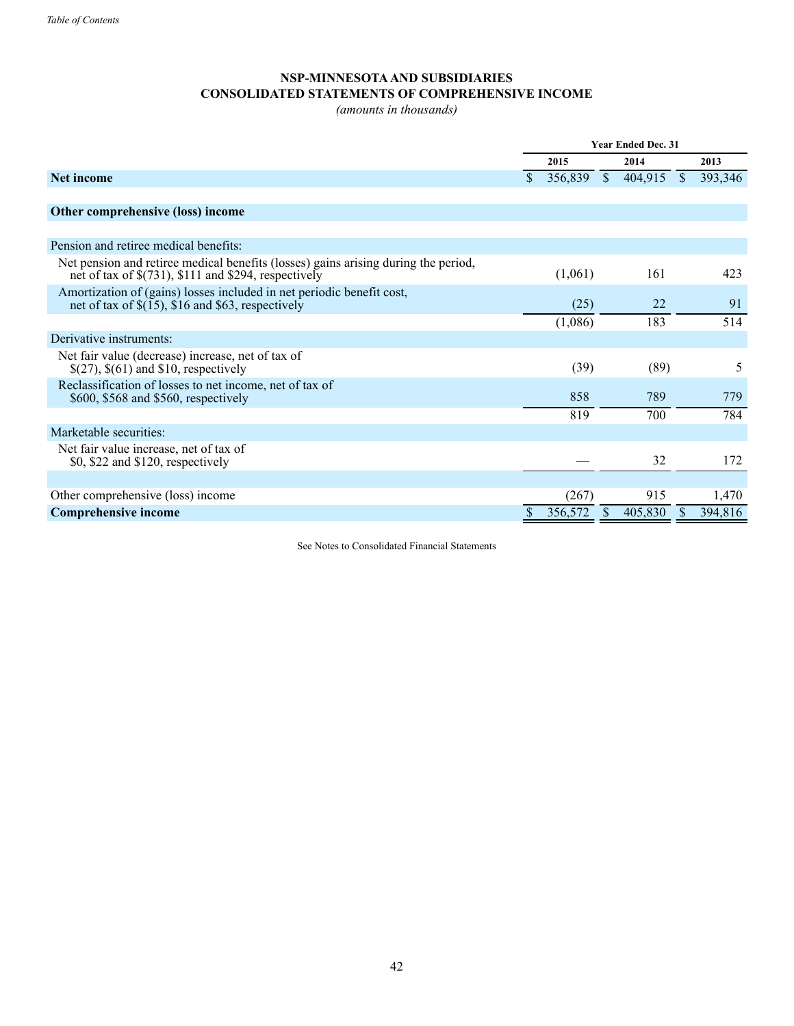## **NSP-MINNESOTAAND SUBSIDIARIES CONSOLIDATED STATEMENTS OF COMPREHENSIVE INCOME**

*(amounts in thousands)*

|                                                                                                                                               | <b>Year Ended Dec. 31</b> |         |               |         |               |         |
|-----------------------------------------------------------------------------------------------------------------------------------------------|---------------------------|---------|---------------|---------|---------------|---------|
|                                                                                                                                               |                           | 2015    |               | 2014    |               | 2013    |
| <b>Net income</b>                                                                                                                             | \$.                       | 356,839 | $\mathcal{S}$ | 404,915 | <sup>\$</sup> | 393,346 |
|                                                                                                                                               |                           |         |               |         |               |         |
| Other comprehensive (loss) income                                                                                                             |                           |         |               |         |               |         |
|                                                                                                                                               |                           |         |               |         |               |         |
| Pension and retiree medical benefits:                                                                                                         |                           |         |               |         |               |         |
| Net pension and retiree medical benefits (losses) gains arising during the period,<br>net of tax of $\S(731)$ , \$111 and \$294, respectively |                           | (1,061) |               | 161     |               | 423     |
| Amortization of (gains) losses included in net periodic benefit cost,<br>net of tax of $\$(15)$ , $\$16$ and $\$63$ , respectively            |                           | (25)    |               | 22      |               | 91      |
|                                                                                                                                               |                           | (1,086) |               | 183     |               | 514     |
| Derivative instruments:                                                                                                                       |                           |         |               |         |               |         |
| Net fair value (decrease) increase, net of tax of<br>$\S(27)$ , $\S(61)$ and \$10, respectively                                               |                           | (39)    |               | (89)    |               | 5       |
| Reclassification of losses to net income, net of tax of<br>\$600, \$568 and \$560, respectively                                               |                           | 858     |               | 789     |               | 779     |
|                                                                                                                                               |                           | 819     |               | 700     |               | 784     |
| Marketable securities:                                                                                                                        |                           |         |               |         |               |         |
| Net fair value increase, net of tax of<br>$$0, $22$ and $$120$ , respectively                                                                 |                           |         |               | 32      |               | 172     |
|                                                                                                                                               |                           |         |               |         |               |         |
| Other comprehensive (loss) income                                                                                                             |                           | (267)   |               | 915     |               | 1,470   |
| <b>Comprehensive income</b>                                                                                                                   |                           | 356,572 |               | 405,830 |               | 394,816 |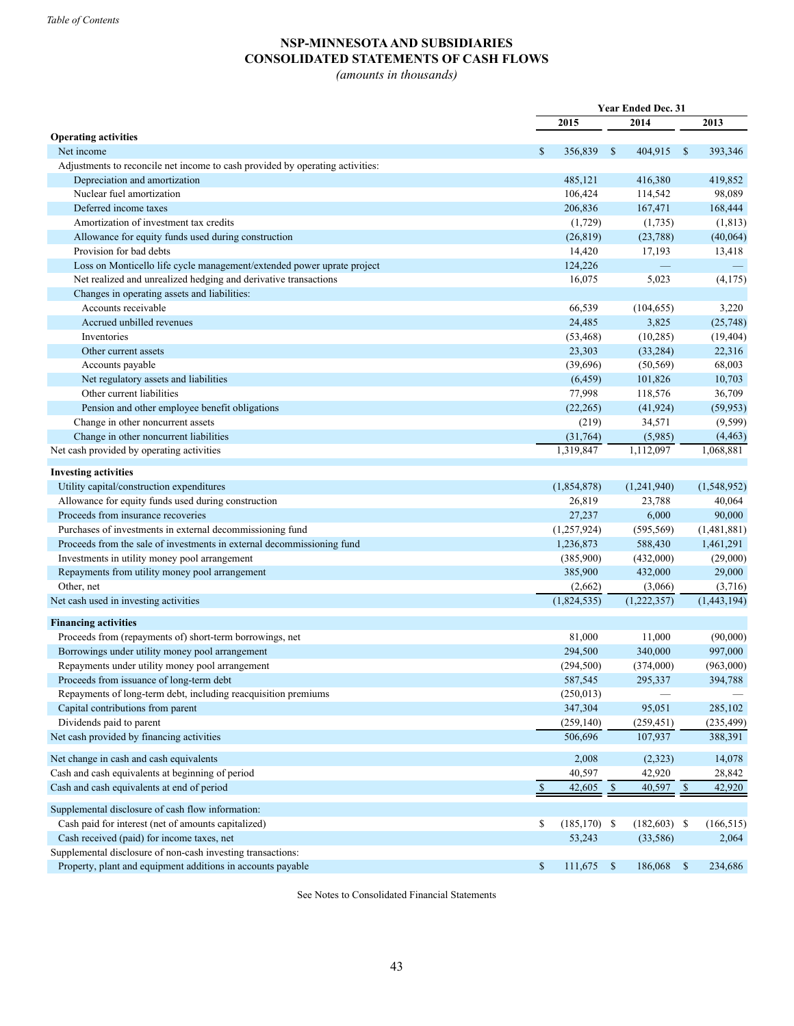# **NSP-MINNESOTAAND SUBSIDIARIES CONSOLIDATED STATEMENTS OF CASH FLOWS**

*(amounts in thousands)*

|                                                                               |              | Year Ended Dec. 31 |              |                |              |             |
|-------------------------------------------------------------------------------|--------------|--------------------|--------------|----------------|--------------|-------------|
|                                                                               |              | 2015               |              | 2014           |              | 2013        |
| <b>Operating activities</b>                                                   |              |                    |              |                |              |             |
| Net income                                                                    | $\mathbb{S}$ | 356,839            | -S           | 404,915 \$     |              | 393,346     |
| Adjustments to reconcile net income to cash provided by operating activities: |              |                    |              |                |              |             |
| Depreciation and amortization                                                 |              | 485,121            |              | 416,380        |              | 419,852     |
| Nuclear fuel amortization                                                     |              | 106,424            |              | 114,542        |              | 98,089      |
| Deferred income taxes                                                         |              | 206,836            |              | 167,471        |              | 168,444     |
| Amortization of investment tax credits                                        |              | (1,729)            |              | (1,735)        |              | (1, 813)    |
| Allowance for equity funds used during construction                           |              | (26, 819)          |              | (23,788)       |              | (40,064)    |
| Provision for bad debts                                                       |              | 14,420             |              | 17,193         |              | 13,418      |
| Loss on Monticello life cycle management/extended power uprate project        |              | 124,226            |              |                |              |             |
| Net realized and unrealized hedging and derivative transactions               |              | 16,075             |              | 5,023          |              | (4,175)     |
| Changes in operating assets and liabilities:                                  |              |                    |              |                |              |             |
| Accounts receivable                                                           |              | 66,539             |              | (104, 655)     |              | 3,220       |
| Accrued unbilled revenues                                                     |              | 24,485             |              | 3,825          |              | (25,748)    |
| Inventories                                                                   |              | (53, 468)          |              | (10, 285)      |              | (19, 404)   |
| Other current assets                                                          |              | 23,303             |              | (33, 284)      |              | 22,316      |
| Accounts payable                                                              |              | (39,696)           |              | (50, 569)      |              | 68,003      |
| Net regulatory assets and liabilities                                         |              | (6, 459)           |              | 101,826        |              | 10,703      |
| Other current liabilities                                                     |              | 77,998             |              | 118,576        |              | 36,709      |
| Pension and other employee benefit obligations                                |              | (22, 265)          |              | (41, 924)      |              | (59, 953)   |
| Change in other noncurrent assets                                             |              | (219)              |              | 34,571         |              | (9, 599)    |
| Change in other noncurrent liabilities                                        |              | (31,764)           |              | (5,985)        |              | (4, 463)    |
| Net cash provided by operating activities                                     |              | 1,319,847          |              | 1,112,097      |              | 1,068,881   |
|                                                                               |              |                    |              |                |              |             |
| <b>Investing activities</b>                                                   |              |                    |              |                |              |             |
| Utility capital/construction expenditures                                     |              | (1,854,878)        |              | (1,241,940)    |              | (1,548,952) |
| Allowance for equity funds used during construction                           |              | 26,819             |              | 23,788         |              | 40,064      |
| Proceeds from insurance recoveries                                            |              | 27,237             |              | 6,000          |              | 90,000      |
| Purchases of investments in external decommissioning fund                     |              | (1,257,924)        |              | (595, 569)     |              | (1,481,881) |
| Proceeds from the sale of investments in external decommissioning fund        |              | 1,236,873          |              | 588,430        |              | 1,461,291   |
| Investments in utility money pool arrangement                                 |              | (385,900)          |              | (432,000)      |              | (29,000)    |
| Repayments from utility money pool arrangement                                |              | 385,900            |              | 432,000        |              | 29,000      |
| Other, net                                                                    |              | (2,662)            |              | (3,066)        |              | (3,716)     |
| Net cash used in investing activities                                         |              | (1,824,535)        |              | (1,222,357)    |              | (1,443,194) |
|                                                                               |              |                    |              |                |              |             |
| <b>Financing activities</b>                                                   |              |                    |              |                |              |             |
| Proceeds from (repayments of) short-term borrowings, net                      |              | 81,000             |              | 11,000         |              | (90,000)    |
| Borrowings under utility money pool arrangement                               |              | 294,500            |              | 340,000        |              | 997,000     |
| Repayments under utility money pool arrangement                               |              | (294, 500)         |              | (374,000)      |              | (963,000)   |
| Proceeds from issuance of long-term debt                                      |              | 587,545            |              | 295,337        |              | 394,788     |
| Repayments of long-term debt, including reacquisition premiums                |              | (250, 013)         |              |                |              |             |
| Capital contributions from parent                                             |              | 347,304            |              | 95,051         |              | 285,102     |
| Dividends paid to parent                                                      |              | (259, 140)         |              | (259, 451)     |              | (235, 499)  |
| Net cash provided by financing activities                                     |              | 506,696            |              | 107,937        |              | 388,391     |
| Net change in cash and cash equivalents                                       |              | 2,008              |              | (2,323)        |              | 14,078      |
| Cash and cash equivalents at beginning of period                              |              | 40,597             |              | 42,920         |              | 28,842      |
| Cash and cash equivalents at end of period                                    | $\mathbb{S}$ | 42,605             | $\mathbb{S}$ | 40,597         | $\mathbb{S}$ | 42,920      |
|                                                                               |              |                    |              |                |              |             |
| Supplemental disclosure of cash flow information:                             |              |                    |              |                |              |             |
| Cash paid for interest (net of amounts capitalized)                           | \$           | $(185, 170)$ \$    |              | $(182,603)$ \$ |              | (166, 515)  |
| Cash received (paid) for income taxes, net                                    |              | 53,243             |              | (33,586)       |              | 2,064       |
| Supplemental disclosure of non-cash investing transactions:                   |              |                    |              |                |              |             |
| Property, plant and equipment additions in accounts payable                   | $\mathbb{S}$ | $111,675$ \$       |              | 186,068 \$     |              | 234,686     |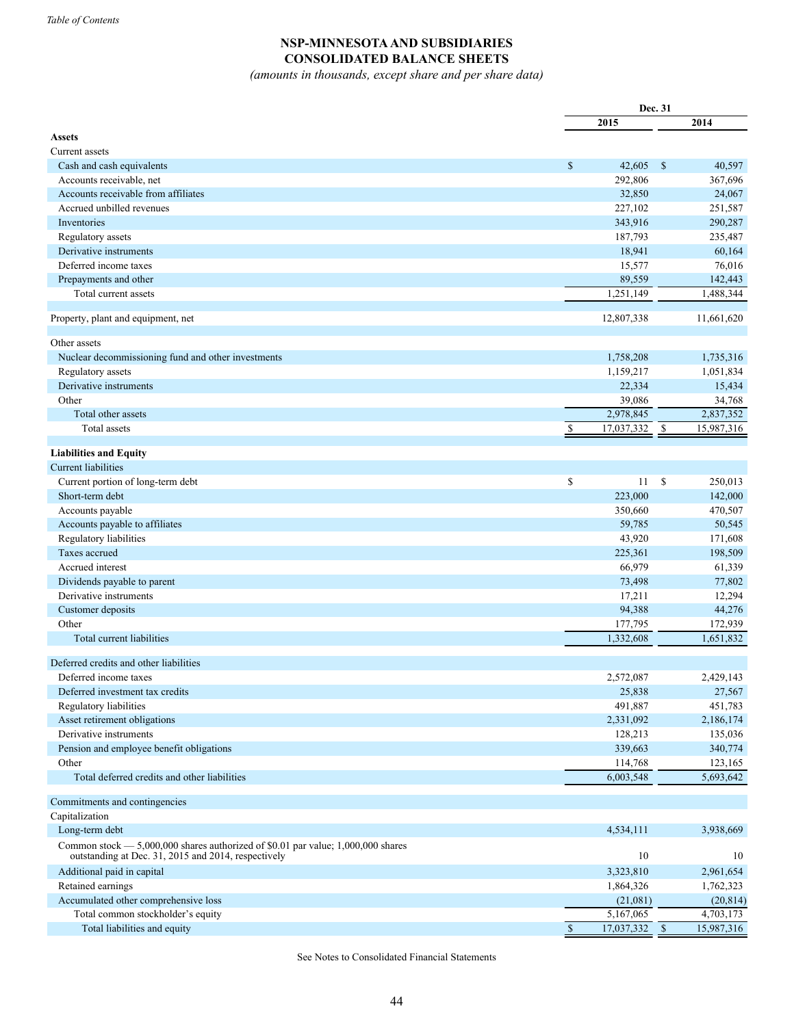## **NSP-MINNESOTAAND SUBSIDIARIES CONSOLIDATED BALANCE SHEETS**

*(amounts in thousands, except share and per share data)*

|                                                                                                                                          |              | Dec. 31         |               |            |  |
|------------------------------------------------------------------------------------------------------------------------------------------|--------------|-----------------|---------------|------------|--|
|                                                                                                                                          |              | 2015            |               | 2014       |  |
| <b>Assets</b>                                                                                                                            |              |                 |               |            |  |
| Current assets                                                                                                                           |              |                 |               |            |  |
| Cash and cash equivalents                                                                                                                | \$           | 42,605          | $\mathcal{S}$ | 40,597     |  |
| Accounts receivable, net                                                                                                                 |              | 292,806         |               | 367,696    |  |
| Accounts receivable from affiliates                                                                                                      |              | 32,850          |               | 24,067     |  |
| Accrued unbilled revenues                                                                                                                |              | 227,102         |               | 251,587    |  |
| Inventories                                                                                                                              |              | 343,916         |               | 290,287    |  |
| Regulatory assets                                                                                                                        |              | 187,793         |               | 235,487    |  |
| Derivative instruments                                                                                                                   |              | 18,941          |               | 60,164     |  |
| Deferred income taxes                                                                                                                    |              | 15,577          |               | 76,016     |  |
| Prepayments and other                                                                                                                    |              | 89,559          |               | 142,443    |  |
| Total current assets                                                                                                                     |              | 1,251,149       |               | 1,488,344  |  |
|                                                                                                                                          |              |                 |               |            |  |
| Property, plant and equipment, net                                                                                                       |              | 12,807,338      |               | 11,661,620 |  |
| Other assets                                                                                                                             |              |                 |               |            |  |
| Nuclear decommissioning fund and other investments                                                                                       |              | 1,758,208       |               | 1,735,316  |  |
| Regulatory assets                                                                                                                        |              | 1,159,217       |               | 1,051,834  |  |
| Derivative instruments                                                                                                                   |              | 22,334          |               | 15,434     |  |
| Other                                                                                                                                    |              | 39,086          |               | 34,768     |  |
| Total other assets                                                                                                                       |              | 2,978,845       |               | 2,837,352  |  |
| Total assets                                                                                                                             | \$           | $17,037,332$ \$ |               | 15,987,316 |  |
|                                                                                                                                          |              |                 |               |            |  |
| <b>Liabilities and Equity</b>                                                                                                            |              |                 |               |            |  |
| <b>Current liabilities</b>                                                                                                               |              |                 |               |            |  |
| Current portion of long-term debt                                                                                                        | $\mathbb{S}$ | 11              | $\mathbb{S}$  | 250,013    |  |
| Short-term debt                                                                                                                          |              | 223,000         |               | 142,000    |  |
| Accounts payable                                                                                                                         |              | 350,660         |               | 470,507    |  |
| Accounts payable to affiliates                                                                                                           |              | 59,785          |               | 50,545     |  |
| Regulatory liabilities                                                                                                                   |              | 43,920          |               | 171,608    |  |
| Taxes accrued                                                                                                                            |              | 225,361         |               | 198,509    |  |
| Accrued interest                                                                                                                         |              | 66,979          |               | 61,339     |  |
| Dividends payable to parent                                                                                                              |              | 73,498          |               | 77,802     |  |
| Derivative instruments                                                                                                                   |              | 17,211          |               | 12,294     |  |
| Customer deposits                                                                                                                        |              | 94,388          |               | 44,276     |  |
| Other                                                                                                                                    |              | 177,795         |               | 172,939    |  |
| Total current liabilities                                                                                                                |              | 1,332,608       |               | 1,651,832  |  |
|                                                                                                                                          |              |                 |               |            |  |
| Deferred credits and other liabilities                                                                                                   |              |                 |               |            |  |
| Deferred income taxes                                                                                                                    |              | 2,572,087       |               | 2,429,143  |  |
| Deferred investment tax credits                                                                                                          |              | 25,838          |               | 27,567     |  |
| Regulatory liabilities                                                                                                                   |              | 491,887         |               | 451,783    |  |
| Asset retirement obligations                                                                                                             |              | 2,331,092       |               | 2,186,174  |  |
| Derivative instruments                                                                                                                   |              | 128,213         |               | 135,036    |  |
| Pension and employee benefit obligations                                                                                                 |              | 339,663         |               | 340,774    |  |
| Other                                                                                                                                    |              | 114,768         |               | 123,165    |  |
| Total deferred credits and other liabilities                                                                                             |              | 6,003,548       |               | 5,693,642  |  |
|                                                                                                                                          |              |                 |               |            |  |
| Commitments and contingencies                                                                                                            |              |                 |               |            |  |
| Capitalization                                                                                                                           |              |                 |               |            |  |
| Long-term debt                                                                                                                           |              | 4,534,111       |               | 3,938,669  |  |
| Common stock $-5,000,000$ shares authorized of \$0.01 par value; 1,000,000 shares<br>outstanding at Dec. 31, 2015 and 2014, respectively |              | 10              |               | 10         |  |
| Additional paid in capital                                                                                                               |              | 3,323,810       |               | 2,961,654  |  |
| Retained earnings                                                                                                                        |              | 1,864,326       |               | 1,762,323  |  |
| Accumulated other comprehensive loss                                                                                                     |              | (21,081)        |               | (20, 814)  |  |
| Total common stockholder's equity                                                                                                        |              | 5,167,065       |               | 4,703,173  |  |
| Total liabilities and equity                                                                                                             | $\mathbb{S}$ | 17,037,332      | $\mathcal{S}$ | 15,987,316 |  |
|                                                                                                                                          |              |                 |               |            |  |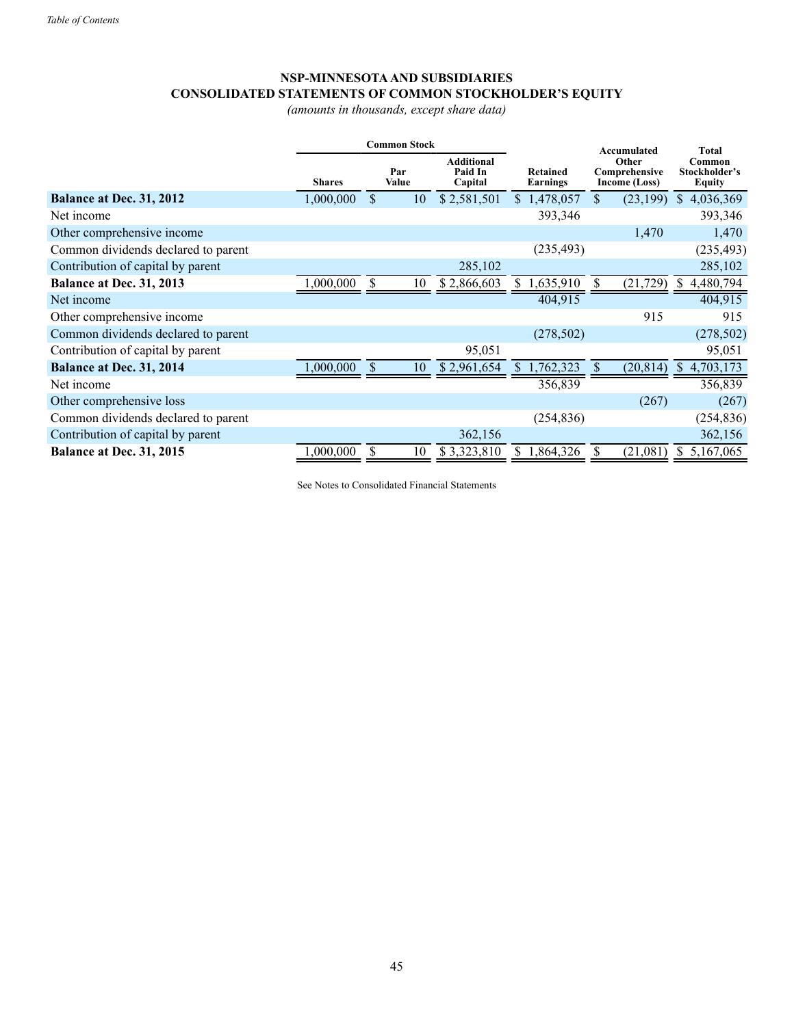# **NSP-MINNESOTAAND SUBSIDIARIES CONSOLIDATED STATEMENTS OF COMMON STOCKHOLDER'S EQUITY**

*(amounts in thousands, except share data)*

|                                     | <b>Common Stock</b> |               |    |                                         |    |                             | Accumulated |                                         | <b>Total</b>                      |  |
|-------------------------------------|---------------------|---------------|----|-----------------------------------------|----|-----------------------------|-------------|-----------------------------------------|-----------------------------------|--|
|                                     | <b>Shares</b>       | Par<br>Value  |    | <b>Additional</b><br>Paid In<br>Capital |    | <b>Retained</b><br>Earnings |             | Other<br>Comprehensive<br>Income (Loss) | Common<br>Stockholder's<br>Equity |  |
| Balance at Dec. 31, 2012            | 1,000,000           | <sup>S</sup>  | 10 | \$2,581,501                             |    | \$1,478,057                 | \$          | (23, 199)                               | 4,036,369<br>S                    |  |
| Net income                          |                     |               |    |                                         |    | 393,346                     |             |                                         | 393,346                           |  |
| Other comprehensive income          |                     |               |    |                                         |    |                             |             | 1,470                                   | 1,470                             |  |
| Common dividends declared to parent |                     |               |    |                                         |    | (235, 493)                  |             |                                         | (235, 493)                        |  |
| Contribution of capital by parent   |                     |               |    | 285,102                                 |    |                             |             |                                         | 285,102                           |  |
| Balance at Dec. 31, 2013            | 1,000,000           |               | 10 | \$2,866,603                             | S. | 1,635,910                   | S           | (21, 729)                               | 4,480,794<br>S                    |  |
| Net income                          |                     |               |    |                                         |    | 404,915                     |             |                                         | 404,915                           |  |
| Other comprehensive income          |                     |               |    |                                         |    |                             |             | 915                                     | 915                               |  |
| Common dividends declared to parent |                     |               |    |                                         |    | (278, 502)                  |             |                                         | (278, 502)                        |  |
| Contribution of capital by parent   |                     |               |    | 95,051                                  |    |                             |             |                                         | 95,051                            |  |
| Balance at Dec. 31, 2014            | 1,000,000           | <sup>\$</sup> | 10 | \$2,961,654                             |    | 1,762,323                   | \$.         | (20, 814)                               | 4,703,173<br>\$.                  |  |
| Net income                          |                     |               |    |                                         |    | 356,839                     |             |                                         | 356,839                           |  |
| Other comprehensive loss            |                     |               |    |                                         |    |                             |             | (267)                                   | (267)                             |  |
| Common dividends declared to parent |                     |               |    |                                         |    | (254, 836)                  |             |                                         | (254, 836)                        |  |
| Contribution of capital by parent   |                     |               |    | 362,156                                 |    |                             |             |                                         | 362,156                           |  |
| Balance at Dec. 31, 2015            | ,000,000            |               | 10 | \$3,323,810                             |    | 1,864,326                   |             | (21,081)                                | 5,167,065<br>\$                   |  |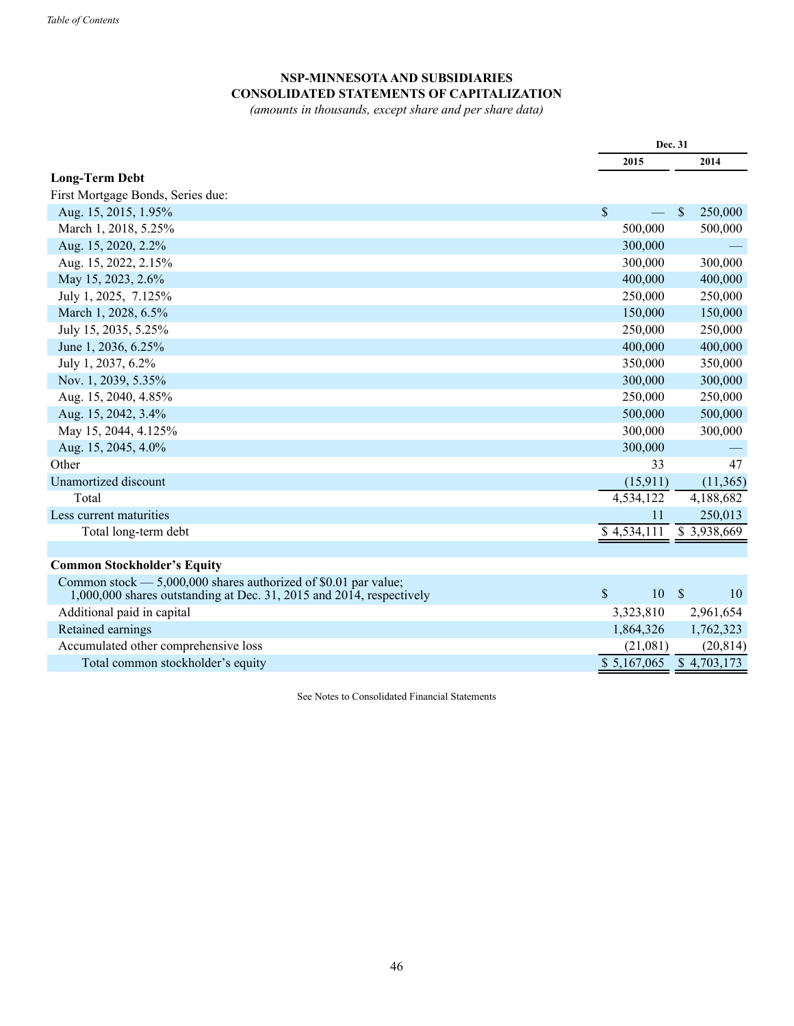## **NSP-MINNESOTAAND SUBSIDIARIES CONSOLIDATED STATEMENTS OF CAPITALIZATION**

*(amounts in thousands, except share and per share data)*

|                                                                                                                                             |                                  | Dec. 31                  |
|---------------------------------------------------------------------------------------------------------------------------------------------|----------------------------------|--------------------------|
|                                                                                                                                             | 2015                             | 2014                     |
| <b>Long-Term Debt</b>                                                                                                                       |                                  |                          |
| First Mortgage Bonds, Series due:                                                                                                           |                                  |                          |
| Aug. 15, 2015, 1.95%                                                                                                                        | \$                               | 250,000<br>$\mathbf{\$}$ |
| March 1, 2018, 5.25%                                                                                                                        | 500,000                          | 500,000                  |
| Aug. 15, 2020, 2.2%                                                                                                                         | 300,000                          |                          |
| Aug. 15, 2022, 2.15%                                                                                                                        | 300,000                          | 300,000                  |
| May 15, 2023, 2.6%                                                                                                                          | 400,000                          | 400,000                  |
| July 1, 2025, 7.125%                                                                                                                        | 250,000                          | 250,000                  |
| March 1, 2028, 6.5%                                                                                                                         | 150,000                          | 150,000                  |
| July 15, 2035, 5.25%                                                                                                                        | 250,000                          | 250,000                  |
| June 1, 2036, 6.25%                                                                                                                         | 400,000                          | 400,000                  |
| July 1, 2037, 6.2%                                                                                                                          | 350,000                          | 350,000                  |
| Nov. 1, 2039, 5.35%                                                                                                                         | 300,000                          | 300,000                  |
| Aug. 15, 2040, 4.85%                                                                                                                        | 250,000                          | 250,000                  |
| Aug. 15, 2042, 3.4%                                                                                                                         | 500,000                          | 500,000                  |
| May 15, 2044, 4.125%                                                                                                                        | 300,000                          | 300,000                  |
| Aug. 15, 2045, 4.0%                                                                                                                         | 300,000                          |                          |
| Other                                                                                                                                       | 33                               | 47                       |
| Unamortized discount                                                                                                                        | (15,911)                         | (11, 365)                |
| Total                                                                                                                                       | 4,534,122                        | 4,188,682                |
| Less current maturities                                                                                                                     | 11                               | 250,013                  |
| Total long-term debt                                                                                                                        | \$4,534,111                      | \$3,938,669              |
|                                                                                                                                             |                                  |                          |
| <b>Common Stockholder's Equity</b>                                                                                                          |                                  |                          |
| Common stock $-$ 5,000,000 shares authorized of \$0.01 par value;<br>$1,000,000$ shares outstanding at Dec. 31, 2015 and 2014, respectively | $\mathsf{\$}$<br>10 <sup>°</sup> | $\mathbb{S}$<br>10       |
| Additional paid in capital                                                                                                                  | 3,323,810                        | 2,961,654                |
| Retained earnings                                                                                                                           | 1,864,326                        | 1,762,323                |
| Accumulated other comprehensive loss                                                                                                        | (21,081)                         | (20, 814)                |
| Total common stockholder's equity                                                                                                           | \$5,167,065                      | $\overline{8}$ 4,703,173 |
|                                                                                                                                             |                                  |                          |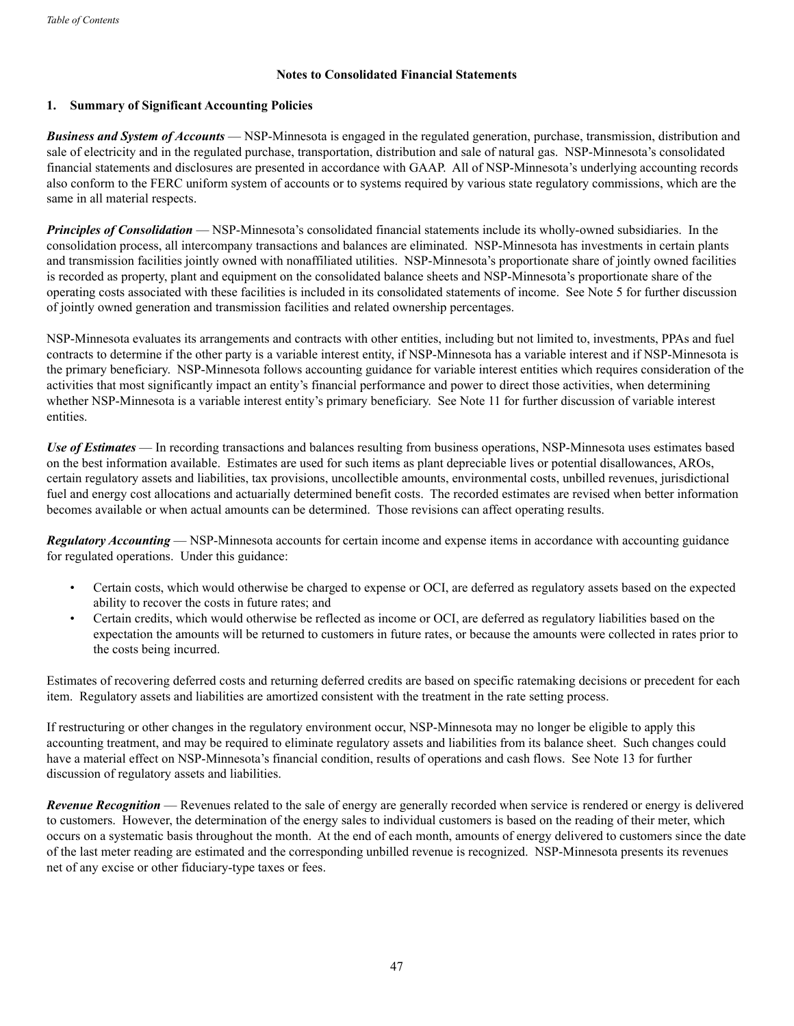### **Notes to Consolidated Financial Statements**

### **1. Summary of Significant Accounting Policies**

*Business and System of Accounts* — NSP-Minnesota is engaged in the regulated generation, purchase, transmission, distribution and sale of electricity and in the regulated purchase, transportation, distribution and sale of natural gas. NSP-Minnesota's consolidated financial statements and disclosures are presented in accordance with GAAP. All of NSP-Minnesota's underlying accounting records also conform to the FERC uniform system of accounts or to systems required by various state regulatory commissions, which are the same in all material respects.

*Principles of Consolidation* — NSP-Minnesota's consolidated financial statements include its wholly-owned subsidiaries. In the consolidation process, all intercompany transactions and balances are eliminated. NSP-Minnesota has investments in certain plants and transmission facilities jointly owned with nonaffiliated utilities. NSP-Minnesota's proportionate share of jointly owned facilities is recorded as property, plant and equipment on the consolidated balance sheets and NSP-Minnesota's proportionate share of the operating costs associated with these facilities is included in its consolidated statements of income. See Note 5 for further discussion of jointly owned generation and transmission facilities and related ownership percentages.

NSP-Minnesota evaluates its arrangements and contracts with other entities, including but not limited to, investments, PPAs and fuel contracts to determine if the other party is a variable interest entity, if NSP-Minnesota has a variable interest and if NSP-Minnesota is the primary beneficiary. NSP-Minnesota follows accounting guidance for variable interest entities which requires consideration of the activities that most significantly impact an entity's financial performance and power to direct those activities, when determining whether NSP-Minnesota is a variable interest entity's primary beneficiary. See Note 11 for further discussion of variable interest entities.

*Use of Estimates* — In recording transactions and balances resulting from business operations, NSP-Minnesota uses estimates based on the best information available. Estimates are used for such items as plant depreciable lives or potential disallowances, AROs, certain regulatory assets and liabilities, tax provisions, uncollectible amounts, environmental costs, unbilled revenues, jurisdictional fuel and energy cost allocations and actuarially determined benefit costs. The recorded estimates are revised when better information becomes available or when actual amounts can be determined. Those revisions can affect operating results.

*Regulatory Accounting* — NSP-Minnesota accounts for certain income and expense items in accordance with accounting guidance for regulated operations. Under this guidance:

- Certain costs, which would otherwise be charged to expense or OCI, are deferred as regulatory assets based on the expected ability to recover the costs in future rates; and
- Certain credits, which would otherwise be reflected as income or OCI, are deferred as regulatory liabilities based on the expectation the amounts will be returned to customers in future rates, or because the amounts were collected in rates prior to the costs being incurred.

Estimates of recovering deferred costs and returning deferred credits are based on specific ratemaking decisions or precedent for each item. Regulatory assets and liabilities are amortized consistent with the treatment in the rate setting process.

If restructuring or other changes in the regulatory environment occur, NSP-Minnesota may no longer be eligible to apply this accounting treatment, and may be required to eliminate regulatory assets and liabilities from its balance sheet. Such changes could have a material effect on NSP-Minnesota's financial condition, results of operations and cash flows. See Note 13 for further discussion of regulatory assets and liabilities.

*Revenue Recognition* — Revenues related to the sale of energy are generally recorded when service is rendered or energy is delivered to customers. However, the determination of the energy sales to individual customers is based on the reading of their meter, which occurs on a systematic basis throughout the month. At the end of each month, amounts of energy delivered to customers since the date of the last meter reading are estimated and the corresponding unbilled revenue is recognized. NSP-Minnesota presents its revenues net of any excise or other fiduciary-type taxes or fees.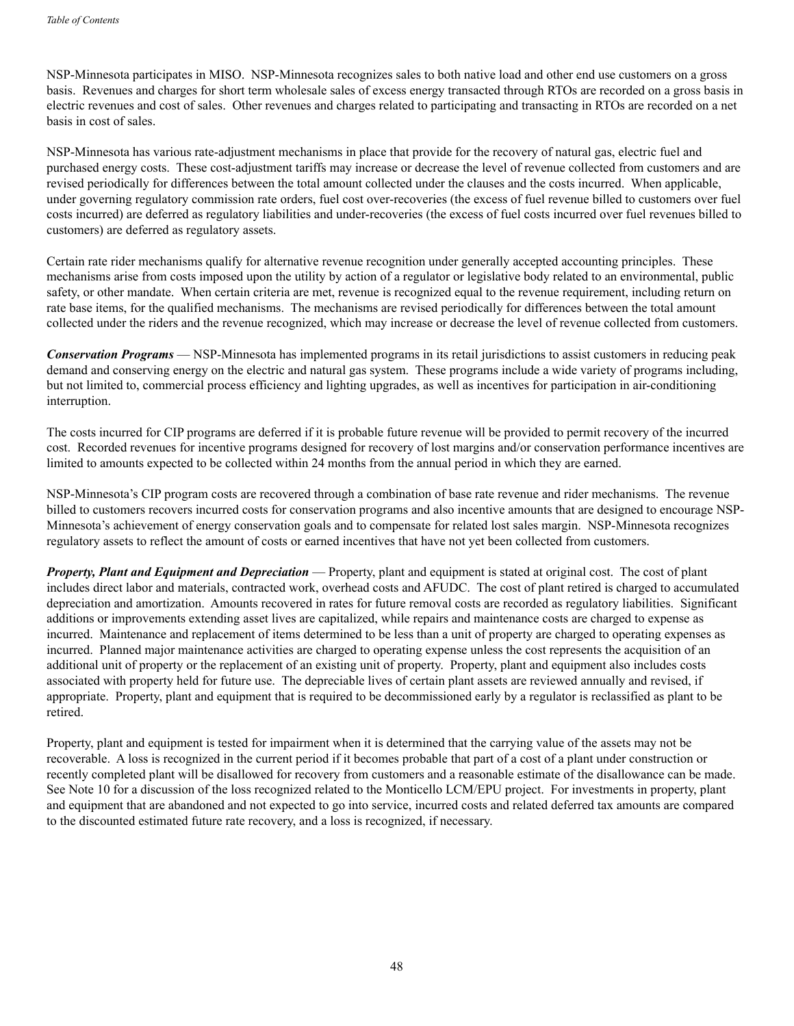NSP-Minnesota participates in MISO. NSP-Minnesota recognizes sales to both native load and other end use customers on a gross basis. Revenues and charges for short term wholesale sales of excess energy transacted through RTOs are recorded on a gross basis in electric revenues and cost of sales. Other revenues and charges related to participating and transacting in RTOs are recorded on a net basis in cost of sales.

NSP-Minnesota has various rate-adjustment mechanisms in place that provide for the recovery of natural gas, electric fuel and purchased energy costs. These cost-adjustment tariffs may increase or decrease the level of revenue collected from customers and are revised periodically for differences between the total amount collected under the clauses and the costs incurred. When applicable, under governing regulatory commission rate orders, fuel cost over-recoveries (the excess of fuel revenue billed to customers over fuel costs incurred) are deferred as regulatory liabilities and under-recoveries (the excess of fuel costs incurred over fuel revenues billed to customers) are deferred as regulatory assets.

Certain rate rider mechanisms qualify for alternative revenue recognition under generally accepted accounting principles. These mechanisms arise from costs imposed upon the utility by action of a regulator or legislative body related to an environmental, public safety, or other mandate. When certain criteria are met, revenue is recognized equal to the revenue requirement, including return on rate base items, for the qualified mechanisms. The mechanisms are revised periodically for differences between the total amount collected under the riders and the revenue recognized, which may increase or decrease the level of revenue collected from customers.

*Conservation Programs* — NSP-Minnesota has implemented programs in its retail jurisdictions to assist customers in reducing peak demand and conserving energy on the electric and natural gas system. These programs include a wide variety of programs including, but not limited to, commercial process efficiency and lighting upgrades, as well as incentives for participation in air-conditioning interruption.

The costs incurred for CIP programs are deferred if it is probable future revenue will be provided to permit recovery of the incurred cost. Recorded revenues for incentive programs designed for recovery of lost margins and/or conservation performance incentives are limited to amounts expected to be collected within 24 months from the annual period in which they are earned.

NSP-Minnesota's CIP program costs are recovered through a combination of base rate revenue and rider mechanisms. The revenue billed to customers recovers incurred costs for conservation programs and also incentive amounts that are designed to encourage NSP-Minnesota's achievement of energy conservation goals and to compensate for related lost sales margin. NSP-Minnesota recognizes regulatory assets to reflect the amount of costs or earned incentives that have not yet been collected from customers.

*Property, Plant and Equipment and Depreciation* — Property, plant and equipment is stated at original cost. The cost of plant includes direct labor and materials, contracted work, overhead costs and AFUDC. The cost of plant retired is charged to accumulated depreciation and amortization. Amounts recovered in rates for future removal costs are recorded as regulatory liabilities. Significant additions or improvements extending asset lives are capitalized, while repairs and maintenance costs are charged to expense as incurred. Maintenance and replacement of items determined to be less than a unit of property are charged to operating expenses as incurred. Planned major maintenance activities are charged to operating expense unless the cost represents the acquisition of an additional unit of property or the replacement of an existing unit of property. Property, plant and equipment also includes costs associated with property held for future use. The depreciable lives of certain plant assets are reviewed annually and revised, if appropriate. Property, plant and equipment that is required to be decommissioned early by a regulator is reclassified as plant to be retired.

Property, plant and equipment is tested for impairment when it is determined that the carrying value of the assets may not be recoverable. A loss is recognized in the current period if it becomes probable that part of a cost of a plant under construction or recently completed plant will be disallowed for recovery from customers and a reasonable estimate of the disallowance can be made. See Note 10 for a discussion of the loss recognized related to the Monticello LCM/EPU project. For investments in property, plant and equipment that are abandoned and not expected to go into service, incurred costs and related deferred tax amounts are compared to the discounted estimated future rate recovery, and a loss is recognized, if necessary.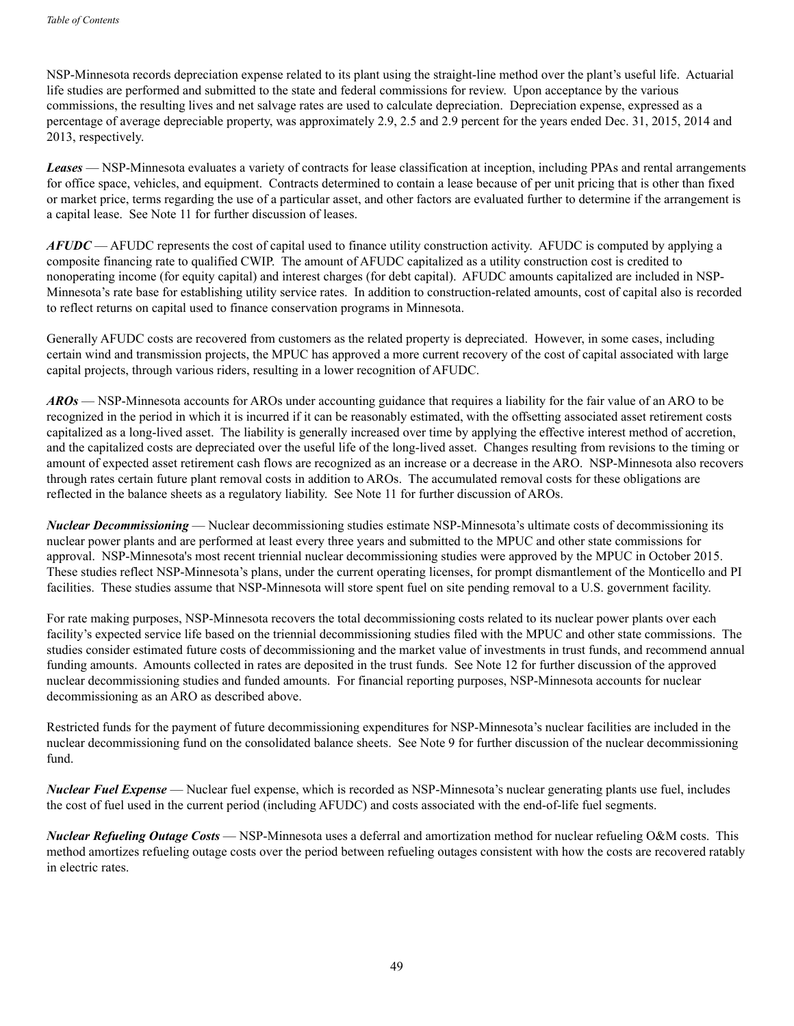NSP-Minnesota records depreciation expense related to its plant using the straight-line method over the plant's useful life. Actuarial life studies are performed and submitted to the state and federal commissions for review. Upon acceptance by the various commissions, the resulting lives and net salvage rates are used to calculate depreciation. Depreciation expense, expressed as a percentage of average depreciable property, was approximately 2.9, 2.5 and 2.9 percent for the years ended Dec. 31, 2015, 2014 and 2013, respectively.

*Leases* — NSP-Minnesota evaluates a variety of contracts for lease classification at inception, including PPAs and rental arrangements for office space, vehicles, and equipment. Contracts determined to contain a lease because of per unit pricing that is other than fixed or market price, terms regarding the use of a particular asset, and other factors are evaluated further to determine if the arrangement is a capital lease. See Note 11 for further discussion of leases.

*AFUDC* — AFUDC represents the cost of capital used to finance utility construction activity. AFUDC is computed by applying a composite financing rate to qualified CWIP. The amount of AFUDC capitalized as a utility construction cost is credited to nonoperating income (for equity capital) and interest charges (for debt capital). AFUDC amounts capitalized are included in NSP-Minnesota's rate base for establishing utility service rates. In addition to construction-related amounts, cost of capital also is recorded to reflect returns on capital used to finance conservation programs in Minnesota.

Generally AFUDC costs are recovered from customers as the related property is depreciated. However, in some cases, including certain wind and transmission projects, the MPUC has approved a more current recovery of the cost of capital associated with large capital projects, through various riders, resulting in a lower recognition of AFUDC.

*AROs* — NSP-Minnesota accounts for AROs under accounting guidance that requires a liability for the fair value of an ARO to be recognized in the period in which it is incurred if it can be reasonably estimated, with the offsetting associated asset retirement costs capitalized as a long-lived asset. The liability is generally increased over time by applying the effective interest method of accretion, and the capitalized costs are depreciated over the useful life of the long-lived asset. Changes resulting from revisions to the timing or amount of expected asset retirement cash flows are recognized as an increase or a decrease in the ARO. NSP-Minnesota also recovers through rates certain future plant removal costs in addition to AROs. The accumulated removal costs for these obligations are reflected in the balance sheets as a regulatory liability. See Note 11 for further discussion of AROs.

*Nuclear Decommissioning* — Nuclear decommissioning studies estimate NSP-Minnesota's ultimate costs of decommissioning its nuclear power plants and are performed at least every three years and submitted to the MPUC and other state commissions for approval. NSP-Minnesota's most recent triennial nuclear decommissioning studies were approved by the MPUC in October 2015. These studies reflect NSP-Minnesota's plans, under the current operating licenses, for prompt dismantlement of the Monticello and PI facilities. These studies assume that NSP-Minnesota will store spent fuel on site pending removal to a U.S. government facility.

For rate making purposes, NSP-Minnesota recovers the total decommissioning costs related to its nuclear power plants over each facility's expected service life based on the triennial decommissioning studies filed with the MPUC and other state commissions. The studies consider estimated future costs of decommissioning and the market value of investments in trust funds, and recommend annual funding amounts. Amounts collected in rates are deposited in the trust funds. See Note 12 for further discussion of the approved nuclear decommissioning studies and funded amounts. For financial reporting purposes, NSP-Minnesota accounts for nuclear decommissioning as an ARO as described above.

Restricted funds for the payment of future decommissioning expenditures for NSP-Minnesota's nuclear facilities are included in the nuclear decommissioning fund on the consolidated balance sheets. See Note 9 for further discussion of the nuclear decommissioning fund.

*Nuclear Fuel Expense* — Nuclear fuel expense, which is recorded as NSP-Minnesota's nuclear generating plants use fuel, includes the cost of fuel used in the current period (including AFUDC) and costs associated with the end-of-life fuel segments.

*Nuclear Refueling Outage Costs* — NSP-Minnesota uses a deferral and amortization method for nuclear refueling O&M costs. This method amortizes refueling outage costs over the period between refueling outages consistent with how the costs are recovered ratably in electric rates.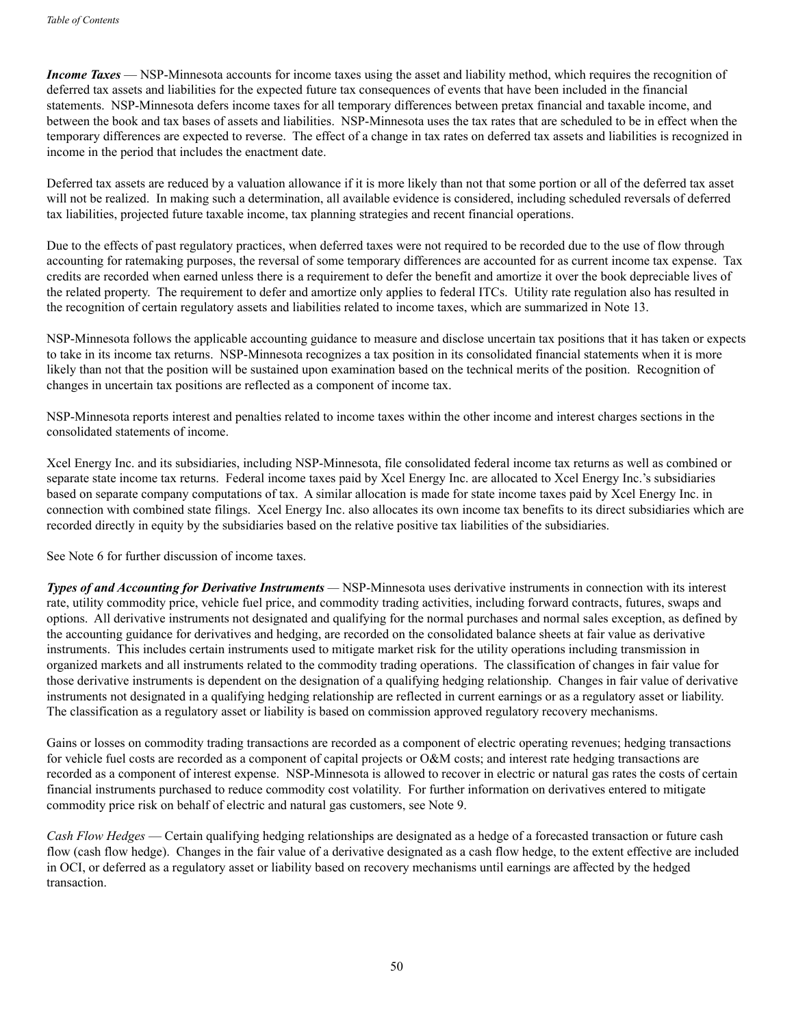*Income Taxes* — NSP-Minnesota accounts for income taxes using the asset and liability method, which requires the recognition of deferred tax assets and liabilities for the expected future tax consequences of events that have been included in the financial statements. NSP-Minnesota defers income taxes for all temporary differences between pretax financial and taxable income, and between the book and tax bases of assets and liabilities. NSP-Minnesota uses the tax rates that are scheduled to be in effect when the temporary differences are expected to reverse. The effect of a change in tax rates on deferred tax assets and liabilities is recognized in income in the period that includes the enactment date.

Deferred tax assets are reduced by a valuation allowance if it is more likely than not that some portion or all of the deferred tax asset will not be realized. In making such a determination, all available evidence is considered, including scheduled reversals of deferred tax liabilities, projected future taxable income, tax planning strategies and recent financial operations.

Due to the effects of past regulatory practices, when deferred taxes were not required to be recorded due to the use of flow through accounting for ratemaking purposes, the reversal of some temporary differences are accounted for as current income tax expense. Tax credits are recorded when earned unless there is a requirement to defer the benefit and amortize it over the book depreciable lives of the related property. The requirement to defer and amortize only applies to federal ITCs. Utility rate regulation also has resulted in the recognition of certain regulatory assets and liabilities related to income taxes, which are summarized in Note 13.

NSP-Minnesota follows the applicable accounting guidance to measure and disclose uncertain tax positions that it has taken or expects to take in its income tax returns. NSP-Minnesota recognizes a tax position in its consolidated financial statements when it is more likely than not that the position will be sustained upon examination based on the technical merits of the position. Recognition of changes in uncertain tax positions are reflected as a component of income tax.

NSP-Minnesota reports interest and penalties related to income taxes within the other income and interest charges sections in the consolidated statements of income.

Xcel Energy Inc. and its subsidiaries, including NSP-Minnesota, file consolidated federal income tax returns as well as combined or separate state income tax returns. Federal income taxes paid by Xcel Energy Inc. are allocated to Xcel Energy Inc.'s subsidiaries based on separate company computations of tax. A similar allocation is made for state income taxes paid by Xcel Energy Inc. in connection with combined state filings. Xcel Energy Inc. also allocates its own income tax benefits to its direct subsidiaries which are recorded directly in equity by the subsidiaries based on the relative positive tax liabilities of the subsidiaries.

See Note 6 for further discussion of income taxes.

*Types of and Accounting for Derivative Instruments —* NSP-Minnesota uses derivative instruments in connection with its interest rate, utility commodity price, vehicle fuel price, and commodity trading activities, including forward contracts, futures, swaps and options. All derivative instruments not designated and qualifying for the normal purchases and normal sales exception, as defined by the accounting guidance for derivatives and hedging, are recorded on the consolidated balance sheets at fair value as derivative instruments. This includes certain instruments used to mitigate market risk for the utility operations including transmission in organized markets and all instruments related to the commodity trading operations. The classification of changes in fair value for those derivative instruments is dependent on the designation of a qualifying hedging relationship. Changes in fair value of derivative instruments not designated in a qualifying hedging relationship are reflected in current earnings or as a regulatory asset or liability. The classification as a regulatory asset or liability is based on commission approved regulatory recovery mechanisms.

Gains or losses on commodity trading transactions are recorded as a component of electric operating revenues; hedging transactions for vehicle fuel costs are recorded as a component of capital projects or O&M costs; and interest rate hedging transactions are recorded as a component of interest expense. NSP-Minnesota is allowed to recover in electric or natural gas rates the costs of certain financial instruments purchased to reduce commodity cost volatility. For further information on derivatives entered to mitigate commodity price risk on behalf of electric and natural gas customers, see Note 9.

*Cash Flow Hedges* — Certain qualifying hedging relationships are designated as a hedge of a forecasted transaction or future cash flow (cash flow hedge). Changes in the fair value of a derivative designated as a cash flow hedge, to the extent effective are included in OCI, or deferred as a regulatory asset or liability based on recovery mechanisms until earnings are affected by the hedged transaction.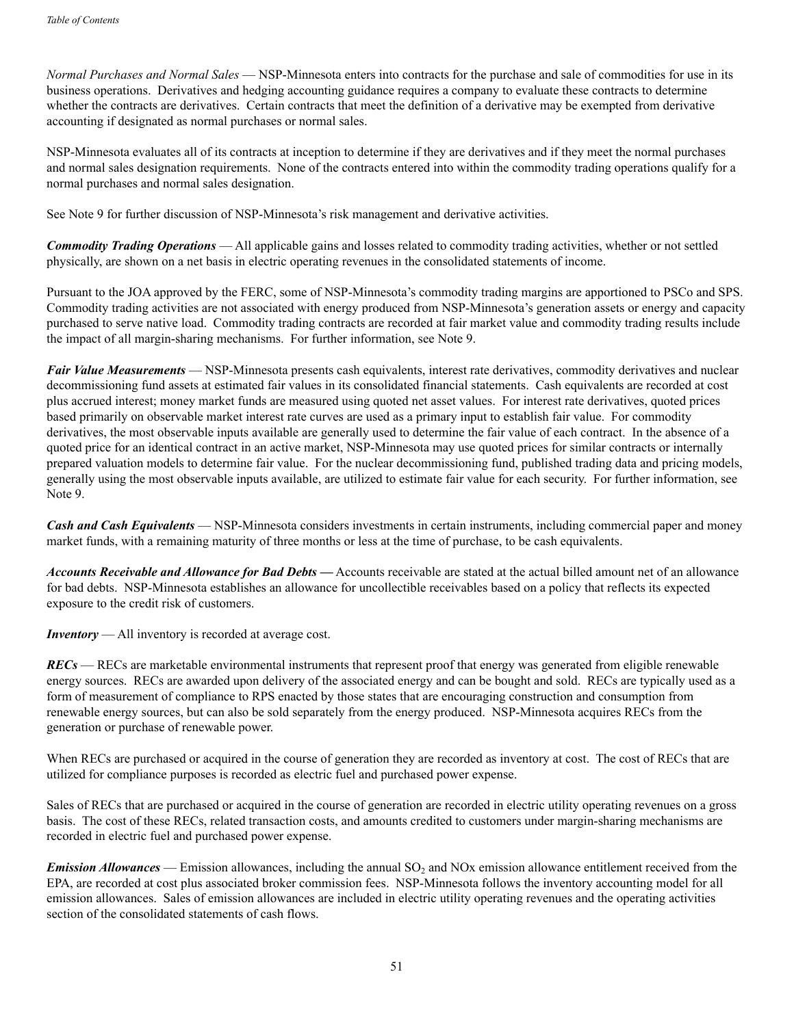*Normal Purchases and Normal Sales* — NSP-Minnesota enters into contracts for the purchase and sale of commodities for use in its business operations. Derivatives and hedging accounting guidance requires a company to evaluate these contracts to determine whether the contracts are derivatives. Certain contracts that meet the definition of a derivative may be exempted from derivative accounting if designated as normal purchases or normal sales.

NSP-Minnesota evaluates all of its contracts at inception to determine if they are derivatives and if they meet the normal purchases and normal sales designation requirements. None of the contracts entered into within the commodity trading operations qualify for a normal purchases and normal sales designation.

See Note 9 for further discussion of NSP-Minnesota's risk management and derivative activities.

*Commodity Trading Operations* — All applicable gains and losses related to commodity trading activities, whether or not settled physically, are shown on a net basis in electric operating revenues in the consolidated statements of income.

Pursuant to the JOA approved by the FERC, some of NSP-Minnesota's commodity trading margins are apportioned to PSCo and SPS. Commodity trading activities are not associated with energy produced from NSP-Minnesota's generation assets or energy and capacity purchased to serve native load. Commodity trading contracts are recorded at fair market value and commodity trading results include the impact of all margin-sharing mechanisms. For further information, see Note 9.

*Fair Value Measurements* — NSP-Minnesota presents cash equivalents, interest rate derivatives, commodity derivatives and nuclear decommissioning fund assets at estimated fair values in its consolidated financial statements. Cash equivalents are recorded at cost plus accrued interest; money market funds are measured using quoted net asset values. For interest rate derivatives, quoted prices based primarily on observable market interest rate curves are used as a primary input to establish fair value. For commodity derivatives, the most observable inputs available are generally used to determine the fair value of each contract. In the absence of a quoted price for an identical contract in an active market, NSP-Minnesota may use quoted prices for similar contracts or internally prepared valuation models to determine fair value. For the nuclear decommissioning fund, published trading data and pricing models, generally using the most observable inputs available, are utilized to estimate fair value for each security. For further information, see Note 9.

*Cash and Cash Equivalents* — NSP-Minnesota considers investments in certain instruments, including commercial paper and money market funds, with a remaining maturity of three months or less at the time of purchase, to be cash equivalents.

*Accounts Receivable and Allowance for Bad Debts* **—** Accounts receivable are stated at the actual billed amount net of an allowance for bad debts. NSP-Minnesota establishes an allowance for uncollectible receivables based on a policy that reflects its expected exposure to the credit risk of customers.

*Inventory* — All inventory is recorded at average cost.

*RECs* — RECs are marketable environmental instruments that represent proof that energy was generated from eligible renewable energy sources. RECs are awarded upon delivery of the associated energy and can be bought and sold. RECs are typically used as a form of measurement of compliance to RPS enacted by those states that are encouraging construction and consumption from renewable energy sources, but can also be sold separately from the energy produced. NSP-Minnesota acquires RECs from the generation or purchase of renewable power.

When RECs are purchased or acquired in the course of generation they are recorded as inventory at cost. The cost of RECs that are utilized for compliance purposes is recorded as electric fuel and purchased power expense.

Sales of RECs that are purchased or acquired in the course of generation are recorded in electric utility operating revenues on a gross basis. The cost of these RECs, related transaction costs, and amounts credited to customers under margin-sharing mechanisms are recorded in electric fuel and purchased power expense.

*Emission Allowances* — Emission allowances, including the annual SO<sub>2</sub> and NOx emission allowance entitlement received from the EPA, are recorded at cost plus associated broker commission fees. NSP-Minnesota follows the inventory accounting model for all emission allowances. Sales of emission allowances are included in electric utility operating revenues and the operating activities section of the consolidated statements of cash flows.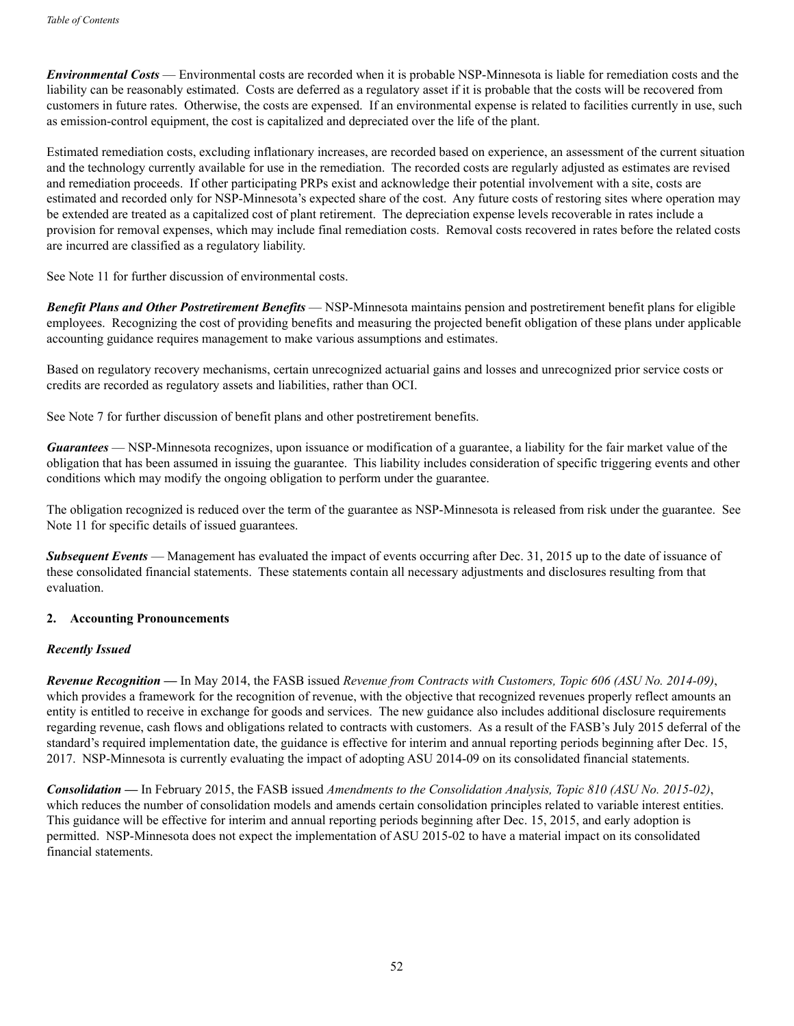*Environmental Costs* — Environmental costs are recorded when it is probable NSP-Minnesota is liable for remediation costs and the liability can be reasonably estimated. Costs are deferred as a regulatory asset if it is probable that the costs will be recovered from customers in future rates. Otherwise, the costs are expensed. If an environmental expense is related to facilities currently in use, such as emission-control equipment, the cost is capitalized and depreciated over the life of the plant.

Estimated remediation costs, excluding inflationary increases, are recorded based on experience, an assessment of the current situation and the technology currently available for use in the remediation. The recorded costs are regularly adjusted as estimates are revised and remediation proceeds. If other participating PRPs exist and acknowledge their potential involvement with a site, costs are estimated and recorded only for NSP-Minnesota's expected share of the cost. Any future costs of restoring sites where operation may be extended are treated as a capitalized cost of plant retirement. The depreciation expense levels recoverable in rates include a provision for removal expenses, which may include final remediation costs. Removal costs recovered in rates before the related costs are incurred are classified as a regulatory liability.

See Note 11 for further discussion of environmental costs.

*Benefit Plans and Other Postretirement Benefits* — NSP-Minnesota maintains pension and postretirement benefit plans for eligible employees. Recognizing the cost of providing benefits and measuring the projected benefit obligation of these plans under applicable accounting guidance requires management to make various assumptions and estimates.

Based on regulatory recovery mechanisms, certain unrecognized actuarial gains and losses and unrecognized prior service costs or credits are recorded as regulatory assets and liabilities, rather than OCI.

See Note 7 for further discussion of benefit plans and other postretirement benefits.

*Guarantees* — NSP-Minnesota recognizes, upon issuance or modification of a guarantee, a liability for the fair market value of the obligation that has been assumed in issuing the guarantee. This liability includes consideration of specific triggering events and other conditions which may modify the ongoing obligation to perform under the guarantee.

The obligation recognized is reduced over the term of the guarantee as NSP-Minnesota is released from risk under the guarantee. See Note 11 for specific details of issued guarantees.

**Subsequent Events** — Management has evaluated the impact of events occurring after Dec. 31, 2015 up to the date of issuance of these consolidated financial statements. These statements contain all necessary adjustments and disclosures resulting from that evaluation.

#### **2. Accounting Pronouncements**

#### *Recently Issued*

*Revenue Recognition —* In May 2014, the FASB issued *Revenue from Contracts with Customers, Topic 606 (ASU No. 2014-09)*, which provides a framework for the recognition of revenue, with the objective that recognized revenues properly reflect amounts an entity is entitled to receive in exchange for goods and services. The new guidance also includes additional disclosure requirements regarding revenue, cash flows and obligations related to contracts with customers. As a result of the FASB's July 2015 deferral of the standard's required implementation date, the guidance is effective for interim and annual reporting periods beginning after Dec. 15, 2017. NSP-Minnesota is currently evaluating the impact of adopting ASU 2014-09 on its consolidated financial statements.

*Consolidation —* In February 2015, the FASB issued *Amendments to the Consolidation Analysis, Topic 810 (ASU No. 2015-02)*, which reduces the number of consolidation models and amends certain consolidation principles related to variable interest entities. This guidance will be effective for interim and annual reporting periods beginning after Dec. 15, 2015, and early adoption is permitted. NSP-Minnesota does not expect the implementation of ASU 2015-02 to have a material impact on its consolidated financial statements.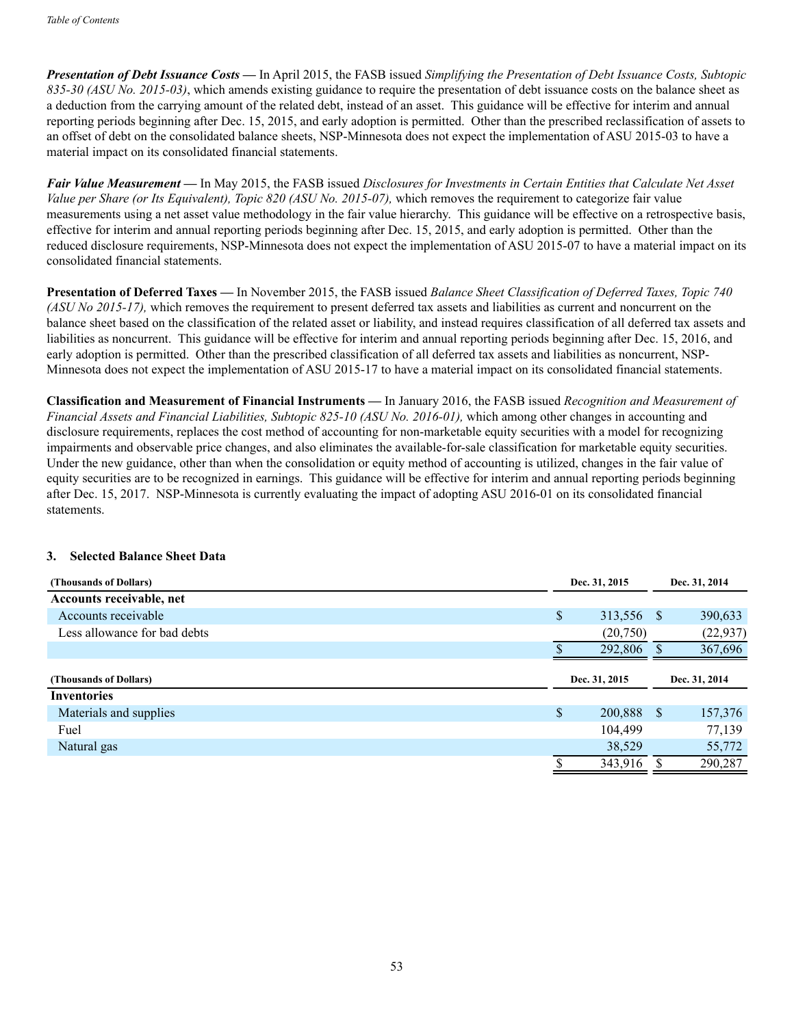*Presentation of Debt Issuance Costs —* In April 2015, the FASB issued *Simplifying the Presentation of Debt Issuance Costs, Subtopic 835-30 (ASU No. 2015-03)*, which amends existing guidance to require the presentation of debt issuance costs on the balance sheet as a deduction from the carrying amount of the related debt, instead of an asset. This guidance will be effective for interim and annual reporting periods beginning after Dec. 15, 2015, and early adoption is permitted. Other than the prescribed reclassification of assets to an offset of debt on the consolidated balance sheets, NSP-Minnesota does not expect the implementation of ASU 2015-03 to have a material impact on its consolidated financial statements.

*Fair Value Measurement —* In May 2015, the FASB issued *Disclosures for Investments in Certain Entities that Calculate Net Asset Value per Share (or Its Equivalent), Topic 820 (ASU No. 2015-07),* which removes the requirement to categorize fair value measurements using a net asset value methodology in the fair value hierarchy. This guidance will be effective on a retrospective basis, effective for interim and annual reporting periods beginning after Dec. 15, 2015, and early adoption is permitted. Other than the reduced disclosure requirements, NSP-Minnesota does not expect the implementation of ASU 2015-07 to have a material impact on its consolidated financial statements.

**Presentation of Deferred Taxes —** In November 2015, the FASB issued *Balance Sheet Classification of Deferred Taxes, Topic 740 (ASU No 2015-17),* which removes the requirement to present deferred tax assets and liabilities as current and noncurrent on the balance sheet based on the classification of the related asset or liability, and instead requires classification of all deferred tax assets and liabilities as noncurrent. This guidance will be effective for interim and annual reporting periods beginning after Dec. 15, 2016, and early adoption is permitted. Other than the prescribed classification of all deferred tax assets and liabilities as noncurrent, NSP-Minnesota does not expect the implementation of ASU 2015-17 to have a material impact on its consolidated financial statements.

**Classification and Measurement of Financial Instruments —** In January 2016, the FASB issued *Recognition and Measurement of Financial Assets and Financial Liabilities, Subtopic 825-10 (ASU No. 2016-01),* which among other changes in accounting and disclosure requirements, replaces the cost method of accounting for non-marketable equity securities with a model for recognizing impairments and observable price changes, and also eliminates the available-for-sale classification for marketable equity securities. Under the new guidance, other than when the consolidation or equity method of accounting is utilized, changes in the fair value of equity securities are to be recognized in earnings. This guidance will be effective for interim and annual reporting periods beginning after Dec. 15, 2017. NSP-Minnesota is currently evaluating the impact of adopting ASU 2016-01 on its consolidated financial statements.

## **3. Selected Balance Sheet Data**

| (Thousands of Dollars)       | Dec. 31, 2015    |              | Dec. 31, 2014 |  |
|------------------------------|------------------|--------------|---------------|--|
| Accounts receivable, net     |                  |              |               |  |
| Accounts receivable          | \$<br>313,556 \$ |              | 390,633       |  |
| Less allowance for bad debts | (20,750)         |              | (22, 937)     |  |
|                              | 292,806          |              | 367,696       |  |
| (Thousands of Dollars)       | Dec. 31, 2015    |              | Dec. 31, 2014 |  |
| <b>Inventories</b>           |                  |              |               |  |
| Materials and supplies       | \$<br>200,888    | <sup>S</sup> | 157,376       |  |
| Fuel                         | 104,499          |              | 77,139        |  |
| Natural gas                  | 38,529           |              | 55,772        |  |
|                              | 343,916          |              | 290,287       |  |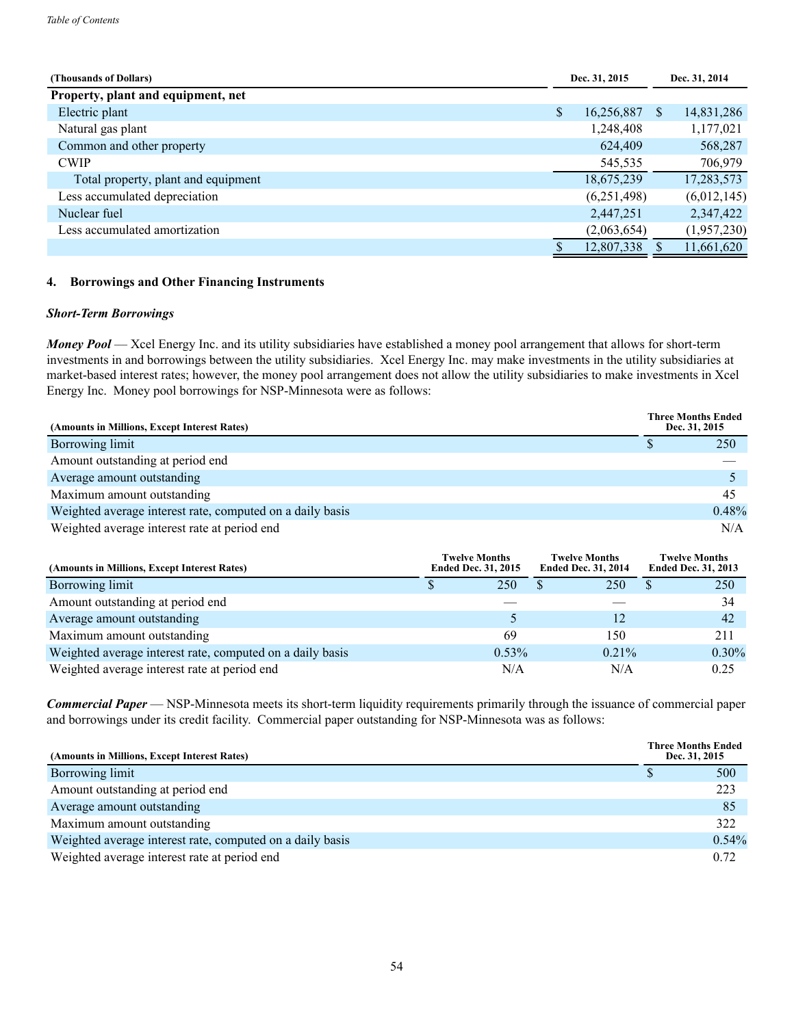| (Thousands of Dollars)              | Dec. 31, 2015    |    | Dec. 31, 2014 |
|-------------------------------------|------------------|----|---------------|
| Property, plant and equipment, net  |                  |    |               |
| Electric plant                      | \$<br>16,256,887 | \$ | 14,831,286    |
| Natural gas plant                   | 1,248,408        |    | 1,177,021     |
| Common and other property           | 624,409          |    | 568,287       |
| <b>CWIP</b>                         | 545,535          |    | 706,979       |
| Total property, plant and equipment | 18,675,239       |    | 17,283,573    |
| Less accumulated depreciation       | (6,251,498)      |    | (6,012,145)   |
| Nuclear fuel                        | 2,447,251        |    | 2,347,422     |
| Less accumulated amortization       | (2,063,654)      |    | (1,957,230)   |
|                                     | 12,807,338       |    | 11,661,620    |

## **4. Borrowings and Other Financing Instruments**

#### *Short-Term Borrowings*

*Money Pool* — Xcel Energy Inc. and its utility subsidiaries have established a money pool arrangement that allows for short-term investments in and borrowings between the utility subsidiaries. Xcel Energy Inc. may make investments in the utility subsidiaries at market-based interest rates; however, the money pool arrangement does not allow the utility subsidiaries to make investments in Xcel Energy Inc. Money pool borrowings for NSP-Minnesota were as follows:

| (Amounts in Millions, Except Interest Rates)              |  | <b>Three Months Ended</b><br>Dec. 31, 2015 |
|-----------------------------------------------------------|--|--------------------------------------------|
| Borrowing limit                                           |  | 250                                        |
| Amount outstanding at period end                          |  |                                            |
| Average amount outstanding                                |  |                                            |
| Maximum amount outstanding                                |  | 45                                         |
| Weighted average interest rate, computed on a daily basis |  | 0.48%                                      |
| Weighted average interest rate at period end              |  | N/A                                        |

| (Amounts in Millions, Except Interest Rates)              | <b>Twelve Months</b><br><b>Ended Dec. 31, 2015</b> | <b>Twelve Months</b><br><b>Ended Dec. 31, 2014</b> | <b>Twelve Months</b><br><b>Ended Dec. 31, 2013</b> |
|-----------------------------------------------------------|----------------------------------------------------|----------------------------------------------------|----------------------------------------------------|
| Borrowing limit                                           | 250                                                | 250                                                | 250<br>S                                           |
| Amount outstanding at period end                          |                                                    |                                                    | 34                                                 |
| Average amount outstanding                                |                                                    |                                                    | 42                                                 |
| Maximum amount outstanding                                | 69                                                 | 150                                                | 211                                                |
| Weighted average interest rate, computed on a daily basis | $0.53\%$                                           | $0.21\%$                                           | $0.30\%$                                           |
| Weighted average interest rate at period end              | N/A                                                | N/A                                                | 0.25                                               |

*Commercial Paper* — NSP-Minnesota meets its short-term liquidity requirements primarily through the issuance of commercial paper and borrowings under its credit facility. Commercial paper outstanding for NSP-Minnesota was as follows:

| (Amounts in Millions, Except Interest Rates)              | <b>Three Months Ended</b><br>Dec. 31, 2015 |          |
|-----------------------------------------------------------|--------------------------------------------|----------|
| Borrowing limit                                           |                                            | 500      |
| Amount outstanding at period end                          |                                            | 223      |
| Average amount outstanding                                |                                            | -85      |
| Maximum amount outstanding                                |                                            | 322      |
| Weighted average interest rate, computed on a daily basis |                                            | $0.54\%$ |
| Weighted average interest rate at period end              |                                            | 0.72     |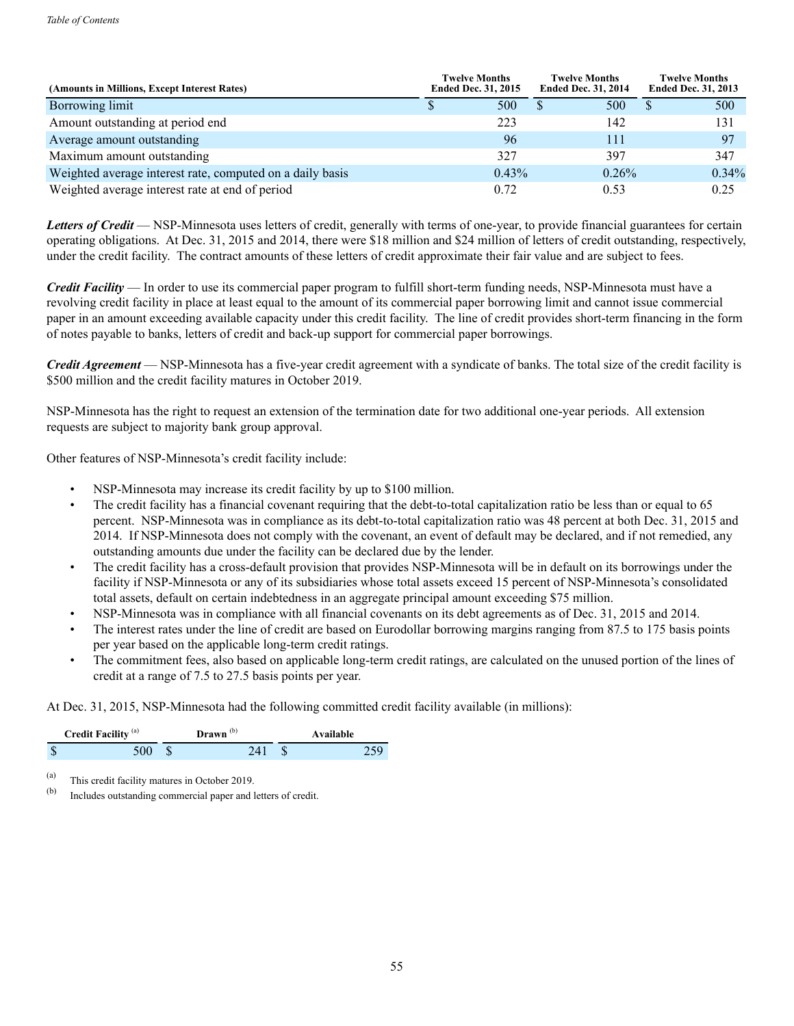| (Amounts in Millions, Except Interest Rates)              | <b>Twelve Months</b><br><b>Ended Dec. 31, 2015</b> |          | <b>Twelve Months</b><br><b>Ended Dec. 31, 2014</b> | <b>Twelve Months</b><br><b>Ended Dec. 31, 2013</b> |
|-----------------------------------------------------------|----------------------------------------------------|----------|----------------------------------------------------|----------------------------------------------------|
| Borrowing limit                                           |                                                    | 500      | 500                                                | 500                                                |
| Amount outstanding at period end                          |                                                    | 223      | 142                                                | 131                                                |
| Average amount outstanding                                |                                                    | 96       | 111                                                | 97                                                 |
| Maximum amount outstanding                                |                                                    | 327      | 397                                                | 347                                                |
| Weighted average interest rate, computed on a daily basis |                                                    | $0.43\%$ | $0.26\%$                                           | $0.34\%$                                           |
| Weighted average interest rate at end of period           |                                                    | 0.72     | 0.53                                               | 0.25                                               |

Letters of Credit — NSP-Minnesota uses letters of credit, generally with terms of one-year, to provide financial guarantees for certain operating obligations. At Dec. 31, 2015 and 2014, there were \$18 million and \$24 million of letters of credit outstanding, respectively, under the credit facility. The contract amounts of these letters of credit approximate their fair value and are subject to fees.

*Credit Facility* — In order to use its commercial paper program to fulfill short-term funding needs, NSP-Minnesota must have a revolving credit facility in place at least equal to the amount of its commercial paper borrowing limit and cannot issue commercial paper in an amount exceeding available capacity under this credit facility. The line of credit provides short-term financing in the form of notes payable to banks, letters of credit and back-up support for commercial paper borrowings.

*Credit Agreement* — NSP-Minnesota has a five-year credit agreement with a syndicate of banks. The total size of the credit facility is \$500 million and the credit facility matures in October 2019.

NSP-Minnesota has the right to request an extension of the termination date for two additional one-year periods. All extension requests are subject to majority bank group approval.

Other features of NSP-Minnesota's credit facility include:

- NSP-Minnesota may increase its credit facility by up to \$100 million.
- The credit facility has a financial covenant requiring that the debt-to-total capitalization ratio be less than or equal to 65 percent. NSP-Minnesota was in compliance as its debt-to-total capitalization ratio was 48 percent at both Dec. 31, 2015 and 2014. If NSP-Minnesota does not comply with the covenant, an event of default may be declared, and if not remedied, any outstanding amounts due under the facility can be declared due by the lender.
- The credit facility has a cross-default provision that provides NSP-Minnesota will be in default on its borrowings under the facility if NSP-Minnesota or any of its subsidiaries whose total assets exceed 15 percent of NSP-Minnesota's consolidated total assets, default on certain indebtedness in an aggregate principal amount exceeding \$75 million.
- NSP-Minnesota was in compliance with all financial covenants on its debt agreements as of Dec. 31, 2015 and 2014.
- The interest rates under the line of credit are based on Eurodollar borrowing marging ranging from 87.5 to 175 basis points per year based on the applicable long-term credit ratings.
- The commitment fees, also based on applicable long-term credit ratings, are calculated on the unused portion of the lines of credit at a range of 7.5 to 27.5 basis points per year.

At Dec. 31, 2015, NSP-Minnesota had the following committed credit facility available (in millions):

|   | <b>Credit Facility</b> (a) | $Drawn^{(b)}$ | Available |
|---|----------------------------|---------------|-----------|
| ъ | 500.                       | 241           | 750       |

(a) This credit facility matures in October 2019.<br>  $\begin{bmatrix}\n\text{(b)} & \text{Ineludes outstanding commercial paper and}\n\end{bmatrix}$ 

Includes outstanding commercial paper and letters of credit.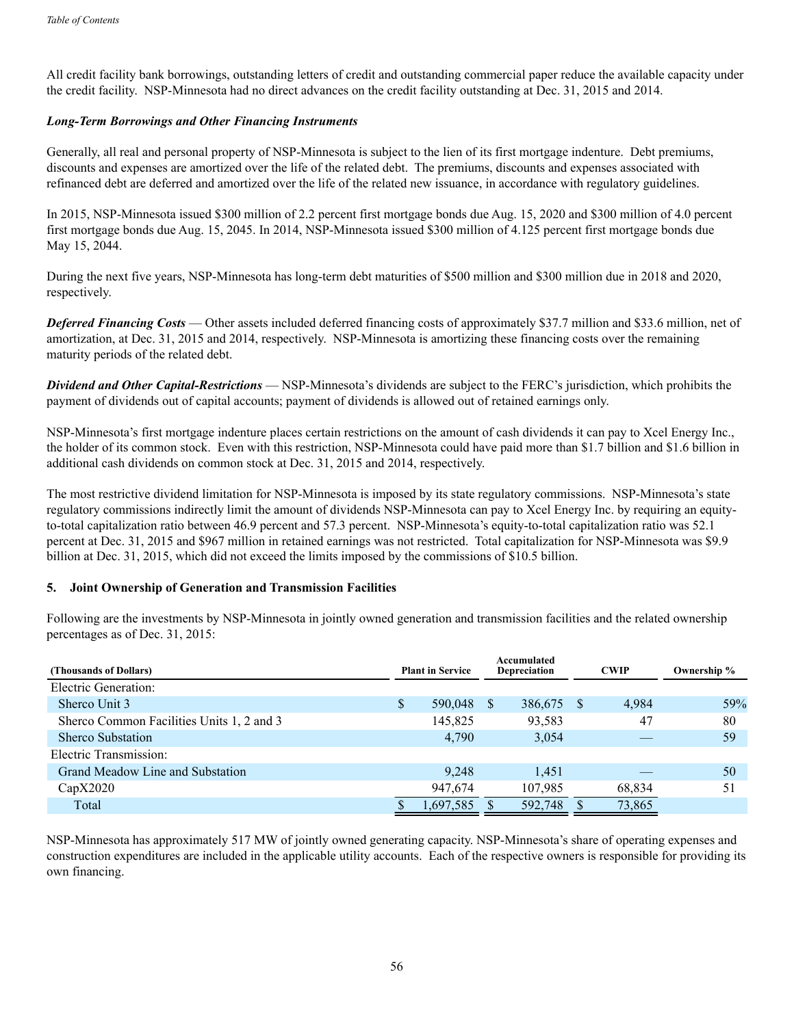All credit facility bank borrowings, outstanding letters of credit and outstanding commercial paper reduce the available capacity under the credit facility. NSP-Minnesota had no direct advances on the credit facility outstanding at Dec. 31, 2015 and 2014.

## *Long-Term Borrowings and Other Financing Instruments*

Generally, all real and personal property of NSP-Minnesota is subject to the lien of its first mortgage indenture. Debt premiums, discounts and expenses are amortized over the life of the related debt. The premiums, discounts and expenses associated with refinanced debt are deferred and amortized over the life of the related new issuance, in accordance with regulatory guidelines.

In 2015, NSP-Minnesota issued \$300 million of 2.2 percent first mortgage bonds due Aug. 15, 2020 and \$300 million of 4.0 percent first mortgage bonds due Aug. 15, 2045. In 2014, NSP-Minnesota issued \$300 million of 4.125 percent first mortgage bonds due May 15, 2044.

During the next five years, NSP-Minnesota has long-term debt maturities of \$500 million and \$300 million due in 2018 and 2020, respectively.

*Deferred Financing Costs* — Other assets included deferred financing costs of approximately \$37.7 million and \$33.6 million, net of amortization, at Dec. 31, 2015 and 2014, respectively. NSP-Minnesota is amortizing these financing costs over the remaining maturity periods of the related debt.

*Dividend and Other Capital-Restrictions* — NSP-Minnesota's dividends are subject to the FERC's jurisdiction, which prohibits the payment of dividends out of capital accounts; payment of dividends is allowed out of retained earnings only.

NSP-Minnesota's first mortgage indenture places certain restrictions on the amount of cash dividends it can pay to Xcel Energy Inc., the holder of its common stock. Even with this restriction, NSP-Minnesota could have paid more than \$1.7 billion and \$1.6 billion in additional cash dividends on common stock at Dec. 31, 2015 and 2014, respectively.

The most restrictive dividend limitation for NSP-Minnesota is imposed by its state regulatory commissions. NSP-Minnesota's state regulatory commissions indirectly limit the amount of dividends NSP-Minnesota can pay to Xcel Energy Inc. by requiring an equityto-total capitalization ratio between 46.9 percent and 57.3 percent. NSP-Minnesota's equity-to-total capitalization ratio was 52.1 percent at Dec. 31, 2015 and \$967 million in retained earnings was not restricted. Total capitalization for NSP-Minnesota was \$9.9 billion at Dec. 31, 2015, which did not exceed the limits imposed by the commissions of \$10.5 billion.

## **5. Joint Ownership of Generation and Transmission Facilities**

Following are the investments by NSP-Minnesota in jointly owned generation and transmission facilities and the related ownership percentages as of Dec. 31, 2015:

| (Thousands of Dollars)                    | <b>Plant in Service</b> |           |          |            |  |        |     |  |  |  |  |  |  |  |  | Accumulated<br><b>Depreciation</b> |  | <b>CWIP</b> | Ownership % |
|-------------------------------------------|-------------------------|-----------|----------|------------|--|--------|-----|--|--|--|--|--|--|--|--|------------------------------------|--|-------------|-------------|
| Electric Generation:                      |                         |           |          |            |  |        |     |  |  |  |  |  |  |  |  |                                    |  |             |             |
| Sherco Unit 3                             | S                       | 590,048   | <b>S</b> | 386,675 \$ |  | 4,984  | 59% |  |  |  |  |  |  |  |  |                                    |  |             |             |
| Sherco Common Facilities Units 1, 2 and 3 |                         | 145,825   |          | 93,583     |  | 47     | 80  |  |  |  |  |  |  |  |  |                                    |  |             |             |
| <b>Sherco Substation</b>                  |                         | 4,790     |          | 3,054      |  |        | 59  |  |  |  |  |  |  |  |  |                                    |  |             |             |
| Electric Transmission:                    |                         |           |          |            |  |        |     |  |  |  |  |  |  |  |  |                                    |  |             |             |
| Grand Meadow Line and Substation          |                         | 9,248     |          | 1,451      |  |        | 50  |  |  |  |  |  |  |  |  |                                    |  |             |             |
| CapX2020                                  |                         | 947,674   |          | 107,985    |  | 68,834 | 51  |  |  |  |  |  |  |  |  |                                    |  |             |             |
| Total                                     |                         | 1,697,585 |          | 592,748    |  | 73,865 |     |  |  |  |  |  |  |  |  |                                    |  |             |             |

NSP-Minnesota has approximately 517 MW of jointly owned generating capacity. NSP-Minnesota's share of operating expenses and construction expenditures are included in the applicable utility accounts. Each of the respective owners is responsible for providing its own financing.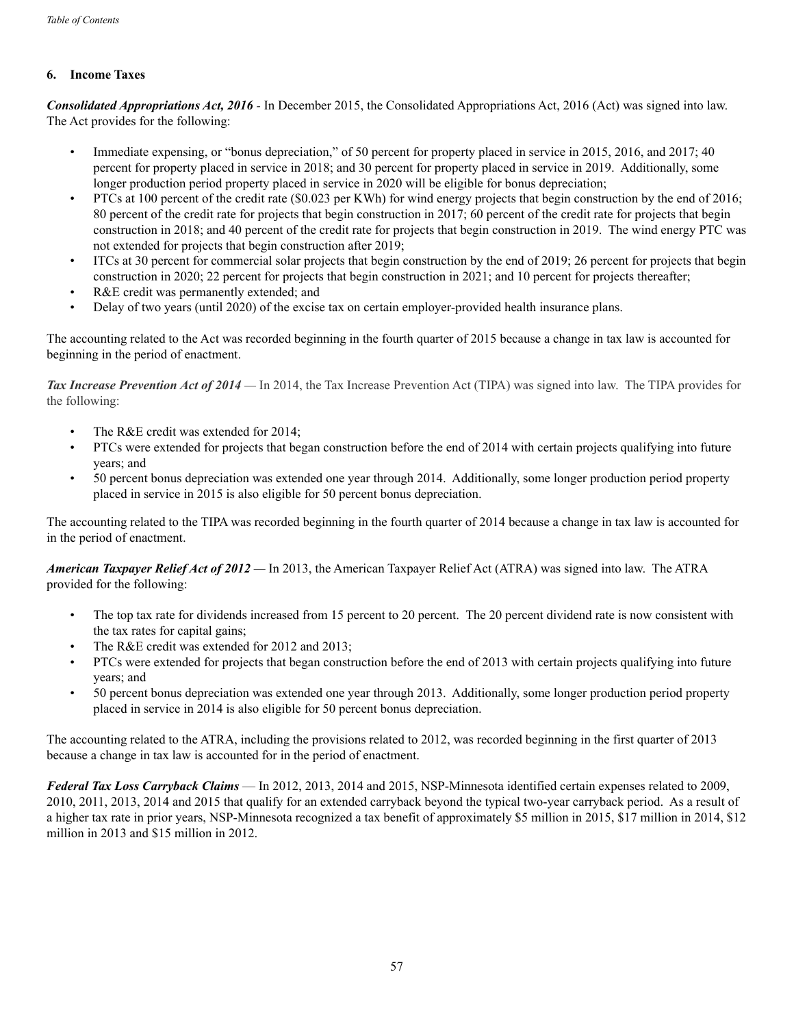## **6. Income Taxes**

*Consolidated Appropriations Act, 2016 -* In December 2015, the Consolidated Appropriations Act, 2016 (Act) was signed into law. The Act provides for the following:

- Immediate expensing, or "bonus depreciation," of 50 percent for property placed in service in 2015, 2016, and 2017; 40 percent for property placed in service in 2018; and 30 percent for property placed in service in 2019. Additionally, some longer production period property placed in service in 2020 will be eligible for bonus depreciation;
- PTCs at 100 percent of the credit rate (\$0.023 per KWh) for wind energy projects that begin construction by the end of 2016; 80 percent of the credit rate for projects that begin construction in 2017; 60 percent of the credit rate for projects that begin construction in 2018; and 40 percent of the credit rate for projects that begin construction in 2019. The wind energy PTC was not extended for projects that begin construction after 2019;
- ITCs at 30 percent for commercial solar projects that begin construction by the end of 2019; 26 percent for projects that begin construction in 2020; 22 percent for projects that begin construction in 2021; and 10 percent for projects thereafter;
- R&E credit was permanently extended; and
- Delay of two years (until 2020) of the excise tax on certain employer-provided health insurance plans.

The accounting related to the Act was recorded beginning in the fourth quarter of 2015 because a change in tax law is accounted for beginning in the period of enactment.

**Tax Increase Prevention Act of 2014** — In 2014, the Tax Increase Prevention Act (TIPA) was signed into law. The TIPA provides for the following:

- The R&E credit was extended for 2014;
- PTCs were extended for projects that began construction before the end of 2014 with certain projects qualifying into future years; and
- 50 percent bonus depreciation was extended one year through 2014. Additionally, some longer production period property placed in service in 2015 is also eligible for 50 percent bonus depreciation.

The accounting related to the TIPA was recorded beginning in the fourth quarter of 2014 because a change in tax law is accounted for in the period of enactment.

*American Taxpayer Relief Act of 2012 —* In 2013, the American Taxpayer Relief Act (ATRA) was signed into law. The ATRA provided for the following:

- The top tax rate for dividends increased from 15 percent to 20 percent. The 20 percent dividend rate is now consistent with the tax rates for capital gains;
- The R&E credit was extended for 2012 and 2013;
- PTCs were extended for projects that began construction before the end of 2013 with certain projects qualifying into future years; and
- 50 percent bonus depreciation was extended one year through 2013. Additionally, some longer production period property placed in service in 2014 is also eligible for 50 percent bonus depreciation.

The accounting related to the ATRA, including the provisions related to 2012, was recorded beginning in the first quarter of 2013 because a change in tax law is accounted for in the period of enactment.

*Federal Tax Loss Carryback Claims* — In 2012, 2013, 2014 and 2015, NSP-Minnesota identified certain expenses related to 2009, 2010, 2011, 2013, 2014 and 2015 that qualify for an extended carryback beyond the typical two-year carryback period. As a result of a higher tax rate in prior years, NSP-Minnesota recognized a tax benefit of approximately \$5 million in 2015, \$17 million in 2014, \$12 million in 2013 and \$15 million in 2012.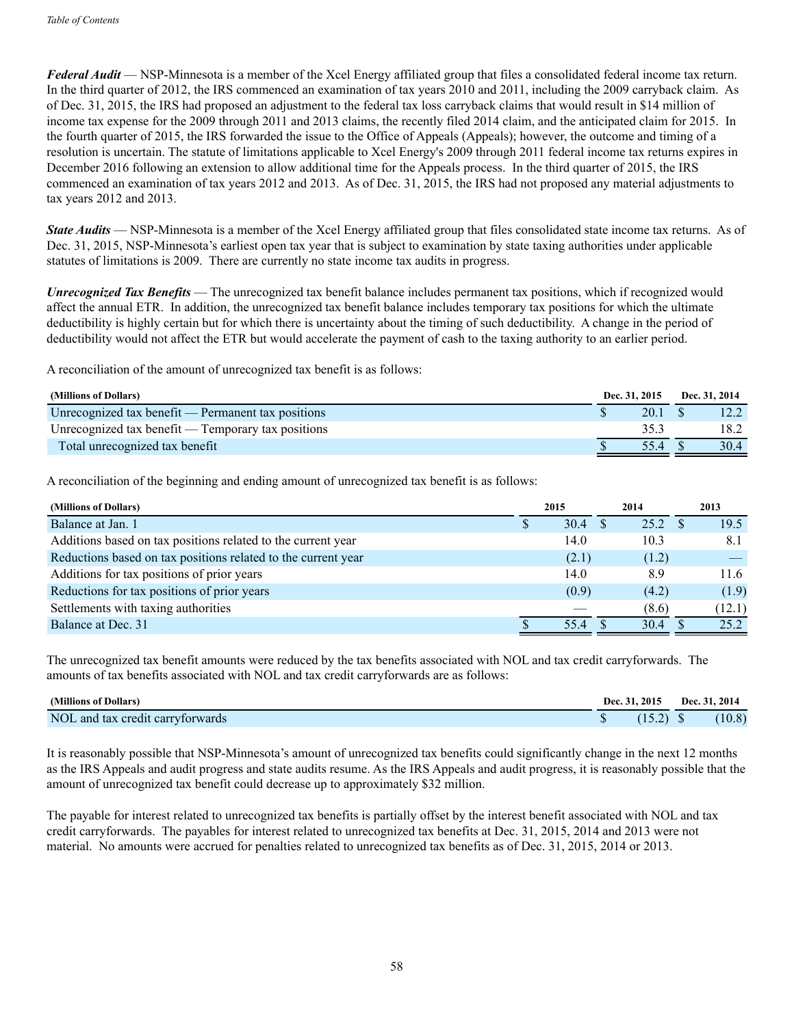*Federal Audit* — NSP-Minnesota is a member of the Xcel Energy affiliated group that files a consolidated federal income tax return. In the third quarter of 2012, the IRS commenced an examination of tax years 2010 and 2011, including the 2009 carryback claim. As of Dec. 31, 2015, the IRS had proposed an adjustment to the federal tax loss carryback claims that would result in \$14 million of income tax expense for the 2009 through 2011 and 2013 claims, the recently filed 2014 claim, and the anticipated claim for 2015. In the fourth quarter of 2015, the IRS forwarded the issue to the Office of Appeals (Appeals); however, the outcome and timing of a resolution is uncertain. The statute of limitations applicable to Xcel Energy's 2009 through 2011 federal income tax returns expires in December 2016 following an extension to allow additional time for the Appeals process. In the third quarter of 2015, the IRS commenced an examination of tax years 2012 and 2013. As of Dec. 31, 2015, the IRS had not proposed any material adjustments to tax years 2012 and 2013.

*State Audits* — NSP-Minnesota is a member of the Xcel Energy affiliated group that files consolidated state income tax returns. As of Dec. 31, 2015, NSP-Minnesota's earliest open tax year that is subject to examination by state taxing authorities under applicable statutes of limitations is 2009. There are currently no state income tax audits in progress.

*Unrecognized Tax Benefits* — The unrecognized tax benefit balance includes permanent tax positions, which if recognized would affect the annual ETR. In addition, the unrecognized tax benefit balance includes temporary tax positions for which the ultimate deductibility is highly certain but for which there is uncertainty about the timing of such deductibility. A change in the period of deductibility would not affect the ETR but would accelerate the payment of cash to the taxing authority to an earlier period.

A reconciliation of the amount of unrecognized tax benefit is as follows:

| (Millions of Dollars)                              | Dec. 31, 2015 |        | Dec. 31, 2014 |      |
|----------------------------------------------------|---------------|--------|---------------|------|
| Unrecognized tax benefit — Permanent tax positions |               | 20.1 S |               |      |
| Unrecognized tax benefit — Temporary tax positions |               |        |               | 18.2 |
| Total unrecognized tax benefit                     |               | 554    |               | 30.4 |

A reconciliation of the beginning and ending amount of unrecognized tax benefit is as follows:

| (Millions of Dollars)                                         | 2015  | 2014  | 2013   |
|---------------------------------------------------------------|-------|-------|--------|
| Balance at Jan. 1                                             | 30.4  | 25.2  | 19.5   |
| Additions based on tax positions related to the current year  | 14.0  | 10.3  | 8.1    |
| Reductions based on tax positions related to the current year | (2.1) | (1.2) |        |
| Additions for tax positions of prior years                    | 14.0  | 8.9   | 11.6   |
| Reductions for tax positions of prior years                   | (0.9) | (4.2) | (1.9)  |
| Settlements with taxing authorities                           |       | (8.6) | (12.1) |
| Balance at Dec. 31                                            | 55.4  | 30.4  | 25.2   |

The unrecognized tax benefit amounts were reduced by the tax benefits associated with NOL and tax credit carryforwards. The amounts of tax benefits associated with NOL and tax credit carryforwards are as follows:

| (Millions of Dollars)            |  | <b>Dec. 31, 2015</b> | Dec. 31, 2014 |        |  |
|----------------------------------|--|----------------------|---------------|--------|--|
| NOL and tax credit carryforwards |  | $(15.2)$ \$          |               | (10.8) |  |

It is reasonably possible that NSP-Minnesota's amount of unrecognized tax benefits could significantly change in the next 12 months as the IRS Appeals and audit progress and state audits resume. As the IRS Appeals and audit progress, it is reasonably possible that the amount of unrecognized tax benefit could decrease up to approximately \$32 million.

The payable for interest related to unrecognized tax benefits is partially offset by the interest benefit associated with NOL and tax credit carryforwards. The payables for interest related to unrecognized tax benefits at Dec. 31, 2015, 2014 and 2013 were not material. No amounts were accrued for penalties related to unrecognized tax benefits as of Dec. 31, 2015, 2014 or 2013.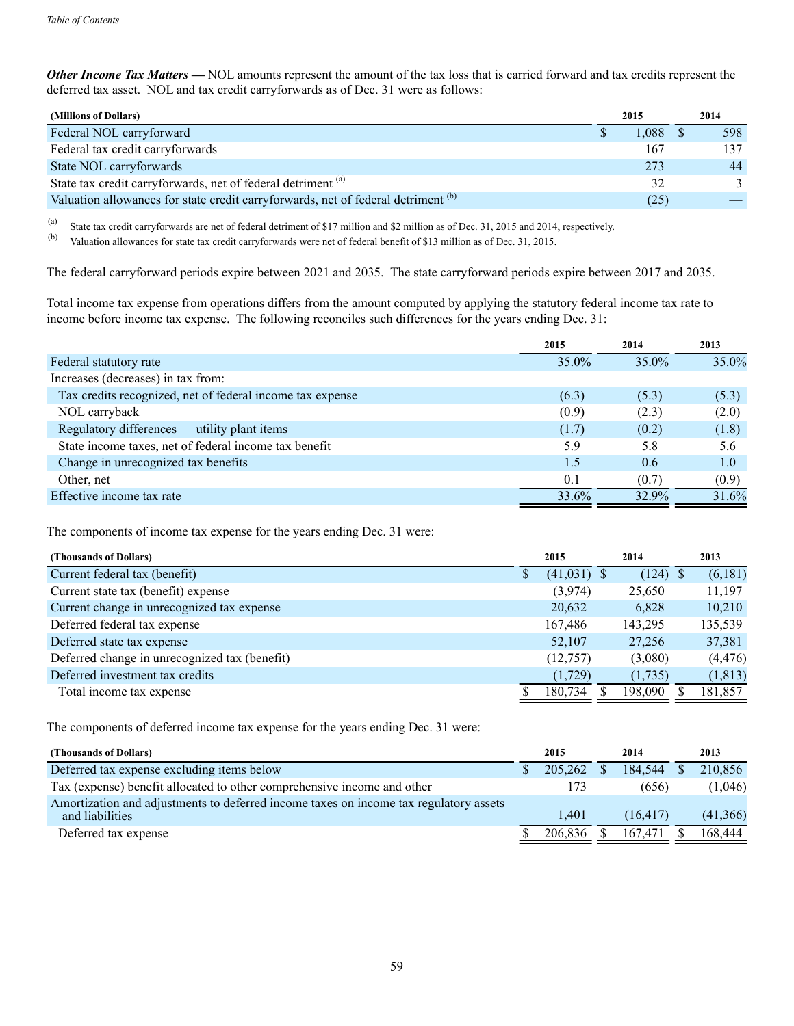*Other Income Tax Matters* — NOL amounts represent the amount of the tax loss that is carried forward and tax credits represent the deferred tax asset. NOL and tax credit carryforwards as of Dec. 31 were as follows:

| (Millions of Dollars)                                                                        | 2015 |            | 2014 |     |
|----------------------------------------------------------------------------------------------|------|------------|------|-----|
| Federal NOL carryforward                                                                     |      | $1.088$ \$ |      | 598 |
| Federal tax credit carryforwards                                                             |      | 167        |      | 137 |
| State NOL carryforwards                                                                      |      | 273        |      | 44  |
| State tax credit carryforwards, net of federal detriment <sup>(a)</sup>                      |      | 32         |      |     |
| Valuation allowances for state credit carryforwards, net of federal detriment <sup>(b)</sup> |      | (25)       |      |     |

(a) State tax credit carryforwards are net of federal detriment of \$17 million and \$2 million as of Dec. 31, 2015 and 2014, respectively.

(b) Valuation allowances for state tax credit carryforwards were net of federal benefit of \$13 million as of Dec. 31, 2015.

The federal carryforward periods expire between 2021 and 2035. The state carryforward periods expire between 2017 and 2035.

Total income tax expense from operations differs from the amount computed by applying the statutory federal income tax rate to income before income tax expense. The following reconciles such differences for the years ending Dec. 31:

|                                                           | 2015     | 2014     | 2013     |
|-----------------------------------------------------------|----------|----------|----------|
| Federal statutory rate                                    | $35.0\%$ | $35.0\%$ | $35.0\%$ |
| Increases (decreases) in tax from:                        |          |          |          |
| Tax credits recognized, net of federal income tax expense | (6.3)    | (5.3)    | (5.3)    |
| NOL carryback                                             | (0.9)    | (2.3)    | (2.0)    |
| Regulatory differences — utility plant items              | (1.7)    | (0.2)    | (1.8)    |
| State income taxes, net of federal income tax benefit     | 5.9      | 5.8      | 5.6      |
| Change in unrecognized tax benefits                       | 1.5      | 0.6      | 1.0      |
| Other, net                                                | 0.1      | (0.7)    | (0.9)    |
| Effective income tax rate                                 | 33.6%    | 32.9%    | 31.6%    |

The components of income tax expense for the years ending Dec. 31 were:

| (Thousands of Dollars)                        | 2015          | 2014    | 2013     |
|-----------------------------------------------|---------------|---------|----------|
| Current federal tax (benefit)                 | $(41,031)$ \$ | (124)   | (6,181)  |
| Current state tax (benefit) expense           | (3,974)       | 25,650  | 11,197   |
| Current change in unrecognized tax expense    | 20,632        | 6,828   | 10,210   |
| Deferred federal tax expense                  | 167,486       | 143,295 | 135,539  |
| Deferred state tax expense                    | 52,107        | 27,256  | 37,381   |
| Deferred change in unrecognized tax (benefit) | (12,757)      | (3,080) | (4, 476) |
| Deferred investment tax credits               | (1,729)       | (1,735) | (1, 813) |
| Total income tax expense                      | 180,734       | 198,090 | 181,857  |

The components of deferred income tax expense for the years ending Dec. 31 were:

| (Thousands of Dollars)                                                                                   | 2015    | 2014     | 2013     |
|----------------------------------------------------------------------------------------------------------|---------|----------|----------|
| Deferred tax expense excluding items below                                                               | 205,262 | 184.544  | 210,856  |
| Tax (expense) benefit allocated to other comprehensive income and other                                  | 173     | (656)    | (1,046)  |
| Amortization and adjustments to deferred income taxes on income tax regulatory assets<br>and liabilities | 1.401   | (16.417) | (41,366) |
| Deferred tax expense                                                                                     | 206.836 | 167.471  | 168,444  |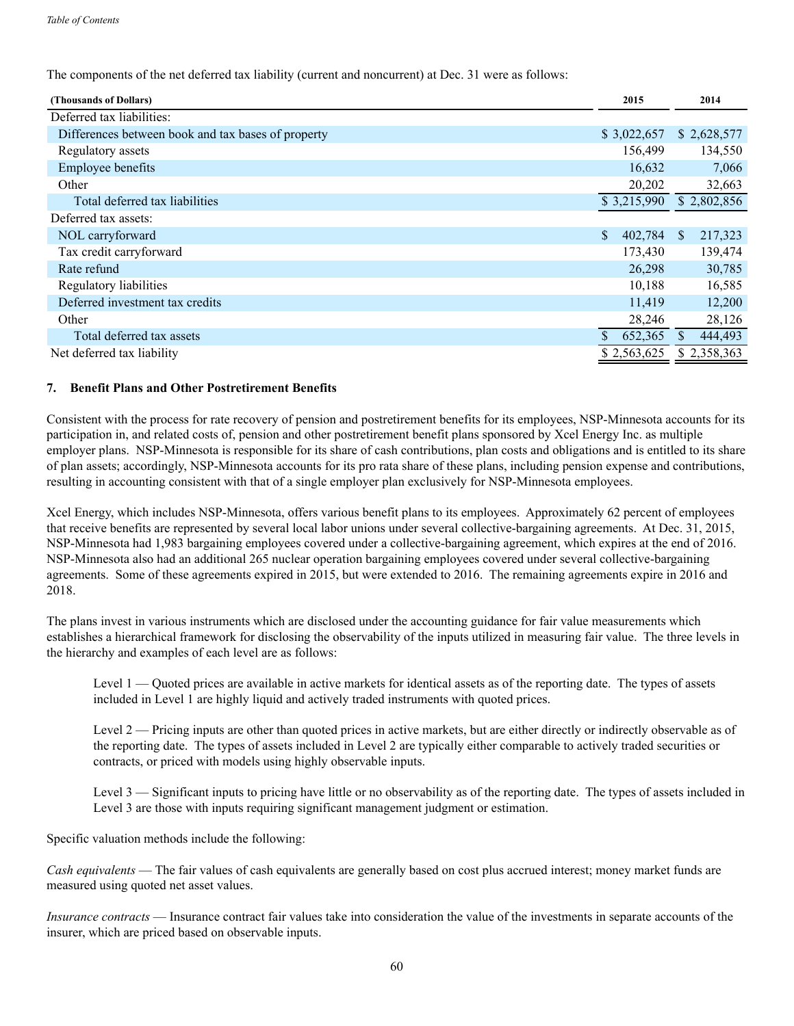The components of the net deferred tax liability (current and noncurrent) at Dec. 31 were as follows:

| (Thousands of Dollars)                             | 2015          | 2014                     |
|----------------------------------------------------|---------------|--------------------------|
| Deferred tax liabilities:                          |               |                          |
| Differences between book and tax bases of property | \$3,022,657   | \$2,628,577              |
| Regulatory assets                                  | 156,499       | 134,550                  |
| Employee benefits                                  | 16,632        | 7,066                    |
| Other                                              | 20,202        | 32,663                   |
| Total deferred tax liabilities                     | \$3,215,990   | \$2,802,856              |
| Deferred tax assets:                               |               |                          |
| NOL carryforward                                   | \$<br>402,784 | 217,323<br><sup>S</sup>  |
| Tax credit carryforward                            | 173,430       | 139,474                  |
| Rate refund                                        | 26,298        | 30,785                   |
| Regulatory liabilities                             | 10,188        | 16,585                   |
| Deferred investment tax credits                    | 11,419        | 12,200                   |
| Other                                              | 28,246        | 28,126                   |
| Total deferred tax assets                          | 652,365       | 444,493<br><sup>\$</sup> |
| Net deferred tax liability                         | \$2,563,625   | \$2,358,363              |

## **7. Benefit Plans and Other Postretirement Benefits**

Consistent with the process for rate recovery of pension and postretirement benefits for its employees, NSP-Minnesota accounts for its participation in, and related costs of, pension and other postretirement benefit plans sponsored by Xcel Energy Inc. as multiple employer plans. NSP-Minnesota is responsible for its share of cash contributions, plan costs and obligations and is entitled to its share of plan assets; accordingly, NSP-Minnesota accounts for its pro rata share of these plans, including pension expense and contributions, resulting in accounting consistent with that of a single employer plan exclusively for NSP-Minnesota employees.

Xcel Energy, which includes NSP-Minnesota, offers various benefit plans to its employees. Approximately 62 percent of employees that receive benefits are represented by several local labor unions under several collective-bargaining agreements. At Dec. 31, 2015, NSP-Minnesota had 1,983 bargaining employees covered under a collective-bargaining agreement, which expires at the end of 2016. NSP-Minnesota also had an additional 265 nuclear operation bargaining employees covered under several collective-bargaining agreements. Some of these agreements expired in 2015, but were extended to 2016. The remaining agreements expire in 2016 and 2018.

The plans invest in various instruments which are disclosed under the accounting guidance for fair value measurements which establishes a hierarchical framework for disclosing the observability of the inputs utilized in measuring fair value. The three levels in the hierarchy and examples of each level are as follows:

Level 1 — Quoted prices are available in active markets for identical assets as of the reporting date. The types of assets included in Level 1 are highly liquid and actively traded instruments with quoted prices.

Level 2 — Pricing inputs are other than quoted prices in active markets, but are either directly or indirectly observable as of the reporting date. The types of assets included in Level 2 are typically either comparable to actively traded securities or contracts, or priced with models using highly observable inputs.

Level 3 — Significant inputs to pricing have little or no observability as of the reporting date. The types of assets included in Level 3 are those with inputs requiring significant management judgment or estimation.

Specific valuation methods include the following:

*Cash equivalents* — The fair values of cash equivalents are generally based on cost plus accrued interest; money market funds are measured using quoted net asset values.

*Insurance contracts* — Insurance contract fair values take into consideration the value of the investments in separate accounts of the insurer, which are priced based on observable inputs.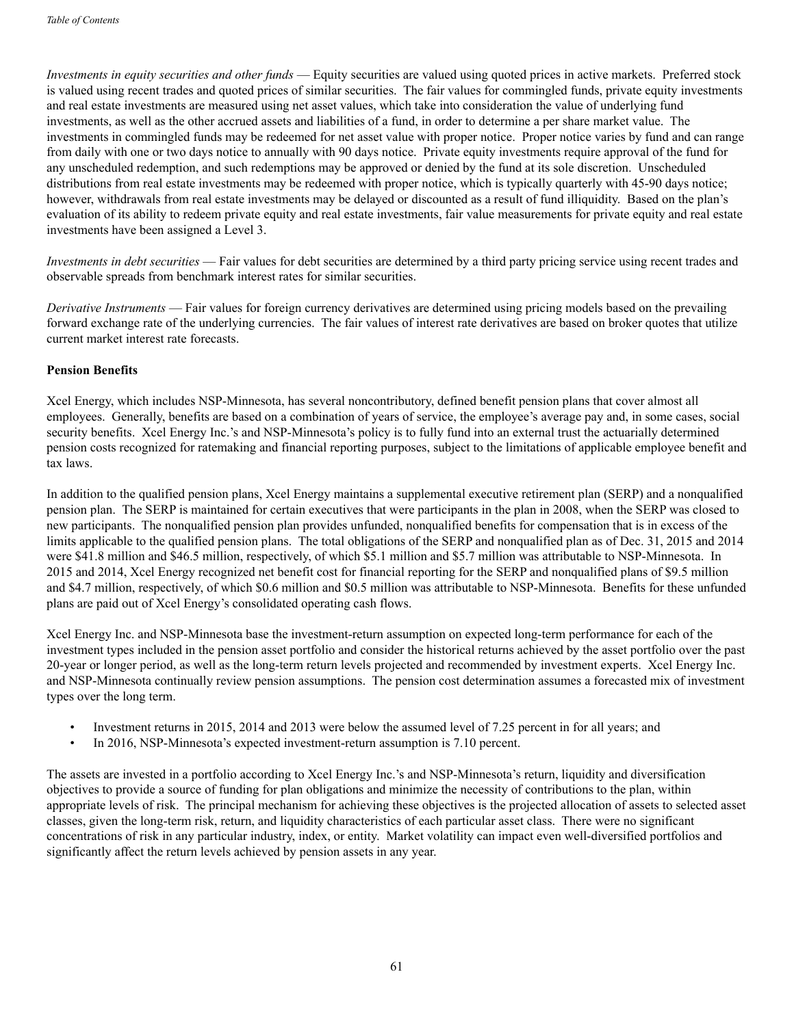*Investments in equity securities and other funds* — Equity securities are valued using quoted prices in active markets. Preferred stock is valued using recent trades and quoted prices of similar securities. The fair values for commingled funds, private equity investments and real estate investments are measured using net asset values, which take into consideration the value of underlying fund investments, as well as the other accrued assets and liabilities of a fund, in order to determine a per share market value. The investments in commingled funds may be redeemed for net asset value with proper notice. Proper notice varies by fund and can range from daily with one or two days notice to annually with 90 days notice. Private equity investments require approval of the fund for any unscheduled redemption, and such redemptions may be approved or denied by the fund at its sole discretion. Unscheduled distributions from real estate investments may be redeemed with proper notice, which is typically quarterly with 45-90 days notice; however, withdrawals from real estate investments may be delayed or discounted as a result of fund illiquidity. Based on the plan's evaluation of its ability to redeem private equity and real estate investments, fair value measurements for private equity and real estate investments have been assigned a Level 3.

*Investments in debt securities* — Fair values for debt securities are determined by a third party pricing service using recent trades and observable spreads from benchmark interest rates for similar securities.

*Derivative Instruments* — Fair values for foreign currency derivatives are determined using pricing models based on the prevailing forward exchange rate of the underlying currencies. The fair values of interest rate derivatives are based on broker quotes that utilize current market interest rate forecasts.

#### **Pension Benefits**

Xcel Energy, which includes NSP-Minnesota, has several noncontributory, defined benefit pension plans that cover almost all employees. Generally, benefits are based on a combination of years of service, the employee's average pay and, in some cases, social security benefits. Xcel Energy Inc.'s and NSP-Minnesota's policy is to fully fund into an external trust the actuarially determined pension costs recognized for ratemaking and financial reporting purposes, subject to the limitations of applicable employee benefit and tax laws.

In addition to the qualified pension plans, Xcel Energy maintains a supplemental executive retirement plan (SERP) and a nonqualified pension plan. The SERP is maintained for certain executives that were participants in the plan in 2008, when the SERP was closed to new participants. The nonqualified pension plan provides unfunded, nonqualified benefits for compensation that is in excess of the limits applicable to the qualified pension plans. The total obligations of the SERP and nonqualified plan as of Dec. 31, 2015 and 2014 were \$41.8 million and \$46.5 million, respectively, of which \$5.1 million and \$5.7 million was attributable to NSP-Minnesota. In 2015 and 2014, Xcel Energy recognized net benefit cost for financial reporting for the SERP and nonqualified plans of \$9.5 million and \$4.7 million, respectively, of which \$0.6 million and \$0.5 million was attributable to NSP-Minnesota. Benefits for these unfunded plans are paid out of Xcel Energy's consolidated operating cash flows.

Xcel Energy Inc. and NSP-Minnesota base the investment-return assumption on expected long-term performance for each of the investment types included in the pension asset portfolio and consider the historical returns achieved by the asset portfolio over the past 20-year or longer period, as well as the long-term return levels projected and recommended by investment experts. Xcel Energy Inc. and NSP-Minnesota continually review pension assumptions. The pension cost determination assumes a forecasted mix of investment types over the long term.

- Investment returns in 2015, 2014 and 2013 were below the assumed level of 7.25 percent in for all years; and
- In 2016, NSP-Minnesota's expected investment-return assumption is 7.10 percent.

The assets are invested in a portfolio according to Xcel Energy Inc.'s and NSP-Minnesota's return, liquidity and diversification objectives to provide a source of funding for plan obligations and minimize the necessity of contributions to the plan, within appropriate levels of risk. The principal mechanism for achieving these objectives is the projected allocation of assets to selected asset classes, given the long-term risk, return, and liquidity characteristics of each particular asset class. There were no significant concentrations of risk in any particular industry, index, or entity. Market volatility can impact even well-diversified portfolios and significantly affect the return levels achieved by pension assets in any year.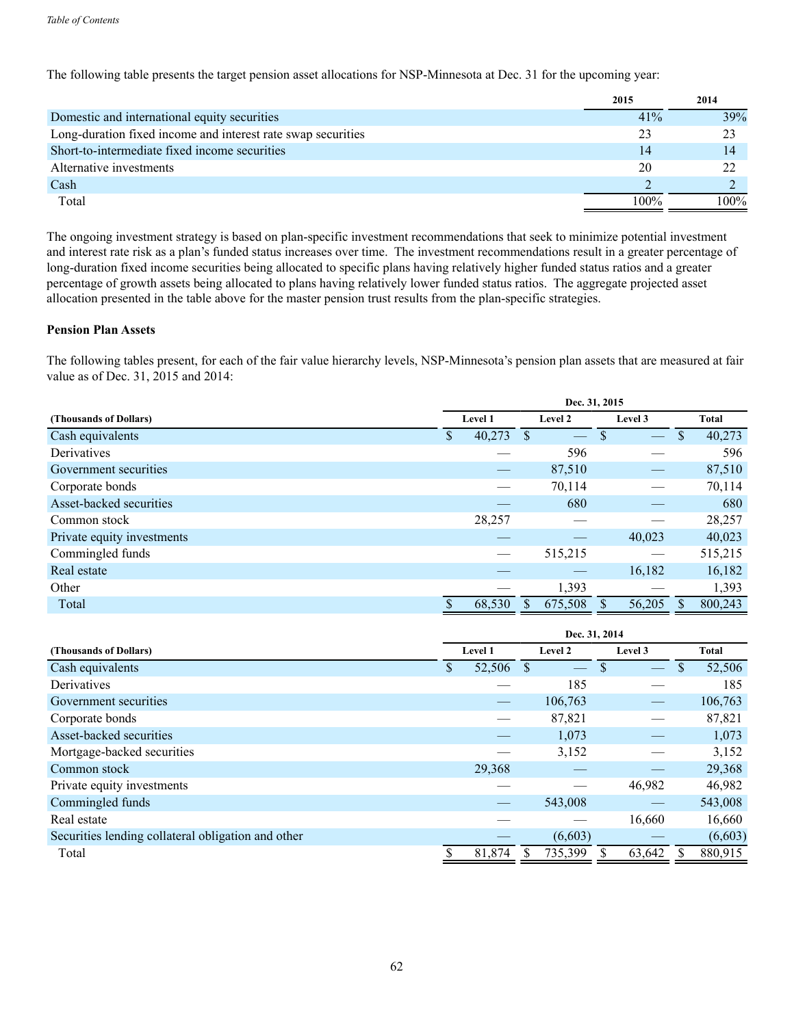The following table presents the target pension asset allocations for NSP-Minnesota at Dec. 31 for the upcoming year:

|                                                              | 2015 | 2014 |
|--------------------------------------------------------------|------|------|
| Domestic and international equity securities                 | 41%  | 39%  |
| Long-duration fixed income and interest rate swap securities | 23   |      |
| Short-to-intermediate fixed income securities                | 14   | 14   |
| Alternative investments                                      | 20   |      |
| Cash                                                         |      |      |
| Total                                                        | 100% | 100% |

The ongoing investment strategy is based on plan-specific investment recommendations that seek to minimize potential investment and interest rate risk as a plan's funded status increases over time. The investment recommendations result in a greater percentage of long-duration fixed income securities being allocated to specific plans having relatively higher funded status ratios and a greater percentage of growth assets being allocated to plans having relatively lower funded status ratios. The aggregate projected asset allocation presented in the table above for the master pension trust results from the plan-specific strategies.

# **Pension Plan Assets**

The following tables present, for each of the fair value hierarchy levels, NSP-Minnesota's pension plan assets that are measured at fair value as of Dec. 31, 2015 and 2014:

|                            | Dec. 31, 2015      |        |   |         |         |               |               |         |  |  |
|----------------------------|--------------------|--------|---|---------|---------|---------------|---------------|---------|--|--|
| (Thousands of Dollars)     | Level 1<br>Level 2 |        |   |         | Level 3 |               | Total         |         |  |  |
| Cash equivalents           | D                  | 40,273 | S |         | S       | $\frac{1}{2}$ | <sup>\$</sup> | 40,273  |  |  |
| Derivatives                |                    |        |   | 596     |         |               |               | 596     |  |  |
| Government securities      |                    |        |   | 87,510  |         |               |               | 87,510  |  |  |
| Corporate bonds            |                    |        |   | 70,114  |         |               |               | 70,114  |  |  |
| Asset-backed securities    |                    |        |   | 680     |         |               |               | 680     |  |  |
| Common stock               |                    | 28,257 |   |         |         |               |               | 28,257  |  |  |
| Private equity investments |                    |        |   |         |         | 40,023        |               | 40,023  |  |  |
| Commingled funds           |                    |        |   | 515,215 |         |               |               | 515,215 |  |  |
| Real estate                |                    |        |   |         |         | 16,182        |               | 16,182  |  |  |
| Other                      |                    |        |   | 1,393   |         |               |               | 1,393   |  |  |
| Total                      |                    | 68,530 |   | 675,508 |         | 56,205        |               | 800,243 |  |  |

|                                                    | Dec. 31, 2014 |                |   |                          |     |                          |   |         |  |  |
|----------------------------------------------------|---------------|----------------|---|--------------------------|-----|--------------------------|---|---------|--|--|
| (Thousands of Dollars)                             |               | <b>Level 1</b> |   | Level 2                  |     | Level 3                  |   | Total   |  |  |
| Cash equivalents                                   | \$            | 52,506         | S | $\overline{\phantom{m}}$ | \$. | $\overline{\phantom{m}}$ | S | 52,506  |  |  |
| Derivatives                                        |               |                |   | 185                      |     |                          |   | 185     |  |  |
| Government securities                              |               |                |   | 106,763                  |     |                          |   | 106,763 |  |  |
| Corporate bonds                                    |               |                |   | 87,821                   |     |                          |   | 87,821  |  |  |
| Asset-backed securities                            |               |                |   | 1,073                    |     |                          |   | 1,073   |  |  |
| Mortgage-backed securities                         |               |                |   | 3,152                    |     |                          |   | 3,152   |  |  |
| Common stock                                       |               | 29,368         |   |                          |     |                          |   | 29,368  |  |  |
| Private equity investments                         |               |                |   |                          |     | 46,982                   |   | 46,982  |  |  |
| Commingled funds                                   |               |                |   | 543,008                  |     |                          |   | 543,008 |  |  |
| Real estate                                        |               |                |   |                          |     | 16,660                   |   | 16,660  |  |  |
| Securities lending collateral obligation and other |               |                |   | (6,603)                  |     |                          |   | (6,603) |  |  |
| Total                                              |               | 81,874         |   | 735,399                  |     | 63,642                   |   | 880.915 |  |  |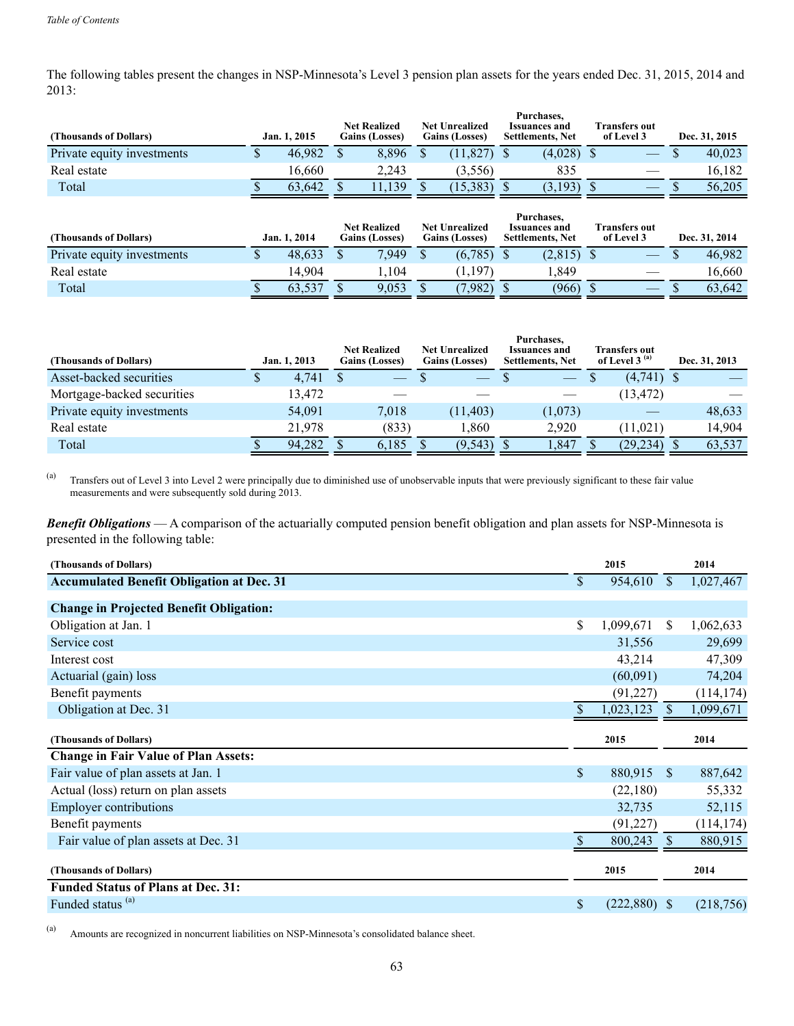The following tables present the changes in NSP-Minnesota's Level 3 pension plan assets for the years ended Dec. 31, 2015, 2014 and 2013:

| (Thousands of Dollars)     | Jan. 1, 2015 | <b>Net Realized</b><br><b>Gains (Losses)</b> | <b>Net Unrealized</b><br><b>Gains (Losses)</b> | Purchases.<br><b>Issuances and</b><br><b>Settlements, Net</b> | Transfers out<br>of Level 3 | Dec. 31, 2015 |
|----------------------------|--------------|----------------------------------------------|------------------------------------------------|---------------------------------------------------------------|-----------------------------|---------------|
| Private equity investments | 46.982       | 8.896                                        | (11.827)                                       | (4.028)                                                       |                             | 40.023        |
| Real estate                | 16.660       | 2.243                                        | (3,556)                                        | 835                                                           |                             | 16.182        |
| Total                      | 63.642       | 139                                          | (15, 383)                                      | (3,193)                                                       |                             | 56.205        |

| (Thousands of Dollars)     | Jan. 1, 2014 | <b>Net Realized</b><br><b>Gains (Losses)</b> | <b>Net Unrealized</b><br><b>Gains (Losses)</b> | Purchases.<br><b>Issuances and</b><br><b>Settlements, Net</b> | <b>Transfers out</b><br>of Level 3 | Dec. 31, 2014 |
|----------------------------|--------------|----------------------------------------------|------------------------------------------------|---------------------------------------------------------------|------------------------------------|---------------|
| Private equity investments | 48,633       | 7.949                                        | (6,785)                                        | (2,815)                                                       |                                    | 46.982        |
| Real estate                | 14.904       | .104                                         | $.197^{\circ}$                                 | . 849                                                         |                                    | 16.660        |
| Total                      | 63,537       | 9,053                                        | (982)                                          | (966)                                                         |                                    | 63.642        |

| (Thousands of Dollars)     |   | Jan. 1, 2013 | <b>Net Realized</b><br><b>Gains (Losses)</b> | <b>Net Unrealized</b><br><b>Gains (Losses)</b> | Purchases.<br><b>Issuances and</b><br><b>Settlements, Net</b> | Transfers out<br>of Level 3 $(a)$ | Dec. 31, 2013 |
|----------------------------|---|--------------|----------------------------------------------|------------------------------------------------|---------------------------------------------------------------|-----------------------------------|---------------|
| Asset-backed securities    | Φ | 4.741        |                                              | $\qquad \qquad \longleftarrow$                 | <u> e se</u>                                                  | $(4,741)$ \$                      |               |
| Mortgage-backed securities |   | 13,472       |                                              |                                                |                                                               | (13, 472)                         |               |
| Private equity investments |   | 54,091       | 7.018                                        | (11, 403)                                      | (1,073)                                                       |                                   | 48,633        |
| Real estate                |   | 21.978       | (833)                                        | .860                                           | 2.920                                                         | (11.021)                          | 14,904        |
| Total                      |   | 94.282       | 6.185                                        | (9, 543)                                       | . 847                                                         | (29, 234)                         | 63,537        |

(a) Transfers out of Level 3 into Level 2 were principally due to diminished use of unobservable inputs that were previously significant to these fair value measurements and were subsequently sold during 2013.

*Benefit Obligations* — A comparison of the actuarially computed pension benefit obligation and plan assets for NSP-Minnesota is presented in the following table:

| (Thousands of Dollars)                                                    |               | 2015           |              | 2014       |  |
|---------------------------------------------------------------------------|---------------|----------------|--------------|------------|--|
| <b>Accumulated Benefit Obligation at Dec. 31</b>                          | \$            | 954,610        | $\mathbb{S}$ | 1,027,467  |  |
| <b>Change in Projected Benefit Obligation:</b>                            |               |                |              |            |  |
| Obligation at Jan. 1                                                      | \$            | 1,099,671      | S.           | 1,062,633  |  |
| Service cost                                                              |               | 31,556         |              | 29,699     |  |
| Interest cost                                                             |               | 43,214         |              | 47,309     |  |
| Actuarial (gain) loss                                                     |               | (60,091)       |              | 74,204     |  |
| Benefit payments                                                          |               | (91, 227)      |              | (114, 174) |  |
| Obligation at Dec. 31                                                     |               | 1,023,123      | <sup>S</sup> | 1,099,671  |  |
|                                                                           |               |                |              |            |  |
| (Thousands of Dollars)                                                    |               | 2015           |              | 2014       |  |
| <b>Change in Fair Value of Plan Assets:</b>                               |               |                |              |            |  |
| Fair value of plan assets at Jan. 1                                       | $\mathbf{\$}$ | 880,915 \$     |              | 887,642    |  |
| Actual (loss) return on plan assets                                       |               | (22,180)       |              | 55,332     |  |
| <b>Employer contributions</b>                                             |               | 32,735         |              | 52,115     |  |
| Benefit payments                                                          |               | (91, 227)      |              | (114, 174) |  |
| Fair value of plan assets at Dec. 31                                      |               | 800,243        | <sup>S</sup> | 880,915    |  |
| (Thousands of Dollars)                                                    |               | 2015           |              | 2014       |  |
| <b>Funded Status of Plans at Dec. 31:</b><br>Funded status <sup>(a)</sup> |               | $(222,880)$ \$ |              |            |  |

(a) Amounts are recognized in noncurrent liabilities on NSP-Minnesota's consolidated balance sheet.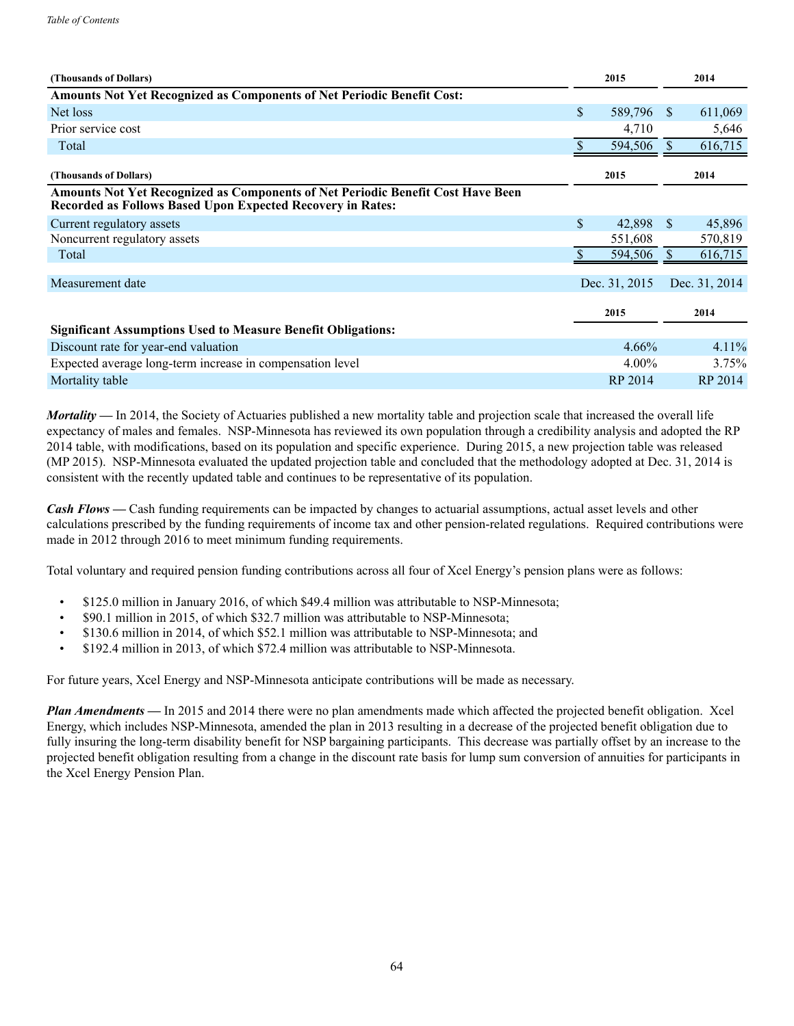| (Thousands of Dollars)                                                                                                                        | 2015          |              | 2014          |
|-----------------------------------------------------------------------------------------------------------------------------------------------|---------------|--------------|---------------|
| Amounts Not Yet Recognized as Components of Net Periodic Benefit Cost:                                                                        |               |              |               |
| Net loss                                                                                                                                      | \$<br>589,796 | -S           | 611,069       |
| Prior service cost                                                                                                                            | 4,710         |              | 5,646         |
| Total                                                                                                                                         | 594,506       |              | 616,715       |
| (Thousands of Dollars)                                                                                                                        | 2015          |              | 2014          |
| Amounts Not Yet Recognized as Components of Net Periodic Benefit Cost Have Been<br>Recorded as Follows Based Upon Expected Recovery in Rates: |               |              |               |
| Current regulatory assets                                                                                                                     | \$<br>42,898  | <sup>S</sup> | 45,896        |
| Noncurrent regulatory assets                                                                                                                  | 551,608       |              | 570,819       |
| Total                                                                                                                                         | 594,506       |              | 616,715       |
| Measurement date                                                                                                                              | Dec. 31, 2015 |              | Dec. 31, 2014 |
|                                                                                                                                               | 2015          |              | 2014          |
| <b>Significant Assumptions Used to Measure Benefit Obligations:</b>                                                                           |               |              |               |
| Discount rate for year-end valuation                                                                                                          | 4.66%         |              | $4.11\%$      |
| Expected average long-term increase in compensation level                                                                                     | $4.00\%$      |              | 3.75%         |
| Mortality table                                                                                                                               | RP 2014       |              | RP 2014       |

*Mortality* — In 2014, the Society of Actuaries published a new mortality table and projection scale that increased the overall life expectancy of males and females. NSP-Minnesota has reviewed its own population through a credibility analysis and adopted the RP 2014 table, with modifications, based on its population and specific experience. During 2015, a new projection table was released (MP 2015). NSP-Minnesota evaluated the updated projection table and concluded that the methodology adopted at Dec. 31, 2014 is consistent with the recently updated table and continues to be representative of its population.

*Cash Flows* — Cash funding requirements can be impacted by changes to actuarial assumptions, actual asset levels and other calculations prescribed by the funding requirements of income tax and other pension-related regulations. Required contributions were made in 2012 through 2016 to meet minimum funding requirements.

Total voluntary and required pension funding contributions across all four of Xcel Energy's pension plans were as follows:

- \$125.0 million in January 2016, of which \$49.4 million was attributable to NSP-Minnesota;
- \$90.1 million in 2015, of which \$32.7 million was attributable to NSP-Minnesota;
- \$130.6 million in 2014, of which \$52.1 million was attributable to NSP-Minnesota; and
- \$192.4 million in 2013, of which \$72.4 million was attributable to NSP-Minnesota.

For future years, Xcel Energy and NSP-Minnesota anticipate contributions will be made as necessary.

*Plan Amendments* — In 2015 and 2014 there were no plan amendments made which affected the projected benefit obligation. Xcel Energy, which includes NSP-Minnesota, amended the plan in 2013 resulting in a decrease of the projected benefit obligation due to fully insuring the long-term disability benefit for NSP bargaining participants. This decrease was partially offset by an increase to the projected benefit obligation resulting from a change in the discount rate basis for lump sum conversion of annuities for participants in the Xcel Energy Pension Plan.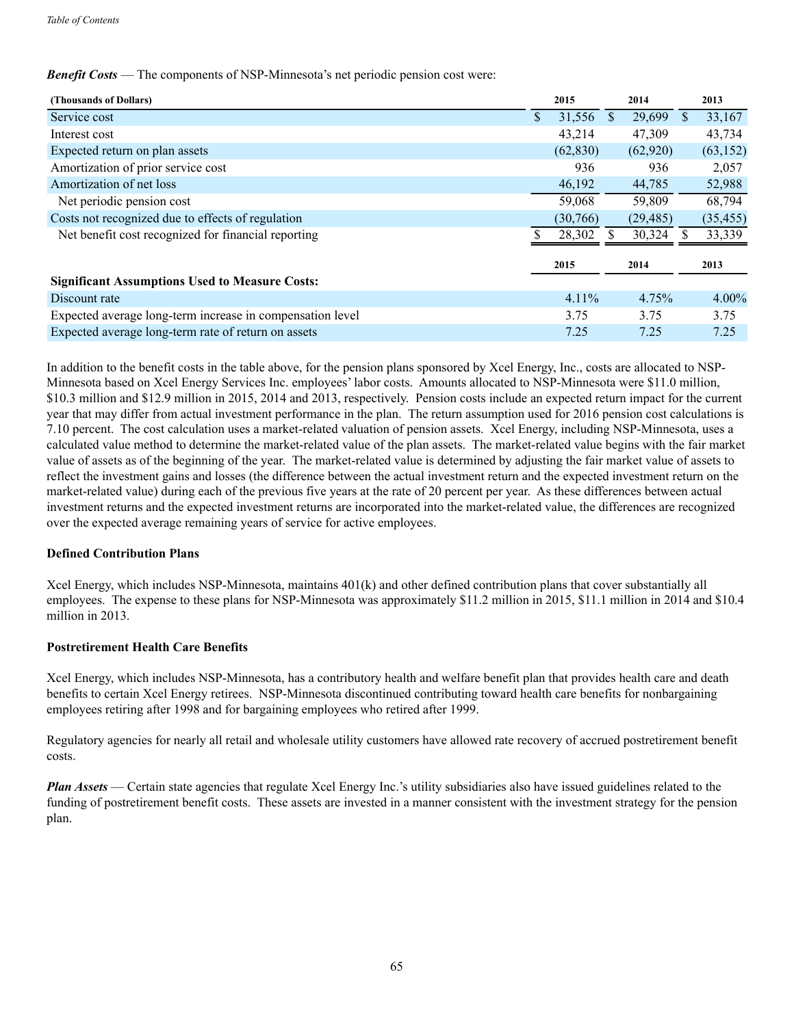## *Benefit Costs* — The components of NSP-Minnesota's net periodic pension cost were:

| (Thousands of Dollars)                                    | 2015         |               | 2014      |     | 2013      |
|-----------------------------------------------------------|--------------|---------------|-----------|-----|-----------|
| Service cost                                              | \$<br>31,556 | <sup>\$</sup> | 29,699    | \$. | 33,167    |
| Interest cost                                             | 43,214       |               | 47,309    |     | 43,734    |
| Expected return on plan assets                            | (62, 830)    |               | (62,920)  |     | (63, 152) |
| Amortization of prior service cost                        | 936          |               | 936       |     | 2,057     |
| Amortization of net loss                                  | 46,192       |               | 44,785    |     | 52,988    |
| Net periodic pension cost                                 | 59,068       |               | 59,809    |     | 68,794    |
| Costs not recognized due to effects of regulation         | (30, 766)    |               | (29, 485) |     | (35, 455) |
| Net benefit cost recognized for financial reporting       | 28,302       |               | 30,324    |     | 33,339    |
|                                                           | 2015         |               | 2014      |     | 2013      |
| <b>Significant Assumptions Used to Measure Costs:</b>     |              |               |           |     |           |
| Discount rate                                             | $4.11\%$     |               | 4.75%     |     | $4.00\%$  |
| Expected average long-term increase in compensation level | 3.75         |               | 3.75      |     | 3.75      |
| Expected average long-term rate of return on assets       | 7.25         |               | 7.25      |     | 7.25      |

In addition to the benefit costs in the table above, for the pension plans sponsored by Xcel Energy, Inc., costs are allocated to NSP-Minnesota based on Xcel Energy Services Inc. employees' labor costs. Amounts allocated to NSP-Minnesota were \$11.0 million, \$10.3 million and \$12.9 million in 2015, 2014 and 2013, respectively. Pension costs include an expected return impact for the current year that may differ from actual investment performance in the plan. The return assumption used for 2016 pension cost calculations is 7.10 percent. The cost calculation uses a market-related valuation of pension assets. Xcel Energy, including NSP-Minnesota, uses a calculated value method to determine the market-related value of the plan assets. The market-related value begins with the fair market value of assets as of the beginning of the year. The market-related value is determined by adjusting the fair market value of assets to reflect the investment gains and losses (the difference between the actual investment return and the expected investment return on the market-related value) during each of the previous five years at the rate of 20 percent per year. As these differences between actual investment returns and the expected investment returns are incorporated into the market-related value, the differences are recognized over the expected average remaining years of service for active employees.

## **Defined Contribution Plans**

Xcel Energy, which includes NSP-Minnesota, maintains 401(k) and other defined contribution plans that cover substantially all employees. The expense to these plans for NSP-Minnesota was approximately \$11.2 million in 2015, \$11.1 million in 2014 and \$10.4 million in 2013

## **Postretirement Health Care Benefits**

Xcel Energy, which includes NSP-Minnesota, has a contributory health and welfare benefit plan that provides health care and death benefits to certain Xcel Energy retirees. NSP-Minnesota discontinued contributing toward health care benefits for nonbargaining employees retiring after 1998 and for bargaining employees who retired after 1999.

Regulatory agencies for nearly all retail and wholesale utility customers have allowed rate recovery of accrued postretirement benefit costs.

*Plan Assets* — Certain state agencies that regulate Xcel Energy Inc.'s utility subsidiaries also have issued guidelines related to the funding of postretirement benefit costs. These assets are invested in a manner consistent with the investment strategy for the pension plan.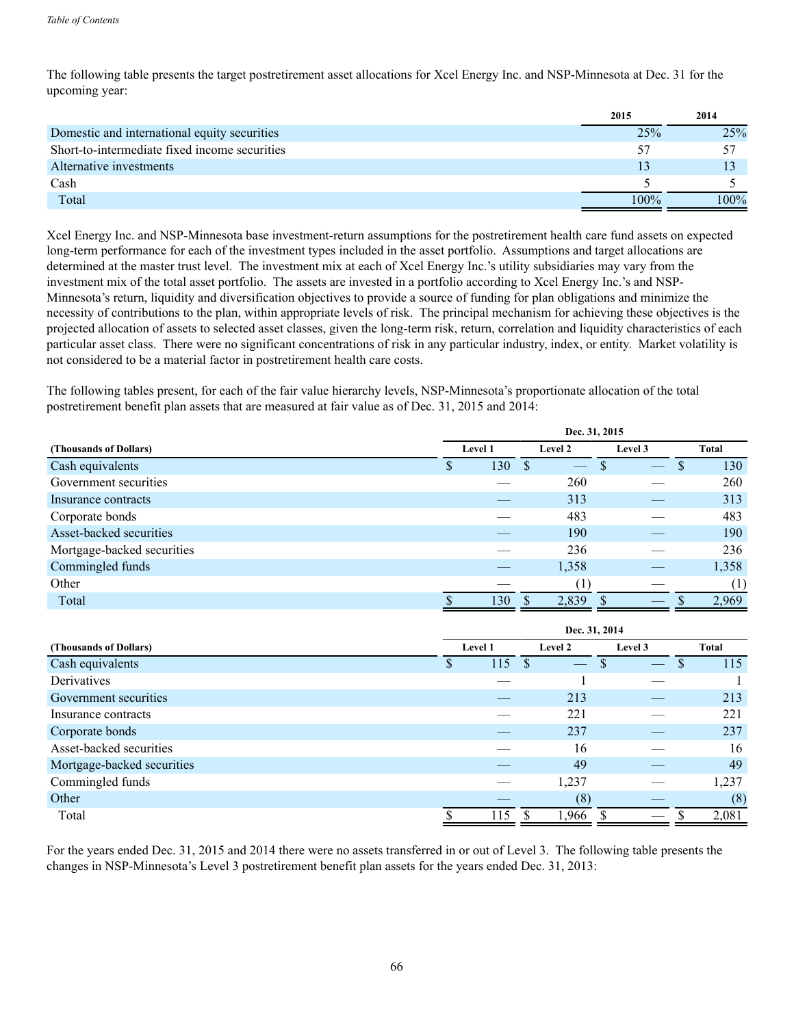The following table presents the target postretirement asset allocations for Xcel Energy Inc. and NSP-Minnesota at Dec. 31 for the upcoming year:

|                                               | 2015 | 2014    |
|-----------------------------------------------|------|---------|
| Domestic and international equity securities  | 25%  | 25%     |
| Short-to-intermediate fixed income securities | 57   |         |
| Alternative investments                       |      |         |
| Cash                                          |      |         |
| Total                                         | 100% | $100\%$ |

Xcel Energy Inc. and NSP-Minnesota base investment-return assumptions for the postretirement health care fund assets on expected long-term performance for each of the investment types included in the asset portfolio. Assumptions and target allocations are determined at the master trust level. The investment mix at each of Xcel Energy Inc.'s utility subsidiaries may vary from the investment mix of the total asset portfolio. The assets are invested in a portfolio according to Xcel Energy Inc.'s and NSP-Minnesota's return, liquidity and diversification objectives to provide a source of funding for plan obligations and minimize the necessity of contributions to the plan, within appropriate levels of risk. The principal mechanism for achieving these objectives is the projected allocation of assets to selected asset classes, given the long-term risk, return, correlation and liquidity characteristics of each particular asset class. There were no significant concentrations of risk in any particular industry, index, or entity. Market volatility is not considered to be a material factor in postretirement health care costs.

The following tables present, for each of the fair value hierarchy levels, NSP-Minnesota's proportionate allocation of the total postretirement benefit plan assets that are measured at fair value as of Dec. 31, 2015 and 2014:

|                            | Dec. 31, 2015      |     |   |         |  |       |   |       |  |  |  |
|----------------------------|--------------------|-----|---|---------|--|-------|---|-------|--|--|--|
| (Thousands of Dollars)     | Level 1<br>Level 2 |     |   | Level 3 |  | Total |   |       |  |  |  |
| Cash equivalents           | Φ                  | 130 | S |         |  |       | S | 130   |  |  |  |
| Government securities      |                    |     |   | 260     |  |       |   | 260   |  |  |  |
| Insurance contracts        |                    |     |   | 313     |  |       |   | 313   |  |  |  |
| Corporate bonds            |                    |     |   | 483     |  |       |   | 483   |  |  |  |
| Asset-backed securities    |                    |     |   | 190     |  |       |   | 190   |  |  |  |
| Mortgage-backed securities |                    |     |   | 236     |  |       |   | 236   |  |  |  |
| Commingled funds           |                    |     |   | 1,358   |  |       |   | 1,358 |  |  |  |
| Other                      |                    |     |   | (T      |  |       |   | (1)   |  |  |  |
| Total                      |                    | 130 |   | 2,839   |  |       |   | 2,969 |  |  |  |

|                            | Dec. 31, 2014 |         |         |         |          |  |  |  |  |  |
|----------------------------|---------------|---------|---------|---------|----------|--|--|--|--|--|
| (Thousands of Dollars)     |               | Level 1 | Level 2 | Level 3 | Total    |  |  |  |  |  |
| Cash equivalents           | D             | 115     |         | D       | 115<br>S |  |  |  |  |  |
| Derivatives                |               |         |         |         |          |  |  |  |  |  |
| Government securities      |               |         | 213     |         | 213      |  |  |  |  |  |
| Insurance contracts        |               |         | 221     |         | 221      |  |  |  |  |  |
| Corporate bonds            |               |         | 237     |         | 237      |  |  |  |  |  |
| Asset-backed securities    |               |         | 16      |         | 16       |  |  |  |  |  |
| Mortgage-backed securities |               |         | 49      |         | 49       |  |  |  |  |  |
| Commingled funds           |               |         | 1,237   |         | 1,237    |  |  |  |  |  |
| Other                      |               |         | (8)     |         | (8)      |  |  |  |  |  |
| Total                      |               | 115     | 1,966   |         | 2,081    |  |  |  |  |  |

For the years ended Dec. 31, 2015 and 2014 there were no assets transferred in or out of Level 3. The following table presents the changes in NSP-Minnesota's Level 3 postretirement benefit plan assets for the years ended Dec. 31, 2013: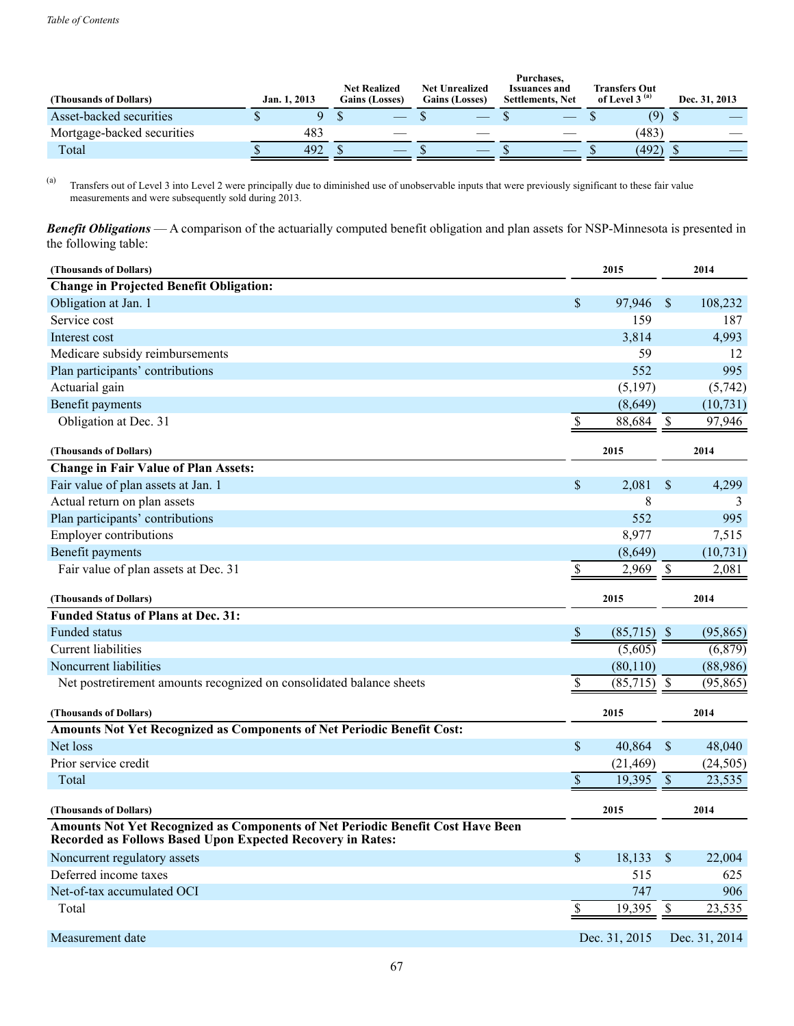| (Thousands of Dollars)     | Jan. 1, 2013 |  | <b>Net Realized</b><br><b>Gains (Losses)</b> | <b>Net Unrealized</b><br><b>Gains (Losses)</b> | Purchases,<br><b>Issuances and</b><br><b>Settlements, Net</b> | <b>Transfers Out</b><br>of Level 3 $(a)$ | Dec. 31, 2013 |
|----------------------------|--------------|--|----------------------------------------------|------------------------------------------------|---------------------------------------------------------------|------------------------------------------|---------------|
| Asset-backed securities    |              |  |                                              |                                                |                                                               | (9)                                      |               |
| Mortgage-backed securities | 483          |  | __                                           |                                                |                                                               | (483)                                    |               |
| Total                      | 492          |  |                                              |                                                |                                                               | (492)                                    |               |

(a) Transfers out of Level 3 into Level 2 were principally due to diminished use of unobservable inputs that were previously significant to these fair value measurements and were subsequently sold during 2013.

*Benefit Obligations* — A comparison of the actuarially computed benefit obligation and plan assets for NSP-Minnesota is presented in the following table:

| (Thousands of Dollars)                                                                                                                        |                           | 2015          |                           | 2014                 |
|-----------------------------------------------------------------------------------------------------------------------------------------------|---------------------------|---------------|---------------------------|----------------------|
| <b>Change in Projected Benefit Obligation:</b>                                                                                                |                           |               |                           |                      |
| Obligation at Jan. 1                                                                                                                          | \$                        | 97,946        | \$                        | 108,232              |
| Service cost                                                                                                                                  |                           | 159           |                           | 187                  |
| Interest cost                                                                                                                                 |                           | 3,814         |                           | 4,993                |
| Medicare subsidy reimbursements                                                                                                               |                           | 59            |                           | 12                   |
| Plan participants' contributions                                                                                                              |                           | 552           |                           | 995                  |
| Actuarial gain                                                                                                                                |                           | (5,197)       |                           | (5,742)              |
| Benefit payments                                                                                                                              |                           | (8,649)       |                           | (10, 731)            |
| Obligation at Dec. 31                                                                                                                         | \$                        | 88,684        | \$                        | 97,946               |
| (Thousands of Dollars)                                                                                                                        |                           | 2015          |                           | 2014                 |
| <b>Change in Fair Value of Plan Assets:</b>                                                                                                   |                           |               |                           |                      |
| Fair value of plan assets at Jan. 1                                                                                                           | $\boldsymbol{\mathsf{S}}$ | 2,081         | \$                        | 4,299                |
| Actual return on plan assets                                                                                                                  |                           | 8             |                           |                      |
| Plan participants' contributions                                                                                                              |                           | 552           |                           | 995                  |
| <b>Employer contributions</b>                                                                                                                 |                           | 8,977         |                           | 7,515                |
| Benefit payments                                                                                                                              |                           | (8,649)       |                           | (10, 731)            |
| Fair value of plan assets at Dec. 31                                                                                                          | \$                        | 2,969         | \$                        | 2,081                |
| (Thousands of Dollars)                                                                                                                        |                           | 2015          |                           | 2014                 |
| <b>Funded Status of Plans at Dec. 31:</b>                                                                                                     |                           |               |                           |                      |
| <b>Funded status</b>                                                                                                                          | $\overline{\mathcal{E}}$  | $(85,715)$ \$ |                           | (95, 865)            |
| <b>Current liabilities</b>                                                                                                                    |                           | (5,605)       |                           | $\overline{(6,879)}$ |
| Noncurrent liabilities                                                                                                                        |                           | (80, 110)     |                           | (88,986)             |
| Net postretirement amounts recognized on consolidated balance sheets                                                                          | \$                        | $(85,715)$ \$ |                           | (95, 865)            |
|                                                                                                                                               |                           |               |                           |                      |
| (Thousands of Dollars)                                                                                                                        |                           | 2015          |                           | 2014                 |
| Amounts Not Yet Recognized as Components of Net Periodic Benefit Cost:                                                                        |                           |               |                           |                      |
| Net loss                                                                                                                                      | $\sqrt{\ }$               | 40,864        | $\boldsymbol{\mathsf{S}}$ | 48,040               |
| Prior service credit                                                                                                                          |                           | (21, 469)     |                           | (24, 505)            |
| Total                                                                                                                                         | $\boldsymbol{\mathsf{S}}$ | 19,395        | $\mathcal{S}$             | 23,535               |
| (Thousands of Dollars)                                                                                                                        |                           | 2015          |                           | 2014                 |
| Amounts Not Yet Recognized as Components of Net Periodic Benefit Cost Have Been<br>Recorded as Follows Based Upon Expected Recovery in Rates: |                           |               |                           |                      |
| Noncurrent regulatory assets                                                                                                                  | $\mathbb S$               | 18,133        | $\sqrt{\ }$               | 22,004               |
| Deferred income taxes                                                                                                                         |                           | 515           |                           | 625                  |
| Net-of-tax accumulated OCI                                                                                                                    |                           | 747           |                           | 906                  |
| Total                                                                                                                                         | $\boldsymbol{\mathsf{S}}$ | 19,395        | $\mathbb{S}$              | 23,535               |
| Measurement date                                                                                                                              |                           | Dec. 31, 2015 |                           | Dec. 31, 2014        |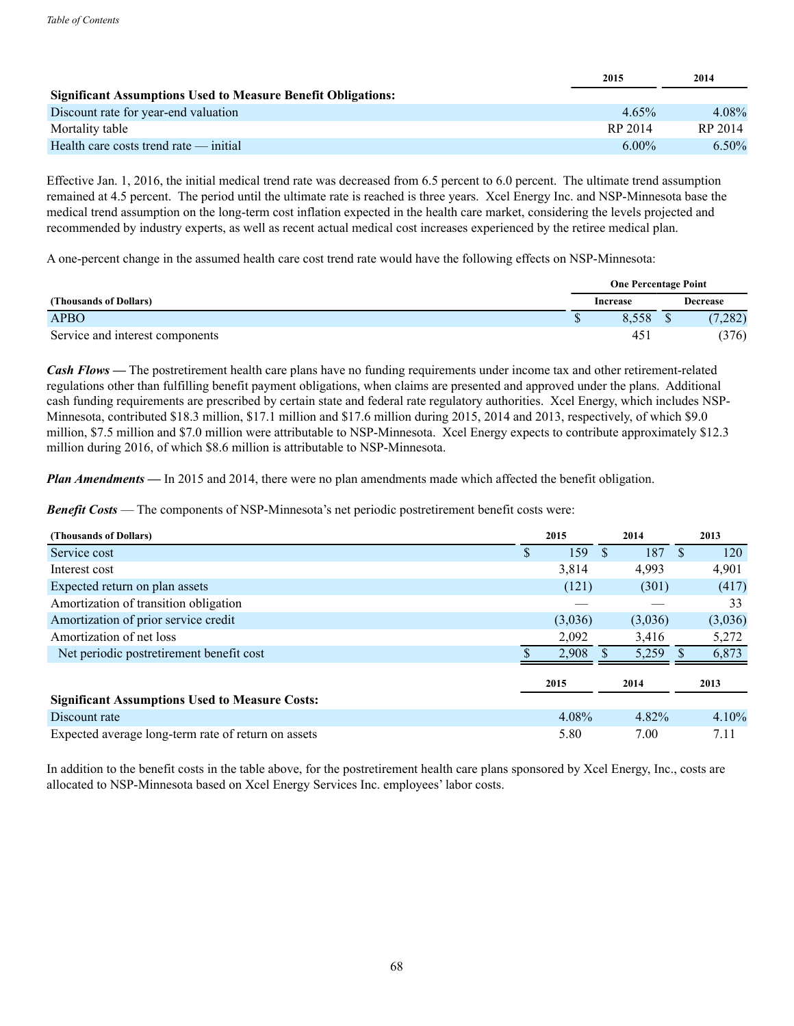|                                                                     | 2015     | 2014    |
|---------------------------------------------------------------------|----------|---------|
| <b>Significant Assumptions Used to Measure Benefit Obligations:</b> |          |         |
| Discount rate for year-end valuation                                | $4.65\%$ | 4.08%   |
| Mortality table                                                     | RP 2014  | RP 2014 |
| Health care costs trend rate — initial                              | $6.00\%$ | 6.50%   |

Effective Jan. 1, 2016, the initial medical trend rate was decreased from 6.5 percent to 6.0 percent. The ultimate trend assumption remained at 4.5 percent. The period until the ultimate rate is reached is three years. Xcel Energy Inc. and NSP-Minnesota base the medical trend assumption on the long-term cost inflation expected in the health care market, considering the levels projected and recommended by industry experts, as well as recent actual medical cost increases experienced by the retiree medical plan.

A one-percent change in the assumed health care cost trend rate would have the following effects on NSP-Minnesota:

|                                 |  | <b>One Percentage Point</b> |  |                 |
|---------------------------------|--|-----------------------------|--|-----------------|
| (Thousands of Dollars)          |  | Increase                    |  | <b>Decrease</b> |
| <b>APBO</b>                     |  | 8.558                       |  | (7,282)         |
| Service and interest components |  | 45                          |  | 376             |

*Cash Flows —* The postretirement health care plans have no funding requirements under income tax and other retirement-related regulations other than fulfilling benefit payment obligations, when claims are presented and approved under the plans. Additional cash funding requirements are prescribed by certain state and federal rate regulatory authorities. Xcel Energy, which includes NSP-Minnesota, contributed \$18.3 million, \$17.1 million and \$17.6 million during 2015, 2014 and 2013, respectively, of which \$9.0 million, \$7.5 million and \$7.0 million were attributable to NSP-Minnesota. Xcel Energy expects to contribute approximately \$12.3 million during 2016, of which \$8.6 million is attributable to NSP-Minnesota.

*Plan Amendments* — In 2015 and 2014, there were no plan amendments made which affected the benefit obligation.

*Benefit Costs* — The components of NSP-Minnesota's net periodic postretirement benefit costs were:

| (Thousands of Dollars)                                |    | 2015    |     | 2014    | 2013     |
|-------------------------------------------------------|----|---------|-----|---------|----------|
| Service cost                                          | Лb | 159     | \$. | 187     | 120      |
| Interest cost                                         |    | 3,814   |     | 4,993   | 4,901    |
| Expected return on plan assets                        |    | (121)   |     | (301)   | (417)    |
| Amortization of transition obligation                 |    |         |     |         | 33       |
| Amortization of prior service credit                  |    | (3,036) |     | (3,036) | (3,036)  |
| Amortization of net loss                              |    | 2,092   |     | 3,416   | 5,272    |
| Net periodic postretirement benefit cost              |    | 2,908   |     | 5,259   | 6,873    |
|                                                       |    | 2015    |     | 2014    | 2013     |
| <b>Significant Assumptions Used to Measure Costs:</b> |    |         |     |         |          |
| Discount rate                                         |    | 4.08%   |     | 4.82%   | $4.10\%$ |
| Expected average long-term rate of return on assets   |    | 5.80    |     | 7.00    | 7.11     |

In addition to the benefit costs in the table above, for the postretirement health care plans sponsored by Xcel Energy, Inc., costs are allocated to NSP-Minnesota based on Xcel Energy Services Inc. employees' labor costs.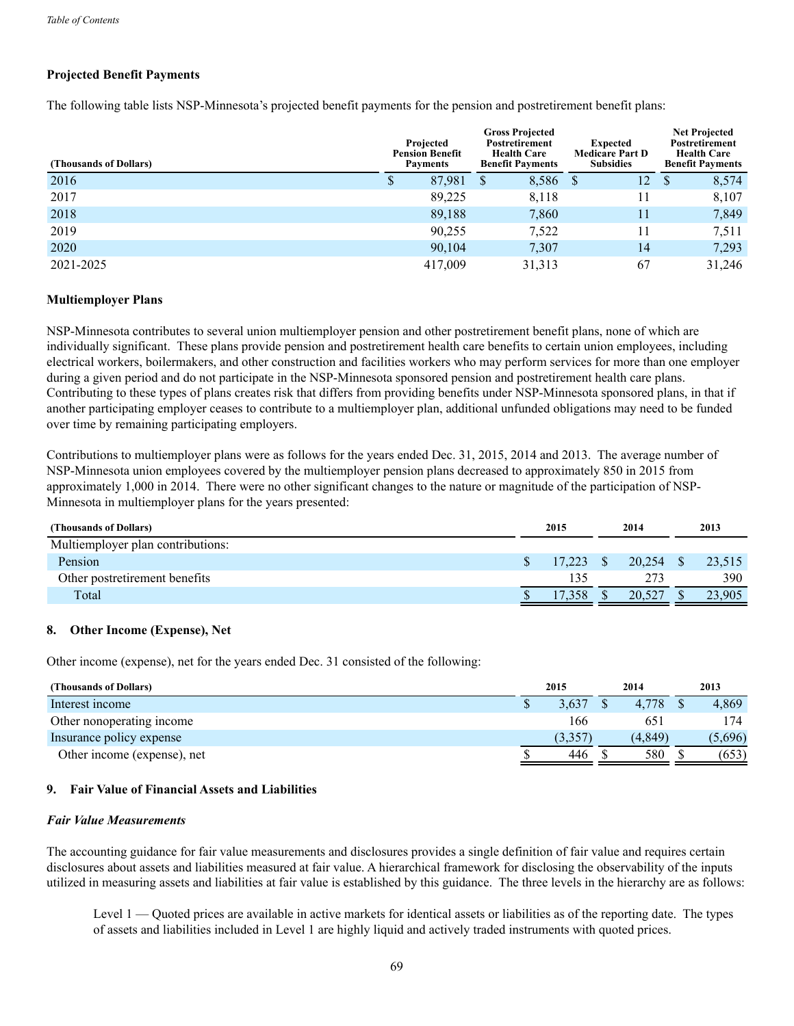## **Projected Benefit Payments**

The following table lists NSP-Minnesota's projected benefit payments for the pension and postretirement benefit plans:

| (Thousands of Dollars) |   | Projected<br><b>Pension Benefit</b><br><b>Payments</b> | <b>Gross Projected</b><br><b>Postretirement</b><br><b>Health Care</b><br><b>Benefit Payments</b> |    | <b>Expected</b><br><b>Medicare Part D</b><br><b>Subsidies</b> |   | <b>Net Projected</b><br>Postretirement<br><b>Health Care</b><br><b>Benefit Payments</b> |
|------------------------|---|--------------------------------------------------------|--------------------------------------------------------------------------------------------------|----|---------------------------------------------------------------|---|-----------------------------------------------------------------------------------------|
| 2016                   | Φ | 87,981                                                 | 8,586                                                                                            | -S | 12.                                                           | S | 8,574                                                                                   |
| 2017                   |   | 89,225                                                 | 8,118                                                                                            |    | 11                                                            |   | 8,107                                                                                   |
| 2018                   |   | 89,188                                                 | 7,860                                                                                            |    | 11                                                            |   | 7,849                                                                                   |
| 2019                   |   | 90,255                                                 | 7,522                                                                                            |    | 11                                                            |   | 7,511                                                                                   |
| 2020                   |   | 90,104                                                 | 7,307                                                                                            |    | 14                                                            |   | 7,293                                                                                   |
| 2021-2025              |   | 417,009                                                | 31,313                                                                                           |    | 67                                                            |   | 31,246                                                                                  |

## **Multiemployer Plans**

NSP-Minnesota contributes to several union multiemployer pension and other postretirement benefit plans, none of which are individually significant. These plans provide pension and postretirement health care benefits to certain union employees, including electrical workers, boilermakers, and other construction and facilities workers who may perform services for more than one employer during a given period and do not participate in the NSP-Minnesota sponsored pension and postretirement health care plans. Contributing to these types of plans creates risk that differs from providing benefits under NSP-Minnesota sponsored plans, in that if another participating employer ceases to contribute to a multiemployer plan, additional unfunded obligations may need to be funded over time by remaining participating employers.

Contributions to multiemployer plans were as follows for the years ended Dec. 31, 2015, 2014 and 2013. The average number of NSP-Minnesota union employees covered by the multiemployer pension plans decreased to approximately 850 in 2015 from approximately 1,000 in 2014. There were no other significant changes to the nature or magnitude of the participation of NSP-Minnesota in multiemployer plans for the years presented:

| 2015 |        |  | 2014   | 2013 |        |  |
|------|--------|--|--------|------|--------|--|
|      |        |  |        |      |        |  |
|      | 17.223 |  | 20.254 |      | 23,515 |  |
|      | 135    |  | 273    |      | 390    |  |
|      |        |  | 20.527 |      | 23,905 |  |
|      |        |  | 1,358  |      |        |  |

#### **8. Other Income (Expense), Net**

Other income (expense), net for the years ended Dec. 31 consisted of the following:

| (Thousands of Dollars)      | 2015    | 2014     | 2013    |
|-----------------------------|---------|----------|---------|
| Interest income             | 3.637   | 4.778    | 4.869   |
| Other nonoperating income   | 166     | 651      | ' 74    |
| Insurance policy expense    | (3.357) | (4, 849) | (5,696) |
| Other income (expense), net | 446     | 580      | (653)   |

#### **9. Fair Value of Financial Assets and Liabilities**

#### *Fair Value Measurements*

The accounting guidance for fair value measurements and disclosures provides a single definition of fair value and requires certain disclosures about assets and liabilities measured at fair value. A hierarchical framework for disclosing the observability of the inputs utilized in measuring assets and liabilities at fair value is established by this guidance. The three levels in the hierarchy are as follows:

Level 1 — Quoted prices are available in active markets for identical assets or liabilities as of the reporting date. The types of assets and liabilities included in Level 1 are highly liquid and actively traded instruments with quoted prices.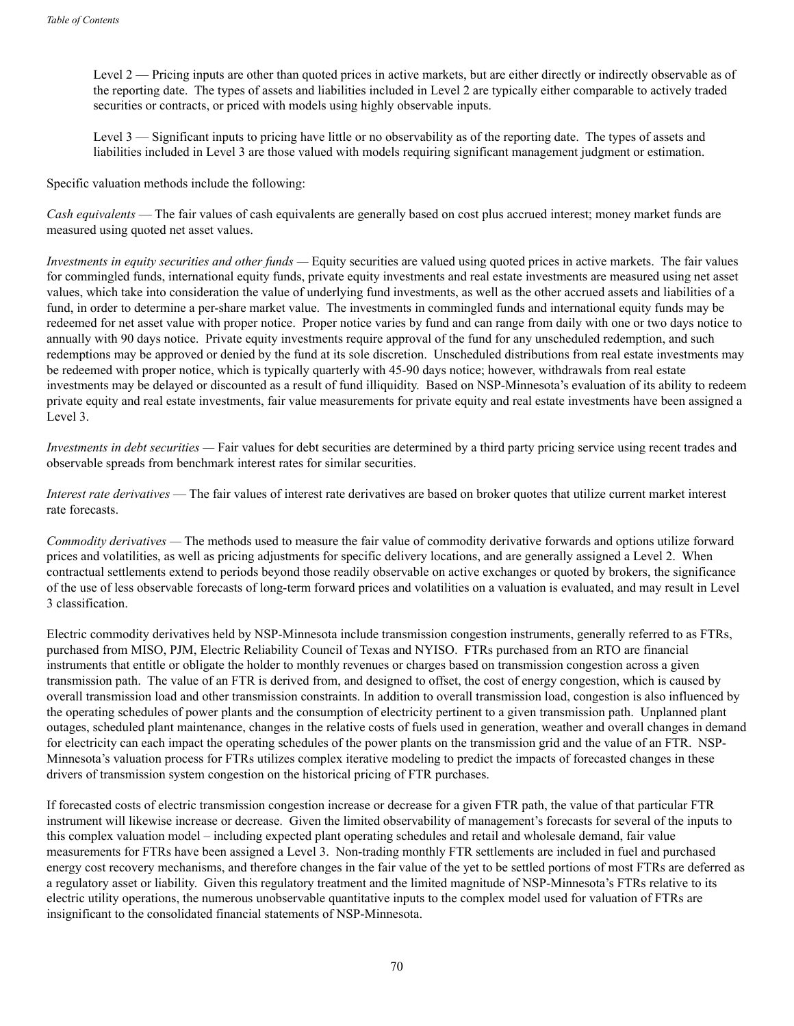Level 2 — Pricing inputs are other than quoted prices in active markets, but are either directly or indirectly observable as of the reporting date. The types of assets and liabilities included in Level 2 are typically either comparable to actively traded securities or contracts, or priced with models using highly observable inputs.

Level 3 — Significant inputs to pricing have little or no observability as of the reporting date. The types of assets and liabilities included in Level 3 are those valued with models requiring significant management judgment or estimation.

Specific valuation methods include the following:

*Cash equivalents* — The fair values of cash equivalents are generally based on cost plus accrued interest; money market funds are measured using quoted net asset values.

*Investments in equity securities and other funds —* Equity securities are valued using quoted prices in active markets. The fair values for commingled funds, international equity funds, private equity investments and real estate investments are measured using net asset values, which take into consideration the value of underlying fund investments, as well as the other accrued assets and liabilities of a fund, in order to determine a per-share market value. The investments in commingled funds and international equity funds may be redeemed for net asset value with proper notice. Proper notice varies by fund and can range from daily with one or two days notice to annually with 90 days notice. Private equity investments require approval of the fund for any unscheduled redemption, and such redemptions may be approved or denied by the fund at its sole discretion. Unscheduled distributions from real estate investments may be redeemed with proper notice, which is typically quarterly with 45-90 days notice; however, withdrawals from real estate investments may be delayed or discounted as a result of fund illiquidity. Based on NSP-Minnesota's evaluation of its ability to redeem private equity and real estate investments, fair value measurements for private equity and real estate investments have been assigned a Level 3.

*Investments in debt securities* — Fair values for debt securities are determined by a third party pricing service using recent trades and observable spreads from benchmark interest rates for similar securities.

*Interest rate derivatives* — The fair values of interest rate derivatives are based on broker quotes that utilize current market interest rate forecasts.

*Commodity derivatives —* The methods used to measure the fair value of commodity derivative forwards and options utilize forward prices and volatilities, as well as pricing adjustments for specific delivery locations, and are generally assigned a Level 2. When contractual settlements extend to periods beyond those readily observable on active exchanges or quoted by brokers, the significance of the use of less observable forecasts of long-term forward prices and volatilities on a valuation is evaluated, and may result in Level 3 classification.

Electric commodity derivatives held by NSP-Minnesota include transmission congestion instruments, generally referred to as FTRs, purchased from MISO, PJM, Electric Reliability Council of Texas and NYISO. FTRs purchased from an RTO are financial instruments that entitle or obligate the holder to monthly revenues or charges based on transmission congestion across a given transmission path. The value of an FTR is derived from, and designed to offset, the cost of energy congestion, which is caused by overall transmission load and other transmission constraints. In addition to overall transmission load, congestion is also influenced by the operating schedules of power plants and the consumption of electricity pertinent to a given transmission path. Unplanned plant outages, scheduled plant maintenance, changes in the relative costs of fuels used in generation, weather and overall changes in demand for electricity can each impact the operating schedules of the power plants on the transmission grid and the value of an FTR. NSP-Minnesota's valuation process for FTRs utilizes complex iterative modeling to predict the impacts of forecasted changes in these drivers of transmission system congestion on the historical pricing of FTR purchases.

If forecasted costs of electric transmission congestion increase or decrease for a given FTR path, the value of that particular FTR instrument will likewise increase or decrease. Given the limited observability of management's forecasts for several of the inputs to this complex valuation model – including expected plant operating schedules and retail and wholesale demand, fair value measurements for FTRs have been assigned a Level 3. Non-trading monthly FTR settlements are included in fuel and purchased energy cost recovery mechanisms, and therefore changes in the fair value of the yet to be settled portions of most FTRs are deferred as a regulatory asset or liability. Given this regulatory treatment and the limited magnitude of NSP-Minnesota's FTRs relative to its electric utility operations, the numerous unobservable quantitative inputs to the complex model used for valuation of FTRs are insignificant to the consolidated financial statements of NSP-Minnesota.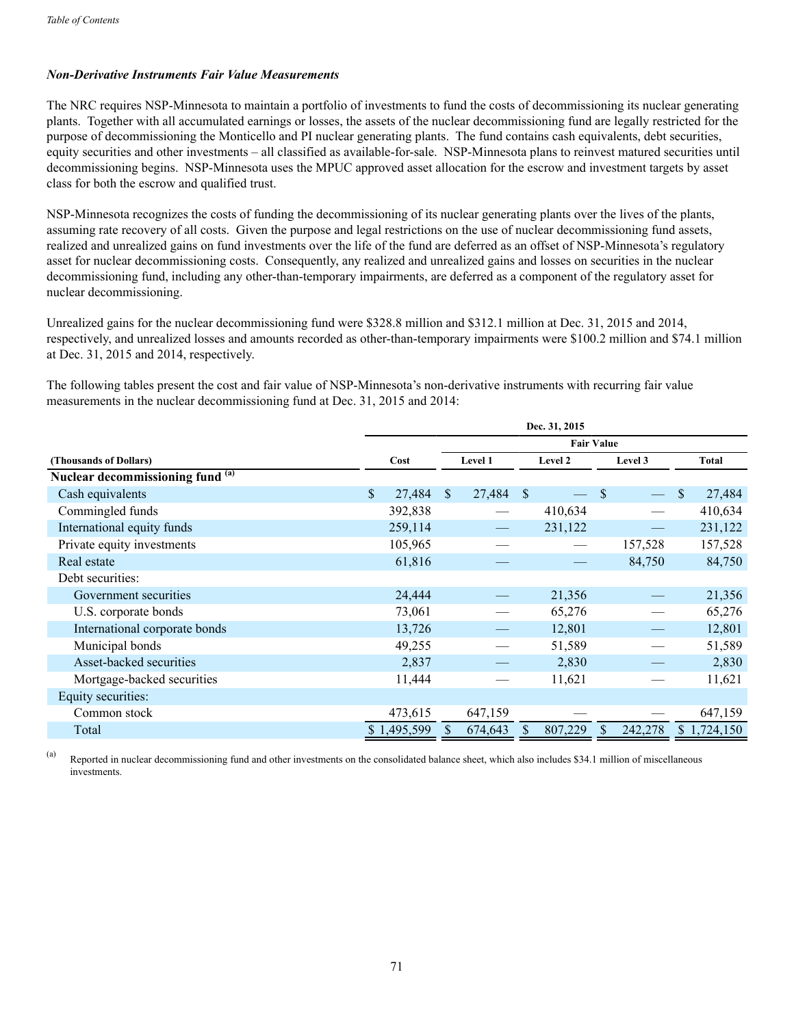## *Non-Derivative Instruments Fair Value Measurements*

The NRC requires NSP-Minnesota to maintain a portfolio of investments to fund the costs of decommissioning its nuclear generating plants. Together with all accumulated earnings or losses, the assets of the nuclear decommissioning fund are legally restricted for the purpose of decommissioning the Monticello and PI nuclear generating plants. The fund contains cash equivalents, debt securities, equity securities and other investments – all classified as available-for-sale. NSP-Minnesota plans to reinvest matured securities until decommissioning begins. NSP-Minnesota uses the MPUC approved asset allocation for the escrow and investment targets by asset class for both the escrow and qualified trust.

NSP-Minnesota recognizes the costs of funding the decommissioning of its nuclear generating plants over the lives of the plants, assuming rate recovery of all costs. Given the purpose and legal restrictions on the use of nuclear decommissioning fund assets, realized and unrealized gains on fund investments over the life of the fund are deferred as an offset of NSP-Minnesota's regulatory asset for nuclear decommissioning costs. Consequently, any realized and unrealized gains and losses on securities in the nuclear decommissioning fund, including any other-than-temporary impairments, are deferred as a component of the regulatory asset for nuclear decommissioning.

Unrealized gains for the nuclear decommissioning fund were \$328.8 million and \$312.1 million at Dec. 31, 2015 and 2014, respectively, and unrealized losses and amounts recorded as other-than-temporary impairments were \$100.2 million and \$74.1 million at Dec. 31, 2015 and 2014, respectively.

The following tables present the cost and fair value of NSP-Minnesota's non-derivative instruments with recurring fair value measurements in the nuclear decommissioning fund at Dec. 31, 2015 and 2014:

|                                  | Dec. 31, 2015 |             |                               |         |              |                   |    |         |    |              |  |  |  |
|----------------------------------|---------------|-------------|-------------------------------|---------|--------------|-------------------|----|---------|----|--------------|--|--|--|
|                                  |               |             |                               |         |              | <b>Fair Value</b> |    |         |    |              |  |  |  |
| (Thousands of Dollars)           |               | Cost        | Level 1<br>Level 2<br>Level 3 |         |              |                   |    |         |    | <b>Total</b> |  |  |  |
| Nuclear decommissioning fund (a) |               |             |                               |         |              |                   |    |         |    |              |  |  |  |
| Cash equivalents                 | $\mathsf{\$}$ | 27,484      | $\mathbb{S}$                  | 27,484  | <sup>S</sup> |                   | \$ |         | \$ | 27,484       |  |  |  |
| Commingled funds                 |               | 392,838     |                               |         |              | 410,634           |    |         |    | 410,634      |  |  |  |
| International equity funds       |               | 259,114     |                               |         |              | 231,122           |    |         |    | 231,122      |  |  |  |
| Private equity investments       |               | 105,965     |                               |         |              |                   |    | 157,528 |    | 157,528      |  |  |  |
| Real estate                      |               | 61,816      |                               |         |              |                   |    | 84,750  |    | 84,750       |  |  |  |
| Debt securities:                 |               |             |                               |         |              |                   |    |         |    |              |  |  |  |
| Government securities            |               | 24,444      |                               |         |              | 21,356            |    |         |    | 21,356       |  |  |  |
| U.S. corporate bonds             |               | 73,061      |                               |         |              | 65,276            |    |         |    | 65,276       |  |  |  |
| International corporate bonds    |               | 13,726      |                               |         |              | 12,801            |    |         |    | 12,801       |  |  |  |
| Municipal bonds                  |               | 49,255      |                               |         |              | 51,589            |    |         |    | 51,589       |  |  |  |
| Asset-backed securities          |               | 2,837       |                               |         |              | 2,830             |    |         |    | 2,830        |  |  |  |
| Mortgage-backed securities       |               | 11,444      |                               |         |              | 11,621            |    |         |    | 11,621       |  |  |  |
| Equity securities:               |               |             |                               |         |              |                   |    |         |    |              |  |  |  |
| Common stock                     |               | 473,615     |                               | 647,159 |              |                   |    |         |    | 647,159      |  |  |  |
| Total                            |               | \$1,495,599 |                               | 674,643 | S.           | 807,229           | S  | 242,278 |    | \$1,724,150  |  |  |  |

(a) Reported in nuclear decommissioning fund and other investments on the consolidated balance sheet, which also includes \$34.1 million of miscellaneous investments.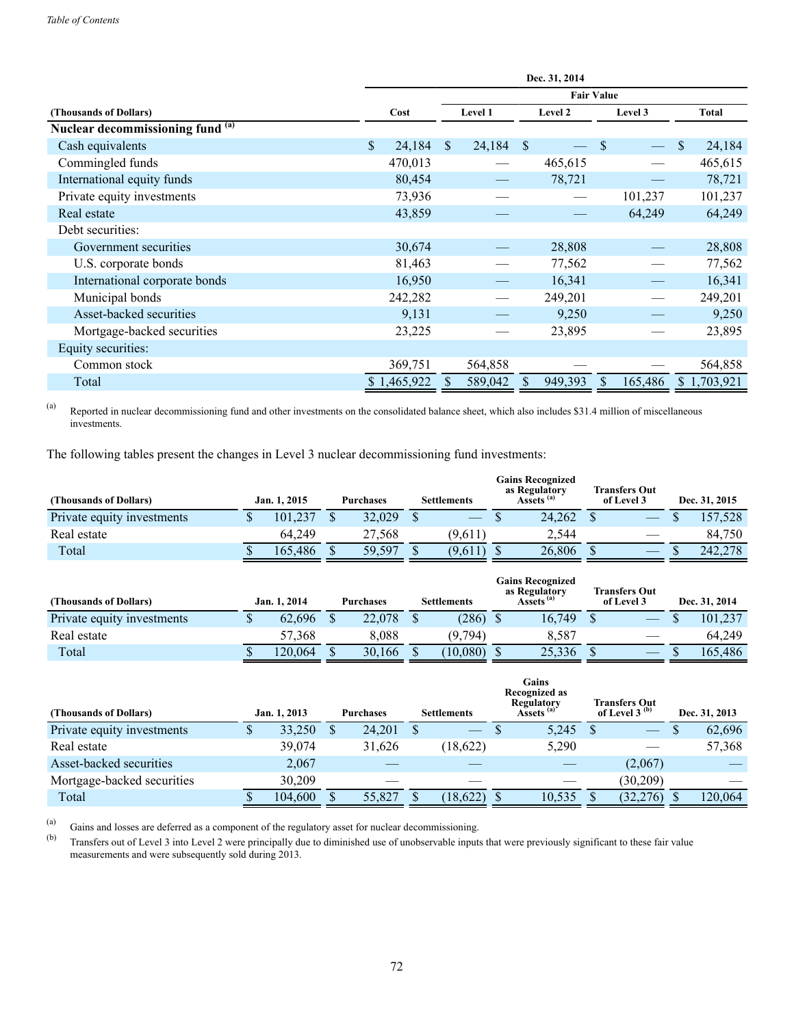|                                  | Dec. 31, 2014 |             |                               |         |              |                   |              |         |    |             |  |  |  |
|----------------------------------|---------------|-------------|-------------------------------|---------|--------------|-------------------|--------------|---------|----|-------------|--|--|--|
|                                  |               |             |                               |         |              | <b>Fair Value</b> |              |         |    |             |  |  |  |
| (Thousands of Dollars)           |               | Cost        | Level 1<br>Level 2<br>Level 3 |         |              |                   |              |         |    | Total       |  |  |  |
| Nuclear decommissioning fund (a) |               |             |                               |         |              |                   |              |         |    |             |  |  |  |
| Cash equivalents                 | \$            | 24,184      | <sup>S</sup>                  | 24,184  | <sup>S</sup> |                   | \$           |         | \$ | 24,184      |  |  |  |
| Commingled funds                 |               | 470,013     |                               |         |              | 465,615           |              |         |    | 465,615     |  |  |  |
| International equity funds       |               | 80,454      |                               |         |              | 78,721            |              |         |    | 78,721      |  |  |  |
| Private equity investments       |               | 73,936      |                               |         |              |                   |              | 101,237 |    | 101,237     |  |  |  |
| Real estate                      |               | 43,859      |                               |         |              |                   |              | 64,249  |    | 64,249      |  |  |  |
| Debt securities:                 |               |             |                               |         |              |                   |              |         |    |             |  |  |  |
| Government securities            |               | 30,674      |                               |         |              | 28,808            |              |         |    | 28,808      |  |  |  |
| U.S. corporate bonds             |               | 81,463      |                               |         |              | 77,562            |              |         |    | 77,562      |  |  |  |
| International corporate bonds    |               | 16,950      |                               |         |              | 16,341            |              |         |    | 16,341      |  |  |  |
| Municipal bonds                  |               | 242,282     |                               |         |              | 249,201           |              |         |    | 249,201     |  |  |  |
| Asset-backed securities          |               | 9,131       |                               |         |              | 9,250             |              |         |    | 9,250       |  |  |  |
| Mortgage-backed securities       |               | 23,225      |                               |         |              | 23,895            |              |         |    | 23,895      |  |  |  |
| Equity securities:               |               |             |                               |         |              |                   |              |         |    |             |  |  |  |
| Common stock                     |               | 369,751     |                               | 564,858 |              |                   |              |         |    | 564,858     |  |  |  |
| Total                            |               | \$1,465,922 |                               | 589,042 | <sup>S</sup> | 949,393           | <sup>S</sup> | 165,486 |    | \$1,703,921 |  |  |  |

(a) Reported in nuclear decommissioning fund and other investments on the consolidated balance sheet, which also includes \$31.4 million of miscellaneous investments.

The following tables present the changes in Level 3 nuclear decommissioning fund investments:

| (Thousands of Dollars)     | Jan. 1, 2015 | <b>Purchases</b> | <b>Settlements</b> | <b>Gains Recognized</b><br>as Regulatory<br>Assets <sup>(a)</sup> | <b>Transfers Out</b><br>of Level 3 | Dec. 31, 2015 |
|----------------------------|--------------|------------------|--------------------|-------------------------------------------------------------------|------------------------------------|---------------|
| Private equity investments | 101.237      | 32,029           |                    | 24,262                                                            |                                    | 157,528       |
| Real estate                | 64.249       | 27.568           | (9,611)            | 2.544                                                             |                                    | 84.750        |
| Total                      | 165.486      | 59.597           | (9,611)            | 26,806                                                            |                                    | 242,278       |

| (Thousands of Dollars)     | Jan. 1, 2014 | Purchases | <b>Settlements</b> | <b>Gains Recognized</b><br>as Regulatory<br>Assets <sup>(a)</sup> | <b>Transfers Out</b><br>of Level 3 | Dec. 31, 2014 |
|----------------------------|--------------|-----------|--------------------|-------------------------------------------------------------------|------------------------------------|---------------|
| Private equity investments | 62.696       | 22,078    | (286)              | 16,749                                                            |                                    | 101.237       |
| Real estate                | 57,368       | 8.088     | (9,794)            | 8.587                                                             |                                    | 64.249        |
| Total                      | 20.064       | 30,166    | (10.080)           | 25,336                                                            |                                    | 165.486       |

| (Thousands of Dollars)     | Jan. 1, 2013 | <b>Purchases</b> | <b>Settlements</b> | Gains<br>Recognized as<br>Regulatory<br>Assets <sup>(a)</sup> | <b>Transfers Out</b><br>of Level 3 $(b)$ | Dec. 31, 2013 |
|----------------------------|--------------|------------------|--------------------|---------------------------------------------------------------|------------------------------------------|---------------|
| Private equity investments | 33,250       | 24,201           |                    | 5,245                                                         | $\frac{1}{2}$                            | 62,696        |
| Real estate                | 39,074       | 31,626           | (18,622)           | 5,290                                                         |                                          | 57,368        |
| Asset-backed securities    | 2,067        |                  |                    |                                                               | (2,067)                                  |               |
| Mortgage-backed securities | 30.209       |                  |                    |                                                               | (30,209)                                 |               |
| Total                      | 104,600      | 55,827           | (18, 622)          | 10,535                                                        | (32, 276)                                | 120,064       |

(a) Gains and losses are deferred as a component of the regulatory asset for nuclear decommissioning.<br>
(b) Transfers out of Level 3 into Level 2 were principally due to diminished use of unobservable input

Transfers out of Level 3 into Level 2 were principally due to diminished use of unobservable inputs that were previously significant to these fair value measurements and were subsequently sold during 2013.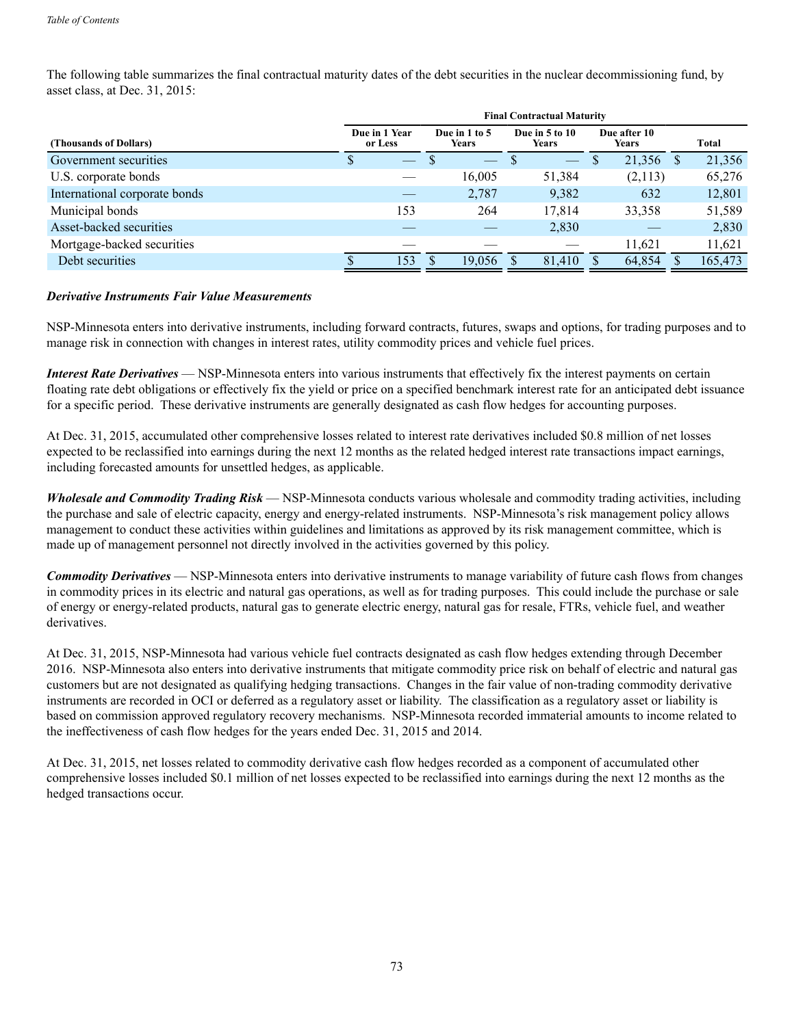The following table summarizes the final contractual maturity dates of the debt securities in the nuclear decommissioning fund, by asset class, at Dec. 31, 2015:

|                               | <b>Final Contractual Maturity</b> |                               |                                |                              |             |  |  |  |  |  |  |
|-------------------------------|-----------------------------------|-------------------------------|--------------------------------|------------------------------|-------------|--|--|--|--|--|--|
| (Thousands of Dollars)        | Due in 1 Year<br>or Less          | Due in 1 to 5<br><b>Years</b> | Due in 5 to 10<br><b>Years</b> | Due after 10<br><b>Years</b> | Total       |  |  |  |  |  |  |
| Government securities         | S                                 |                               | $\overline{\phantom{a}}$       | 21,356<br>-S                 | 21,356<br>S |  |  |  |  |  |  |
| U.S. corporate bonds          |                                   | 16,005                        | 51,384                         | (2,113)                      | 65,276      |  |  |  |  |  |  |
| International corporate bonds |                                   | 2,787                         | 9,382                          | 632                          | 12,801      |  |  |  |  |  |  |
| Municipal bonds               | 153                               | 264                           | 17,814                         | 33,358                       | 51,589      |  |  |  |  |  |  |
| Asset-backed securities       |                                   |                               | 2,830                          |                              | 2,830       |  |  |  |  |  |  |
| Mortgage-backed securities    |                                   |                               |                                | 11,621                       | 11,621      |  |  |  |  |  |  |
| Debt securities               | 153                               | 19.056                        | 81,410                         | 64,854                       | 165,473     |  |  |  |  |  |  |
|                               |                                   |                               |                                |                              |             |  |  |  |  |  |  |

# *Derivative Instruments Fair Value Measurements*

NSP-Minnesota enters into derivative instruments, including forward contracts, futures, swaps and options, for trading purposes and to manage risk in connection with changes in interest rates, utility commodity prices and vehicle fuel prices.

*Interest Rate Derivatives* — NSP-Minnesota enters into various instruments that effectively fix the interest payments on certain floating rate debt obligations or effectively fix the yield or price on a specified benchmark interest rate for an anticipated debt issuance for a specific period. These derivative instruments are generally designated as cash flow hedges for accounting purposes.

At Dec. 31, 2015, accumulated other comprehensive losses related to interest rate derivatives included \$0.8 million of net losses expected to be reclassified into earnings during the next 12 months as the related hedged interest rate transactions impact earnings, including forecasted amounts for unsettled hedges, as applicable.

*Wholesale and Commodity Trading Risk* — NSP-Minnesota conducts various wholesale and commodity trading activities, including the purchase and sale of electric capacity, energy and energy-related instruments. NSP-Minnesota's risk management policy allows management to conduct these activities within guidelines and limitations as approved by its risk management committee, which is made up of management personnel not directly involved in the activities governed by this policy.

*Commodity Derivatives* — NSP-Minnesota enters into derivative instruments to manage variability of future cash flows from changes in commodity prices in its electric and natural gas operations, as well as for trading purposes. This could include the purchase or sale of energy or energy-related products, natural gas to generate electric energy, natural gas for resale, FTRs, vehicle fuel, and weather derivatives.

At Dec. 31, 2015, NSP-Minnesota had various vehicle fuel contracts designated as cash flow hedges extending through December 2016. NSP-Minnesota also enters into derivative instruments that mitigate commodity price risk on behalf of electric and natural gas customers but are not designated as qualifying hedging transactions. Changes in the fair value of non-trading commodity derivative instruments are recorded in OCI or deferred as a regulatory asset or liability. The classification as a regulatory asset or liability is based on commission approved regulatory recovery mechanisms. NSP-Minnesota recorded immaterial amounts to income related to the ineffectiveness of cash flow hedges for the years ended Dec. 31, 2015 and 2014.

At Dec. 31, 2015, net losses related to commodity derivative cash flow hedges recorded as a component of accumulated other comprehensive losses included \$0.1 million of net losses expected to be reclassified into earnings during the next 12 months as the hedged transactions occur.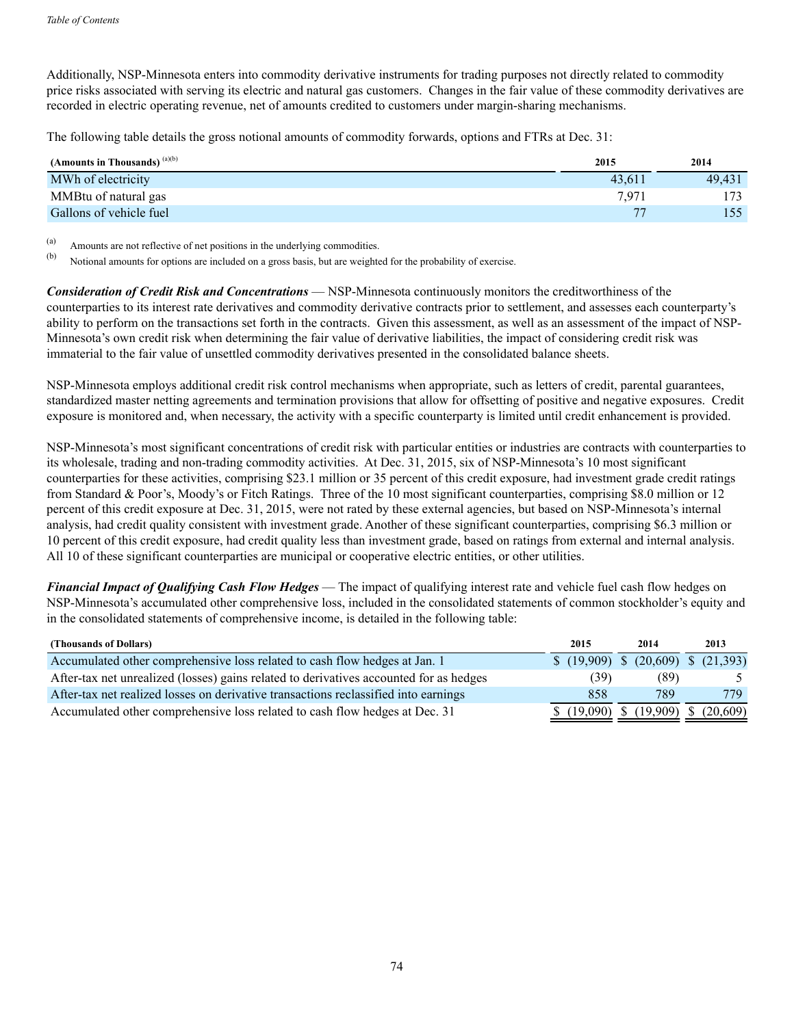Additionally, NSP-Minnesota enters into commodity derivative instruments for trading purposes not directly related to commodity price risks associated with serving its electric and natural gas customers. Changes in the fair value of these commodity derivatives are recorded in electric operating revenue, net of amounts credited to customers under margin-sharing mechanisms.

The following table details the gross notional amounts of commodity forwards, options and FTRs at Dec. 31:

| (Amounts in Thousands) $(a)(b)$ | 2015   | 2014   |
|---------------------------------|--------|--------|
| MWh of electricity              | 43.611 | 49.431 |
| MMBtu of natural gas            | 7.971  |        |
| Gallons of vehicle fuel         |        |        |

(a) Amounts are not reflective of net positions in the underlying commodities.<br>(b) Notional amounts for ortions are included on a grees hesia, but are uniable

Notional amounts for options are included on a gross basis, but are weighted for the probability of exercise.

*Consideration of Credit Risk and Concentrations* — NSP-Minnesota continuously monitors the creditworthiness of the counterparties to its interest rate derivatives and commodity derivative contracts prior to settlement, and assesses each counterparty's ability to perform on the transactions set forth in the contracts. Given this assessment, as well as an assessment of the impact of NSP-Minnesota's own credit risk when determining the fair value of derivative liabilities, the impact of considering credit risk was immaterial to the fair value of unsettled commodity derivatives presented in the consolidated balance sheets.

NSP-Minnesota employs additional credit risk control mechanisms when appropriate, such as letters of credit, parental guarantees, standardized master netting agreements and termination provisions that allow for offsetting of positive and negative exposures. Credit exposure is monitored and, when necessary, the activity with a specific counterparty is limited until credit enhancement is provided.

NSP-Minnesota's most significant concentrations of credit risk with particular entities or industries are contracts with counterparties to its wholesale, trading and non-trading commodity activities. At Dec. 31, 2015, six of NSP-Minnesota's 10 most significant counterparties for these activities, comprising \$23.1 million or 35 percent of this credit exposure, had investment grade credit ratings from Standard & Poor's, Moody's or Fitch Ratings. Three of the 10 most significant counterparties, comprising \$8.0 million or 12 percent of this credit exposure at Dec. 31, 2015, were not rated by these external agencies, but based on NSP-Minnesota's internal analysis, had credit quality consistent with investment grade. Another of these significant counterparties, comprising \$6.3 million or 10 percent of this credit exposure, had credit quality less than investment grade, based on ratings from external and internal analysis. All 10 of these significant counterparties are municipal or cooperative electric entities, or other utilities.

*Financial Impact of Qualifying Cash Flow Hedges* — The impact of qualifying interest rate and vehicle fuel cash flow hedges on NSP-Minnesota's accumulated other comprehensive loss, included in the consolidated statements of common stockholder's equity and in the consolidated statements of comprehensive income, is detailed in the following table:

| (Thousands of Dollars)                                                                 | 2015                                 | 2014                                   | 2013           |
|----------------------------------------------------------------------------------------|--------------------------------------|----------------------------------------|----------------|
| Accumulated other comprehensive loss related to cash flow hedges at Jan. 1             | $$ (19,909) \$ (20,609) \$ (21,393)$ |                                        |                |
| After-tax net unrealized (losses) gains related to derivatives accounted for as hedges | (39)                                 | (89)                                   | 5 <sup>1</sup> |
| After-tax net realized losses on derivative transactions reclassified into earnings    | 858                                  | 789                                    | 779            |
| Accumulated other comprehensive loss related to cash flow hedges at Dec. 31            |                                      | $$$ (19,090) $$$ (19,909) $$$ (20,609) |                |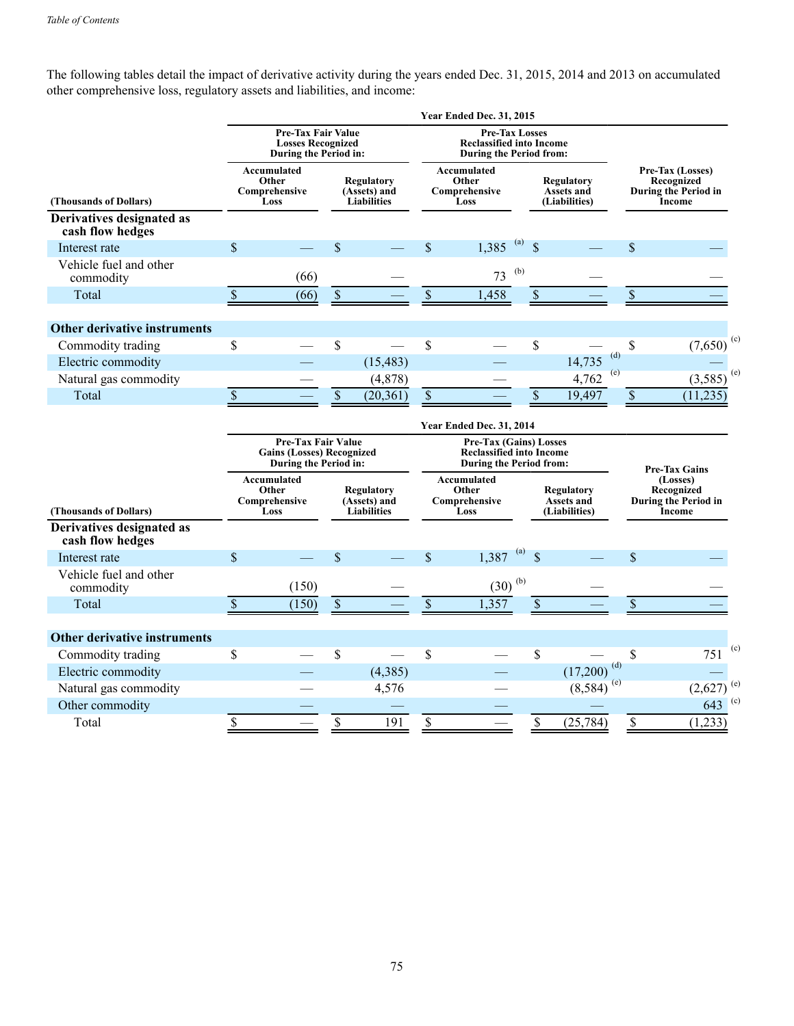The following tables detail the impact of derivative activity during the years ended Dec. 31, 2015, 2014 and 2013 on accumulated other comprehensive loss, regulatory assets and liabilities, and income:

|                                               |                           |                                                                                        |                                                  |                                                  |                                                                                     | <b>Year Ended Dec. 31, 2015</b>                                                                    |                                    |                                           |     |             |                                                                                         |     |
|-----------------------------------------------|---------------------------|----------------------------------------------------------------------------------------|--------------------------------------------------|--------------------------------------------------|-------------------------------------------------------------------------------------|----------------------------------------------------------------------------------------------------|------------------------------------|-------------------------------------------|-----|-------------|-----------------------------------------------------------------------------------------|-----|
|                                               |                           | Pre-Tax Fair Value<br><b>Losses Recognized</b><br>During the Period in:                |                                                  |                                                  | <b>Pre-Tax Losses</b><br><b>Reclassified into Income</b><br>During the Period from: |                                                                                                    |                                    |                                           |     |             |                                                                                         |     |
| (Thousands of Dollars)                        |                           | Accumulated<br>Other<br>Comprehensive<br>Loss                                          | Regulatory<br>(Assets) and<br><b>Liabilities</b> |                                                  |                                                                                     | Accumulated<br>Other<br>Comprehensive<br>Loss                                                      |                                    | Regulatory<br>Assets and<br>(Liabilities) |     |             | Pre-Tax (Losses)<br>Recognized<br>During the Period in<br>Income                        |     |
| Derivatives designated as<br>cash flow hedges |                           |                                                                                        |                                                  |                                                  |                                                                                     |                                                                                                    |                                    |                                           |     |             |                                                                                         |     |
| Interest rate                                 | \$                        |                                                                                        | \$                                               |                                                  | \$                                                                                  | 1,385                                                                                              | $\left( a\right)$<br>$\mathcal{S}$ |                                           |     | \$          |                                                                                         |     |
| Vehicle fuel and other<br>commodity           |                           | (66)                                                                                   |                                                  |                                                  |                                                                                     | 73                                                                                                 | (b)                                |                                           |     |             |                                                                                         |     |
| Total                                         | $\mathbb{S}$              | (66)                                                                                   | $\mathbb S$                                      |                                                  | $\mathbb S$                                                                         | 1,458                                                                                              | $\mathbb{S}$                       |                                           |     | $\$$        |                                                                                         |     |
| Other derivative instruments                  |                           |                                                                                        |                                                  |                                                  |                                                                                     |                                                                                                    |                                    |                                           |     |             |                                                                                         |     |
| Commodity trading                             | \$                        |                                                                                        | \$                                               |                                                  | \$                                                                                  |                                                                                                    | \$                                 |                                           |     | \$          | (7,650)                                                                                 | (c) |
| Electric commodity                            |                           |                                                                                        |                                                  | (15, 483)                                        |                                                                                     |                                                                                                    |                                    | 14,735                                    | (d) |             |                                                                                         |     |
| Natural gas commodity                         |                           |                                                                                        |                                                  | (4, 878)                                         |                                                                                     |                                                                                                    |                                    | 4,762                                     | (e) |             | (3,585)                                                                                 | (e) |
| Total                                         | $\sqrt{\ }$               |                                                                                        | $\mathcal{S}$                                    | (20, 361)                                        | $\mathbb{S}$                                                                        |                                                                                                    | $\mathcal{S}$                      | 19,497                                    |     | $\mathbb S$ | (11, 235)                                                                               |     |
|                                               |                           |                                                                                        |                                                  |                                                  |                                                                                     | Year Ended Dec. 31, 2014                                                                           |                                    |                                           |     |             |                                                                                         |     |
|                                               |                           | <b>Pre-Tax Fair Value</b><br><b>Gains (Losses) Recognized</b><br>During the Period in: |                                                  |                                                  |                                                                                     | <b>Pre-Tax (Gains) Losses</b><br><b>Reclassified into Income</b><br><b>During the Period from:</b> |                                    |                                           |     |             |                                                                                         |     |
| (Thousands of Dollars)                        |                           | Accumulated<br>Other<br>Comprehensive<br>Loss                                          |                                                  | Regulatory<br>(Assets) and<br><b>Liabilities</b> |                                                                                     | Accumulated<br>Other<br>Comprehensive<br>Loss                                                      |                                    | Regulatory<br>Assets and<br>(Liabilities) |     |             | <b>Pre-Tax Gains</b><br>(Losses)<br>Recognized<br>During the Period in<br><b>Income</b> |     |
| Derivatives designated as<br>cash flow hedges |                           |                                                                                        |                                                  |                                                  |                                                                                     |                                                                                                    |                                    |                                           |     |             |                                                                                         |     |
| Interest rate                                 | $\mathbf{\hat{S}}$        |                                                                                        | $\mathcal{S}$                                    |                                                  | $\mathbf{\hat{S}}$                                                                  | 1,387                                                                                              | (a)<br>$\mathcal{S}$               |                                           |     | \$          |                                                                                         |     |
| Vehicle fuel and other<br>commodity           |                           | (150)                                                                                  |                                                  |                                                  |                                                                                     | $(30)$ <sup>(b)</sup>                                                                              |                                    |                                           |     |             |                                                                                         |     |
| Total                                         | $\boldsymbol{\mathsf{S}}$ | (150)                                                                                  | $\mathbb{S}$                                     |                                                  | \$                                                                                  | 1,357                                                                                              |                                    |                                           |     | \$          |                                                                                         |     |
| <b>Other derivative instruments</b>           |                           |                                                                                        |                                                  |                                                  |                                                                                     |                                                                                                    |                                    |                                           |     |             |                                                                                         |     |
| Commodity trading                             | \$                        |                                                                                        | \$                                               |                                                  | \$                                                                                  |                                                                                                    | \$                                 |                                           |     | \$          | 751                                                                                     | (c) |
| Electric commodity                            |                           |                                                                                        |                                                  | (4,385)                                          |                                                                                     |                                                                                                    |                                    | (17,200)                                  | (d) |             |                                                                                         |     |
| Natural gas commodity                         |                           |                                                                                        |                                                  | 4,576                                            |                                                                                     |                                                                                                    |                                    | $(8,584)$ <sup>(e)</sup>                  |     |             | $(2,627)$ <sup>(e)</sup>                                                                |     |
| Other commodity                               |                           |                                                                                        |                                                  |                                                  |                                                                                     |                                                                                                    |                                    |                                           |     |             | $643$ (c)                                                                               |     |
| Total                                         | \$                        |                                                                                        | \$                                               | 191                                              | $\$$                                                                                |                                                                                                    | \$                                 | (25, 784)                                 |     | \$          | (1,233)                                                                                 |     |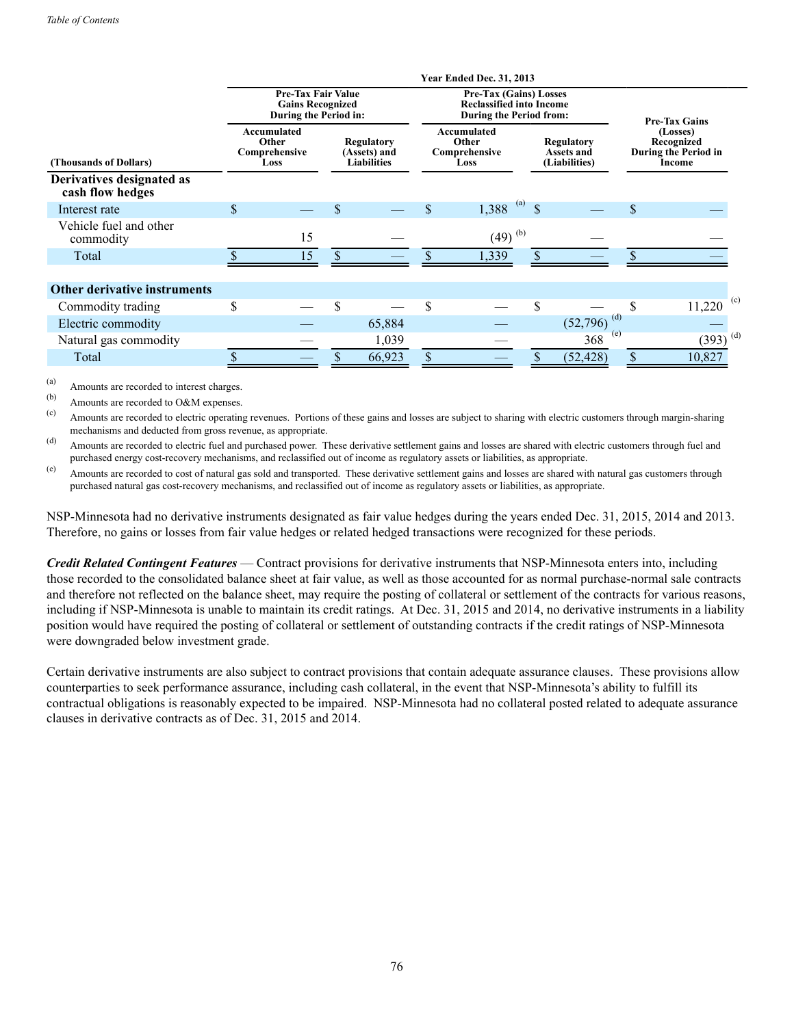|                                               | <b>Year Ended Dec. 31, 2013</b> |                                                                               |  |                                                                                                   |    |                                                                                                    |               |                                           |                      |                                                                 |  |  |  |
|-----------------------------------------------|---------------------------------|-------------------------------------------------------------------------------|--|---------------------------------------------------------------------------------------------------|----|----------------------------------------------------------------------------------------------------|---------------|-------------------------------------------|----------------------|-----------------------------------------------------------------|--|--|--|
|                                               |                                 | <b>Pre-Tax Fair Value</b><br><b>Gains Recognized</b><br>During the Period in: |  |                                                                                                   |    | <b>Pre-Tax (Gains) Losses</b><br><b>Reclassified into Income</b><br><b>During the Period from:</b> |               |                                           | <b>Pre-Tax Gains</b> |                                                                 |  |  |  |
| (Thousands of Dollars)                        |                                 | <b>Accumulated</b><br>Other<br>Comprehensive<br>Loss                          |  | Accumulated<br>Other<br><b>Regulatory</b><br>Comprehensive<br>(Assets) and<br>Liabilities<br>Loss |    |                                                                                                    |               | Regulatory<br>Assets and<br>(Liabilities) |                      | (Losses)<br>Recognized<br><b>During the Period in</b><br>Income |  |  |  |
| Derivatives designated as<br>cash flow hedges |                                 |                                                                               |  |                                                                                                   |    |                                                                                                    |               |                                           |                      |                                                                 |  |  |  |
| Interest rate                                 | \$                              |                                                                               |  |                                                                                                   | \$ | $1,388$ <sup>(a)</sup>                                                                             | <sup>\$</sup> |                                           | $\mathbf{\$}$        |                                                                 |  |  |  |
| Vehicle fuel and other<br>commodity           |                                 | 15                                                                            |  |                                                                                                   |    | $(49)$ <sup>(b)</sup>                                                                              |               |                                           |                      |                                                                 |  |  |  |
| Total                                         |                                 | 15                                                                            |  |                                                                                                   |    | 1,339                                                                                              |               |                                           |                      |                                                                 |  |  |  |
|                                               |                                 |                                                                               |  |                                                                                                   |    |                                                                                                    |               |                                           |                      |                                                                 |  |  |  |
| Other derivative instruments                  |                                 |                                                                               |  |                                                                                                   |    |                                                                                                    |               |                                           |                      |                                                                 |  |  |  |
| Commodity trading                             | \$                              |                                                                               |  |                                                                                                   | \$ |                                                                                                    | \$.           |                                           |                      | (c)<br>11,220                                                   |  |  |  |
| Electric commodity                            |                                 |                                                                               |  | 65,884                                                                                            |    |                                                                                                    |               | (d)<br>(52, 796)                          |                      |                                                                 |  |  |  |
| Natural gas commodity                         |                                 |                                                                               |  | 1,039                                                                                             |    |                                                                                                    |               | (e)<br>368                                |                      | $(393)$ <sup>(d)</sup>                                          |  |  |  |
| Total                                         |                                 |                                                                               |  | 66,923                                                                                            |    |                                                                                                    |               | (52, 428)                                 |                      | 10,827                                                          |  |  |  |

(a) Amounts are recorded to interest charges.

(b) Amounts are recorded to O&M expenses.

(c) Amounts are recorded to electric operating revenues. Portions of these gains and losses are subject to sharing with electric customers through margin-sharing mechanisms and deducted from gross revenue, as appropriate.

(d) Amounts are recorded to electric fuel and purchased power. These derivative settlement gains and losses are shared with electric customers through fuel and purchased energy cost-recovery mechanisms, and reclassified out of income as regulatory assets or liabilities, as appropriate.

(e) Amounts are recorded to cost of natural gas sold and transported. These derivative settlement gains and losses are shared with natural gas customers through purchased natural gas cost-recovery mechanisms, and reclassified out of income as regulatory assets or liabilities, as appropriate.

NSP-Minnesota had no derivative instruments designated as fair value hedges during the years ended Dec. 31, 2015, 2014 and 2013. Therefore, no gains or losses from fair value hedges or related hedged transactions were recognized for these periods.

*Credit Related Contingent Features* — Contract provisions for derivative instruments that NSP-Minnesota enters into, including those recorded to the consolidated balance sheet at fair value, as well as those accounted for as normal purchase-normal sale contracts and therefore not reflected on the balance sheet, may require the posting of collateral or settlement of the contracts for various reasons, including if NSP-Minnesota is unable to maintain its credit ratings. At Dec. 31, 2015 and 2014, no derivative instruments in a liability position would have required the posting of collateral or settlement of outstanding contracts if the credit ratings of NSP-Minnesota were downgraded below investment grade.

Certain derivative instruments are also subject to contract provisions that contain adequate assurance clauses. These provisions allow counterparties to seek performance assurance, including cash collateral, in the event that NSP-Minnesota's ability to fulfill its contractual obligations is reasonably expected to be impaired. NSP-Minnesota had no collateral posted related to adequate assurance clauses in derivative contracts as of Dec. 31, 2015 and 2014.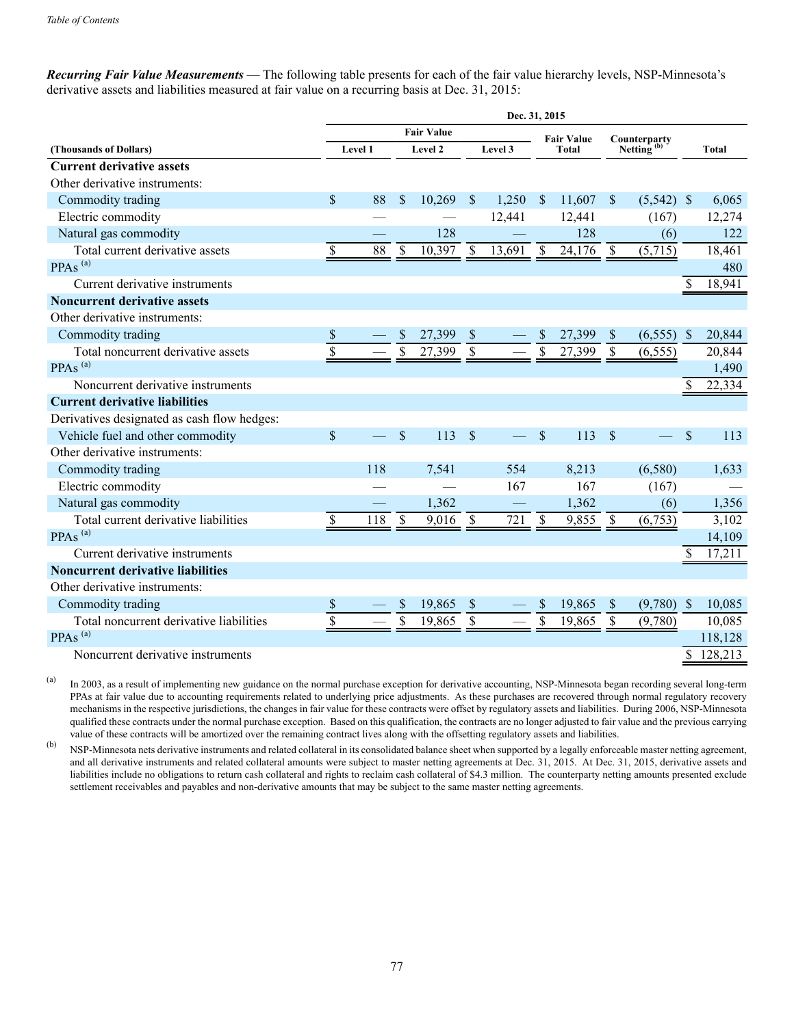*Recurring Fair Value Measurements* — The following table presents for each of the fair value hierarchy levels, NSP-Minnesota's derivative assets and liabilities measured at fair value on a recurring basis at Dec. 31, 2015:

|                                             | Dec. 31, 2015     |         |                           |         |                           |         |                           |        |                           |              |                    |              |
|---------------------------------------------|-------------------|---------|---------------------------|---------|---------------------------|---------|---------------------------|--------|---------------------------|--------------|--------------------|--------------|
|                                             | <b>Fair Value</b> |         |                           |         | <b>Fair Value</b>         |         |                           |        | Counterparty              |              |                    |              |
| (Thousands of Dollars)                      |                   | Level 1 |                           | Level 2 |                           | Level 3 | <b>Total</b>              |        | Netting $(b)$             |              |                    | <b>Total</b> |
| <b>Current derivative assets</b>            |                   |         |                           |         |                           |         |                           |        |                           |              |                    |              |
| Other derivative instruments:               |                   |         |                           |         |                           |         |                           |        |                           |              |                    |              |
| Commodity trading                           | \$                | 88      | S                         | 10,269  | <sup>\$</sup>             | 1,250   | $\mathcal{S}$             | 11,607 | $\mathbb{S}$              | $(5,542)$ \$ |                    | 6,065        |
| Electric commodity                          |                   |         |                           |         |                           | 12,441  |                           | 12,441 |                           | (167)        |                    | 12,274       |
| Natural gas commodity                       |                   |         |                           | 128     |                           |         |                           | 128    |                           | (6)          |                    | 122          |
| Total current derivative assets             | \$                | 88      | $\boldsymbol{\mathsf{S}}$ | 10,397  | $\boldsymbol{\mathsf{S}}$ | 13,691  | $\boldsymbol{\mathsf{S}}$ | 24,176 | $\boldsymbol{\mathsf{S}}$ | (5,715)      |                    | 18,461       |
| PPAs <sup>(a)</sup>                         |                   |         |                           |         |                           |         |                           |        |                           |              |                    | 480          |
| Current derivative instruments              |                   |         |                           |         |                           |         |                           |        |                           |              | \$                 | 18,941       |
| <b>Noncurrent derivative assets</b>         |                   |         |                           |         |                           |         |                           |        |                           |              |                    |              |
| Other derivative instruments:               |                   |         |                           |         |                           |         |                           |        |                           |              |                    |              |
| Commodity trading                           | \$                |         | S                         | 27,399  | \$                        |         | <sup>\$</sup>             | 27,399 | \$                        | (6, 555)     | -\$                | 20,844       |
| Total noncurrent derivative assets          | $\overline{\$}$   |         | \$                        | 27,399  | \$                        |         | \$                        | 27,399 | $\mathbf{\hat{S}}$        | (6, 555)     |                    | 20,844       |
| PPAs <sup>(a)</sup>                         |                   |         |                           |         |                           |         |                           |        |                           |              |                    | 1,490        |
| Noncurrent derivative instruments           |                   |         |                           |         |                           |         |                           |        |                           |              | \$                 | 22,334       |
| <b>Current derivative liabilities</b>       |                   |         |                           |         |                           |         |                           |        |                           |              |                    |              |
| Derivatives designated as cash flow hedges: |                   |         |                           |         |                           |         |                           |        |                           |              |                    |              |
| Vehicle fuel and other commodity            | \$                |         | $\mathcal{S}$             | 113     | $\mathcal{S}$             |         | $\mathcal{S}$             | 113    | $\mathcal{S}$             |              | $\mathbf{\hat{S}}$ | 113          |
| Other derivative instruments:               |                   |         |                           |         |                           |         |                           |        |                           |              |                    |              |
| Commodity trading                           |                   | 118     |                           | 7,541   |                           | 554     |                           | 8,213  |                           | (6,580)      |                    | 1,633        |
| Electric commodity                          |                   |         |                           |         |                           | 167     |                           | 167    |                           | (167)        |                    |              |
| Natural gas commodity                       |                   |         |                           | 1,362   |                           |         |                           | 1,362  |                           | (6)          |                    | 1,356        |
| Total current derivative liabilities        | \$                | 118     | <sup>\$</sup>             | 9,016   | $\mathcal{S}$             | 721     | \$                        | 9,855  | S                         | (6,753)      |                    | 3,102        |
| PPAs <sup>(a)</sup>                         |                   |         |                           |         |                           |         |                           |        |                           |              |                    | 14,109       |
| Current derivative instruments              |                   |         |                           |         |                           |         |                           |        |                           |              | \$                 | 17,211       |
| <b>Noncurrent derivative liabilities</b>    |                   |         |                           |         |                           |         |                           |        |                           |              |                    |              |
| Other derivative instruments:               |                   |         |                           |         |                           |         |                           |        |                           |              |                    |              |
| Commodity trading                           | \$                |         | \$                        | 19,865  | \$                        |         | <sup>\$</sup>             | 19,865 | \$                        | (9,780)      | $\mathbb{S}$       | 10,085       |
| Total noncurrent derivative liabilities     | $\overline{\$}$   |         | \$                        | 19,865  | $\overline{\mathcal{S}}$  |         | $\mathbf{\hat{S}}$        | 19,865 | $\mathbf S$               | (9,780)      |                    | 10,085       |
| PPAs <sup>(a)</sup>                         |                   |         |                           |         |                           |         |                           |        |                           |              |                    | 118,128      |
| Noncurrent derivative instruments           |                   |         |                           |         |                           |         |                           |        |                           |              |                    | \$128,213    |

(a) In 2003, as a result of implementing new guidance on the normal purchase exception for derivative accounting, NSP-Minnesota began recording several long-term PPAs at fair value due to accounting requirements related to underlying price adjustments. As these purchases are recovered through normal regulatory recovery mechanisms in the respective jurisdictions, the changes in fair value for these contracts were offset by regulatory assets and liabilities. During 2006, NSP-Minnesota qualified these contracts under the normal purchase exception. Based on this qualification, the contracts are no longer adjusted to fair value and the previous carrying value of these contracts will be amortized over the remaining contract lives along with the offsetting regulatory assets and liabilities.

(b) NSP-Minnesota nets derivative instruments and related collateral in its consolidated balance sheet when supported by a legally enforceable master netting agreement, and all derivative instruments and related collateral amounts were subject to master netting agreements at Dec. 31, 2015. At Dec. 31, 2015, derivative assets and liabilities include no obligations to return cash collateral and rights to reclaim cash collateral of \$4.3 million. The counterparty netting amounts presented exclude settlement receivables and payables and non-derivative amounts that may be subject to the same master netting agreements.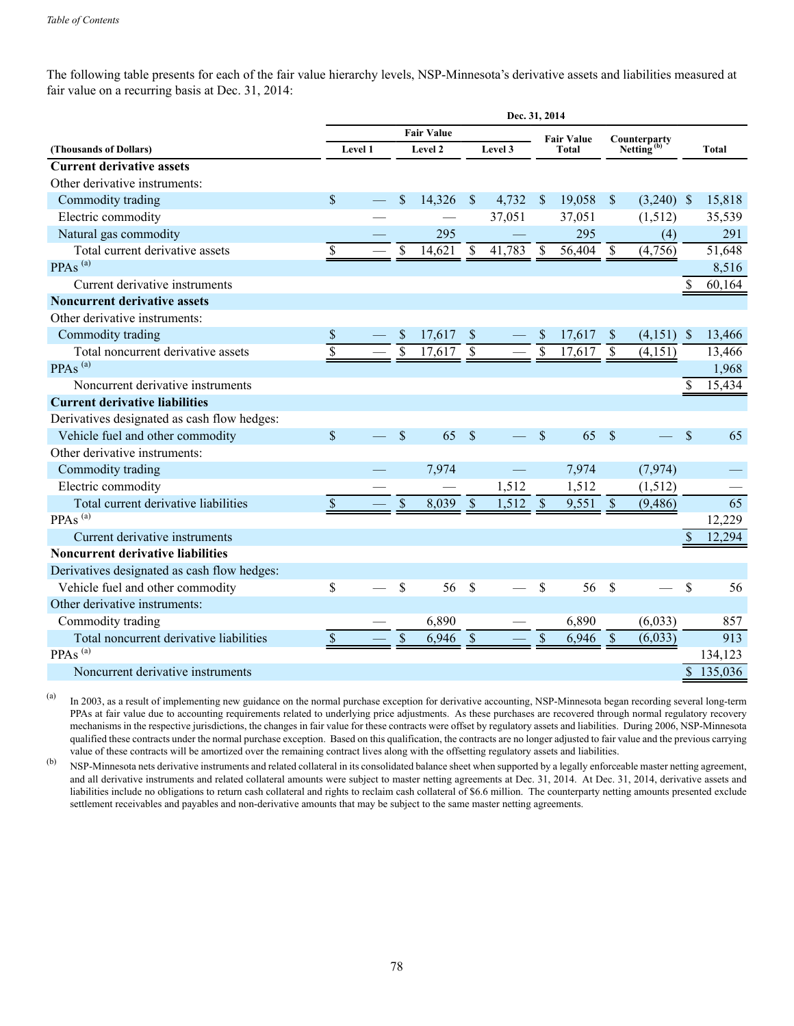The following table presents for each of the fair value hierarchy levels, NSP-Minnesota's derivative assets and liabilities measured at fair value on a recurring basis at Dec. 31, 2014:

| Dec. 31, 2014             |                               |                           |        |                      |        |                          |        |                          |            |                          |                              |
|---------------------------|-------------------------------|---------------------------|--------|----------------------|--------|--------------------------|--------|--------------------------|------------|--------------------------|------------------------------|
| <b>Fair Value</b>         |                               |                           |        |                      |        |                          |        |                          |            |                          |                              |
|                           |                               |                           |        |                      |        | Total                    |        | Netting <sup>(D</sup>    |            |                          | <b>Total</b>                 |
|                           |                               |                           |        |                      |        |                          |        |                          |            |                          |                              |
|                           |                               |                           |        |                      |        |                          |        |                          |            |                          |                              |
|                           |                               | $\mathbf{\$}$             | 14,326 | <sup>\$</sup>        | 4,732  | $\sqrt{S}$               | 19,058 | $\mathbf{\$}$            |            |                          | 15,818                       |
|                           |                               |                           |        |                      | 37,051 |                          | 37,051 |                          |            |                          | 35,539                       |
|                           |                               |                           |        |                      |        |                          |        |                          | (4)        |                          | 291                          |
| \$                        |                               | \$                        | 14,621 | S                    | 41,783 | <sup>\$</sup>            | 56,404 | \$                       | (4,756)    |                          | 51,648                       |
|                           |                               |                           |        |                      |        |                          |        |                          |            |                          | 8,516                        |
|                           |                               |                           |        |                      |        |                          |        |                          |            | \$                       | 60,164                       |
|                           |                               |                           |        |                      |        |                          |        |                          |            |                          |                              |
|                           |                               |                           |        |                      |        |                          |        |                          |            |                          |                              |
| \$                        |                               | <sup>S</sup>              | 17,617 | <sup>S</sup>         |        | <sup>\$</sup>            | 17,617 | <sup>\$</sup>            |            |                          | 13,466                       |
|                           |                               | $\overline{\$}$           | 17,617 | $\mathsf{\$}$        |        | $\overline{\mathcal{S}}$ | 17,617 | $\mathbf S$              | (4,151)    |                          | 13,466                       |
|                           |                               |                           |        |                      |        |                          |        |                          |            |                          | 1,968                        |
|                           |                               |                           |        |                      |        |                          |        |                          |            | \$                       | 15,434                       |
|                           |                               |                           |        |                      |        |                          |        |                          |            |                          |                              |
|                           |                               |                           |        |                      |        |                          |        |                          |            |                          |                              |
| \$                        |                               | \$                        | 65     | $\mathcal{S}$        |        | \$                       | 65     | $\mathbf{\hat{s}}$       |            | \$                       | 65                           |
|                           |                               |                           |        |                      |        |                          |        |                          |            |                          |                              |
|                           |                               |                           | 7,974  |                      |        |                          | 7,974  |                          | (7, 974)   |                          |                              |
|                           |                               |                           |        |                      | 1,512  |                          | 1,512  |                          | (1, 512)   |                          |                              |
| $\boldsymbol{\mathsf{S}}$ |                               | $\boldsymbol{\mathsf{S}}$ | 8,039  | $\sqrt{\frac{2}{5}}$ | 1,512  | $\sqrt{\frac{2}{5}}$     |        |                          | (9, 486)   |                          | $\overline{65}$              |
|                           |                               |                           |        |                      |        |                          |        |                          |            |                          | 12,229                       |
|                           |                               |                           |        |                      |        |                          |        |                          |            | $\mathbf{\hat{S}}$       | 12,294                       |
|                           |                               |                           |        |                      |        |                          |        |                          |            |                          |                              |
|                           |                               |                           |        |                      |        |                          |        |                          |            |                          |                              |
| \$                        |                               | \$                        | 56     | \$                   |        | \$                       | 56     | \$                       |            | \$                       | 56                           |
|                           |                               |                           |        |                      |        |                          |        |                          |            |                          |                              |
|                           |                               |                           | 6,890  |                      |        |                          | 6,890  |                          | (6,033)    |                          | 857                          |
| \$                        |                               | \$                        | 6,946  | $\mathcal{S}$        |        | \$                       | 6,946  | $\mathsf{\$}$            | (6,033)    |                          | 913                          |
|                           |                               |                           |        |                      |        |                          |        |                          |            |                          | 134,123                      |
|                           |                               |                           |        |                      |        |                          |        |                          |            | \$                       | 135,036                      |
|                           | \$<br>$\overline{\mathbb{S}}$ | Level 1                   |        | Level 2<br>295       |        | Level 3                  |        | <b>Fair Value</b><br>295 | $9,551$ \$ | Counterparty<br>(1, 512) | $(3,240)$ \$<br>$(4,151)$ \$ |

(a) In 2003, as a result of implementing new guidance on the normal purchase exception for derivative accounting, NSP-Minnesota began recording several long-term PPAs at fair value due to accounting requirements related to underlying price adjustments. As these purchases are recovered through normal regulatory recovery mechanisms in the respective jurisdictions, the changes in fair value for these contracts were offset by regulatory assets and liabilities. During 2006, NSP-Minnesota qualified these contracts under the normal purchase exception. Based on this qualification, the contracts are no longer adjusted to fair value and the previous carrying value of these contracts will be amortized over the remaining contract lives along with the offsetting regulatory assets and liabilities.

(b) NSP-Minnesota nets derivative instruments and related collateral in its consolidated balance sheet when supported by a legally enforceable master netting agreement, and all derivative instruments and related collateral amounts were subject to master netting agreements at Dec. 31, 2014. At Dec. 31, 2014, derivative assets and liabilities include no obligations to return cash collateral and rights to reclaim cash collateral of \$6.6 million. The counterparty netting amounts presented exclude settlement receivables and payables and non-derivative amounts that may be subject to the same master netting agreements.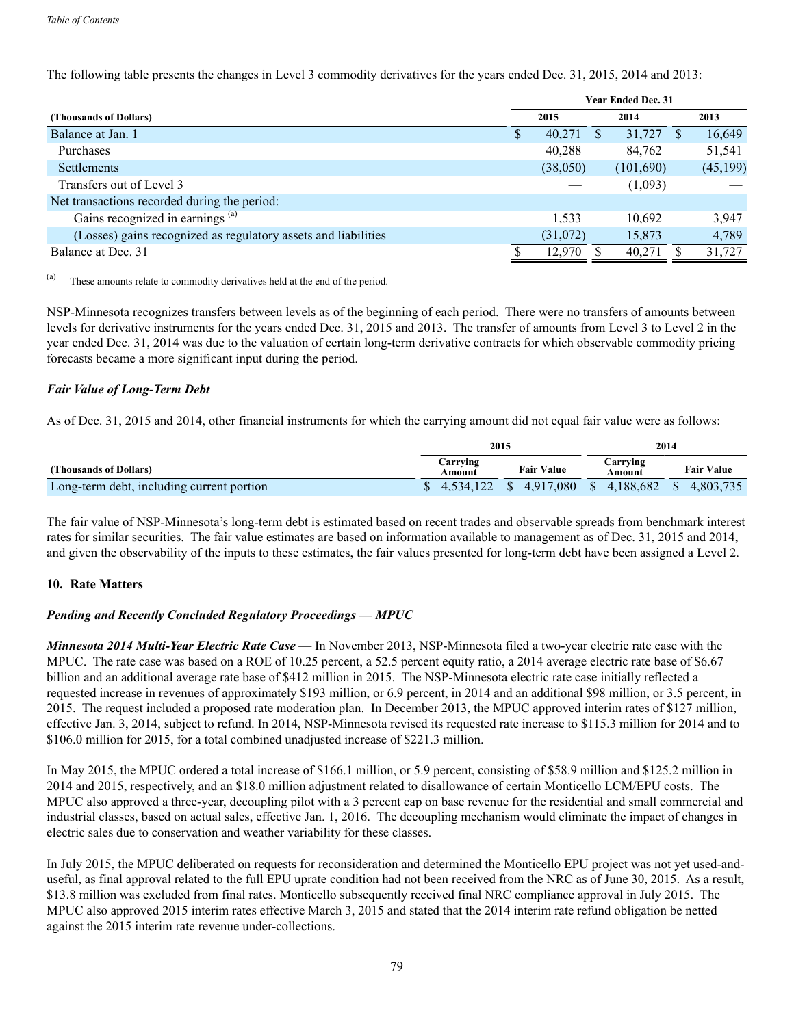|                                                                | <b>Year Ended Dec. 31</b> |          |  |           |  |           |  |  |  |  |
|----------------------------------------------------------------|---------------------------|----------|--|-----------|--|-----------|--|--|--|--|
| (Thousands of Dollars)                                         |                           | 2015     |  | 2014      |  | 2013      |  |  |  |  |
| Balance at Jan. 1                                              | \$                        | 40,271   |  | 31,727    |  | 16,649    |  |  |  |  |
| Purchases                                                      |                           | 40,288   |  | 84,762    |  | 51,541    |  |  |  |  |
| <b>Settlements</b>                                             |                           | (38,050) |  | (101,690) |  | (45, 199) |  |  |  |  |
| Transfers out of Level 3                                       |                           |          |  | (1,093)   |  |           |  |  |  |  |
| Net transactions recorded during the period:                   |                           |          |  |           |  |           |  |  |  |  |
| Gains recognized in earnings <sup>(a)</sup>                    |                           | 1,533    |  | 10,692    |  | 3,947     |  |  |  |  |
| (Losses) gains recognized as regulatory assets and liabilities |                           | (31,072) |  | 15,873    |  | 4,789     |  |  |  |  |
| Balance at Dec. 31                                             |                           | 12,970   |  | 40,271    |  | 31,727    |  |  |  |  |

The following table presents the changes in Level 3 commodity derivatives for the years ended Dec. 31, 2015, 2014 and 2013:

These amounts relate to commodity derivatives held at the end of the period.

NSP-Minnesota recognizes transfers between levels as of the beginning of each period. There were no transfers of amounts between levels for derivative instruments for the years ended Dec. 31, 2015 and 2013. The transfer of amounts from Level 3 to Level 2 in the year ended Dec. 31, 2014 was due to the valuation of certain long-term derivative contracts for which observable commodity pricing forecasts became a more significant input during the period.

# *Fair Value of Long-Term Debt*

As of Dec. 31, 2015 and 2014, other financial instruments for which the carrying amount did not equal fair value were as follows:

|                                           | 2015               |                   | 2014               |                   |
|-------------------------------------------|--------------------|-------------------|--------------------|-------------------|
| (Thousands of Dollars)                    | Carrving<br>Amount | <b>Fair Value</b> | Carrying<br>Amount | <b>Fair Value</b> |
| Long-term debt, including current portion |                    | .080<br>4.917     | 188,682<br>Ф.      | .803              |

The fair value of NSP-Minnesota's long-term debt is estimated based on recent trades and observable spreads from benchmark interest rates for similar securities. The fair value estimates are based on information available to management as of Dec. 31, 2015 and 2014, and given the observability of the inputs to these estimates, the fair values presented for long-term debt have been assigned a Level 2.

### **10. Rate Matters**

# *Pending and Recently Concluded Regulatory Proceedings — MPUC*

*Minnesota 2014 Multi-Year Electric Rate Case* — In November 2013, NSP-Minnesota filed a two-year electric rate case with the MPUC. The rate case was based on a ROE of 10.25 percent, a 52.5 percent equity ratio, a 2014 average electric rate base of \$6.67 billion and an additional average rate base of \$412 million in 2015. The NSP-Minnesota electric rate case initially reflected a requested increase in revenues of approximately \$193 million, or 6.9 percent, in 2014 and an additional \$98 million, or 3.5 percent, in 2015. The request included a proposed rate moderation plan. In December 2013, the MPUC approved interim rates of \$127 million, effective Jan. 3, 2014, subject to refund. In 2014, NSP-Minnesota revised its requested rate increase to \$115.3 million for 2014 and to \$106.0 million for 2015, for a total combined unadjusted increase of \$221.3 million.

In May 2015, the MPUC ordered a total increase of \$166.1 million, or 5.9 percent, consisting of \$58.9 million and \$125.2 million in 2014 and 2015, respectively, and an \$18.0 million adjustment related to disallowance of certain Monticello LCM/EPU costs. The MPUC also approved a three-year, decoupling pilot with a 3 percent cap on base revenue for the residential and small commercial and industrial classes, based on actual sales, effective Jan. 1, 2016. The decoupling mechanism would eliminate the impact of changes in electric sales due to conservation and weather variability for these classes.

In July 2015, the MPUC deliberated on requests for reconsideration and determined the Monticello EPU project was not yet used-anduseful, as final approval related to the full EPU uprate condition had not been received from the NRC as of June 30, 2015. As a result, \$13.8 million was excluded from final rates. Monticello subsequently received final NRC compliance approval in July 2015. The MPUC also approved 2015 interim rates effective March 3, 2015 and stated that the 2014 interim rate refund obligation be netted against the 2015 interim rate revenue under-collections.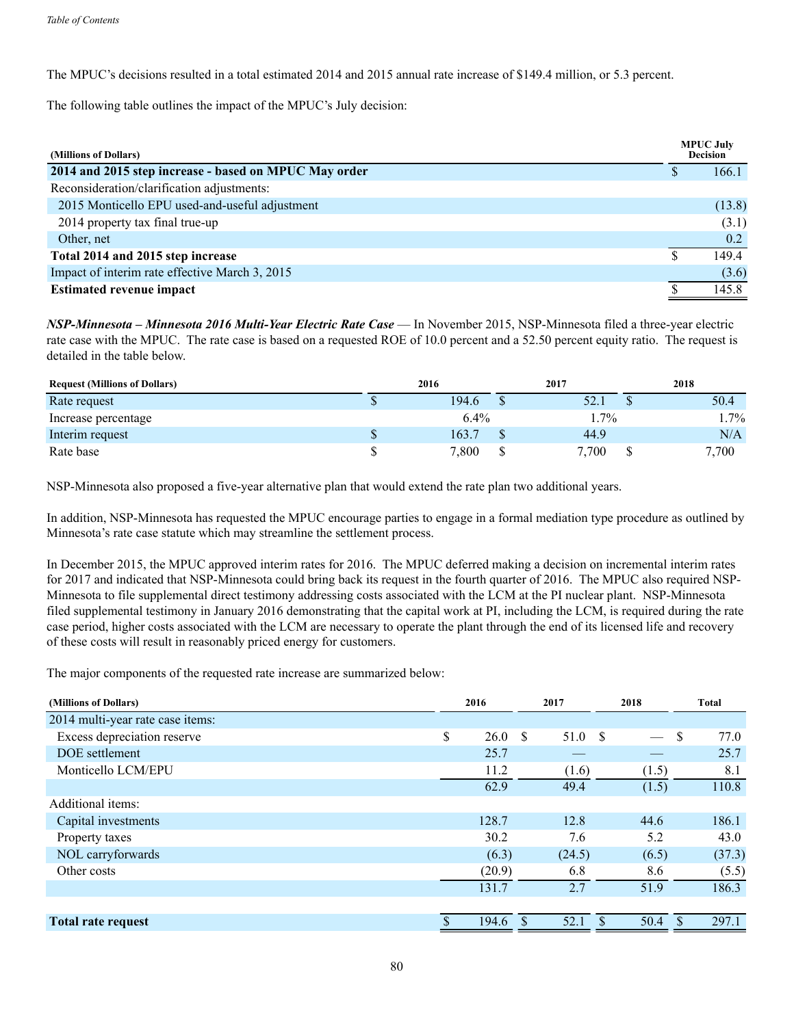The MPUC's decisions resulted in a total estimated 2014 and 2015 annual rate increase of \$149.4 million, or 5.3 percent.

The following table outlines the impact of the MPUC's July decision:

| (Millions of Dollars)                                 | <b>MPUC July</b><br><b>Decision</b> |
|-------------------------------------------------------|-------------------------------------|
| 2014 and 2015 step increase - based on MPUC May order | 166.1                               |
| Reconsideration/clarification adjustments:            |                                     |
| 2015 Monticello EPU used-and-useful adjustment        | (13.8)                              |
| 2014 property tax final true-up                       | (3.1)                               |
| Other, net                                            | 0.2                                 |
| Total 2014 and 2015 step increase                     | 149.4                               |
| Impact of interim rate effective March 3, 2015        | (3.6)                               |
| <b>Estimated revenue impact</b>                       | 145.8                               |

*NSP-Minnesota – Minnesota 2016 Multi-Year Electric Rate Case* — In November 2015, NSP-Minnesota filed a three-year electric rate case with the MPUC. The rate case is based on a requested ROE of 10.0 percent and a 52.50 percent equity ratio. The request is detailed in the table below.

| <b>Request (Millions of Dollars)</b> | 2016 |         | 2017    | 2018   |
|--------------------------------------|------|---------|---------|--------|
| Rate request                         |      | 194.6   | 52.1    | 50.4   |
| Increase percentage                  |      | $6.4\%$ | $1.7\%$ | $.7\%$ |
| Interim request                      |      | 163.7   | 44.9    | N/A    |
| Rate base                            |      | 7,800   | 7.700   | 7,700  |

NSP-Minnesota also proposed a five-year alternative plan that would extend the rate plan two additional years.

In addition, NSP-Minnesota has requested the MPUC encourage parties to engage in a formal mediation type procedure as outlined by Minnesota's rate case statute which may streamline the settlement process.

In December 2015, the MPUC approved interim rates for 2016. The MPUC deferred making a decision on incremental interim rates for 2017 and indicated that NSP-Minnesota could bring back its request in the fourth quarter of 2016. The MPUC also required NSP-Minnesota to file supplemental direct testimony addressing costs associated with the LCM at the PI nuclear plant. NSP-Minnesota filed supplemental testimony in January 2016 demonstrating that the capital work at PI, including the LCM, is required during the rate case period, higher costs associated with the LCM are necessary to operate the plant through the end of its licensed life and recovery of these costs will result in reasonably priced energy for customers.

The major components of the requested rate increase are summarized below:

| (Millions of Dollars)            | 2016         | 2017 |        |                    | 2018  | Total |        |
|----------------------------------|--------------|------|--------|--------------------|-------|-------|--------|
| 2014 multi-year rate case items: |              |      |        |                    |       |       |        |
| Excess depreciation reserve      | \$<br>26.0 S |      | 51.0 S |                    |       | S     | 77.0   |
| DOE settlement                   | 25.7         |      |        |                    |       |       | 25.7   |
| Monticello LCM/EPU               | 11.2         |      | (1.6)  |                    | (1.5) |       | 8.1    |
|                                  | 62.9         |      | 49.4   |                    | (1.5) |       | 110.8  |
| Additional items:                |              |      |        |                    |       |       |        |
| Capital investments              | 128.7        |      | 12.8   |                    | 44.6  |       | 186.1  |
| Property taxes                   | 30.2         |      | 7.6    |                    | 5.2   |       | 43.0   |
| NOL carryforwards                | (6.3)        |      | (24.5) |                    | (6.5) |       | (37.3) |
| Other costs                      | (20.9)       |      | 6.8    |                    | 8.6   |       | (5.5)  |
|                                  | 131.7        |      | 2.7    |                    | 51.9  |       | 186.3  |
|                                  |              |      |        |                    |       |       |        |
| <b>Total rate request</b>        | 194.6        |      | 52.1   | $\mathbf{\hat{S}}$ | 50.4  | \$    | 297.1  |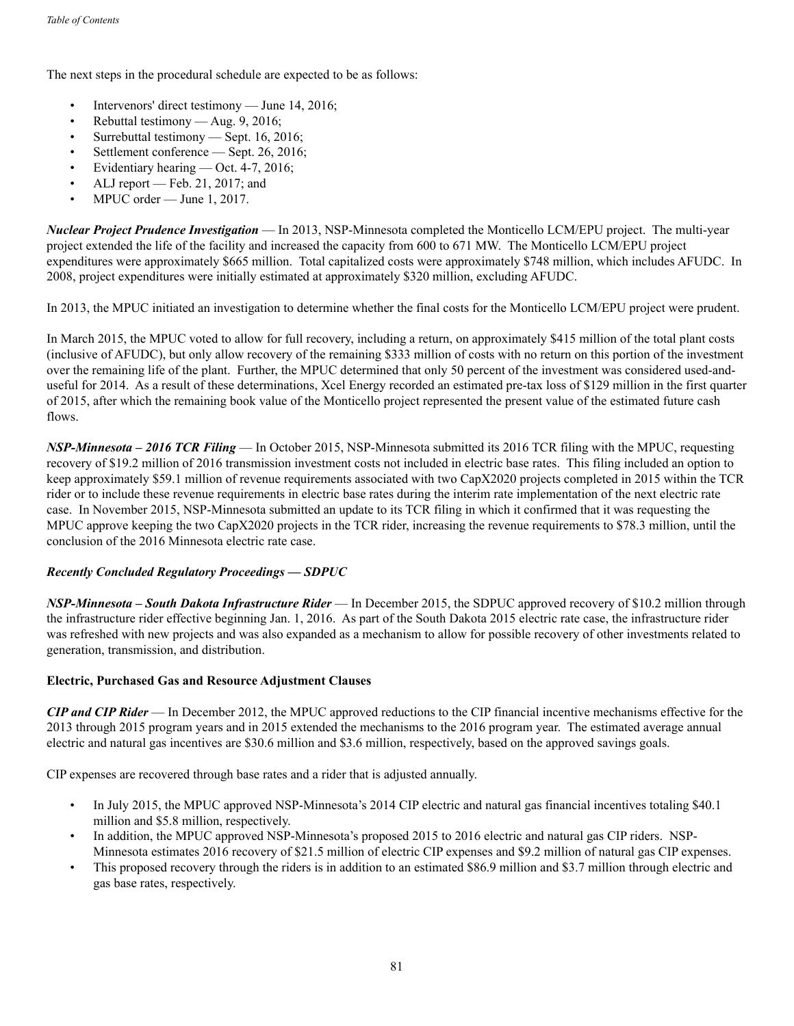The next steps in the procedural schedule are expected to be as follows:

- Intervenors' direct testimony June 14, 2016;
- Rebuttal testimony Aug. 9, 2016;
- Surrebuttal testimony Sept. 16, 2016;
- Settlement conference Sept. 26, 2016;
- Evidentiary hearing Oct. 4-7, 2016;
- ALJ report Feb. 21, 2017; and
- MPUC order June 1, 2017.

*Nuclear Project Prudence Investigation* — In 2013, NSP-Minnesota completed the Monticello LCM/EPU project. The multi-year project extended the life of the facility and increased the capacity from 600 to 671 MW. The Monticello LCM/EPU project expenditures were approximately \$665 million. Total capitalized costs were approximately \$748 million, which includes AFUDC. In 2008, project expenditures were initially estimated at approximately \$320 million, excluding AFUDC.

In 2013, the MPUC initiated an investigation to determine whether the final costs for the Monticello LCM/EPU project were prudent.

In March 2015, the MPUC voted to allow for full recovery, including a return, on approximately \$415 million of the total plant costs (inclusive of AFUDC), but only allow recovery of the remaining \$333 million of costs with no return on this portion of the investment over the remaining life of the plant. Further, the MPUC determined that only 50 percent of the investment was considered used-anduseful for 2014. As a result of these determinations, Xcel Energy recorded an estimated pre-tax loss of \$129 million in the first quarter of 2015, after which the remaining book value of the Monticello project represented the present value of the estimated future cash flows.

*NSP-Minnesota – 2016 TCR Filing* — In October 2015, NSP-Minnesota submitted its 2016 TCR filing with the MPUC, requesting recovery of \$19.2 million of 2016 transmission investment costs not included in electric base rates. This filing included an option to keep approximately \$59.1 million of revenue requirements associated with two CapX2020 projects completed in 2015 within the TCR rider or to include these revenue requirements in electric base rates during the interim rate implementation of the next electric rate case. In November 2015, NSP-Minnesota submitted an update to its TCR filing in which it confirmed that it was requesting the MPUC approve keeping the two CapX2020 projects in the TCR rider, increasing the revenue requirements to \$78.3 million, until the conclusion of the 2016 Minnesota electric rate case.

# *Recently Concluded Regulatory Proceedings — SDPUC*

*NSP-Minnesota – South Dakota Infrastructure Rider* — In December 2015, the SDPUC approved recovery of \$10.2 million through the infrastructure rider effective beginning Jan. 1, 2016. As part of the South Dakota 2015 electric rate case, the infrastructure rider was refreshed with new projects and was also expanded as a mechanism to allow for possible recovery of other investments related to generation, transmission, and distribution.

# **Electric, Purchased Gas and Resource Adjustment Clauses**

*CIP and CIP Rider* — In December 2012, the MPUC approved reductions to the CIP financial incentive mechanisms effective for the 2013 through 2015 program years and in 2015 extended the mechanisms to the 2016 program year. The estimated average annual electric and natural gas incentives are \$30.6 million and \$3.6 million, respectively, based on the approved savings goals.

CIP expenses are recovered through base rates and a rider that is adjusted annually.

- In July 2015, the MPUC approved NSP-Minnesota's 2014 CIP electric and natural gas financial incentives totaling \$40.1 million and \$5.8 million, respectively.
- In addition, the MPUC approved NSP-Minnesota's proposed 2015 to 2016 electric and natural gas CIP riders. NSP-Minnesota estimates 2016 recovery of \$21.5 million of electric CIP expenses and \$9.2 million of natural gas CIP expenses.
- This proposed recovery through the riders is in addition to an estimated \$86.9 million and \$3.7 million through electric and gas base rates, respectively.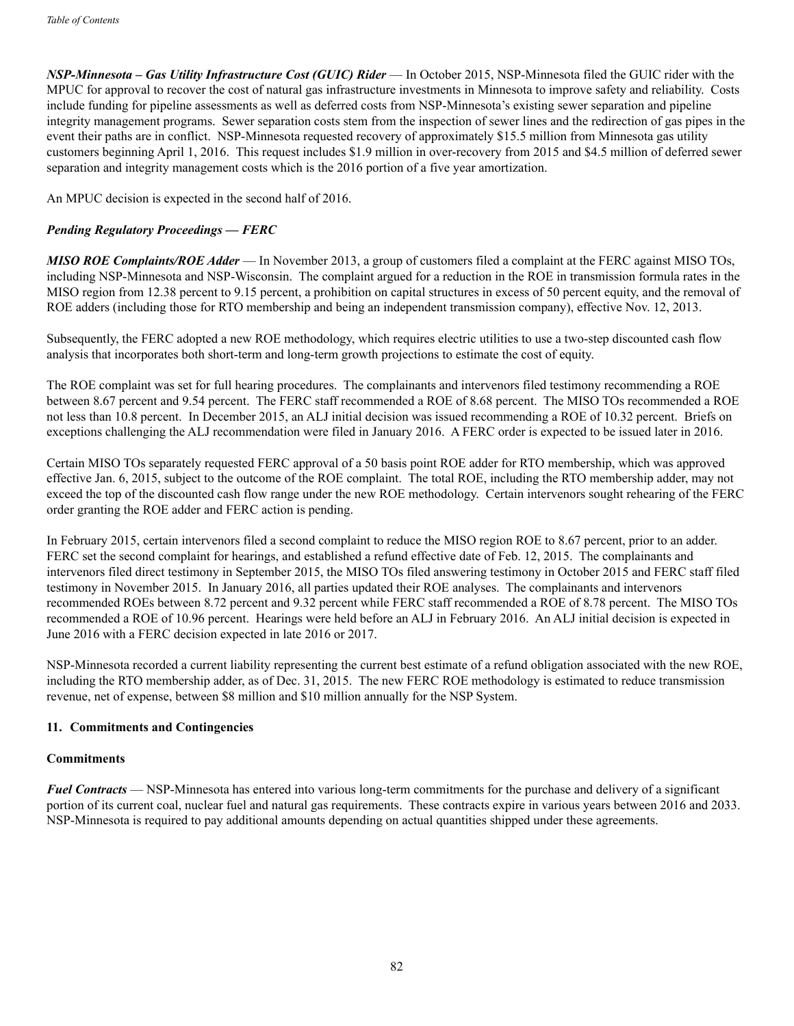*NSP-Minnesota – Gas Utility Infrastructure Cost (GUIC) Rider* — In October 2015, NSP-Minnesota filed the GUIC rider with the MPUC for approval to recover the cost of natural gas infrastructure investments in Minnesota to improve safety and reliability. Costs include funding for pipeline assessments as well as deferred costs from NSP-Minnesota's existing sewer separation and pipeline integrity management programs. Sewer separation costs stem from the inspection of sewer lines and the redirection of gas pipes in the event their paths are in conflict. NSP-Minnesota requested recovery of approximately \$15.5 million from Minnesota gas utility customers beginning April 1, 2016. This request includes \$1.9 million in over-recovery from 2015 and \$4.5 million of deferred sewer separation and integrity management costs which is the 2016 portion of a five year amortization.

An MPUC decision is expected in the second half of 2016.

# *Pending Regulatory Proceedings — FERC*

*MISO ROE Complaints/ROE Adder* — In November 2013, a group of customers filed a complaint at the FERC against MISO TOs, including NSP-Minnesota and NSP-Wisconsin. The complaint argued for a reduction in the ROE in transmission formula rates in the MISO region from 12.38 percent to 9.15 percent, a prohibition on capital structures in excess of 50 percent equity, and the removal of ROE adders (including those for RTO membership and being an independent transmission company), effective Nov. 12, 2013.

Subsequently, the FERC adopted a new ROE methodology, which requires electric utilities to use a two-step discounted cash flow analysis that incorporates both short-term and long-term growth projections to estimate the cost of equity.

The ROE complaint was set for full hearing procedures. The complainants and intervenors filed testimony recommending a ROE between 8.67 percent and 9.54 percent. The FERC staff recommended a ROE of 8.68 percent. The MISO TOs recommended a ROE not less than 10.8 percent. In December 2015, an ALJ initial decision was issued recommending a ROE of 10.32 percent. Briefs on exceptions challenging the ALJ recommendation were filed in January 2016. A FERC order is expected to be issued later in 2016.

Certain MISO TOs separately requested FERC approval of a 50 basis point ROE adder for RTO membership, which was approved effective Jan. 6, 2015, subject to the outcome of the ROE complaint. The total ROE, including the RTO membership adder, may not exceed the top of the discounted cash flow range under the new ROE methodology. Certain intervenors sought rehearing of the FERC order granting the ROE adder and FERC action is pending.

In February 2015, certain intervenors filed a second complaint to reduce the MISO region ROE to 8.67 percent, prior to an adder. FERC set the second complaint for hearings, and established a refund effective date of Feb. 12, 2015. The complainants and intervenors filed direct testimony in September 2015, the MISO TOs filed answering testimony in October 2015 and FERC staff filed testimony in November 2015. In January 2016, all parties updated their ROE analyses. The complainants and intervenors recommended ROEs between 8.72 percent and 9.32 percent while FERC staff recommended a ROE of 8.78 percent. The MISO TOs recommended a ROE of 10.96 percent. Hearings were held before an ALJ in February 2016. An ALJ initial decision is expected in June 2016 with a FERC decision expected in late 2016 or 2017.

NSP-Minnesota recorded a current liability representing the current best estimate of a refund obligation associated with the new ROE, including the RTO membership adder, as of Dec. 31, 2015. The new FERC ROE methodology is estimated to reduce transmission revenue, net of expense, between \$8 million and \$10 million annually for the NSP System.

# **11. Commitments and Contingencies**

#### **Commitments**

*Fuel Contracts* — NSP-Minnesota has entered into various long-term commitments for the purchase and delivery of a significant portion of its current coal, nuclear fuel and natural gas requirements. These contracts expire in various years between 2016 and 2033. NSP-Minnesota is required to pay additional amounts depending on actual quantities shipped under these agreements.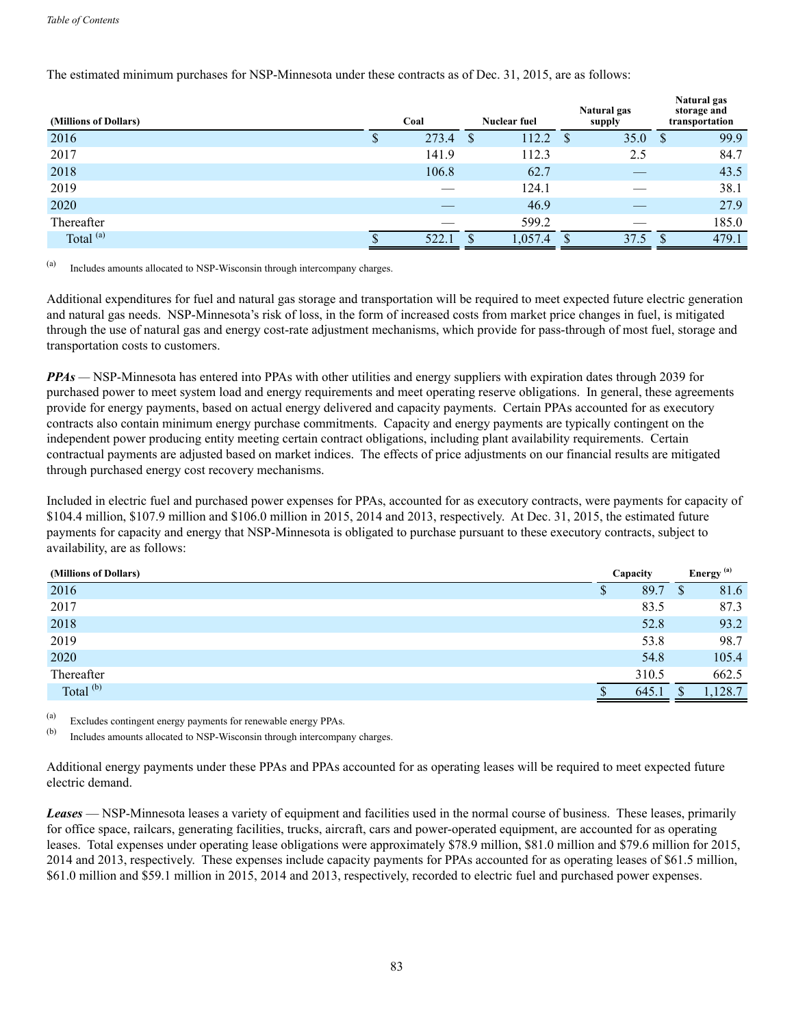# The estimated minimum purchases for NSP-Minnesota under these contracts as of Dec. 31, 2015, are as follows:

| (Millions of Dollars) | Coal  |               | <b>Nuclear fuel</b> |     | Natural gas<br>supply |    | Natural gas<br>storage and<br>transportation |
|-----------------------|-------|---------------|---------------------|-----|-----------------------|----|----------------------------------------------|
| 2016                  | 273.4 | <sup>\$</sup> | 112.2               | - S | 35.0                  | -S | 99.9                                         |
| 2017                  | 141.9 |               | 112.3               |     | 2.5                   |    | 84.7                                         |
| 2018                  | 106.8 |               | 62.7                |     |                       |    | 43.5                                         |
| 2019                  |       |               | 124.1               |     |                       |    | 38.1                                         |
| 2020                  |       |               | 46.9                |     |                       |    | 27.9                                         |
| Thereafter            |       |               | 599.2               |     |                       |    | 185.0                                        |
| Total <sup>(a)</sup>  | 522.1 |               | 1,057.4             |     | 37.5                  |    | 479.1                                        |

(a) Includes amounts allocated to NSP-Wisconsin through intercompany charges.

Additional expenditures for fuel and natural gas storage and transportation will be required to meet expected future electric generation and natural gas needs. NSP-Minnesota's risk of loss, in the form of increased costs from market price changes in fuel, is mitigated through the use of natural gas and energy cost-rate adjustment mechanisms, which provide for pass-through of most fuel, storage and transportation costs to customers.

*PPAs —* NSP-Minnesota has entered into PPAs with other utilities and energy suppliers with expiration dates through 2039 for purchased power to meet system load and energy requirements and meet operating reserve obligations. In general, these agreements provide for energy payments, based on actual energy delivered and capacity payments. Certain PPAs accounted for as executory contracts also contain minimum energy purchase commitments. Capacity and energy payments are typically contingent on the independent power producing entity meeting certain contract obligations, including plant availability requirements. Certain contractual payments are adjusted based on market indices. The effects of price adjustments on our financial results are mitigated through purchased energy cost recovery mechanisms.

Included in electric fuel and purchased power expenses for PPAs, accounted for as executory contracts, were payments for capacity of \$104.4 million, \$107.9 million and \$106.0 million in 2015, 2014 and 2013, respectively. At Dec. 31, 2015, the estimated future payments for capacity and energy that NSP-Minnesota is obligated to purchase pursuant to these executory contracts, subject to availability, are as follows:

| (Millions of Dollars) | Capacity |       |    | Energy <sup>(a)</sup> |
|-----------------------|----------|-------|----|-----------------------|
| 2016                  | Φ        | 89.7  | J. | 81.6                  |
| 2017                  |          | 83.5  |    | 87.3                  |
| 2018                  |          | 52.8  |    | 93.2                  |
| 2019                  |          | 53.8  |    | 98.7                  |
| 2020                  |          | 54.8  |    | 105.4                 |
| Thereafter            |          | 310.5 |    | 662.5                 |
| Total <sup>(b)</sup>  |          | 645.1 |    | ,128.7                |

(a) Excludes contingent energy payments for renewable energy PPAs.<br>(b) Includes emounts allocated to NSB Wisconsin through intercompa

Includes amounts allocated to NSP-Wisconsin through intercompany charges.

Additional energy payments under these PPAs and PPAs accounted for as operating leases will be required to meet expected future electric demand.

*Leases* — NSP-Minnesota leases a variety of equipment and facilities used in the normal course of business. These leases, primarily for office space, railcars, generating facilities, trucks, aircraft, cars and power-operated equipment, are accounted for as operating leases. Total expenses under operating lease obligations were approximately \$78.9 million, \$81.0 million and \$79.6 million for 2015, 2014 and 2013, respectively. These expenses include capacity payments for PPAs accounted for as operating leases of \$61.5 million, \$61.0 million and \$59.1 million in 2015, 2014 and 2013, respectively, recorded to electric fuel and purchased power expenses.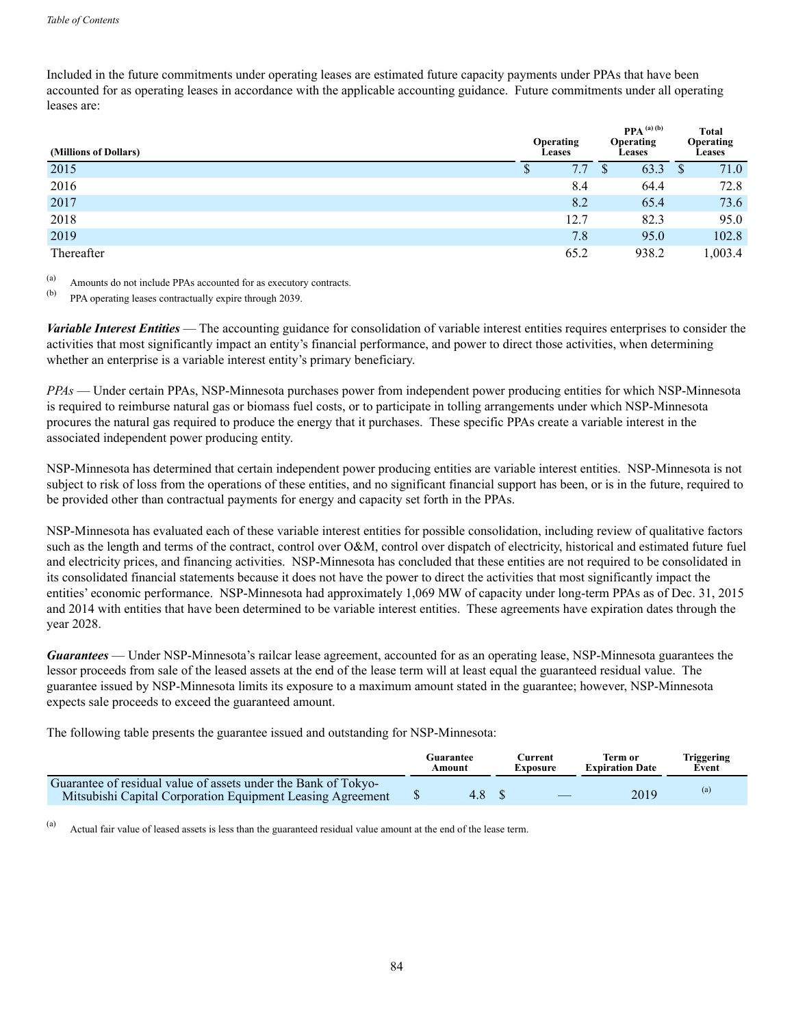Included in the future commitments under operating leases are estimated future capacity payments under PPAs that have been accounted for as operating leases in accordance with the applicable accounting guidance. Future commitments under all operating leases are:

| (Millions of Dollars) |              | Operating<br><b>Leases</b> | $PPA^{(a)(b)}$<br>Operating<br><b>Leases</b> | <b>Total</b><br>Operating<br><b>Leases</b> |         |
|-----------------------|--------------|----------------------------|----------------------------------------------|--------------------------------------------|---------|
| 2015                  | $\mathbf{D}$ | 7.7                        | 63.3                                         | <sup>S</sup>                               | 71.0    |
| 2016                  |              | 8.4                        | 64.4                                         |                                            | 72.8    |
| 2017                  |              | 8.2                        | 65.4                                         |                                            | 73.6    |
| 2018                  |              | 12.7                       | 82.3                                         |                                            | 95.0    |
| 2019                  |              | 7.8                        | 95.0                                         |                                            | 102.8   |
| Thereafter            |              | 65.2                       | 938.2                                        |                                            | 1,003.4 |

(a) Amounts do not include PPAs accounted for as executory contracts.

(b) PPA operating leases contractually expire through 2039.

*Variable Interest Entities* — The accounting guidance for consolidation of variable interest entities requires enterprises to consider the activities that most significantly impact an entity's financial performance, and power to direct those activities, when determining whether an enterprise is a variable interest entity's primary beneficiary.

*PPAs* — Under certain PPAs, NSP-Minnesota purchases power from independent power producing entities for which NSP-Minnesota is required to reimburse natural gas or biomass fuel costs, or to participate in tolling arrangements under which NSP-Minnesota procures the natural gas required to produce the energy that it purchases. These specific PPAs create a variable interest in the associated independent power producing entity.

NSP-Minnesota has determined that certain independent power producing entities are variable interest entities. NSP-Minnesota is not subject to risk of loss from the operations of these entities, and no significant financial support has been, or is in the future, required to be provided other than contractual payments for energy and capacity set forth in the PPAs.

NSP-Minnesota has evaluated each of these variable interest entities for possible consolidation, including review of qualitative factors such as the length and terms of the contract, control over O&M, control over dispatch of electricity, historical and estimated future fuel and electricity prices, and financing activities. NSP-Minnesota has concluded that these entities are not required to be consolidated in its consolidated financial statements because it does not have the power to direct the activities that most significantly impact the entities' economic performance. NSP-Minnesota had approximately 1,069 MW of capacity under long-term PPAs as of Dec. 31, 2015 and 2014 with entities that have been determined to be variable interest entities. These agreements have expiration dates through the year 2028.

*Guarantees* — Under NSP-Minnesota's railcar lease agreement, accounted for as an operating lease, NSP-Minnesota guarantees the lessor proceeds from sale of the leased assets at the end of the lease term will at least equal the guaranteed residual value. The guarantee issued by NSP-Minnesota limits its exposure to a maximum amount stated in the guarantee; however, NSP-Minnesota expects sale proceeds to exceed the guaranteed amount.

The following table presents the guarantee issued and outstanding for NSP-Minnesota:

|                                                                                                                              | Guarantee | ∑urrent  | Term or                | Triggering |
|------------------------------------------------------------------------------------------------------------------------------|-----------|----------|------------------------|------------|
|                                                                                                                              | Amount    | Exposure | <b>Expiration Date</b> | Event      |
| Guarantee of residual value of assets under the Bank of Tokyo-<br>Mitsubishi Capital Corporation Equipment Leasing Agreement | 4.8       |          | 2019                   | (a)        |

(a) Actual fair value of leased assets is less than the guaranteed residual value amount at the end of the lease term.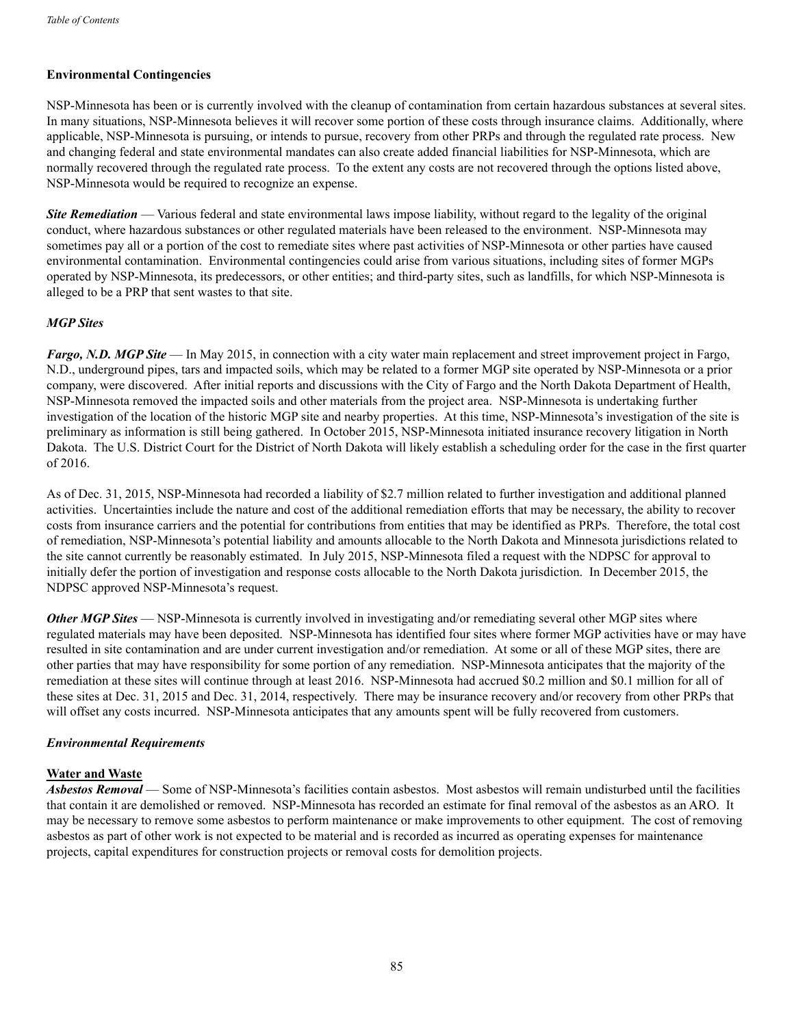# **Environmental Contingencies**

NSP-Minnesota has been or is currently involved with the cleanup of contamination from certain hazardous substances at several sites. In many situations, NSP-Minnesota believes it will recover some portion of these costs through insurance claims. Additionally, where applicable, NSP-Minnesota is pursuing, or intends to pursue, recovery from other PRPs and through the regulated rate process. New and changing federal and state environmental mandates can also create added financial liabilities for NSP-Minnesota, which are normally recovered through the regulated rate process. To the extent any costs are not recovered through the options listed above, NSP-Minnesota would be required to recognize an expense.

*Site Remediation* — Various federal and state environmental laws impose liability, without regard to the legality of the original conduct, where hazardous substances or other regulated materials have been released to the environment. NSP-Minnesota may sometimes pay all or a portion of the cost to remediate sites where past activities of NSP-Minnesota or other parties have caused environmental contamination. Environmental contingencies could arise from various situations, including sites of former MGPs operated by NSP-Minnesota, its predecessors, or other entities; and third-party sites, such as landfills, for which NSP-Minnesota is alleged to be a PRP that sent wastes to that site.

### *MGP Sites*

*Fargo, N.D. MGP Site* — In May 2015, in connection with a city water main replacement and street improvement project in Fargo, N.D., underground pipes, tars and impacted soils, which may be related to a former MGP site operated by NSP-Minnesota or a prior company, were discovered. After initial reports and discussions with the City of Fargo and the North Dakota Department of Health, NSP-Minnesota removed the impacted soils and other materials from the project area. NSP-Minnesota is undertaking further investigation of the location of the historic MGP site and nearby properties. At this time, NSP-Minnesota's investigation of the site is preliminary as information is still being gathered. In October 2015, NSP-Minnesota initiated insurance recovery litigation in North Dakota. The U.S. District Court for the District of North Dakota will likely establish a scheduling order for the case in the first quarter of 2016.

As of Dec. 31, 2015, NSP-Minnesota had recorded a liability of \$2.7 million related to further investigation and additional planned activities. Uncertainties include the nature and cost of the additional remediation efforts that may be necessary, the ability to recover costs from insurance carriers and the potential for contributions from entities that may be identified as PRPs. Therefore, the total cost of remediation, NSP-Minnesota's potential liability and amounts allocable to the North Dakota and Minnesota jurisdictions related to the site cannot currently be reasonably estimated. In July 2015, NSP-Minnesota filed a request with the NDPSC for approval to initially defer the portion of investigation and response costs allocable to the North Dakota jurisdiction. In December 2015, the NDPSC approved NSP-Minnesota's request.

*Other MGP Sites* — NSP-Minnesota is currently involved in investigating and/or remediating several other MGP sites where regulated materials may have been deposited. NSP-Minnesota has identified four sites where former MGP activities have or may have resulted in site contamination and are under current investigation and/or remediation. At some or all of these MGP sites, there are other parties that may have responsibility for some portion of any remediation. NSP-Minnesota anticipates that the majority of the remediation at these sites will continue through at least 2016. NSP-Minnesota had accrued \$0.2 million and \$0.1 million for all of these sites at Dec. 31, 2015 and Dec. 31, 2014, respectively. There may be insurance recovery and/or recovery from other PRPs that will offset any costs incurred. NSP-Minnesota anticipates that any amounts spent will be fully recovered from customers.

#### *Environmental Requirements*

# **Water and Waste**

*Asbestos Removal* — Some of NSP-Minnesota's facilities contain asbestos. Most asbestos will remain undisturbed until the facilities that contain it are demolished or removed. NSP-Minnesota has recorded an estimate for final removal of the asbestos as an ARO. It may be necessary to remove some asbestos to perform maintenance or make improvements to other equipment. The cost of removing asbestos as part of other work is not expected to be material and is recorded as incurred as operating expenses for maintenance projects, capital expenditures for construction projects or removal costs for demolition projects.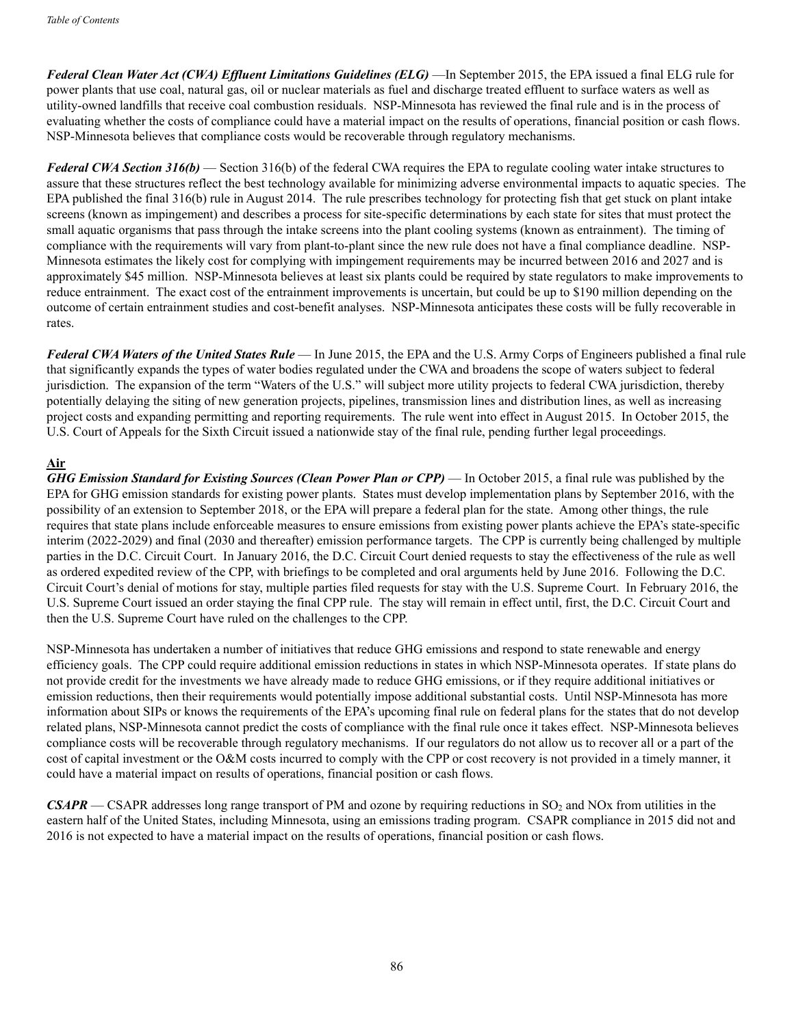*Federal Clean Water Act (CWA) Effluent Limitations Guidelines (ELG)* —In September 2015, the EPA issued a final ELG rule for power plants that use coal, natural gas, oil or nuclear materials as fuel and discharge treated effluent to surface waters as well as utility-owned landfills that receive coal combustion residuals. NSP-Minnesota has reviewed the final rule and is in the process of evaluating whether the costs of compliance could have a material impact on the results of operations, financial position or cash flows. NSP-Minnesota believes that compliance costs would be recoverable through regulatory mechanisms.

*Federal CWA Section 316(b)* — Section 316(b) of the federal CWA requires the EPA to regulate cooling water intake structures to assure that these structures reflect the best technology available for minimizing adverse environmental impacts to aquatic species. The EPA published the final 316(b) rule in August 2014. The rule prescribes technology for protecting fish that get stuck on plant intake screens (known as impingement) and describes a process for site-specific determinations by each state for sites that must protect the small aquatic organisms that pass through the intake screens into the plant cooling systems (known as entrainment). The timing of compliance with the requirements will vary from plant-to-plant since the new rule does not have a final compliance deadline. NSP-Minnesota estimates the likely cost for complying with impingement requirements may be incurred between 2016 and 2027 and is approximately \$45 million. NSP-Minnesota believes at least six plants could be required by state regulators to make improvements to reduce entrainment. The exact cost of the entrainment improvements is uncertain, but could be up to \$190 million depending on the outcome of certain entrainment studies and cost-benefit analyses. NSP-Minnesota anticipates these costs will be fully recoverable in rates.

*Federal CWA Waters of the United States Rule* — In June 2015, the EPA and the U.S. Army Corps of Engineers published a final rule that significantly expands the types of water bodies regulated under the CWA and broadens the scope of waters subject to federal jurisdiction. The expansion of the term "Waters of the U.S." will subject more utility projects to federal CWA jurisdiction, thereby potentially delaying the siting of new generation projects, pipelines, transmission lines and distribution lines, as well as increasing project costs and expanding permitting and reporting requirements. The rule went into effect in August 2015. In October 2015, the U.S. Court of Appeals for the Sixth Circuit issued a nationwide stay of the final rule, pending further legal proceedings.

# **Air**

*GHG Emission Standard for Existing Sources (Clean Power Plan or CPP)* — In October 2015, a final rule was published by the EPA for GHG emission standards for existing power plants. States must develop implementation plans by September 2016, with the possibility of an extension to September 2018, or the EPA will prepare a federal plan for the state. Among other things, the rule requires that state plans include enforceable measures to ensure emissions from existing power plants achieve the EPA's state-specific interim (2022-2029) and final (2030 and thereafter) emission performance targets. The CPP is currently being challenged by multiple parties in the D.C. Circuit Court. In January 2016, the D.C. Circuit Court denied requests to stay the effectiveness of the rule as well as ordered expedited review of the CPP, with briefings to be completed and oral arguments held by June 2016. Following the D.C. Circuit Court's denial of motions for stay, multiple parties filed requests for stay with the U.S. Supreme Court. In February 2016, the U.S. Supreme Court issued an order staying the final CPP rule. The stay will remain in effect until, first, the D.C. Circuit Court and then the U.S. Supreme Court have ruled on the challenges to the CPP.

NSP-Minnesota has undertaken a number of initiatives that reduce GHG emissions and respond to state renewable and energy efficiency goals. The CPP could require additional emission reductions in states in which NSP-Minnesota operates. If state plans do not provide credit for the investments we have already made to reduce GHG emissions, or if they require additional initiatives or emission reductions, then their requirements would potentially impose additional substantial costs. Until NSP-Minnesota has more information about SIPs or knows the requirements of the EPA's upcoming final rule on federal plans for the states that do not develop related plans, NSP-Minnesota cannot predict the costs of compliance with the final rule once it takes effect. NSP-Minnesota believes compliance costs will be recoverable through regulatory mechanisms. If our regulators do not allow us to recover all or a part of the cost of capital investment or the O&M costs incurred to comply with the CPP or cost recovery is not provided in a timely manner, it could have a material impact on results of operations, financial position or cash flows.

*CSAPR* — CSAPR addresses long range transport of PM and ozone by requiring reductions in SO<sub>2</sub> and NOx from utilities in the eastern half of the United States, including Minnesota, using an emissions trading program. CSAPR compliance in 2015 did not and 2016 is not expected to have a material impact on the results of operations, financial position or cash flows.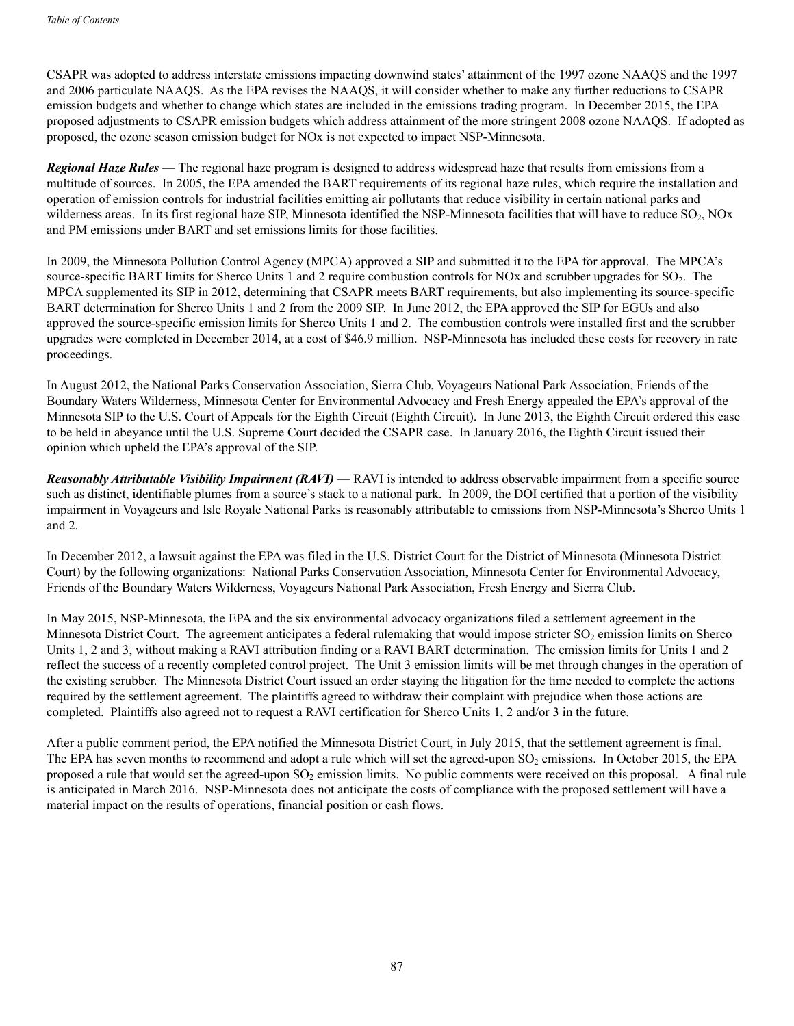CSAPR was adopted to address interstate emissions impacting downwind states' attainment of the 1997 ozone NAAQS and the 1997 and 2006 particulate NAAQS. As the EPA revises the NAAQS, it will consider whether to make any further reductions to CSAPR emission budgets and whether to change which states are included in the emissions trading program. In December 2015, the EPA proposed adjustments to CSAPR emission budgets which address attainment of the more stringent 2008 ozone NAAQS. If adopted as proposed, the ozone season emission budget for NOx is not expected to impact NSP-Minnesota.

*Regional Haze Rules* — The regional haze program is designed to address widespread haze that results from emissions from a multitude of sources. In 2005, the EPA amended the BART requirements of its regional haze rules, which require the installation and operation of emission controls for industrial facilities emitting air pollutants that reduce visibility in certain national parks and wilderness areas. In its first regional haze SIP, Minnesota identified the NSP-Minnesota facilities that will have to reduce SO<sub>2</sub>, NOx and PM emissions under BART and set emissions limits for those facilities.

In 2009, the Minnesota Pollution Control Agency (MPCA) approved a SIP and submitted it to the EPA for approval. The MPCA's source-specific BART limits for Sherco Units 1 and 2 require combustion controls for NOx and scrubber upgrades for  $SO<sub>2</sub>$ . The MPCA supplemented its SIP in 2012, determining that CSAPR meets BART requirements, but also implementing its source-specific BART determination for Sherco Units 1 and 2 from the 2009 SIP. In June 2012, the EPA approved the SIP for EGUs and also approved the source-specific emission limits for Sherco Units 1 and 2. The combustion controls were installed first and the scrubber upgrades were completed in December 2014, at a cost of \$46.9 million. NSP-Minnesota has included these costs for recovery in rate proceedings.

In August 2012, the National Parks Conservation Association, Sierra Club, Voyageurs National Park Association, Friends of the Boundary Waters Wilderness, Minnesota Center for Environmental Advocacy and Fresh Energy appealed the EPA's approval of the Minnesota SIP to the U.S. Court of Appeals for the Eighth Circuit (Eighth Circuit). In June 2013, the Eighth Circuit ordered this case to be held in abeyance until the U.S. Supreme Court decided the CSAPR case. In January 2016, the Eighth Circuit issued their opinion which upheld the EPA's approval of the SIP.

*Reasonably Attributable Visibility Impairment (RAVI)* — RAVI is intended to address observable impairment from a specific source such as distinct, identifiable plumes from a source's stack to a national park. In 2009, the DOI certified that a portion of the visibility impairment in Voyageurs and Isle Royale National Parks is reasonably attributable to emissions from NSP-Minnesota's Sherco Units 1 and 2.

In December 2012, a lawsuit against the EPA was filed in the U.S. District Court for the District of Minnesota (Minnesota District Court) by the following organizations: National Parks Conservation Association, Minnesota Center for Environmental Advocacy, Friends of the Boundary Waters Wilderness, Voyageurs National Park Association, Fresh Energy and Sierra Club.

In May 2015, NSP-Minnesota, the EPA and the six environmental advocacy organizations filed a settlement agreement in the Minnesota District Court. The agreement anticipates a federal rulemaking that would impose stricter SO<sub>2</sub> emission limits on Sherco Units 1, 2 and 3, without making a RAVI attribution finding or a RAVI BART determination. The emission limits for Units 1 and 2 reflect the success of a recently completed control project. The Unit 3 emission limits will be met through changes in the operation of the existing scrubber. The Minnesota District Court issued an order staying the litigation for the time needed to complete the actions required by the settlement agreement. The plaintiffs agreed to withdraw their complaint with prejudice when those actions are completed. Plaintiffs also agreed not to request a RAVI certification for Sherco Units 1, 2 and/or 3 in the future.

After a public comment period, the EPA notified the Minnesota District Court, in July 2015, that the settlement agreement is final. The EPA has seven months to recommend and adopt a rule which will set the agreed-upon  $SO<sub>2</sub>$  emissions. In October 2015, the EPA proposed a rule that would set the agreed-upon SO<sub>2</sub> emission limits. No public comments were received on this proposal. A final rule is anticipated in March 2016. NSP-Minnesota does not anticipate the costs of compliance with the proposed settlement will have a material impact on the results of operations, financial position or cash flows.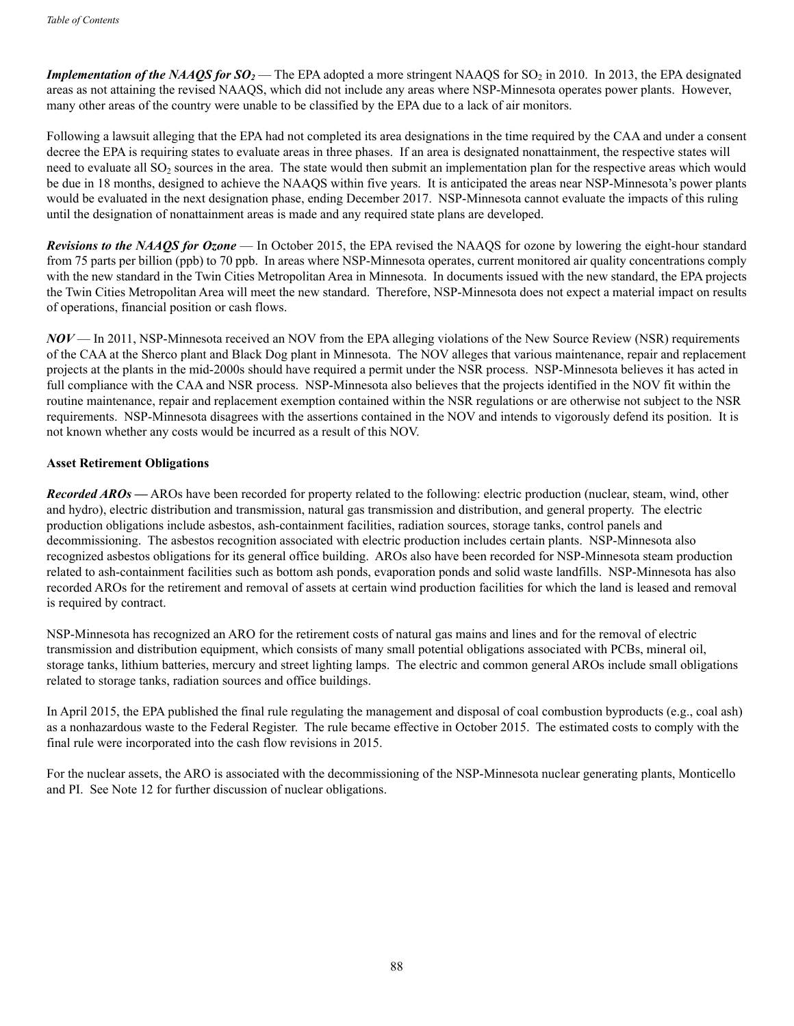*Implementation of the NAAQS for*  $SO_2$ *—The EPA adopted a more stringent NAAQS for SO<sub>2</sub> in 2010. In 2013, the EPA designated* areas as not attaining the revised NAAQS, which did not include any areas where NSP-Minnesota operates power plants. However, many other areas of the country were unable to be classified by the EPA due to a lack of air monitors.

Following a lawsuit alleging that the EPA had not completed its area designations in the time required by the CAA and under a consent decree the EPA is requiring states to evaluate areas in three phases. If an area is designated nonattainment, the respective states will need to evaluate all SO<sub>2</sub> sources in the area. The state would then submit an implementation plan for the respective areas which would be due in 18 months, designed to achieve the NAAQS within five years. It is anticipated the areas near NSP-Minnesota's power plants would be evaluated in the next designation phase, ending December 2017. NSP-Minnesota cannot evaluate the impacts of this ruling until the designation of nonattainment areas is made and any required state plans are developed.

*Revisions to the NAAQS for Ozone* — In October 2015, the EPA revised the NAAQS for ozone by lowering the eight-hour standard from 75 parts per billion (ppb) to 70 ppb. In areas where NSP-Minnesota operates, current monitored air quality concentrations comply with the new standard in the Twin Cities Metropolitan Area in Minnesota. In documents issued with the new standard, the EPA projects the Twin Cities Metropolitan Area will meet the new standard. Therefore, NSP-Minnesota does not expect a material impact on results of operations, financial position or cash flows.

*NOV* — In 2011, NSP-Minnesota received an NOV from the EPA alleging violations of the New Source Review (NSR) requirements of the CAA at the Sherco plant and Black Dog plant in Minnesota. The NOV alleges that various maintenance, repair and replacement projects at the plants in the mid-2000s should have required a permit under the NSR process. NSP-Minnesota believes it has acted in full compliance with the CAA and NSR process. NSP-Minnesota also believes that the projects identified in the NOV fit within the routine maintenance, repair and replacement exemption contained within the NSR regulations or are otherwise not subject to the NSR requirements. NSP-Minnesota disagrees with the assertions contained in the NOV and intends to vigorously defend its position. It is not known whether any costs would be incurred as a result of this NOV.

# **Asset Retirement Obligations**

*Recorded AROs —* AROs have been recorded for property related to the following: electric production (nuclear, steam, wind, other and hydro), electric distribution and transmission, natural gas transmission and distribution, and general property. The electric production obligations include asbestos, ash-containment facilities, radiation sources, storage tanks, control panels and decommissioning. The asbestos recognition associated with electric production includes certain plants. NSP-Minnesota also recognized asbestos obligations for its general office building. AROs also have been recorded for NSP-Minnesota steam production related to ash-containment facilities such as bottom ash ponds, evaporation ponds and solid waste landfills. NSP-Minnesota has also recorded AROs for the retirement and removal of assets at certain wind production facilities for which the land is leased and removal is required by contract.

NSP-Minnesota has recognized an ARO for the retirement costs of natural gas mains and lines and for the removal of electric transmission and distribution equipment, which consists of many small potential obligations associated with PCBs, mineral oil, storage tanks, lithium batteries, mercury and street lighting lamps. The electric and common general AROs include small obligations related to storage tanks, radiation sources and office buildings.

In April 2015, the EPA published the final rule regulating the management and disposal of coal combustion byproducts (e.g., coal ash) as a nonhazardous waste to the Federal Register. The rule became effective in October 2015. The estimated costs to comply with the final rule were incorporated into the cash flow revisions in 2015.

For the nuclear assets, the ARO is associated with the decommissioning of the NSP-Minnesota nuclear generating plants, Monticello and PI. See Note 12 for further discussion of nuclear obligations.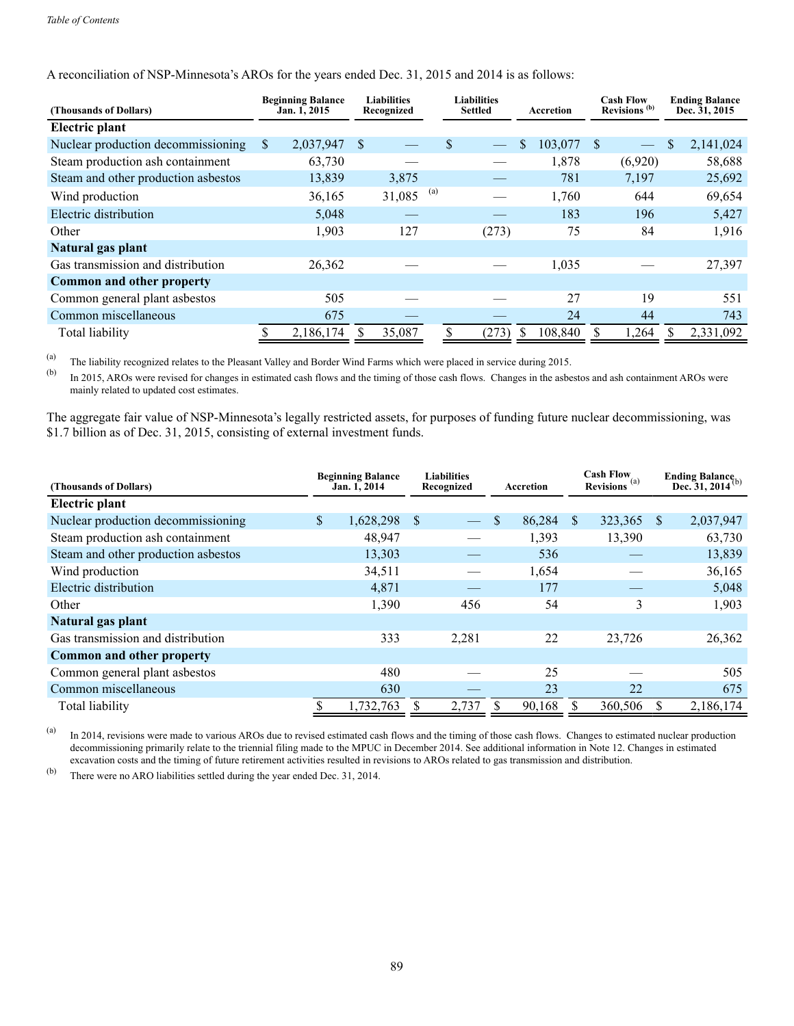| (Thousands of Dollars)              | <b>Beginning Balance</b><br>Jan. 1, 2015 |               | <b>Liabilities</b><br>Recognized |     | <b>Liabilities</b><br><b>Settled</b> | Accretion    |         | <b>Cash Flow</b><br>Revisions <sup>(b)</sup> |         |              | <b>Ending Balance</b><br>Dec. 31, 2015 |
|-------------------------------------|------------------------------------------|---------------|----------------------------------|-----|--------------------------------------|--------------|---------|----------------------------------------------|---------|--------------|----------------------------------------|
| <b>Electric plant</b>               |                                          |               |                                  |     |                                      |              |         |                                              |         |              |                                        |
| Nuclear production decommissioning  | \$<br>2,037,947                          | <sup>\$</sup> |                                  |     | \$                                   | <sup>S</sup> | 103,077 | -S                                           |         | $\mathbb{S}$ | 2,141,024                              |
| Steam production ash containment    | 63,730                                   |               |                                  |     |                                      |              | 1,878   |                                              | (6,920) |              | 58,688                                 |
| Steam and other production asbestos | 13,839                                   |               | 3,875                            |     |                                      |              | 781     |                                              | 7,197   |              | 25,692                                 |
| Wind production                     | 36,165                                   |               | 31,085                           | (a) |                                      |              | 1,760   |                                              | 644     |              | 69,654                                 |
| Electric distribution               | 5,048                                    |               |                                  |     |                                      |              | 183     |                                              | 196     |              | 5,427                                  |
| Other                               | 1,903                                    |               | 127                              |     | (273)                                |              | 75      |                                              | 84      |              | 1,916                                  |
| Natural gas plant                   |                                          |               |                                  |     |                                      |              |         |                                              |         |              |                                        |
| Gas transmission and distribution   | 26,362                                   |               |                                  |     |                                      |              | 1,035   |                                              |         |              | 27,397                                 |
| Common and other property           |                                          |               |                                  |     |                                      |              |         |                                              |         |              |                                        |
| Common general plant asbestos       | 505                                      |               |                                  |     |                                      |              | 27      |                                              | 19      |              | 551                                    |
| Common miscellaneous                | 675                                      |               |                                  |     |                                      |              | 24      |                                              | 44      |              | 743                                    |
| Total liability                     | 2,186,174                                |               | 35,087                           |     | (273)                                |              | 108,840 |                                              | 1,264   |              | 2,331,092                              |

A reconciliation of NSP-Minnesota's AROs for the years ended Dec. 31, 2015 and 2014 is as follows:

(a) The liability recognized relates to the Pleasant Valley and Border Wind Farms which were placed in service during 2015.<br>(b) In 2015, ABOs was rayined for abangas in estimated each flows and the timing of these seek fl

In 2015, AROs were revised for changes in estimated cash flows and the timing of those cash flows. Changes in the asbestos and ash containment AROs were mainly related to updated cost estimates.

The aggregate fair value of NSP-Minnesota's legally restricted assets, for purposes of funding future nuclear decommissioning, was \$1.7 billion as of Dec. 31, 2015, consisting of external investment funds.

| (Thousands of Dollars)              | <b>Beginning Balance</b><br>Jan. 1, 2014 |    | <b>Liabilities</b><br>Recognized | Accretion    | <b>Cash Flow</b><br>Revisions <sup>(a)</sup> |         |               | Ending Balance <sub>(b)</sub><br>Dec. 31, 2014 <sup>(b)</sup> |
|-------------------------------------|------------------------------------------|----|----------------------------------|--------------|----------------------------------------------|---------|---------------|---------------------------------------------------------------|
| <b>Electric plant</b>               |                                          |    |                                  |              |                                              |         |               |                                                               |
| Nuclear production decommissioning  | \$<br>1,628,298                          | -S |                                  | \$<br>86,284 | \$.                                          | 323,365 | <sup>\$</sup> | 2,037,947                                                     |
| Steam production ash containment    | 48,947                                   |    |                                  | 1,393        |                                              | 13,390  |               | 63,730                                                        |
| Steam and other production asbestos | 13,303                                   |    |                                  | 536          |                                              |         |               | 13,839                                                        |
| Wind production                     | 34,511                                   |    |                                  | 1,654        |                                              |         |               | 36,165                                                        |
| Electric distribution               | 4,871                                    |    |                                  | 177          |                                              |         |               | 5,048                                                         |
| Other                               | 1,390                                    |    | 456                              | 54           |                                              | 3       |               | 1,903                                                         |
| Natural gas plant                   |                                          |    |                                  |              |                                              |         |               |                                                               |
| Gas transmission and distribution   | 333                                      |    | 2,281                            | 22           |                                              | 23,726  |               | 26,362                                                        |
| Common and other property           |                                          |    |                                  |              |                                              |         |               |                                                               |
| Common general plant asbestos       | 480                                      |    |                                  | 25           |                                              |         |               | 505                                                           |
| Common miscellaneous                | 630                                      |    |                                  | 23           |                                              | 22      |               | 675                                                           |
| Total liability                     | 1,732,763                                |    | 2,737                            | 90,168       |                                              | 360,506 |               | 2,186,174                                                     |

(a) In 2014, revisions were made to various AROs due to revised estimated cash flows and the timing of those cash flows. Changes to estimated nuclear production decommissioning primarily relate to the triennial filing made to the MPUC in December 2014. See additional information in Note 12. Changes in estimated excavation costs and the timing of future retirement activities resulted in revisions to AROs related to gas transmission and distribution.

(b) There were no ARO liabilities settled during the year ended Dec. 31, 2014.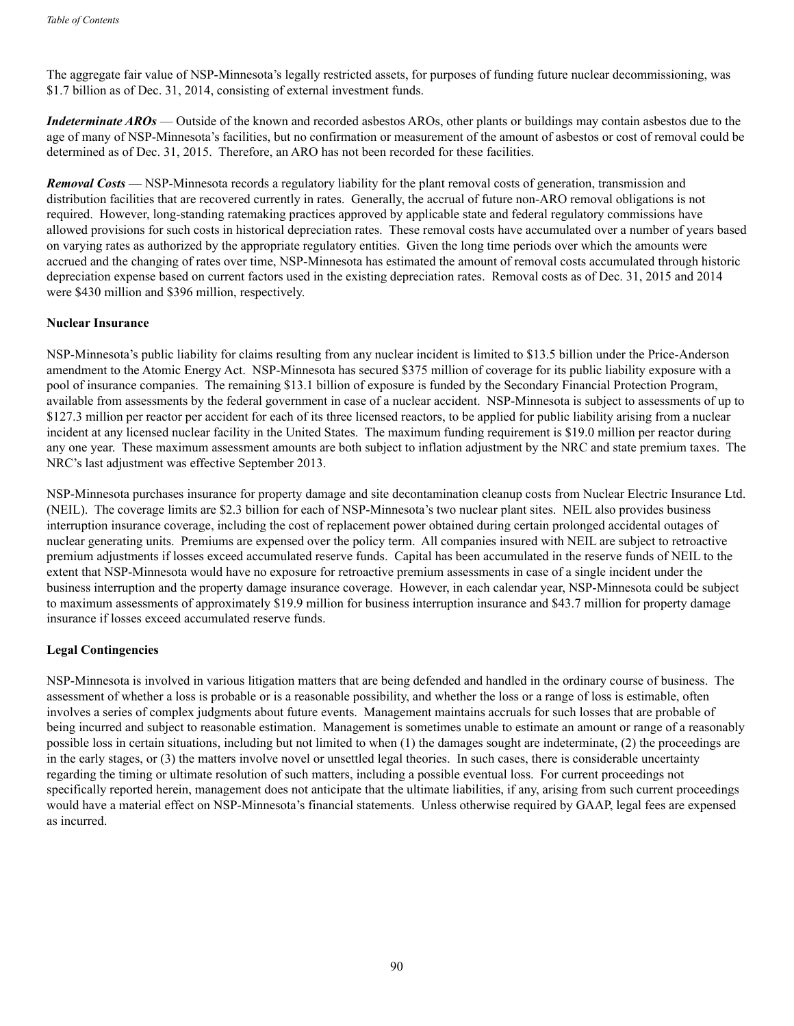The aggregate fair value of NSP-Minnesota's legally restricted assets, for purposes of funding future nuclear decommissioning, was \$1.7 billion as of Dec. 31, 2014, consisting of external investment funds.

*Indeterminate AROs* — Outside of the known and recorded asbestos AROs, other plants or buildings may contain asbestos due to the age of many of NSP-Minnesota's facilities, but no confirmation or measurement of the amount of asbestos or cost of removal could be determined as of Dec. 31, 2015. Therefore, an ARO has not been recorded for these facilities.

*Removal Costs* — NSP-Minnesota records a regulatory liability for the plant removal costs of generation, transmission and distribution facilities that are recovered currently in rates. Generally, the accrual of future non-ARO removal obligations is not required. However, long-standing ratemaking practices approved by applicable state and federal regulatory commissions have allowed provisions for such costs in historical depreciation rates. These removal costs have accumulated over a number of years based on varying rates as authorized by the appropriate regulatory entities. Given the long time periods over which the amounts were accrued and the changing of rates over time, NSP-Minnesota has estimated the amount of removal costs accumulated through historic depreciation expense based on current factors used in the existing depreciation rates. Removal costs as of Dec. 31, 2015 and 2014 were \$430 million and \$396 million, respectively.

# **Nuclear Insurance**

NSP-Minnesota's public liability for claims resulting from any nuclear incident is limited to \$13.5 billion under the Price-Anderson amendment to the Atomic Energy Act. NSP-Minnesota has secured \$375 million of coverage for its public liability exposure with a pool of insurance companies. The remaining \$13.1 billion of exposure is funded by the Secondary Financial Protection Program, available from assessments by the federal government in case of a nuclear accident. NSP-Minnesota is subject to assessments of up to \$127.3 million per reactor per accident for each of its three licensed reactors, to be applied for public liability arising from a nuclear incident at any licensed nuclear facility in the United States. The maximum funding requirement is \$19.0 million per reactor during any one year. These maximum assessment amounts are both subject to inflation adjustment by the NRC and state premium taxes. The NRC's last adjustment was effective September 2013.

NSP-Minnesota purchases insurance for property damage and site decontamination cleanup costs from Nuclear Electric Insurance Ltd. (NEIL). The coverage limits are \$2.3 billion for each of NSP-Minnesota's two nuclear plant sites. NEIL also provides business interruption insurance coverage, including the cost of replacement power obtained during certain prolonged accidental outages of nuclear generating units. Premiums are expensed over the policy term. All companies insured with NEIL are subject to retroactive premium adjustments if losses exceed accumulated reserve funds. Capital has been accumulated in the reserve funds of NEIL to the extent that NSP-Minnesota would have no exposure for retroactive premium assessments in case of a single incident under the business interruption and the property damage insurance coverage. However, in each calendar year, NSP-Minnesota could be subject to maximum assessments of approximately \$19.9 million for business interruption insurance and \$43.7 million for property damage insurance if losses exceed accumulated reserve funds.

# **Legal Contingencies**

NSP-Minnesota is involved in various litigation matters that are being defended and handled in the ordinary course of business. The assessment of whether a loss is probable or is a reasonable possibility, and whether the loss or a range of loss is estimable, often involves a series of complex judgments about future events. Management maintains accruals for such losses that are probable of being incurred and subject to reasonable estimation. Management is sometimes unable to estimate an amount or range of a reasonably possible loss in certain situations, including but not limited to when (1) the damages sought are indeterminate, (2) the proceedings are in the early stages, or (3) the matters involve novel or unsettled legal theories. In such cases, there is considerable uncertainty regarding the timing or ultimate resolution of such matters, including a possible eventual loss. For current proceedings not specifically reported herein, management does not anticipate that the ultimate liabilities, if any, arising from such current proceedings would have a material effect on NSP-Minnesota's financial statements. Unless otherwise required by GAAP, legal fees are expensed as incurred.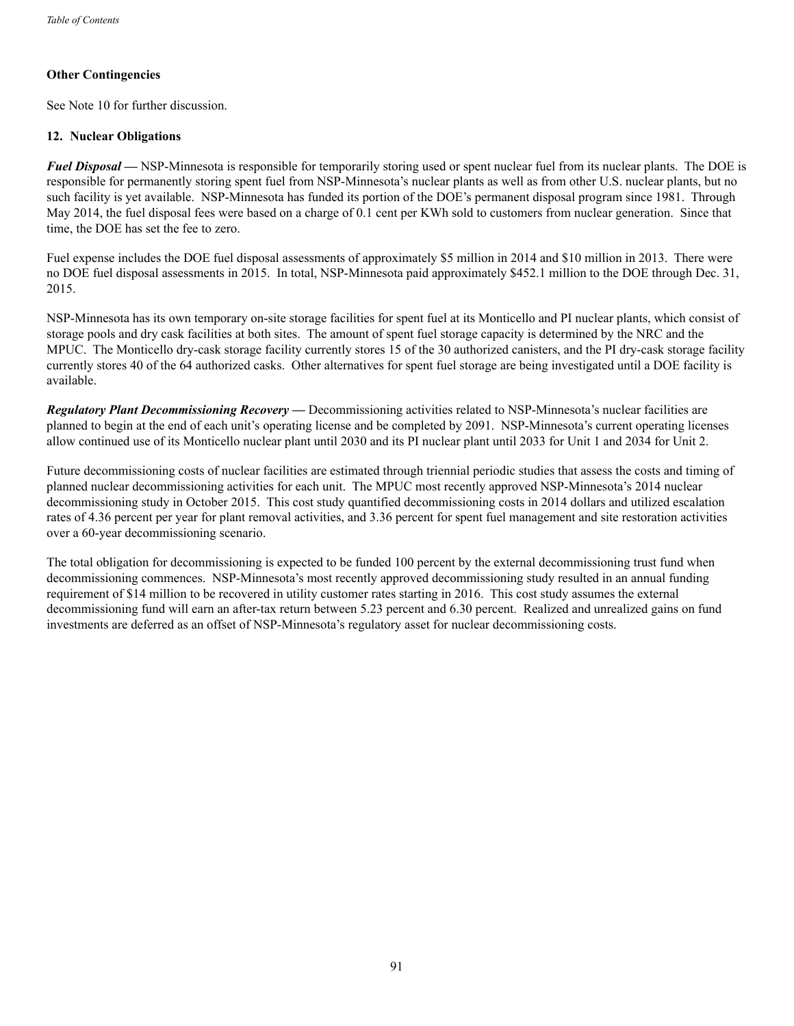# **Other Contingencies**

See Note 10 for further discussion.

### **12. Nuclear Obligations**

*Fuel Disposal —* NSP-Minnesota is responsible for temporarily storing used or spent nuclear fuel from its nuclear plants. The DOE is responsible for permanently storing spent fuel from NSP-Minnesota's nuclear plants as well as from other U.S. nuclear plants, but no such facility is yet available. NSP-Minnesota has funded its portion of the DOE's permanent disposal program since 1981. Through May 2014, the fuel disposal fees were based on a charge of 0.1 cent per KWh sold to customers from nuclear generation. Since that time, the DOE has set the fee to zero.

Fuel expense includes the DOE fuel disposal assessments of approximately \$5 million in 2014 and \$10 million in 2013. There were no DOE fuel disposal assessments in 2015. In total, NSP-Minnesota paid approximately \$452.1 million to the DOE through Dec. 31, 2015.

NSP-Minnesota has its own temporary on-site storage facilities for spent fuel at its Monticello and PI nuclear plants, which consist of storage pools and dry cask facilities at both sites. The amount of spent fuel storage capacity is determined by the NRC and the MPUC. The Monticello dry-cask storage facility currently stores 15 of the 30 authorized canisters, and the PI dry-cask storage facility currently stores 40 of the 64 authorized casks. Other alternatives for spent fuel storage are being investigated until a DOE facility is available.

*Regulatory Plant Decommissioning Recovery —* Decommissioning activities related to NSP-Minnesota's nuclear facilities are planned to begin at the end of each unit's operating license and be completed by 2091. NSP-Minnesota's current operating licenses allow continued use of its Monticello nuclear plant until 2030 and its PI nuclear plant until 2033 for Unit 1 and 2034 for Unit 2.

Future decommissioning costs of nuclear facilities are estimated through triennial periodic studies that assess the costs and timing of planned nuclear decommissioning activities for each unit. The MPUC most recently approved NSP-Minnesota's 2014 nuclear decommissioning study in October 2015. This cost study quantified decommissioning costs in 2014 dollars and utilized escalation rates of 4.36 percent per year for plant removal activities, and 3.36 percent for spent fuel management and site restoration activities over a 60-year decommissioning scenario.

The total obligation for decommissioning is expected to be funded 100 percent by the external decommissioning trust fund when decommissioning commences. NSP-Minnesota's most recently approved decommissioning study resulted in an annual funding requirement of \$14 million to be recovered in utility customer rates starting in 2016. This cost study assumes the external decommissioning fund will earn an after-tax return between 5.23 percent and 6.30 percent. Realized and unrealized gains on fund investments are deferred as an offset of NSP-Minnesota's regulatory asset for nuclear decommissioning costs.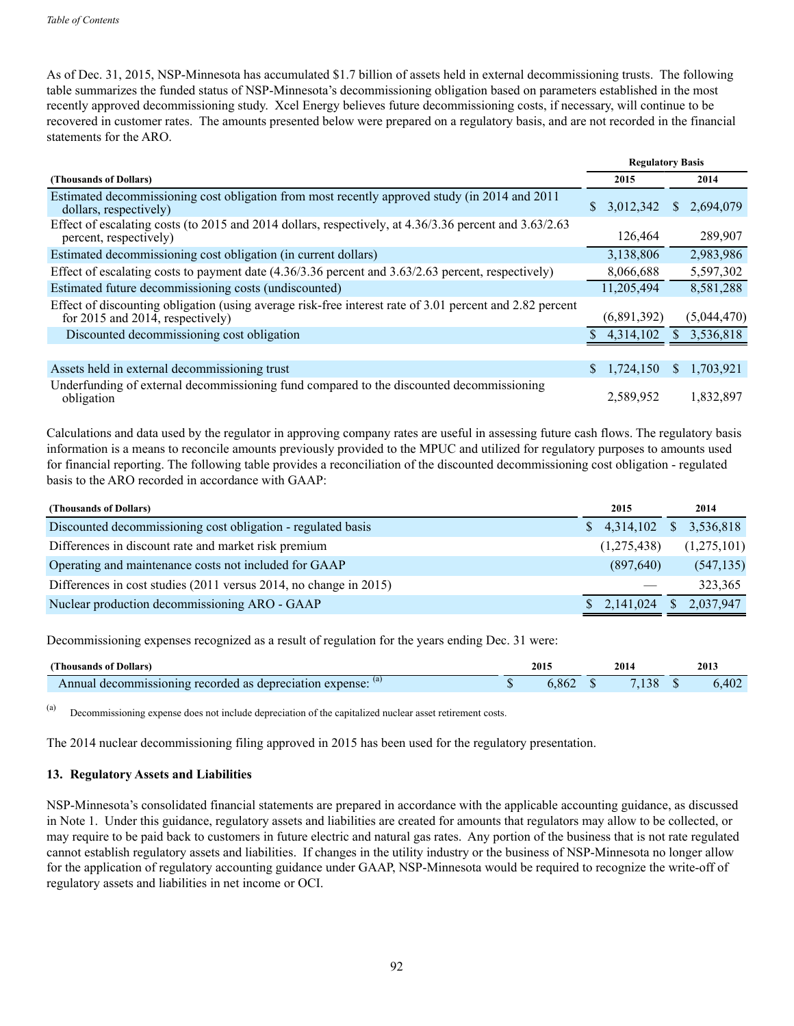As of Dec. 31, 2015, NSP-Minnesota has accumulated \$1.7 billion of assets held in external decommissioning trusts. The following table summarizes the funded status of NSP-Minnesota's decommissioning obligation based on parameters established in the most recently approved decommissioning study. Xcel Energy believes future decommissioning costs, if necessary, will continue to be recovered in customer rates. The amounts presented below were prepared on a regulatory basis, and are not recorded in the financial statements for the ARO.

|                                                                                                                                                   |                 | <b>Regulatory Basis</b> |  |  |
|---------------------------------------------------------------------------------------------------------------------------------------------------|-----------------|-------------------------|--|--|
| (Thousands of Dollars)                                                                                                                            | 2015            | 2014                    |  |  |
| Estimated decommissioning cost obligation from most recently approved study (in 2014 and 2011<br>dollars, respectively)                           | 3,012,342<br>S. | 2,694,079<br>S.         |  |  |
| Effect of escalating costs (to 2015 and 2014 dollars, respectively, at $4.36/3.36$ percent and $3.63/2.63$<br>percent, respectively)              | 126,464         | 289,907                 |  |  |
| Estimated decommissioning cost obligation (in current dollars)                                                                                    | 3,138,806       | 2,983,986               |  |  |
| Effect of escalating costs to payment date $(4.36/3.36$ percent and $3.63/2.63$ percent, respectively)                                            | 8,066,688       | 5,597,302               |  |  |
| Estimated future decommissioning costs (undiscounted)                                                                                             | 11,205,494      | 8,581,288               |  |  |
| Effect of discounting obligation (using average risk-free interest rate of 3.01 percent and 2.82 percent<br>for $2015$ and $2014$ , respectively) | (6,891,392)     | (5,044,470)             |  |  |
| Discounted decommissioning cost obligation                                                                                                        | 4,314,102       | 3,536,818<br>S.         |  |  |
|                                                                                                                                                   |                 |                         |  |  |
| Assets held in external decommissioning trust                                                                                                     | 1,724,150<br>S. | 1,703,921<br>S.         |  |  |
| Underfunding of external decommissioning fund compared to the discounted decommissioning<br>obligation                                            | 2,589,952       | 1,832,897               |  |  |

Calculations and data used by the regulator in approving company rates are useful in assessing future cash flows. The regulatory basis information is a means to reconcile amounts previously provided to the MPUC and utilized for regulatory purposes to amounts used for financial reporting. The following table provides a reconciliation of the discounted decommissioning cost obligation - regulated basis to the ARO recorded in accordance with GAAP:

| (Thousands of Dollars)                                            | 2015        | 2014                      |
|-------------------------------------------------------------------|-------------|---------------------------|
| Discounted decommissioning cost obligation - regulated basis      |             | $$4,314,102$ $$3,536,818$ |
| Differences in discount rate and market risk premium              | (1,275,438) | (1,275,101)               |
| Operating and maintenance costs not included for GAAP             | (897, 640)  | (547, 135)                |
| Differences in cost studies (2011 versus 2014, no change in 2015) |             | 323,365                   |
| Nuclear production decommissioning ARO - GAAP                     |             | $$2,141,024$ $$2,037,947$ |

Decommissioning expenses recognized as a result of regulation for the years ending Dec. 31 were:

| (Thousands of Dollars)                                      | 2015 | 2014 | 2013 |
|-------------------------------------------------------------|------|------|------|
| decommissioning recorded as depreciation expense:<br>Annual | 862  |      | 402  |

(a) Decommissioning expense does not include depreciation of the capitalized nuclear asset retirement costs.

The 2014 nuclear decommissioning filing approved in 2015 has been used for the regulatory presentation.

#### **13. Regulatory Assets and Liabilities**

NSP-Minnesota's consolidated financial statements are prepared in accordance with the applicable accounting guidance, as discussed in Note 1. Under this guidance, regulatory assets and liabilities are created for amounts that regulators may allow to be collected, or may require to be paid back to customers in future electric and natural gas rates. Any portion of the business that is not rate regulated cannot establish regulatory assets and liabilities. If changes in the utility industry or the business of NSP-Minnesota no longer allow for the application of regulatory accounting guidance under GAAP, NSP-Minnesota would be required to recognize the write-off of regulatory assets and liabilities in net income or OCI.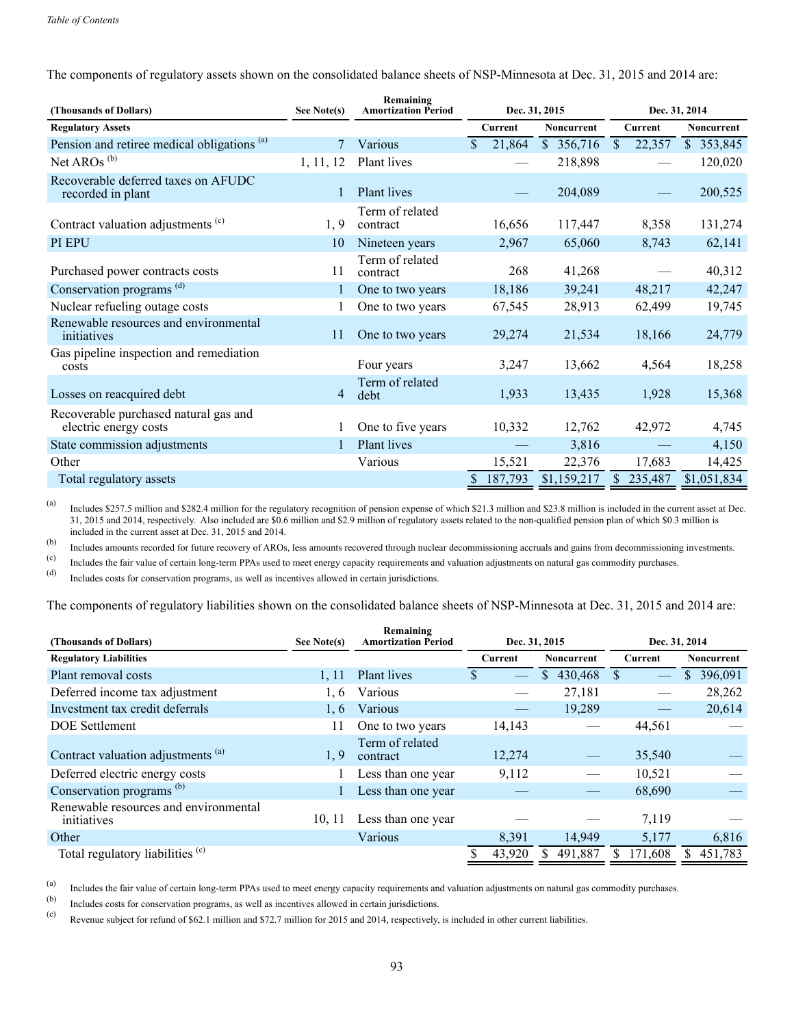The components of regulatory assets shown on the consolidated balance sheets of NSP-Minnesota at Dec. 31, 2015 and 2014 are:

| (Thousands of Dollars)                                         | See Note(s) | Remaining<br><b>Amortization Period</b> | Dec. 31, 2015          |                   | Dec. 31, 2014           |                   |  |
|----------------------------------------------------------------|-------------|-----------------------------------------|------------------------|-------------------|-------------------------|-------------------|--|
| <b>Regulatory Assets</b>                                       |             |                                         | Current                | <b>Noncurrent</b> | Current                 | <b>Noncurrent</b> |  |
| Pension and retiree medical obligations <sup>(a)</sup>         | $\tau$      | Various                                 | $\mathbf{s}$<br>21,864 | \$356,716         | $\mathcal{S}$<br>22,357 | \$353,845         |  |
| Net AROs <sup>(b)</sup>                                        | 1, 11, 12   | Plant lives                             |                        | 218,898           |                         | 120,020           |  |
| Recoverable deferred taxes on AFUDC<br>recorded in plant       | 1           | Plant lives                             |                        | 204,089           |                         | 200,525           |  |
| Contract valuation adjustments <sup>(c)</sup>                  | 1, 9        | Term of related<br>contract             | 16,656                 | 117,447           | 8,358                   | 131,274           |  |
| PI EPU                                                         | 10          | Nineteen years                          | 2,967                  | 65,060            | 8,743                   | 62,141            |  |
| Purchased power contracts costs                                | 11          | Term of related<br>contract             | 268                    | 41,268            |                         | 40,312            |  |
| Conservation programs <sup>(d)</sup>                           |             | One to two years                        | 18,186                 | 39,241            | 48,217                  | 42,247            |  |
| Nuclear refueling outage costs                                 |             | One to two years                        | 67,545                 | 28,913            | 62,499                  | 19,745            |  |
| Renewable resources and environmental<br>initiatives           | 11          | One to two years                        | 29,274                 | 21,534            | 18,166                  | 24,779            |  |
| Gas pipeline inspection and remediation<br>costs               |             | Four years                              | 3,247                  | 13,662            | 4,564                   | 18,258            |  |
| Losses on reacquired debt                                      | 4           | Term of related<br>debt                 | 1,933                  | 13,435            | 1,928                   | 15,368            |  |
| Recoverable purchased natural gas and<br>electric energy costs |             | One to five years                       | 10,332                 | 12,762            | 42,972                  | 4,745             |  |
| State commission adjustments                                   |             | Plant lives                             |                        | 3,816             |                         | 4,150             |  |
| Other                                                          |             | Various                                 | 15,521                 | 22,376            | 17,683                  | 14,425            |  |
| Total regulatory assets                                        |             |                                         | 187,793                | \$1,159,217       | 235,487<br>S.           | \$1,051,834       |  |

(a) Includes \$257.5 million and \$282.4 million for the regulatory recognition of pension expense of which \$21.3 million and \$23.8 million is included in the current asset at Dec. 31, 2015 and 2014, respectively. Also included are \$0.6 million and \$2.9 million of regulatory assets related to the non-qualified pension plan of which \$0.3 million is included in the current asset at Dec. 31, 2015 and 2014.

(b) Includes amounts recorded for future recovery of AROs, less amounts recovered through nuclear decommissioning accruals and gains from decommissioning investments.

(c) Includes the fair value of certain long-term PPAs used to meet energy capacity requirements and valuation adjustments on natural gas commodity purchases.

(d) Includes costs for conservation programs, as well as incentives allowed in certain jurisdictions.

The components of regulatory liabilities shown on the consolidated balance sheets of NSP-Minnesota at Dec. 31, 2015 and 2014 are:

| (Thousands of Dollars)                               | See Note(s) | Remaining<br><b>Amortization Period</b> | Dec. 31, 2015 |                          |                           |            |  | Dec. 31, 2014            |    |         |  |                   |
|------------------------------------------------------|-------------|-----------------------------------------|---------------|--------------------------|---------------------------|------------|--|--------------------------|----|---------|--|-------------------|
| <b>Regulatory Liabilities</b>                        |             |                                         |               | Current                  |                           | Noncurrent |  |                          |    | Current |  | <b>Noncurrent</b> |
| Plant removal costs                                  | 1, 11       | <b>Plant</b> lives                      | У             | $\overline{\phantom{m}}$ | 430,468<br>$\mathbb{S}^-$ |            |  | $\overline{\phantom{0}}$ | S. | 396,091 |  |                   |
| Deferred income tax adjustment                       | 1, 6        | Various                                 |               |                          |                           | 27,181     |  |                          |    | 28,262  |  |                   |
| Investment tax credit deferrals                      | 1.6         | Various                                 |               |                          |                           | 19,289     |  |                          |    | 20,614  |  |                   |
| <b>DOE</b> Settlement                                |             | One to two years                        |               | 14,143                   |                           |            |  | 44,561                   |    |         |  |                   |
| Contract valuation adjustments <sup>(a)</sup>        | 1.9         | Term of related<br>contract             |               | 12,274                   |                           |            |  | 35,540                   |    |         |  |                   |
| Deferred electric energy costs                       |             | Less than one year                      |               | 9,112                    |                           |            |  | 10,521                   |    |         |  |                   |
| Conservation programs <sup>(b)</sup>                 |             | Less than one year                      |               |                          |                           |            |  | 68,690                   |    |         |  |                   |
| Renewable resources and environmental<br>initiatives | 10, 11      | Less than one year                      |               |                          |                           |            |  | 7,119                    |    |         |  |                   |
| Other                                                |             | Various                                 |               | 8,391                    |                           | 14,949     |  | 5,177                    |    | 6,816   |  |                   |
| Total regulatory liabilities (c)                     |             |                                         |               | 43,920                   | 491,887                   |            |  | 171,608                  |    | 451,783 |  |                   |

(a) Includes the fair value of certain long-term PPAs used to meet energy capacity requirements and valuation adjustments on natural gas commodity purchases.<br>(b) Includes exist for conservation programs, as well as incenti

Includes costs for conservation programs, as well as incentives allowed in certain jurisdictions.

(c) Revenue subject for refund of \$62.1 million and \$72.7 million for 2015 and 2014, respectively, is included in other current liabilities.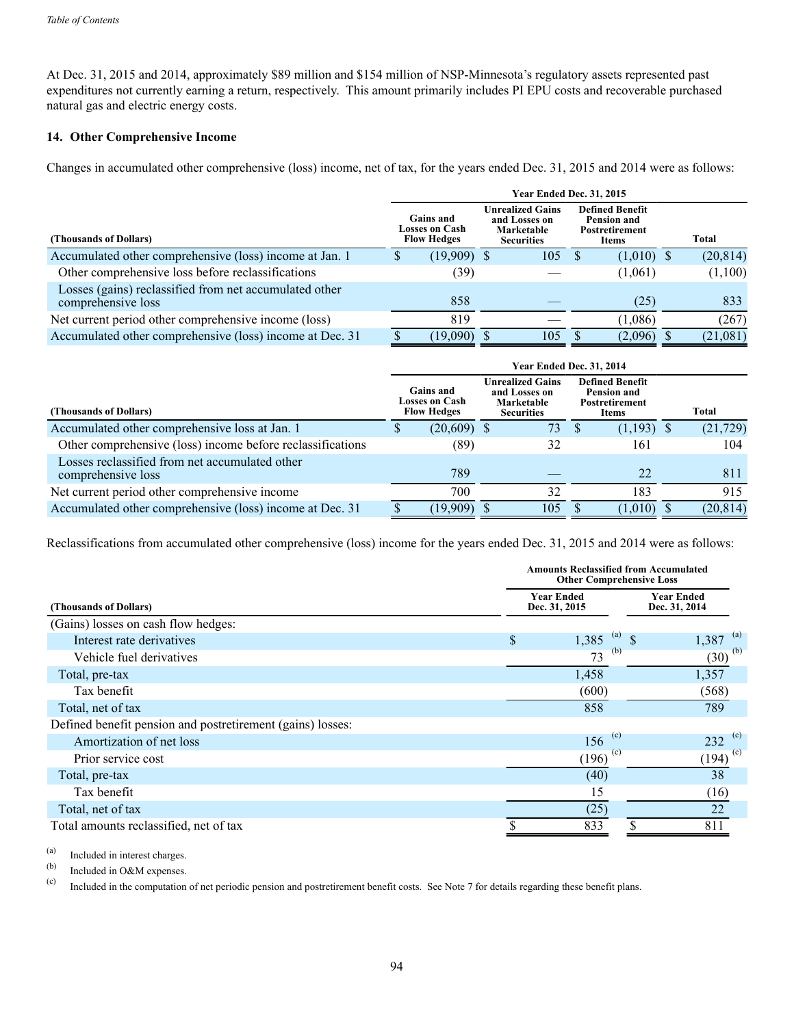At Dec. 31, 2015 and 2014, approximately \$89 million and \$154 million of NSP-Minnesota's regulatory assets represented past expenditures not currently earning a return, respectively. This amount primarily includes PI EPU costs and recoverable purchased natural gas and electric energy costs.

# **14. Other Comprehensive Income**

Changes in accumulated other comprehensive (loss) income, net of tax, for the years ended Dec. 31, 2015 and 2014 were as follows:

|                                                                              | <b>Year Ended Dec. 31, 2015</b> |                                                          |  |                                                                             |  |                                                                                |  |           |  |  |  |  |  |
|------------------------------------------------------------------------------|---------------------------------|----------------------------------------------------------|--|-----------------------------------------------------------------------------|--|--------------------------------------------------------------------------------|--|-----------|--|--|--|--|--|
| (Thousands of Dollars)                                                       |                                 | <b>Gains and</b><br>Losses on Cash<br><b>Flow Hedges</b> |  | <b>Unrealized Gains</b><br>and Losses on<br>Marketable<br><b>Securities</b> |  | <b>Defined Benefit</b><br><b>Pension and</b><br><b>Postretirement</b><br>Items |  | Total     |  |  |  |  |  |
| Accumulated other comprehensive (loss) income at Jan. 1                      |                                 | $(19,909)$ \$                                            |  | 105                                                                         |  | $(1,010)$ \$                                                                   |  | (20, 814) |  |  |  |  |  |
| Other comprehensive loss before reclassifications                            |                                 | (39)                                                     |  |                                                                             |  | (1,061)                                                                        |  | (1,100)   |  |  |  |  |  |
| Losses (gains) reclassified from net accumulated other<br>comprehensive loss |                                 | 858                                                      |  |                                                                             |  | (25)                                                                           |  | 833       |  |  |  |  |  |
| Net current period other comprehensive income (loss)                         |                                 | 819                                                      |  |                                                                             |  | (1,086)                                                                        |  | (267)     |  |  |  |  |  |
| Accumulated other comprehensive (loss) income at Dec. 31                     |                                 | (19,090)                                                 |  | 105                                                                         |  | (2,096)                                                                        |  | (21,081)  |  |  |  |  |  |

|                                                                      | Year Ended Dec. 31, 2014 |                                                                 |  |                                                                             |  |                                                                                |  |           |  |  |
|----------------------------------------------------------------------|--------------------------|-----------------------------------------------------------------|--|-----------------------------------------------------------------------------|--|--------------------------------------------------------------------------------|--|-----------|--|--|
| (Thousands of Dollars)                                               |                          | <b>Gains and</b><br><b>Losses on Cash</b><br><b>Flow Hedges</b> |  | <b>Unrealized Gains</b><br>and Losses on<br>Marketable<br><b>Securities</b> |  | <b>Defined Benefit</b><br>Pension and<br><b>Postretirement</b><br><b>Items</b> |  | Total     |  |  |
| Accumulated other comprehensive loss at Jan. 1                       |                          | $(20,609)$ \$                                                   |  | 73.                                                                         |  | $(1,193)$ \$                                                                   |  | (21, 729) |  |  |
| Other comprehensive (loss) income before reclassifications           |                          | (89)                                                            |  | 32                                                                          |  | 161                                                                            |  | 104       |  |  |
| Losses reclassified from net accumulated other<br>comprehensive loss |                          | 789                                                             |  |                                                                             |  | 22                                                                             |  | 811       |  |  |
| Net current period other comprehensive income                        |                          | 700                                                             |  | 32                                                                          |  | 183                                                                            |  | 915       |  |  |
| Accumulated other comprehensive (loss) income at Dec. 31             |                          | (19,909)                                                        |  | 105                                                                         |  | (1,010)                                                                        |  | (20, 814) |  |  |

Reclassifications from accumulated other comprehensive (loss) income for the years ended Dec. 31, 2015 and 2014 were as follows:

|                                                            | <b>Amounts Reclassified from Accumulated</b><br><b>Other Comprehensive Loss</b> |                                    |                                    |  |  |  |  |  |  |
|------------------------------------------------------------|---------------------------------------------------------------------------------|------------------------------------|------------------------------------|--|--|--|--|--|--|
| (Thousands of Dollars)                                     |                                                                                 | <b>Year Ended</b><br>Dec. 31, 2015 | <b>Year Ended</b><br>Dec. 31, 2014 |  |  |  |  |  |  |
| (Gains) losses on cash flow hedges:                        |                                                                                 |                                    |                                    |  |  |  |  |  |  |
| Interest rate derivatives                                  | \$                                                                              | (a)<br>1,385<br><sup>\$</sup>      | (a)<br>1,387                       |  |  |  |  |  |  |
| Vehicle fuel derivatives                                   |                                                                                 | (b)<br>73                          | $(30)^{(b)}$                       |  |  |  |  |  |  |
| Total, pre-tax                                             |                                                                                 | 1,458                              | 1,357                              |  |  |  |  |  |  |
| Tax benefit                                                |                                                                                 | (600)                              | (568)                              |  |  |  |  |  |  |
| Total, net of tax                                          |                                                                                 | 858                                | 789                                |  |  |  |  |  |  |
| Defined benefit pension and postretirement (gains) losses: |                                                                                 |                                    |                                    |  |  |  |  |  |  |
| Amortization of net loss                                   |                                                                                 | (c)<br>156                         | (c)<br>232                         |  |  |  |  |  |  |
| Prior service cost                                         |                                                                                 | $(196)^{(c)}$                      | $\left(194\right)^{(c)}$           |  |  |  |  |  |  |
| Total, pre-tax                                             |                                                                                 | (40)                               | 38                                 |  |  |  |  |  |  |
| Tax benefit                                                |                                                                                 | 15                                 | (16)                               |  |  |  |  |  |  |
| Total, net of tax                                          |                                                                                 | (25)                               | 22                                 |  |  |  |  |  |  |
| Total amounts reclassified, net of tax                     |                                                                                 | \$<br>833                          | 811                                |  |  |  |  |  |  |

(a) Included in interest charges.<br>
(b) Included in O&M expanses.

 $\begin{array}{ll}\n\text{(b)} & \text{included in O&M expenses.} \\
\text{(c)} & \text{Included in the computation}\n\end{array}$ 

Included in the computation of net periodic pension and postretirement benefit costs. See Note 7 for details regarding these benefit plans.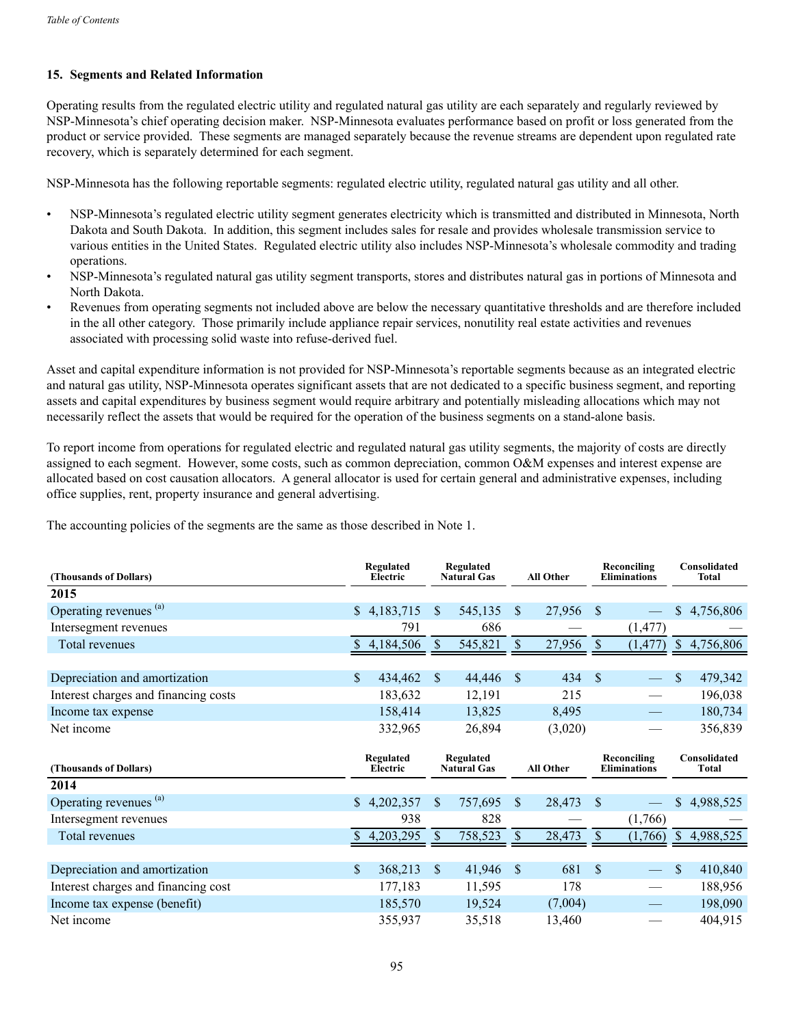# **15. Segments and Related Information**

Operating results from the regulated electric utility and regulated natural gas utility are each separately and regularly reviewed by NSP-Minnesota's chief operating decision maker. NSP-Minnesota evaluates performance based on profit or loss generated from the product or service provided. These segments are managed separately because the revenue streams are dependent upon regulated rate recovery, which is separately determined for each segment.

NSP-Minnesota has the following reportable segments: regulated electric utility, regulated natural gas utility and all other.

- NSP-Minnesota's regulated electric utility segment generates electricity which is transmitted and distributed in Minnesota, North Dakota and South Dakota. In addition, this segment includes sales for resale and provides wholesale transmission service to various entities in the United States. Regulated electric utility also includes NSP-Minnesota's wholesale commodity and trading operations.
- NSP-Minnesota's regulated natural gas utility segment transports, stores and distributes natural gas in portions of Minnesota and North Dakota.
- Revenues from operating segments not included above are below the necessary quantitative thresholds and are therefore included in the all other category. Those primarily include appliance repair services, nonutility real estate activities and revenues associated with processing solid waste into refuse-derived fuel.

Asset and capital expenditure information is not provided for NSP-Minnesota's reportable segments because as an integrated electric and natural gas utility, NSP-Minnesota operates significant assets that are not dedicated to a specific business segment, and reporting assets and capital expenditures by business segment would require arbitrary and potentially misleading allocations which may not necessarily reflect the assets that would be required for the operation of the business segments on a stand-alone basis.

To report income from operations for regulated electric and regulated natural gas utility segments, the majority of costs are directly assigned to each segment. However, some costs, such as common depreciation, common O&M expenses and interest expense are allocated based on cost causation allocators. A general allocator is used for certain general and administrative expenses, including office supplies, rent, property insurance and general advertising.

The accounting policies of the segments are the same as those described in Note 1.

| (Thousands of Dollars)               |     | Regulated<br>Electric |                                 | Regulated<br><b>Natural Gas</b> |                  | <b>All Other</b> |               | Reconciling<br><b>Eliminations</b> |              | Consolidated<br><b>Total</b> |
|--------------------------------------|-----|-----------------------|---------------------------------|---------------------------------|------------------|------------------|---------------|------------------------------------|--------------|------------------------------|
| 2015                                 |     |                       |                                 |                                 |                  |                  |               |                                    |              |                              |
| Operating revenues <sup>(a)</sup>    |     | \$4,183,715           | <sup>\$</sup>                   | 545,135                         | <sup>S</sup>     | 27,956           | -S            |                                    | S.           | 4,756,806                    |
| Intersegment revenues                |     | 791                   |                                 | 686                             |                  |                  |               | (1, 477)                           |              |                              |
| Total revenues                       |     | 4,184,506             | <sup>S</sup>                    | 545,821                         | \$               | 27,956           | $\mathcal{S}$ | (1, 477)                           |              | \$4,756,806                  |
|                                      |     |                       |                                 |                                 |                  |                  |               |                                    |              |                              |
| Depreciation and amortization        | \$. | 434,462               | $\mathbb{S}$                    | 44,446                          | <sup>\$</sup>    | 434              | <sup>\$</sup> |                                    | \$           | 479,342                      |
| Interest charges and financing costs |     | 183,632               |                                 | 12,191                          |                  | 215              |               |                                    |              | 196,038                      |
| Income tax expense                   |     | 158,414               |                                 | 13,825                          |                  | 8,495            |               |                                    |              | 180,734                      |
| Net income                           |     | 332,965               |                                 | 26,894                          |                  | (3,020)          |               |                                    |              | 356,839                      |
|                                      |     |                       | Regulated<br><b>Natural Gas</b> |                                 | <b>All Other</b> |                  |               |                                    |              |                              |
| (Thousands of Dollars)               |     | Regulated<br>Electric |                                 |                                 |                  |                  |               | Reconciling<br><b>Eliminations</b> |              | Consolidated<br><b>Total</b> |
| 2014                                 |     |                       |                                 |                                 |                  |                  |               |                                    |              |                              |
| Operating revenues (a)               |     | \$4,202,357           | \$                              | 757,695                         | S.               | 28,473           | <b>S</b>      |                                    | \$           | 4,988,525                    |
| Intersegment revenues                |     | 938                   |                                 | 828                             |                  |                  |               | (1,766)                            |              |                              |
| Total revenues                       | S   | 4,203,295             | <sup>S</sup>                    | 758,523                         | S                | 28,473           |               | (1,766)                            | <sup>S</sup> | 4,988,525                    |
|                                      |     |                       |                                 |                                 |                  |                  |               |                                    |              |                              |
| Depreciation and amortization        | \$. | 368,213               | <sup>\$</sup>                   | 41,946                          | <sup>S</sup>     | 681              | <sup>\$</sup> |                                    | \$           | 410,840                      |
| Interest charges and financing cost  |     | 177,183               |                                 | 11,595                          |                  | 178              |               |                                    |              | 188,956                      |
| Income tax expense (benefit)         |     | 185,570               |                                 | 19,524                          |                  | (7,004)          |               |                                    |              | 198,090                      |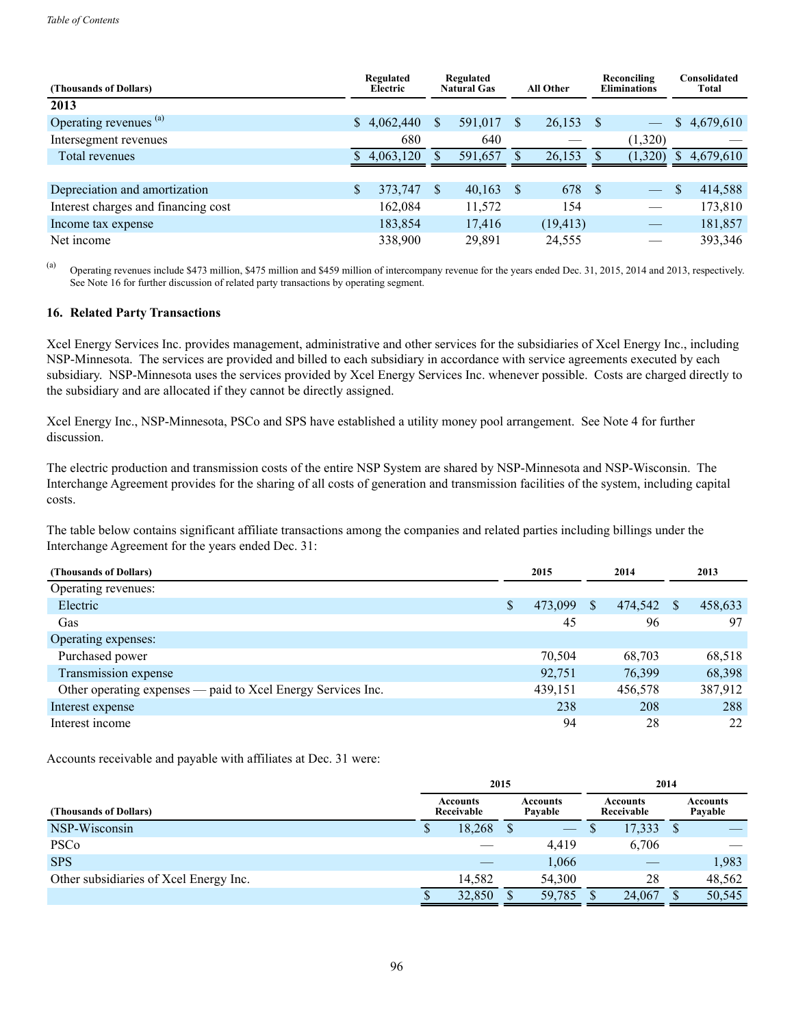| (Thousands of Dollars)              | Regulated<br>Electric |          | Regulated<br><b>Natural Gas</b><br><b>All Other</b> |               |           | Reconciling<br><b>Eliminations</b> |                          |              | Consolidated<br><b>Total</b> |
|-------------------------------------|-----------------------|----------|-----------------------------------------------------|---------------|-----------|------------------------------------|--------------------------|--------------|------------------------------|
| 2013                                |                       |          |                                                     |               |           |                                    |                          |              |                              |
| Operating revenues (a)              | \$4,062,440           | S        | 591,017                                             | \$            | 26,153    |                                    | $\overline{\phantom{m}}$ |              | \$4,679,610                  |
| Intersegment revenues               | 680                   |          | 640                                                 |               |           |                                    | (1,320)                  |              |                              |
| Total revenues                      | 4,063,120             |          | 591,657                                             |               | 26,153    |                                    | (1,320)                  | <sup>S</sup> | 4,679,610                    |
|                                     |                       |          |                                                     |               |           |                                    |                          |              |                              |
| Depreciation and amortization       | 373,747               | <b>S</b> | 40,163                                              | <sup>\$</sup> | 678       | - \$                               | $\overline{\phantom{0}}$ |              | 414,588                      |
| Interest charges and financing cost | 162,084               |          | 11,572                                              |               | 154       |                                    |                          |              | 173,810                      |
| Income tax expense                  | 183,854               |          | 17,416                                              |               | (19, 413) |                                    |                          |              | 181,857                      |
| Net income                          | 338,900               |          | 29,891                                              |               | 24,555    |                                    |                          |              | 393,346                      |

(a) Operating revenues include \$473 million, \$475 million and \$459 million of intercompany revenue for the years ended Dec. 31, 2015, 2014 and 2013, respectively. See Note 16 for further discussion of related party transactions by operating segment.

#### **16. Related Party Transactions**

Xcel Energy Services Inc. provides management, administrative and other services for the subsidiaries of Xcel Energy Inc., including NSP-Minnesota. The services are provided and billed to each subsidiary in accordance with service agreements executed by each subsidiary. NSP-Minnesota uses the services provided by Xcel Energy Services Inc. whenever possible. Costs are charged directly to the subsidiary and are allocated if they cannot be directly assigned.

Xcel Energy Inc., NSP-Minnesota, PSCo and SPS have established a utility money pool arrangement. See Note 4 for further discussion.

The electric production and transmission costs of the entire NSP System are shared by NSP-Minnesota and NSP-Wisconsin. The Interchange Agreement provides for the sharing of all costs of generation and transmission facilities of the system, including capital costs.

The table below contains significant affiliate transactions among the companies and related parties including billings under the Interchange Agreement for the years ended Dec. 31:

| (Thousands of Dollars)                                       | 2015          | 2014          |   | 2013    |
|--------------------------------------------------------------|---------------|---------------|---|---------|
| Operating revenues:                                          |               |               |   |         |
| Electric                                                     | \$<br>473,099 | \$<br>474,542 | S | 458,633 |
| Gas                                                          | 45            | 96            |   | 97      |
| Operating expenses:                                          |               |               |   |         |
| Purchased power                                              | 70,504        | 68,703        |   | 68,518  |
| Transmission expense                                         | 92,751        | 76,399        |   | 68,398  |
| Other operating expenses — paid to Xcel Energy Services Inc. | 439,151       | 456,578       |   | 387,912 |
| Interest expense                                             | 238           | 208           |   | 288     |
| Interest income                                              | 94            | 28            |   | 22      |

Accounts receivable and payable with affiliates at Dec. 31 were:

|                                        |   |                        | 2015 |                     | 2014          |                        |                     |        |  |
|----------------------------------------|---|------------------------|------|---------------------|---------------|------------------------|---------------------|--------|--|
| (Thousands of Dollars)                 |   | Accounts<br>Receivable |      | Accounts<br>Pavable |               | Accounts<br>Receivable | Accounts<br>Pavable |        |  |
| NSP-Wisconsin                          | Φ | 18,268                 |      |                     | <sup>\$</sup> | 17,333                 |                     |        |  |
| <b>PSCo</b>                            |   |                        |      | 4,419               |               | 6,706                  |                     |        |  |
| <b>SPS</b>                             |   |                        |      | 1,066               |               |                        |                     | 1,983  |  |
| Other subsidiaries of Xcel Energy Inc. |   | 14.582                 |      | 54,300              |               | 28                     |                     | 48,562 |  |
|                                        | Φ | 32,850                 |      | 59,785              |               | 24,067                 |                     | 50,545 |  |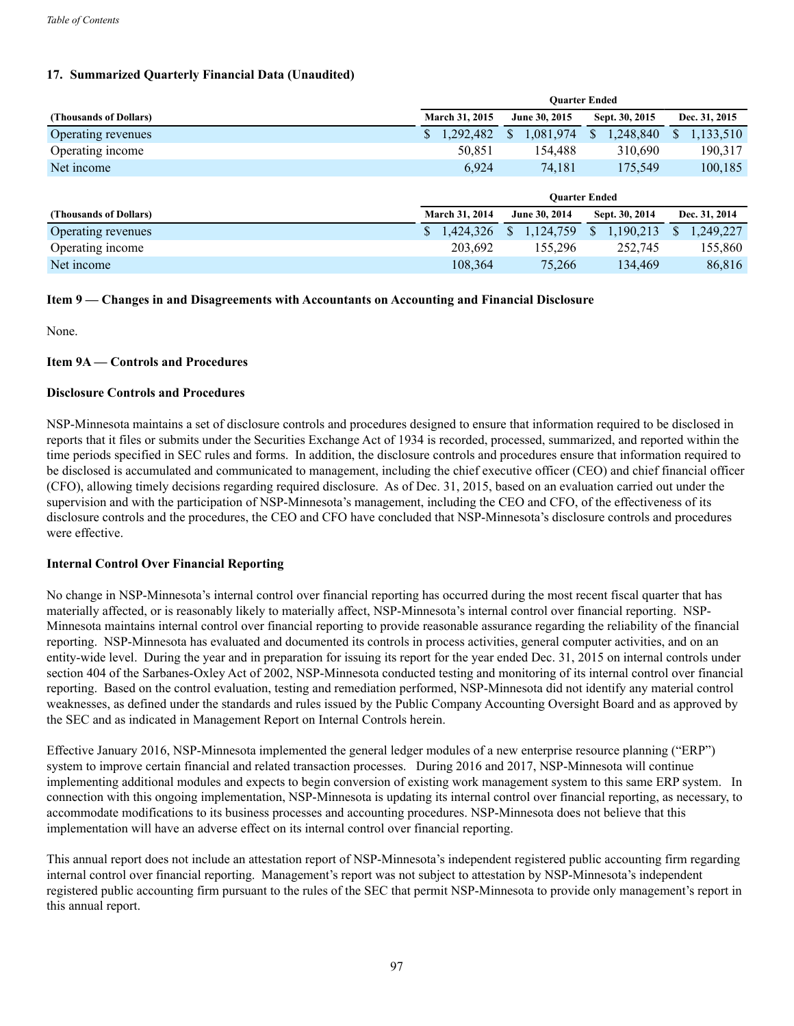# **17. Summarized Quarterly Financial Data (Unaudited)**

|                        | <b>Ouarter Ended</b> |                |                |                 |  |  |  |  |  |  |
|------------------------|----------------------|----------------|----------------|-----------------|--|--|--|--|--|--|
| (Thousands of Dollars) | March 31, 2015       | June 30, 2015  | Sept. 30, 2015 | Dec. 31, 2015   |  |  |  |  |  |  |
| Operating revenues     | 1,292,482<br>D       | ,081,974<br>S  | 1,248,840<br>Ф | 1,133,510<br>У. |  |  |  |  |  |  |
| Operating income       | 50,851               | 154,488        | 310,690        | 190,317         |  |  |  |  |  |  |
| Net income             | 6,924                | 74,181         | 175,549        | 100,185         |  |  |  |  |  |  |
|                        | <b>Ouarter Ended</b> |                |                |                 |  |  |  |  |  |  |
|                        |                      |                |                |                 |  |  |  |  |  |  |
| (Thousands of Dollars) | March 31, 2014       | June 30, 2014  | Sept. 30, 2014 | Dec. 31, 2014   |  |  |  |  |  |  |
| Operating revenues     | 1,424,326            | 1,124,759<br>S | 1,190,213<br>S | 1,249,227       |  |  |  |  |  |  |
| Operating income       | 203,692              | 155,296        | 252,745        | 155,860         |  |  |  |  |  |  |

# **Item 9 — Changes in and Disagreements with Accountants on Accounting and Financial Disclosure**

None.

# **Item 9A — Controls and Procedures**

### **Disclosure Controls and Procedures**

NSP-Minnesota maintains a set of disclosure controls and procedures designed to ensure that information required to be disclosed in reports that it files or submits under the Securities Exchange Act of 1934 is recorded, processed, summarized, and reported within the time periods specified in SEC rules and forms. In addition, the disclosure controls and procedures ensure that information required to be disclosed is accumulated and communicated to management, including the chief executive officer (CEO) and chief financial officer (CFO), allowing timely decisions regarding required disclosure. As of Dec. 31, 2015, based on an evaluation carried out under the supervision and with the participation of NSP-Minnesota's management, including the CEO and CFO, of the effectiveness of its disclosure controls and the procedures, the CEO and CFO have concluded that NSP-Minnesota's disclosure controls and procedures were effective.

# **Internal Control Over Financial Reporting**

No change in NSP-Minnesota's internal control over financial reporting has occurred during the most recent fiscal quarter that has materially affected, or is reasonably likely to materially affect, NSP-Minnesota's internal control over financial reporting. NSP-Minnesota maintains internal control over financial reporting to provide reasonable assurance regarding the reliability of the financial reporting. NSP-Minnesota has evaluated and documented its controls in process activities, general computer activities, and on an entity-wide level. During the year and in preparation for issuing its report for the year ended Dec. 31, 2015 on internal controls under section 404 of the Sarbanes-Oxley Act of 2002, NSP-Minnesota conducted testing and monitoring of its internal control over financial reporting. Based on the control evaluation, testing and remediation performed, NSP-Minnesota did not identify any material control weaknesses, as defined under the standards and rules issued by the Public Company Accounting Oversight Board and as approved by the SEC and as indicated in Management Report on Internal Controls herein.

Effective January 2016, NSP-Minnesota implemented the general ledger modules of a new enterprise resource planning ("ERP") system to improve certain financial and related transaction processes. During 2016 and 2017, NSP-Minnesota will continue implementing additional modules and expects to begin conversion of existing work management system to this same ERP system. In connection with this ongoing implementation, NSP-Minnesota is updating its internal control over financial reporting, as necessary, to accommodate modifications to its business processes and accounting procedures. NSP-Minnesota does not believe that this implementation will have an adverse effect on its internal control over financial reporting.

This annual report does not include an attestation report of NSP-Minnesota's independent registered public accounting firm regarding internal control over financial reporting. Management's report was not subject to attestation by NSP-Minnesota's independent registered public accounting firm pursuant to the rules of the SEC that permit NSP-Minnesota to provide only management's report in this annual report.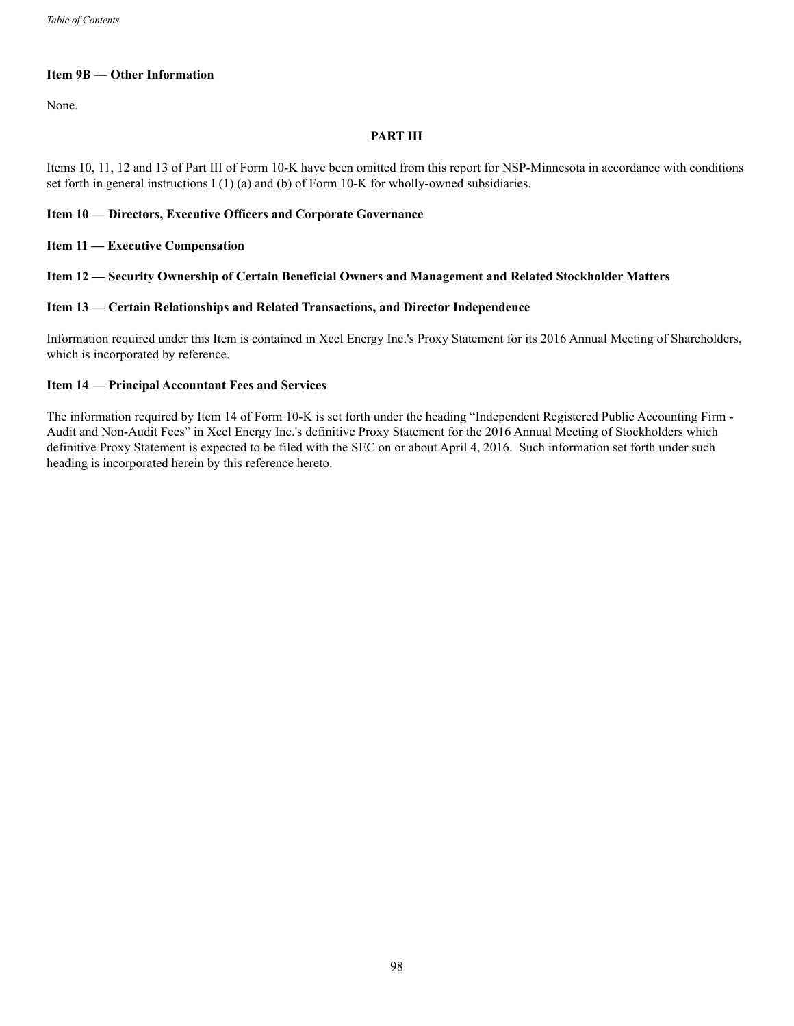# **Item 9B** — **Other Information**

None.

# **PART III**

Items 10, 11, 12 and 13 of Part III of Form 10-K have been omitted from this report for NSP-Minnesota in accordance with conditions set forth in general instructions I (1) (a) and (b) of Form 10-K for wholly-owned subsidiaries.

### **Item 10 — Directors, Executive Officers and Corporate Governance**

### **Item 11 — Executive Compensation**

### **Item 12 — Security Ownership of Certain Beneficial Owners and Management and Related Stockholder Matters**

### **Item 13 — Certain Relationships and Related Transactions, and Director Independence**

Information required under this Item is contained in Xcel Energy Inc.'s Proxy Statement for its 2016 Annual Meeting of Shareholders, which is incorporated by reference.

### **Item 14 — Principal Accountant Fees and Services**

The information required by Item 14 of Form 10-K is set forth under the heading "Independent Registered Public Accounting Firm - Audit and Non-Audit Fees" in Xcel Energy Inc.'s definitive Proxy Statement for the 2016 Annual Meeting of Stockholders which definitive Proxy Statement is expected to be filed with the SEC on or about April 4, 2016. Such information set forth under such heading is incorporated herein by this reference hereto.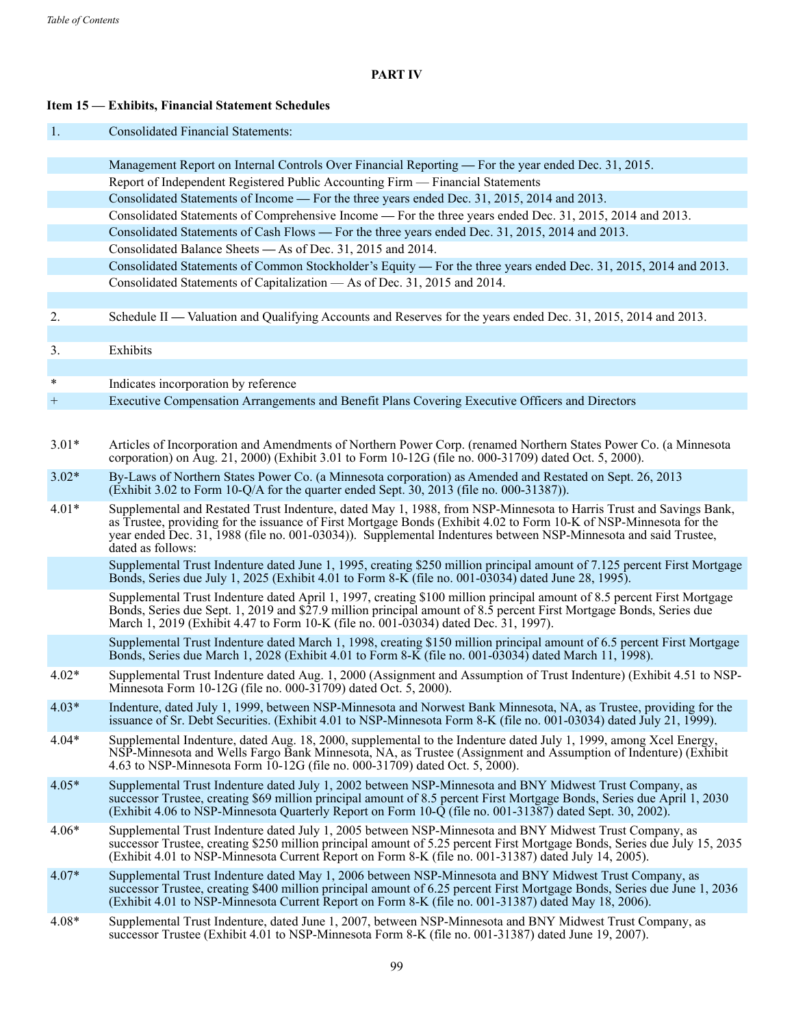# **PART IV**

# **Item 15 — Exhibits, Financial Statement Schedules**

1. Consolidated Financial Statements:

|         | Management Report on Internal Controls Over Financial Reporting — For the year ended Dec. 31, 2015.                                                                                                                                                                                                                                                                              |
|---------|----------------------------------------------------------------------------------------------------------------------------------------------------------------------------------------------------------------------------------------------------------------------------------------------------------------------------------------------------------------------------------|
|         | Report of Independent Registered Public Accounting Firm — Financial Statements                                                                                                                                                                                                                                                                                                   |
|         | Consolidated Statements of Income — For the three years ended Dec. 31, 2015, 2014 and 2013.                                                                                                                                                                                                                                                                                      |
|         | Consolidated Statements of Comprehensive Income — For the three years ended Dec. 31, 2015, 2014 and 2013.                                                                                                                                                                                                                                                                        |
|         | Consolidated Statements of Cash Flows — For the three years ended Dec. 31, 2015, 2014 and 2013.                                                                                                                                                                                                                                                                                  |
|         | Consolidated Balance Sheets — As of Dec. 31, 2015 and 2014.                                                                                                                                                                                                                                                                                                                      |
|         | Consolidated Statements of Common Stockholder's Equity — For the three years ended Dec. 31, 2015, 2014 and 2013.                                                                                                                                                                                                                                                                 |
|         | Consolidated Statements of Capitalization — As of Dec. 31, 2015 and 2014.                                                                                                                                                                                                                                                                                                        |
|         |                                                                                                                                                                                                                                                                                                                                                                                  |
| 2.      | Schedule II — Valuation and Qualifying Accounts and Reserves for the years ended Dec. 31, 2015, 2014 and 2013.                                                                                                                                                                                                                                                                   |
|         |                                                                                                                                                                                                                                                                                                                                                                                  |
| 3.      | Exhibits                                                                                                                                                                                                                                                                                                                                                                         |
|         |                                                                                                                                                                                                                                                                                                                                                                                  |
| $\ast$  | Indicates incorporation by reference                                                                                                                                                                                                                                                                                                                                             |
| $^{+}$  | Executive Compensation Arrangements and Benefit Plans Covering Executive Officers and Directors                                                                                                                                                                                                                                                                                  |
|         |                                                                                                                                                                                                                                                                                                                                                                                  |
| $3.01*$ | Articles of Incorporation and Amendments of Northern Power Corp. (renamed Northern States Power Co. (a Minnesota<br>corporation) on Aug. 21, 2000) (Exhibit 3.01 to Form 10-12G (file no. 000-31709) dated Oct. 5, 2000).                                                                                                                                                        |
| $3.02*$ | By-Laws of Northern States Power Co. (a Minnesota corporation) as Amended and Restated on Sept. 26, 2013<br>(Exhibit 3.02 to Form 10-Q/A for the quarter ended Sept. 30, 2013 (file no. 000-31387)).                                                                                                                                                                             |
| $4.01*$ | Supplemental and Restated Trust Indenture, dated May 1, 1988, from NSP-Minnesota to Harris Trust and Savings Bank,<br>as Trustee, providing for the issuance of First Mortgage Bonds (Exhibit 4.02 to Form 10-K of NSP-Minnesota for the<br>year ended Dec. 31, 1988 (file no. 001-03034)). Supplemental Indentures between NSP-Minnesota and said Trustee,<br>dated as follows: |
|         | Supplemental Trust Indenture dated June 1, 1995, creating \$250 million principal amount of 7.125 percent First Mortgage<br>Bonds, Series due July 1, 2025 (Exhibit 4.01 to Form 8-K (file no. 001-03034) dated June 28, 1995).                                                                                                                                                  |
|         | Supplemental Trust Indenture dated April 1, 1997, creating \$100 million principal amount of 8.5 percent First Mortgage<br>Bonds, Series due Sept. 1, 2019 and \$27.9 million principal amount of 8.5 percent First Mortgage Bonds, Series due<br>March 1, 2019 (Exhibit 4.47 to Form 10-K (file no. 001-03034) dated Dec. 31, 1997).                                            |
|         | Supplemental Trust Indenture dated March 1, 1998, creating \$150 million principal amount of 6.5 percent First Mortgage<br>Bonds, Series due March 1, 2028 (Exhibit 4.01 to Form 8-K (file no. 001-03034) dated March 11, 1998).                                                                                                                                                 |
| $4.02*$ | Supplemental Trust Indenture dated Aug. 1, 2000 (Assignment and Assumption of Trust Indenture) (Exhibit 4.51 to NSP-<br>Minnesota Form 10-12G (file no. 000-31709) dated Oct. 5, 2000).                                                                                                                                                                                          |
| $4.03*$ | Indenture, dated July 1, 1999, between NSP-Minnesota and Norwest Bank Minnesota, NA, as Trustee, providing for the<br>issuance of Sr. Debt Securities. (Exhibit 4.01 to NSP-Minnesota Form 8-K (file no. 001-03034) dated July 21, 1999).                                                                                                                                        |
| $4.04*$ | Supplemental Indenture, dated Aug. 18, 2000, supplemental to the Indenture dated July 1, 1999, among Xcel Energy,<br>NSP-Minnesota and Wells Fargo Bank Minnesota, NA, as Trustee (Assignment and Assumption of Indenture) (Exhibit<br>4.63 to NSP-Minnesota Form 10-12G (file no. 000-31709) dated Oct. 5, 2000).                                                               |
| $4.05*$ | Supplemental Trust Indenture dated July 1, 2002 between NSP-Minnesota and BNY Midwest Trust Company, as<br>successor Trustee, creating \$69 million principal amount of 8.5 percent First Mortgage Bonds, Series due April 1, 2030<br>(Exhibit 4.06 to NSP-Minnesota Quarterly Report on Form 10-Q (file no. 001-31387) dated Sept. 30, 2002).                                   |
| $4.06*$ | Supplemental Trust Indenture dated July 1, 2005 between NSP-Minnesota and BNY Midwest Trust Company, as<br>successor Trustee, creating \$250 million principal amount of 5.25 percent First Mortgage Bonds, Series due July 15, 2035<br>(Exhibit 4.01 to NSP-Minnesota Current Report on Form 8-K (file no. 001-31387) dated July 14, 2005).                                     |
| $4.07*$ | Supplemental Trust Indenture dated May 1, 2006 between NSP-Minnesota and BNY Midwest Trust Company, as<br>successor Trustee, creating \$400 million principal amount of 6.25 percent First Mortgage Bonds, Series due June 1, 2036<br>(Exhibit 4.01 to NSP-Minnesota Current Report on Form 8-K (file no. 001-31387) dated May 18, 2006).                                        |
| $4.08*$ | Supplemental Trust Indenture, dated June 1, 2007, between NSP-Minnesota and BNY Midwest Trust Company, as<br>successor Trustee (Exhibit 4.01 to NSP-Minnesota Form 8-K (file no. 001-31387) dated June 19, 2007).                                                                                                                                                                |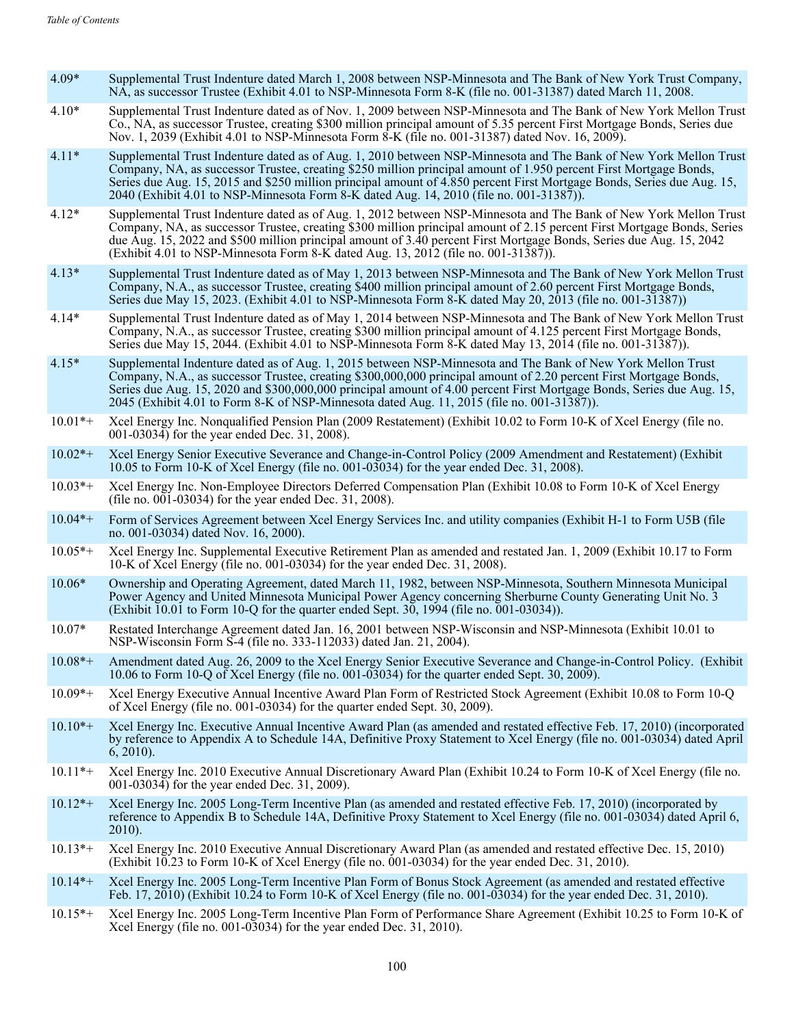- 4.09\* Supplemental Trust Indenture dated March 1, 2008 between NSP-Minnesota and The Bank of New York Trust Company, NA, as successor Trustee (Exhibit 4.01 to NSP-Minnesota Form 8-K (file no. 001-31387) dated March 11, 2008.
- 4.10\* Supplemental Trust Indenture dated as of Nov. 1, 2009 between NSP-Minnesota and The Bank of New York Mellon Trust Co., NA, as successor Trustee, creating \$300 million principal amount of 5.35 percent First Mortgage Bonds, Series due Nov. 1, 2039 (Exhibit 4.01 to NSP-Minnesota Form 8-K (file no. 001-31387) dated Nov. 16, 2009).
- 4.11\* Supplemental Trust Indenture dated as of Aug. 1, 2010 between NSP-Minnesota and The Bank of New York Mellon Trust Company, NA, as successor Trustee, creating \$250 million principal amount of 1.950 percent First Mortgage Bonds, Series due Aug. 15, 2015 and \$250 million principal amount of 4.850 percent First Mortgage Bonds, Series due Aug. 15, 2040 (Exhibit 4.01 to NSP-Minnesota Form 8-K dated Aug. 14, 2010 (file no. 001-31387)).
- 4.12\* Supplemental Trust Indenture dated as of Aug. 1, 2012 between NSP-Minnesota and The Bank of New York Mellon Trust Company, NA, as successor Trustee, creating \$300 million principal amount of 2.15 percent First Mortgage Bonds, Series due Aug. 15, 2022 and \$500 million principal amount of 3.40 percent First Mortgage Bonds, Series due Aug. 15, 2042 (Exhibit 4.01 to NSP-Minnesota Form 8-K dated Aug. 13, 2012 (file no. 001-31387)).
- 4.13\* Supplemental Trust Indenture dated as of May 1, 2013 between NSP-Minnesota and The Bank of New York Mellon Trust Company, N.A., as successor Trustee, creating \$400 million principal amount of 2.60 percent First Mortgage Bonds, Series due May 15, 2023. (Exhibit 4.01 to NSP-Minnesota Form 8-K dated May 20, 2013 (file no. 001-31387))
- 4.14\* Supplemental Trust Indenture dated as of May 1, 2014 between NSP-Minnesota and The Bank of New York Mellon Trust Company, N.A., as successor Trustee, creating \$300 million principal amount of 4.125 percent First Mortgage Bonds, Series due May 15, 2044. (Exhibit 4.01 to NSP-Minnesota Form 8-K dated May 13, 2014 (file no. 001-31387)).
- 4.15\* Supplemental Indenture dated as of Aug. 1, 2015 between NSP-Minnesota and The Bank of New York Mellon Trust Company, N.A., as successor Trustee, creating \$300,000,000 principal amount of 2.20 percent First Mortgage Bonds, Series due Aug. 15, 2020 and \$300,000,000 principal amount of 4.00 percent First Mortgage Bonds, Series due Aug. 15, 2045 (Exhibit 4.01 to Form 8-K of NSP-Minnesota dated Aug. 11, 2015 (file no. 001-31387)).
- 10.01\*+ Xcel Energy Inc. Nonqualified Pension Plan (2009 Restatement) (Exhibit 10.02 to Form 10-K of Xcel Energy (file no. 001-03034) for the year ended Dec. 31, 2008).
- 10.02\*+ Xcel Energy Senior Executive Severance and Change-in-Control Policy (2009 Amendment and Restatement) (Exhibit 10.05 to Form 10-K of Xcel Energy (file no. 001-03034) for the year ended Dec. 31, 2008).
- 10.03\*+ Xcel Energy Inc. Non-Employee Directors Deferred Compensation Plan (Exhibit 10.08 to Form 10-K of Xcel Energy (file no. 001-03034) for the year ended Dec. 31, 2008).
- 10.04\*+ Form of Services Agreement between Xcel Energy Services Inc. and utility companies (Exhibit H-1 to Form U5B (file no. 001-03034) dated Nov. 16, 2000).
- 10.05\*+ Xcel Energy Inc. Supplemental Executive Retirement Plan as amended and restated Jan. 1, 2009 (Exhibit 10.17 to Form 10-K of Xcel Energy (file no. 001-03034) for the year ended Dec. 31, 2008).
- 10.06\* Ownership and Operating Agreement, dated March 11, 1982, between NSP-Minnesota, Southern Minnesota Municipal Power Agency and United Minnesota Municipal Power Agency concerning Sherburne County Generating Unit No. 3 (Exhibit 10.01 to Form 10-Q for the quarter ended Sept. 30, 1994 (file no. 001-03034)).
- 10.07\* Restated Interchange Agreement dated Jan. 16, 2001 between NSP-Wisconsin and NSP-Minnesota (Exhibit 10.01 to NSP-Wisconsin Form S-4 (file no. 333-112033) dated Jan. 21, 2004).
- 10.08\*+ Amendment dated Aug. 26, 2009 to the Xcel Energy Senior Executive Severance and Change-in-Control Policy. (Exhibit 10.06 to Form 10-Q of Xcel Energy (file no. 001-03034) for the quarter ended Sept. 30, 2009).
- 10.09\*+ Xcel Energy Executive Annual Incentive Award Plan Form of Restricted Stock Agreement (Exhibit 10.08 to Form 10-Q of Xcel Energy (file no. 001-03034) for the quarter ended Sept. 30, 2009).
- 10.10\*+ Xcel Energy Inc. Executive Annual Incentive Award Plan (as amended and restated effective Feb. 17, 2010) (incorporated by reference to Appendix A to Schedule 14A, Definitive Proxy Statement to Xcel Energy (file no. 001-03034) dated April 6, 2010).
- 10.11\*+ Xcel Energy Inc. 2010 Executive Annual Discretionary Award Plan (Exhibit 10.24 to Form 10-K of Xcel Energy (file no. 001-03034) for the year ended Dec. 31, 2009).
- 10.12\*+ Xcel Energy Inc. 2005 Long-Term Incentive Plan (as amended and restated effective Feb. 17, 2010) (incorporated by reference to Appendix B to Schedule 14A, Definitive Proxy Statement to Xcel Energy (file no. 001-03034) dated April 6, 2010).
- 10.13\*+ Xcel Energy Inc. 2010 Executive Annual Discretionary Award Plan (as amended and restated effective Dec. 15, 2010) (Exhibit 10.23 to Form 10-K of Xcel Energy (file no. 001-03034) for the year ended Dec. 31, 2010).
- 10.14\*+ Xcel Energy Inc. 2005 Long-Term Incentive Plan Form of Bonus Stock Agreement (as amended and restated effective Feb. 17, 2010) (Exhibit 10.24 to Form 10-K of Xcel Energy (file no. 001-03034) for the year ended Dec. 31, 2010).
- 10.15\*+ Xcel Energy Inc. 2005 Long-Term Incentive Plan Form of Performance Share Agreement (Exhibit 10.25 to Form 10-K of Xcel Energy (file no. 001-03034) for the year ended Dec. 31, 2010).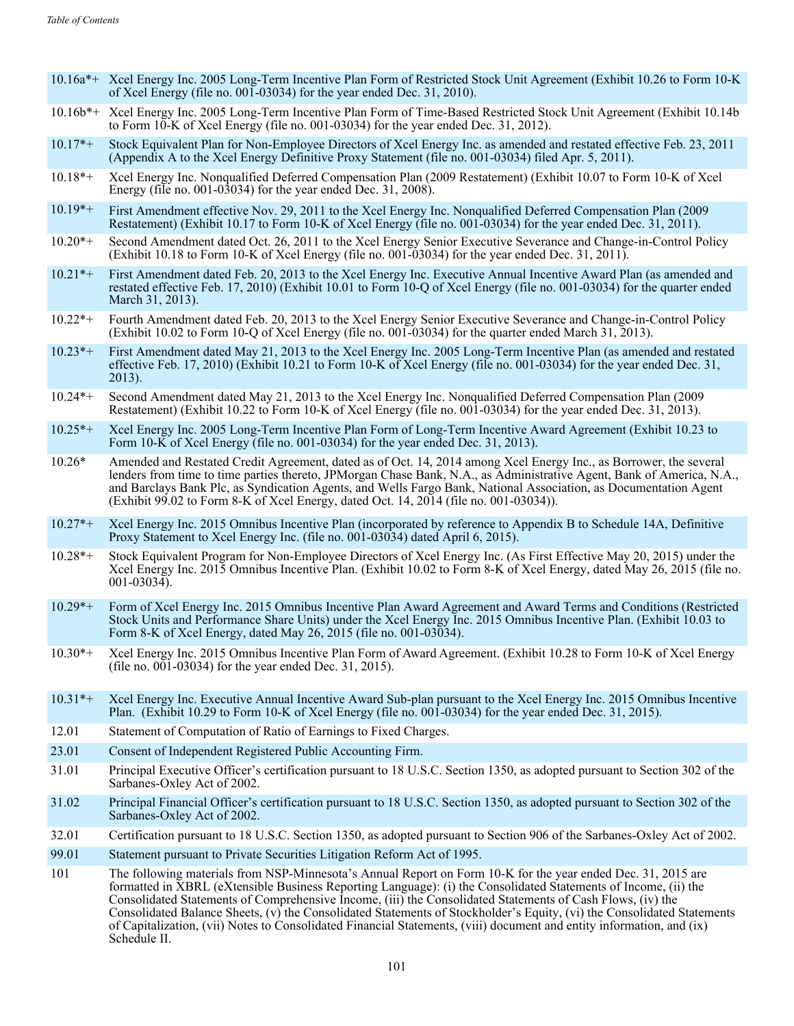- 10.16a\*+ Xcel Energy Inc. 2005 Long-Term Incentive Plan Form of Restricted Stock Unit Agreement (Exhibit 10.26 to Form 10-K of Xcel Energy (file no. 001-03034) for the year ended Dec. 31, 2010).
- 10.16b\*+ Xcel Energy Inc. 2005 Long-Term Incentive Plan Form of Time-Based Restricted Stock Unit Agreement (Exhibit 10.14b to Form  $10^{\circ}$ K of Xcel Energy (file no. 001-03034) for the year ended Dec. 31, 2012).
- 10.17\*+ Stock Equivalent Plan for Non-Employee Directors of Xcel Energy Inc. as amended and restated effective Feb. 23, 2011 (Appendix A to the Xcel Energy Definitive Proxy Statement (file no. 001-03034) filed Apr. 5, 2011).
- 10.18\*+ Xcel Energy Inc. Nonqualified Deferred Compensation Plan (2009 Restatement) (Exhibit 10.07 to Form 10-K of Xcel Energy (file no. 001-03034) for the year ended Dec. 31, 2008).
- 10.19\*+ First Amendment effective Nov. 29, 2011 to the Xcel Energy Inc. Nonqualified Deferred Compensation Plan (2009 Restatement) (Exhibit 10.17 to Form 10-K of Xcel Energy (file no. 001-03034) for the year ended Dec. 31, 2011).
- 10.20\*+ Second Amendment dated Oct. 26, 2011 to the Xcel Energy Senior Executive Severance and Change-in-Control Policy (Exhibit 10.18 to Form 10-K of Xcel Energy (file no. 001-03034) for the year ended Dec. 31, 2011).
- 10.21\*+ First Amendment dated Feb. 20, 2013 to the Xcel Energy Inc. Executive Annual Incentive Award Plan (as amended and restated effective Feb. 17, 2010) (Exhibit 10.01 to Form 10-Q of Xcel Energy (file no. 001-03034) for the quarter ended March 31, 2013).
- 10.22\*+ Fourth Amendment dated Feb. 20, 2013 to the Xcel Energy Senior Executive Severance and Change-in-Control Policy (Exhibit 10.02 to Form 10-Q of Xcel Energy (file no. 001-03034) for the quarter ended March 31, 2013).
- 10.23\*+ First Amendment dated May 21, 2013 to the Xcel Energy Inc. 2005 Long-Term Incentive Plan (as amended and restated effective Feb. 17, 2010) (Exhibit 10.21 to Form 10-K of Xcel Energy (file no. 001-03034) for the year ended Dec. 31, 2013).
- 10.24\*+ Second Amendment dated May 21, 2013 to the Xcel Energy Inc. Nonqualified Deferred Compensation Plan (2009 Restatement) (Exhibit 10.22 to Form 10-K of Xcel Energy (file no. 001-03034) for the year ended Dec. 31, 2013).
- 10.25\*+ Xcel Energy Inc. 2005 Long-Term Incentive Plan Form of Long-Term Incentive Award Agreement (Exhibit 10.23 to Form 10-K of Xcel Energy (file no. 001-03034) for the year ended Dec. 31, 2013).
- 10.26\* Amended and Restated Credit Agreement, dated as of Oct. 14, 2014 among Xcel Energy Inc., as Borrower, the several lenders from time to time parties thereto, JPMorgan Chase Bank, N.A., as Administrative Agent, Bank of America, N.A., and Barclays Bank Plc, as Syndication Agents, and Wells Fargo Bank, National Association, as Documentation Agent (Exhibit 99.02 to Form 8-K of Xcel Energy, dated Oct. 14, 2014 (file no. 001-03034)).
- 10.27\*+ Xcel Energy Inc. 2015 Omnibus Incentive Plan (incorporated by reference to Appendix B to Schedule 14A, Definitive Proxy Statement to Xcel Energy Inc. (file no. 001-03034) dated April 6, 2015).
- 10.28\*+ Stock Equivalent Program for Non-Employee Directors of Xcel Energy Inc. (As First Effective May 20, 2015) under the Xcel Energy Inc. 2015 Omnibus Incentive Plan. (Exhibit 10.02 to Form 8-K of Xcel Energy, dated May 26, 2015 (file no. 001-03034).
- 10.29\*+ Form of Xcel Energy Inc. 2015 Omnibus Incentive Plan Award Agreement and Award Terms and Conditions (Restricted Stock Units and Performance Share Units) under the Xcel Energy Inc. 2015 Omnibus Incentive Plan. (Exhibit 10.03 to Form 8-K of Xcel Energy, dated May 26, 2015 (file no. 001-03034).
- 10.30\*+ Xcel Energy Inc. 2015 Omnibus Incentive Plan Form of Award Agreement. (Exhibit 10.28 to Form 10-K of Xcel Energy (file no. 001-03034) for the year ended Dec. 31, 2015).
- 10.31\*+ Xcel Energy Inc. Executive Annual Incentive Award Sub-plan pursuant to the Xcel Energy Inc. 2015 Omnibus Incentive Plan. (Exhibit 10.29 to Form 10-K of Xcel Energy (file no. 001-03034) for the year ended Dec. 31, 2015).
- 12.01 Statement of Computation of Ratio of Earnings to Fixed Charges.
- 23.01 Consent of Independent Registered Public Accounting Firm.
- 31.01 Principal Executive Officer's certification pursuant to 18 U.S.C. Section 1350, as adopted pursuant to Section 302 of the Sarbanes-Oxley Act of 2002.
- 31.02 Principal Financial Officer's certification pursuant to 18 U.S.C. Section 1350, as adopted pursuant to Section 302 of the Sarbanes-Oxley Act of 2002.
- 32.01 Certification pursuant to 18 U.S.C. Section 1350, as adopted pursuant to Section 906 of the Sarbanes-Oxley Act of 2002.
- 99.01 Statement pursuant to Private Securities Litigation Reform Act of 1995.
- 101 The following materials from NSP-Minnesota's Annual Report on Form 10-K for the year ended Dec. 31, 2015 are formatted in XBRL (eXtensible Business Reporting Language): (i) the Consolidated Statements of Income, (ii) the Consolidated Statements of Comprehensive Income, (iii) the Consolidated Statements of Cash Flows, (iv) the Consolidated Balance Sheets, (v) the Consolidated Statements of Stockholder's Equity, (vi) the Consolidated Statements of Capitalization, (vii) Notes to Consolidated Financial Statements, (viii) document and entity information, and (ix) Schedule II.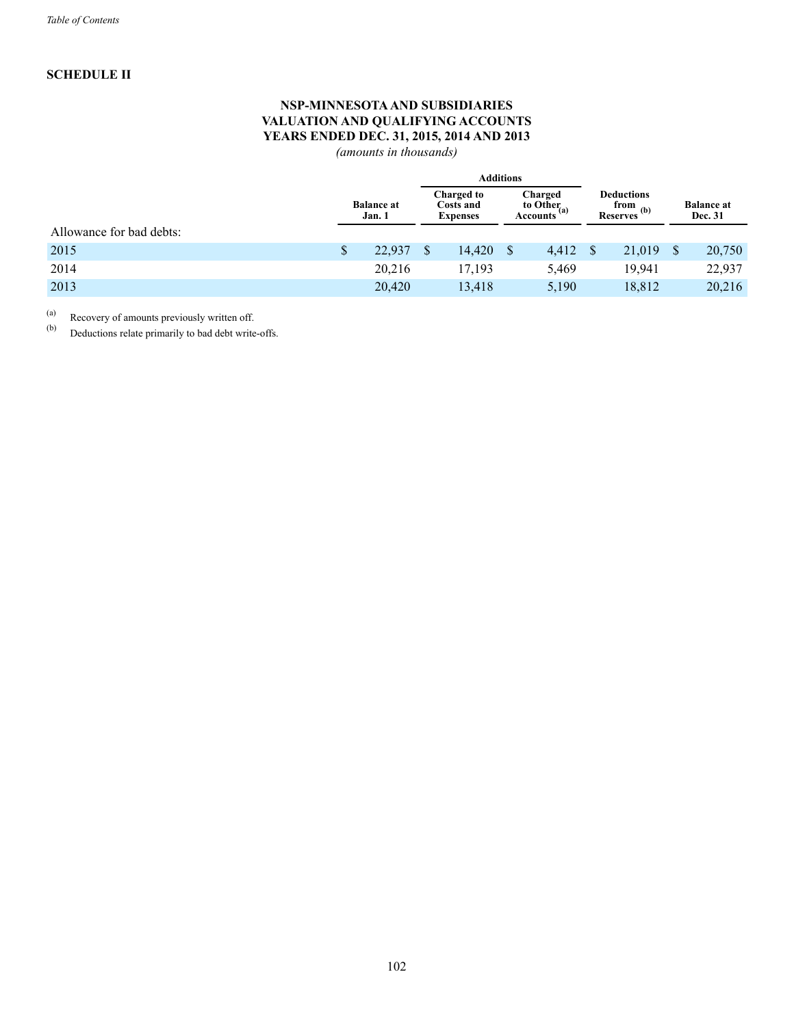# **SCHEDULE II**

# **NSP-MINNESOTAAND SUBSIDIARIES VALUATION AND QUALIFYING ACCOUNTS YEARS ENDED DEC. 31, 2015, 2014 AND 2013**

*(amounts in thousands)*

|                          |                             |        |                                            | <b>Additions</b> |                                                |       |                                                              |        |                              |
|--------------------------|-----------------------------|--------|--------------------------------------------|------------------|------------------------------------------------|-------|--------------------------------------------------------------|--------|------------------------------|
|                          | <b>Balance at</b><br>Jan. 1 |        | Charged to<br>Costs and<br><b>Expenses</b> |                  | Charged<br>to Other <sub>(a)</sub><br>Accounts |       | <b>Deductions</b><br>from $_{\infty}$ (b)<br><b>Reserves</b> |        | <b>Balance</b> at<br>Dec. 31 |
| Allowance for bad debts: |                             |        |                                            |                  |                                                |       |                                                              |        |                              |
| 2015                     | \$                          | 22,937 |                                            | 14,420           | S                                              | 4,412 | <sup>S</sup>                                                 | 21,019 | 20,750                       |
| 2014                     |                             | 20,216 |                                            | 17,193           |                                                | 5,469 |                                                              | 19,941 | 22,937                       |
| 2013                     |                             | 20,420 |                                            | 13,418           |                                                | 5,190 |                                                              | 18,812 | 20,216                       |

(a) Recovery of amounts previously written off.<br>(b) Deductions relate primarily to bad debt write

Deductions relate primarily to bad debt write-offs.